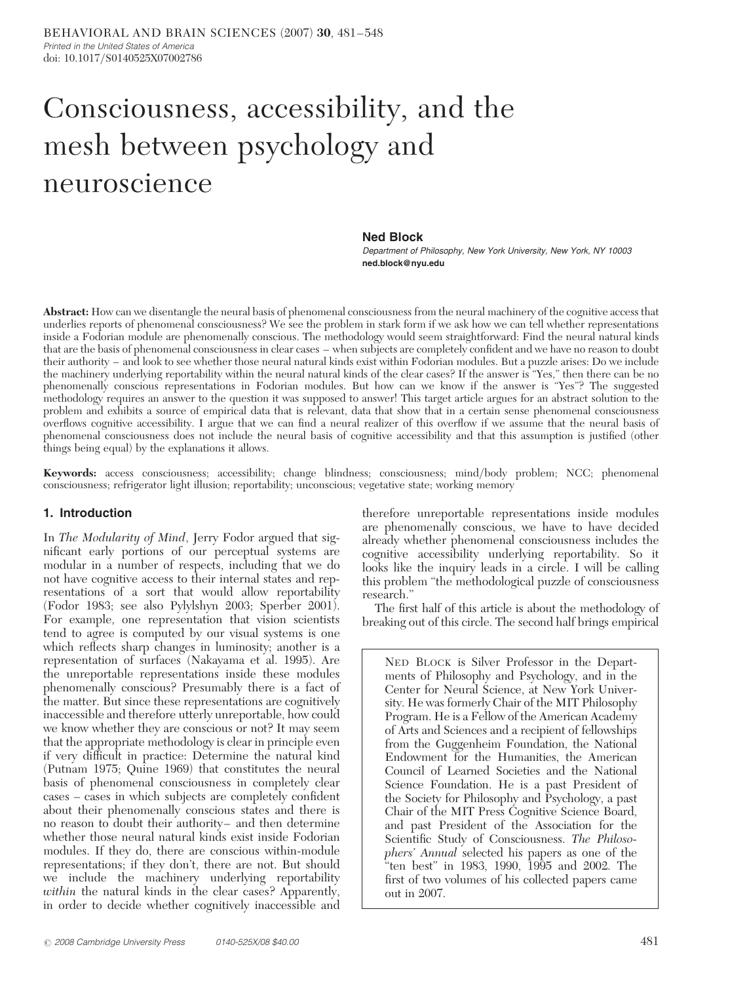# Consciousness, accessibility, and the mesh between psychology and neuroscience

## Ned Block

Department of Philosophy, New York University, New York, NY 10003 ned.block@nyu.edu

Abstract: How can we disentangle the neural basis of phenomenal consciousness from the neural machinery of the cognitive access that underlies reports of phenomenal consciousness? We see the problem in stark form if we ask how we can tell whether representations inside a Fodorian module are phenomenally conscious. The methodology would seem straightforward: Find the neural natural kinds that are the basis of phenomenal consciousness in clear cases – when subjects are completely confident and we have no reason to doubt their authority – and look to see whether those neural natural kinds exist within Fodorian modules. But a puzzle arises: Do we include the machinery underlying reportability within the neural natural kinds of the clear cases? If the answer is "Yes," then there can be no phenomenally conscious representations in Fodorian modules. But how can we know if the answer is "Yes"? The suggested methodology requires an answer to the question it was supposed to answer! This target article argues for an abstract solution to the problem and exhibits a source of empirical data that is relevant, data that show that in a certain sense phenomenal consciousness overflows cognitive accessibility. I argue that we can find a neural realizer of this overflow if we assume that the neural basis of phenomenal consciousness does not include the neural basis of cognitive accessibility and that this assumption is justified (other things being equal) by the explanations it allows.

Keywords: access consciousness; accessibility; change blindness; consciousness; mind/body problem; NCC; phenomenal consciousness; refrigerator light illusion; reportability; unconscious; vegetative state; working memory

## 1. Introduction

In The Modularity of Mind, Jerry Fodor argued that significant early portions of our perceptual systems are modular in a number of respects, including that we do not have cognitive access to their internal states and representations of a sort that would allow reportability (Fodor 1983; see also Pylylshyn 2003; Sperber 2001). For example, one representation that vision scientists tend to agree is computed by our visual systems is one which reflects sharp changes in luminosity; another is a representation of surfaces (Nakayama et al. 1995). Are the unreportable representations inside these modules phenomenally conscious? Presumably there is a fact of the matter. But since these representations are cognitively inaccessible and therefore utterly unreportable, how could we know whether they are conscious or not? It may seem that the appropriate methodology is clear in principle even if very difficult in practice: Determine the natural kind (Putnam 1975; Quine 1969) that constitutes the neural basis of phenomenal consciousness in completely clear cases – cases in which subjects are completely confident about their phenomenally conscious states and there is no reason to doubt their authority– and then determine whether those neural natural kinds exist inside Fodorian modules. If they do, there are conscious within-module representations; if they don't, there are not. But should we include the machinery underlying reportability within the natural kinds in the clear cases? Apparently, in order to decide whether cognitively inaccessible and

therefore unreportable representations inside modules are phenomenally conscious, we have to have decided already whether phenomenal consciousness includes the cognitive accessibility underlying reportability. So it looks like the inquiry leads in a circle. I will be calling this problem "the methodological puzzle of consciousness research."

The first half of this article is about the methodology of breaking out of this circle. The second half brings empirical

NED BLOCK is Silver Professor in the Departments of Philosophy and Psychology, and in the Center for Neural Science, at New York University. He was formerly Chair of the MIT Philosophy Program. He is a Fellow of the American Academy of Arts and Sciences and a recipient of fellowships from the Guggenheim Foundation, the National Endowment for the Humanities, the American Council of Learned Societies and the National Science Foundation. He is a past President of the Society for Philosophy and Psychology, a past Chair of the MIT Press Cognitive Science Board, and past President of the Association for the Scientific Study of Consciousness. The Philosophers' Annual selected his papers as one of the "ten best" in 1983, 1990, 1995 and 2002. The first of two volumes of his collected papers came out in 2007.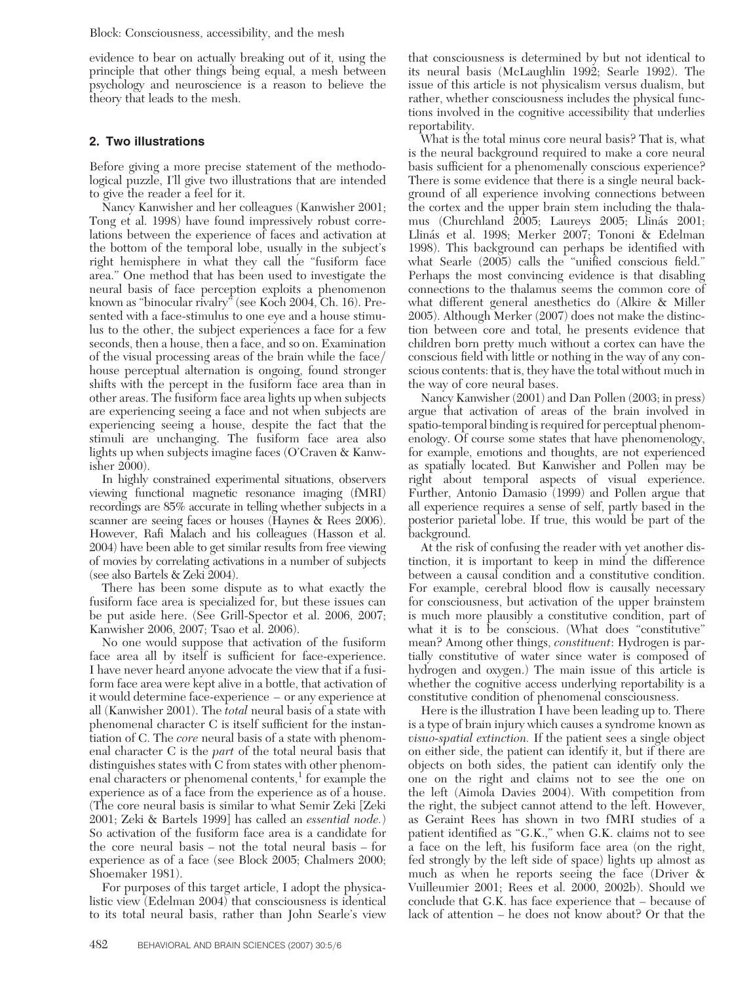evidence to bear on actually breaking out of it, using the principle that other things being equal, a mesh between psychology and neuroscience is a reason to believe the theory that leads to the mesh.

#### 2. Two illustrations

Before giving a more precise statement of the methodological puzzle, I'll give two illustrations that are intended to give the reader a feel for it.

Nancy Kanwisher and her colleagues (Kanwisher 2001; Tong et al. 1998) have found impressively robust correlations between the experience of faces and activation at the bottom of the temporal lobe, usually in the subject's right hemisphere in what they call the "fusiform face area." One method that has been used to investigate the neural basis of face perception exploits a phenomenon known as "binocular rivalry" (see Koch 2004, Ch. 16). Presented with a face-stimulus to one eye and a house stimulus to the other, the subject experiences a face for a few seconds, then a house, then a face, and so on. Examination of the visual processing areas of the brain while the face/ house perceptual alternation is ongoing, found stronger shifts with the percept in the fusiform face area than in other areas. The fusiform face area lights up when subjects are experiencing seeing a face and not when subjects are experiencing seeing a house, despite the fact that the stimuli are unchanging. The fusiform face area also lights up when subjects imagine faces (O'Craven & Kanwisher 2000).

In highly constrained experimental situations, observers viewing functional magnetic resonance imaging (fMRI) recordings are 85% accurate in telling whether subjects in a scanner are seeing faces or houses (Haynes & Rees 2006). However, Rafi Malach and his colleagues (Hasson et al. 2004) have been able to get similar results from free viewing of movies by correlating activations in a number of subjects (see also Bartels & Zeki 2004).

There has been some dispute as to what exactly the fusiform face area is specialized for, but these issues can be put aside here. (See Grill-Spector et al. 2006, 2007; Kanwisher 2006, 2007; Tsao et al. 2006).

No one would suppose that activation of the fusiform face area all by itself is sufficient for face-experience. I have never heard anyone advocate the view that if a fusiform face area were kept alive in a bottle, that activation of it would determine face-experience – or any experience at all (Kanwisher 2001). The total neural basis of a state with phenomenal character C is itself sufficient for the instantiation of C. The *core* neural basis of a state with phenomenal character C is the *part* of the total neural basis that distinguishes states with C from states with other phenomenal characters or phenomenal contents, $\frac{1}{1}$  for example the experience as of a face from the experience as of a house. (The core neural basis is similar to what Semir Zeki [Zeki 2001; Zeki & Bartels 1999] has called an essential node.) So activation of the fusiform face area is a candidate for the core neural basis – not the total neural basis – for experience as of a face (see Block 2005; Chalmers 2000; Shoemaker 1981).

For purposes of this target article, I adopt the physicalistic view (Edelman 2004) that consciousness is identical to its total neural basis, rather than John Searle's view

that consciousness is determined by but not identical to its neural basis (McLaughlin 1992; Searle 1992). The issue of this article is not physicalism versus dualism, but rather, whether consciousness includes the physical functions involved in the cognitive accessibility that underlies reportability.

What is the total minus core neural basis? That is, what is the neural background required to make a core neural basis sufficient for a phenomenally conscious experience? There is some evidence that there is a single neural background of all experience involving connections between the cortex and the upper brain stem including the thalamus (Churchland 2005; Laureys 2005; Llinás 2001; Llinás et al. 1998; Merker 2007; Tononi & Edelman 1998). This background can perhaps be identified with what Searle (2005) calls the "unified conscious field." Perhaps the most convincing evidence is that disabling connections to the thalamus seems the common core of what different general anesthetics do (Alkire & Miller 2005). Although Merker (2007) does not make the distinction between core and total, he presents evidence that children born pretty much without a cortex can have the conscious field with little or nothing in the way of any conscious contents: that is, they have the total without much in the way of core neural bases.

Nancy Kanwisher (2001) and Dan Pollen (2003; in press) argue that activation of areas of the brain involved in spatio-temporal binding is required for perceptual phenomenology. Of course some states that have phenomenology, for example, emotions and thoughts, are not experienced as spatially located. But Kanwisher and Pollen may be right about temporal aspects of visual experience. Further, Antonio Damasio (1999) and Pollen argue that all experience requires a sense of self, partly based in the posterior parietal lobe. If true, this would be part of the background.

At the risk of confusing the reader with yet another distinction, it is important to keep in mind the difference between a causal condition and a constitutive condition. For example, cerebral blood flow is causally necessary for consciousness, but activation of the upper brainstem is much more plausibly a constitutive condition, part of what it is to be conscious. (What does "constitutive" mean? Among other things, constituent: Hydrogen is partially constitutive of water since water is composed of hydrogen and oxygen.) The main issue of this article is whether the cognitive access underlying reportability is a constitutive condition of phenomenal consciousness.

Here is the illustration I have been leading up to. There is a type of brain injury which causes a syndrome known as visuo-spatial extinction. If the patient sees a single object on either side, the patient can identify it, but if there are objects on both sides, the patient can identify only the one on the right and claims not to see the one on the left (Aimola Davies 2004). With competition from the right, the subject cannot attend to the left. However, as Geraint Rees has shown in two fMRI studies of a patient identified as "G.K.," when G.K. claims not to see a face on the left, his fusiform face area (on the right, fed strongly by the left side of space) lights up almost as much as when he reports seeing the face (Driver & Vuilleumier 2001; Rees et al. 2000, 2002b). Should we conclude that G.K. has face experience that – because of lack of attention – he does not know about? Or that the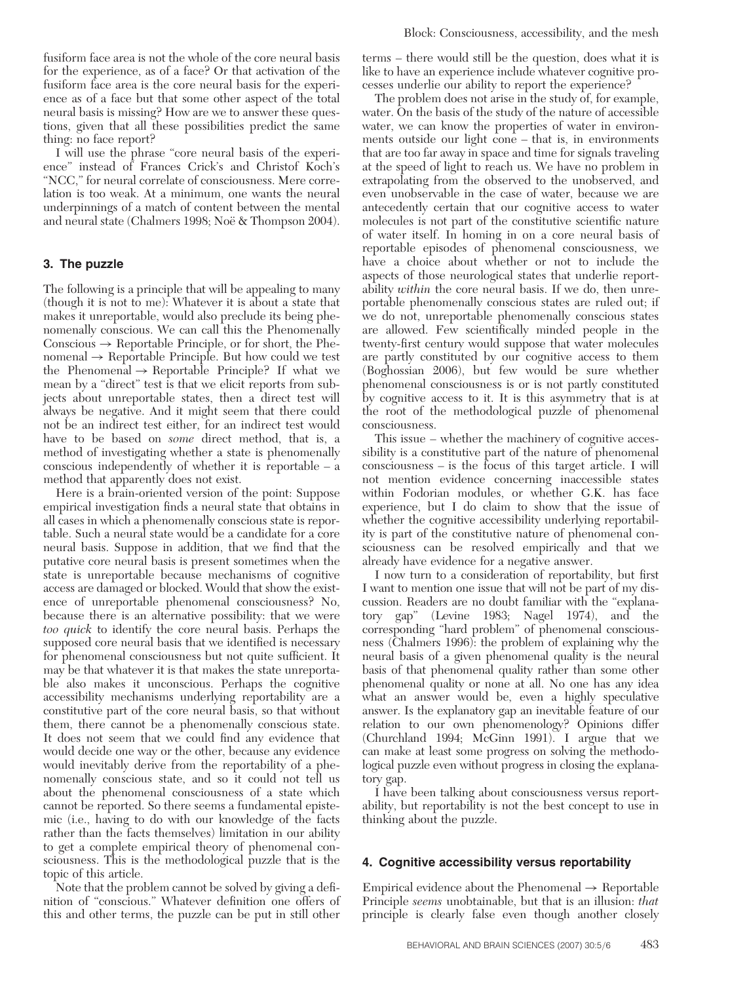fusiform face area is not the whole of the core neural basis for the experience, as of a face? Or that activation of the fusiform face area is the core neural basis for the experience as of a face but that some other aspect of the total neural basis is missing? How are we to answer these questions, given that all these possibilities predict the same thing: no face report?

I will use the phrase "core neural basis of the experience" instead of Frances Crick's and Christof Koch's "NCC," for neural correlate of consciousness. Mere correlation is too weak. At a minimum, one wants the neural underpinnings of a match of content between the mental and neural state (Chalmers 1998; Noë & Thompson 2004).

## 3. The puzzle

The following is a principle that will be appealing to many (though it is not to me): Whatever it is about a state that makes it unreportable, would also preclude its being phenomenally conscious. We can call this the Phenomenally Conscious  $\rightarrow$  Reportable Principle, or for short, the Phenomenal  $\rightarrow$  Reportable Principle. But how could we test the Phenomenal  $\rightarrow$  Reportable Principle? If what we mean by a "direct" test is that we elicit reports from subjects about unreportable states, then a direct test will always be negative. And it might seem that there could not be an indirect test either, for an indirect test would have to be based on some direct method, that is, a method of investigating whether a state is phenomenally conscious independently of whether it is reportable – a method that apparently does not exist.

Here is a brain-oriented version of the point: Suppose empirical investigation finds a neural state that obtains in all cases in which a phenomenally conscious state is reportable. Such a neural state would be a candidate for a core neural basis. Suppose in addition, that we find that the putative core neural basis is present sometimes when the state is unreportable because mechanisms of cognitive access are damaged or blocked. Would that show the existence of unreportable phenomenal consciousness? No, because there is an alternative possibility: that we were too quick to identify the core neural basis. Perhaps the supposed core neural basis that we identified is necessary for phenomenal consciousness but not quite sufficient. It may be that whatever it is that makes the state unreportable also makes it unconscious. Perhaps the cognitive accessibility mechanisms underlying reportability are a constitutive part of the core neural basis, so that without them, there cannot be a phenomenally conscious state. It does not seem that we could find any evidence that would decide one way or the other, because any evidence would inevitably derive from the reportability of a phenomenally conscious state, and so it could not tell us about the phenomenal consciousness of a state which cannot be reported. So there seems a fundamental epistemic (i.e., having to do with our knowledge of the facts rather than the facts themselves) limitation in our ability to get a complete empirical theory of phenomenal consciousness. This is the methodological puzzle that is the topic of this article.

Note that the problem cannot be solved by giving a definition of "conscious." Whatever definition one offers of this and other terms, the puzzle can be put in still other terms – there would still be the question, does what it is like to have an experience include whatever cognitive processes underlie our ability to report the experience?

The problem does not arise in the study of, for example, water. On the basis of the study of the nature of accessible water, we can know the properties of water in environments outside our light cone – that is, in environments that are too far away in space and time for signals traveling at the speed of light to reach us. We have no problem in extrapolating from the observed to the unobserved, and even unobservable in the case of water, because we are antecedently certain that our cognitive access to water molecules is not part of the constitutive scientific nature of water itself. In homing in on a core neural basis of reportable episodes of phenomenal consciousness, we have a choice about whether or not to include the aspects of those neurological states that underlie reportability within the core neural basis. If we do, then unreportable phenomenally conscious states are ruled out; if we do not, unreportable phenomenally conscious states are allowed. Few scientifically minded people in the twenty-first century would suppose that water molecules are partly constituted by our cognitive access to them (Boghossian 2006), but few would be sure whether phenomenal consciousness is or is not partly constituted by cognitive access to it. It is this asymmetry that is at the root of the methodological puzzle of phenomenal consciousness.

This issue – whether the machinery of cognitive accessibility is a constitutive part of the nature of phenomenal consciousness – is the focus of this target article. I will not mention evidence concerning inaccessible states within Fodorian modules, or whether G.K. has face experience, but I do claim to show that the issue of whether the cognitive accessibility underlying reportability is part of the constitutive nature of phenomenal consciousness can be resolved empirically and that we already have evidence for a negative answer.

I now turn to a consideration of reportability, but first I want to mention one issue that will not be part of my discussion. Readers are no doubt familiar with the "explanatory gap" (Levine 1983; Nagel 1974), and the corresponding "hard problem" of phenomenal consciousness (Chalmers 1996): the problem of explaining why the neural basis of a given phenomenal quality is the neural basis of that phenomenal quality rather than some other phenomenal quality or none at all. No one has any idea what an answer would be, even a highly speculative answer. Is the explanatory gap an inevitable feature of our relation to our own phenomenology? Opinions differ (Churchland 1994; McGinn 1991). I argue that we can make at least some progress on solving the methodological puzzle even without progress in closing the explanatory gap.

I have been talking about consciousness versus reportability, but reportability is not the best concept to use in thinking about the puzzle.

#### 4. Cognitive accessibility versus reportability

Empirical evidence about the Phenomenal  $\rightarrow$  Reportable Principle seems unobtainable, but that is an illusion: that principle is clearly false even though another closely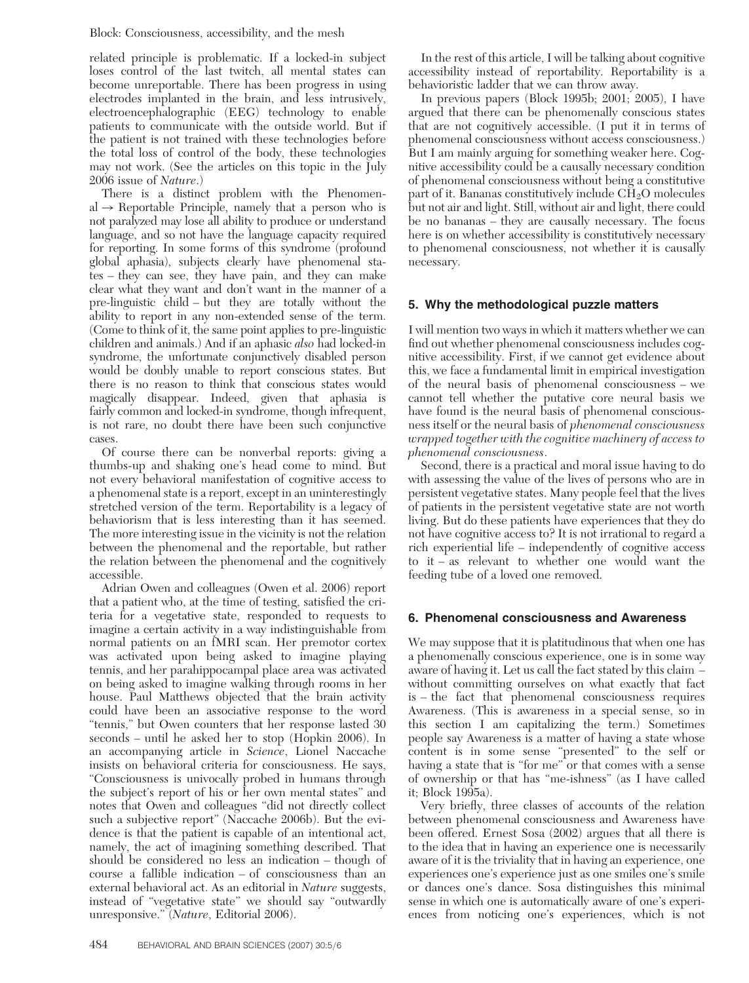related principle is problematic. If a locked-in subject loses control of the last twitch, all mental states can become unreportable. There has been progress in using electrodes implanted in the brain, and less intrusively, electroencephalographic (EEG) technology to enable patients to communicate with the outside world. But if the patient is not trained with these technologies before the total loss of control of the body, these technologies may not work. (See the articles on this topic in the July 2006 issue of Nature.)

There is a distinct problem with the Phenomenal  $\rightarrow$  Reportable Principle, namely that a person who is not paralyzed may lose all ability to produce or understand language, and so not have the language capacity required for reporting. In some forms of this syndrome (profound global aphasia), subjects clearly have phenomenal states – they can see, they have pain, and they can make clear what they want and don't want in the manner of a pre-linguistic child – but they are totally without the ability to report in any non-extended sense of the term. (Come to think of it, the same point applies to pre-linguistic children and animals.) And if an aphasic also had locked-in syndrome, the unfortunate conjunctively disabled person would be doubly unable to report conscious states. But there is no reason to think that conscious states would magically disappear. Indeed, given that aphasia is fairly common and locked-in syndrome, though infrequent, is not rare, no doubt there have been such conjunctive cases.

Of course there can be nonverbal reports: giving a thumbs-up and shaking one's head come to mind. But not every behavioral manifestation of cognitive access to a phenomenal state is a report, except in an uninterestingly stretched version of the term. Reportability is a legacy of behaviorism that is less interesting than it has seemed. The more interesting issue in the vicinity is not the relation between the phenomenal and the reportable, but rather the relation between the phenomenal and the cognitively accessible.

Adrian Owen and colleagues (Owen et al. 2006) report that a patient who, at the time of testing, satisfied the criteria for a vegetative state, responded to requests to imagine a certain activity in a way indistinguishable from normal patients on an fMRI scan. Her premotor cortex was activated upon being asked to imagine playing tennis, and her parahippocampal place area was activated on being asked to imagine walking through rooms in her house. Paul Matthews objected that the brain activity could have been an associative response to the word "tennis," but Owen counters that her response lasted 30 seconds – until he asked her to stop (Hopkin 2006). In an accompanying article in Science, Lionel Naccache insists on behavioral criteria for consciousness. He says, "Consciousness is univocally probed in humans through the subject's report of his or her own mental states" and notes that Owen and colleagues "did not directly collect such a subjective report" (Naccache 2006b). But the evidence is that the patient is capable of an intentional act, namely, the act of imagining something described. That should be considered no less an indication – though of course a fallible indication – of consciousness than an external behavioral act. As an editorial in Nature suggests, instead of "vegetative state" we should say "outwardly unresponsive." (Nature, Editorial 2006).

In the rest of this article, I will be talking about cognitive accessibility instead of reportability. Reportability is a behavioristic ladder that we can throw away.

In previous papers (Block 1995b; 2001; 2005), I have argued that there can be phenomenally conscious states that are not cognitively accessible. (I put it in terms of phenomenal consciousness without access consciousness.) But I am mainly arguing for something weaker here. Cognitive accessibility could be a causally necessary condition of phenomenal consciousness without being a constitutive part of it. Bananas constitutively include CH<sub>2</sub>O molecules but not air and light. Still, without air and light, there could be no bananas – they are causally necessary. The focus here is on whether accessibility is constitutively necessary to phenomenal consciousness, not whether it is causally necessary.

## 5. Why the methodological puzzle matters

I will mention two ways in which it matters whether we can find out whether phenomenal consciousness includes cognitive accessibility. First, if we cannot get evidence about this, we face a fundamental limit in empirical investigation of the neural basis of phenomenal consciousness – we cannot tell whether the putative core neural basis we have found is the neural basis of phenomenal consciousness itself or the neural basis of phenomenal consciousness wrapped together with the cognitive machinery of access to phenomenal consciousness.

Second, there is a practical and moral issue having to do with assessing the value of the lives of persons who are in persistent vegetative states. Many people feel that the lives of patients in the persistent vegetative state are not worth living. But do these patients have experiences that they do not have cognitive access to? It is not irrational to regard a rich experiential life – independently of cognitive access to it – as relevant to whether one would want the feeding tube of a loved one removed.

## 6. Phenomenal consciousness and Awareness

We may suppose that it is platitudinous that when one has a phenomenally conscious experience, one is in some way aware of having it. Let us call the fact stated by this claim – without committing ourselves on what exactly that fact is – the fact that phenomenal consciousness requires Awareness. (This is awareness in a special sense, so in this section I am capitalizing the term.) Sometimes people say Awareness is a matter of having a state whose content is in some sense "presented" to the self or having a state that is "for me" or that comes with a sense of ownership or that has "me-ishness" (as I have called it; Block 1995a).

Very briefly, three classes of accounts of the relation between phenomenal consciousness and Awareness have been offered. Ernest Sosa (2002) argues that all there is to the idea that in having an experience one is necessarily aware of it is the triviality that in having an experience, one experiences one's experience just as one smiles one's smile or dances one's dance. Sosa distinguishes this minimal sense in which one is automatically aware of one's experiences from noticing one's experiences, which is not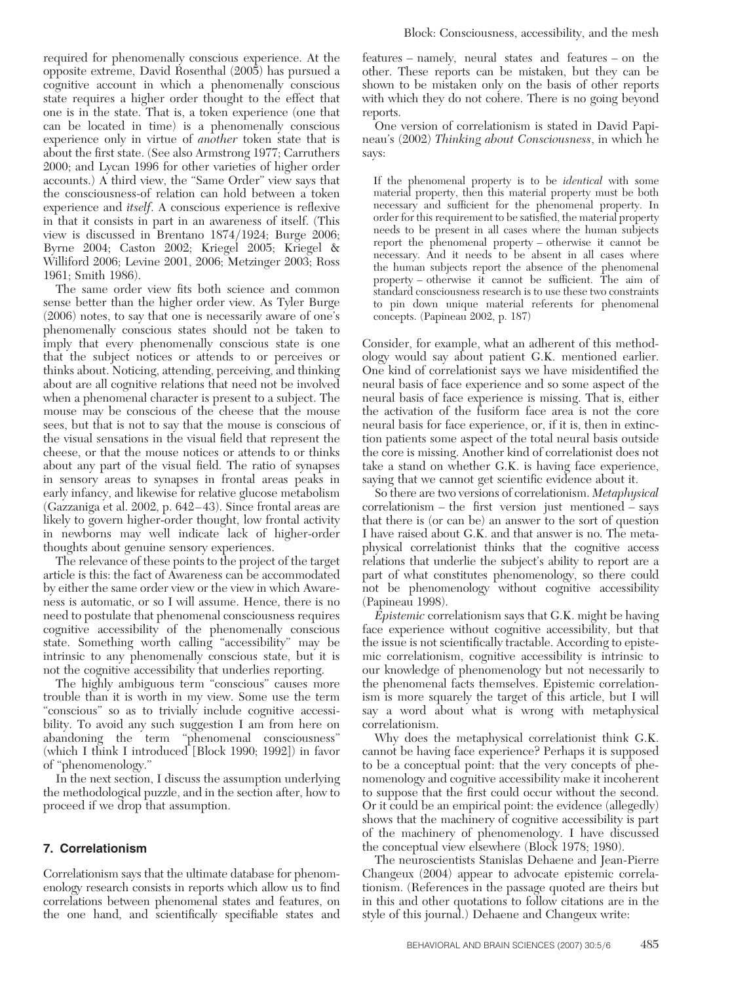required for phenomenally conscious experience. At the opposite extreme, David Rosenthal (2005) has pursued a cognitive account in which a phenomenally conscious state requires a higher order thought to the effect that one is in the state. That is, a token experience (one that can be located in time) is a phenomenally conscious experience only in virtue of another token state that is about the first state. (See also Armstrong 1977; Carruthers 2000; and Lycan 1996 for other varieties of higher order accounts.) A third view, the "Same Order" view says that the consciousness-of relation can hold between a token experience and itself. A conscious experience is reflexive in that it consists in part in an awareness of itself. (This view is discussed in Brentano 1874/1924; Burge 2006; Byrne 2004; Caston 2002; Kriegel 2005; Kriegel & Williford 2006; Levine 2001, 2006; Metzinger 2003; Ross 1961; Smith 1986).

The same order view fits both science and common sense better than the higher order view. As Tyler Burge (2006) notes, to say that one is necessarily aware of one's phenomenally conscious states should not be taken to imply that every phenomenally conscious state is one that the subject notices or attends to or perceives or thinks about. Noticing, attending, perceiving, and thinking about are all cognitive relations that need not be involved when a phenomenal character is present to a subject. The mouse may be conscious of the cheese that the mouse sees, but that is not to say that the mouse is conscious of the visual sensations in the visual field that represent the cheese, or that the mouse notices or attends to or thinks about any part of the visual field. The ratio of synapses in sensory areas to synapses in frontal areas peaks in early infancy, and likewise for relative glucose metabolism (Gazzaniga et al. 2002, p. 642–43). Since frontal areas are likely to govern higher-order thought, low frontal activity in newborns may well indicate lack of higher-order thoughts about genuine sensory experiences.

The relevance of these points to the project of the target article is this: the fact of Awareness can be accommodated by either the same order view or the view in which Awareness is automatic, or so I will assume. Hence, there is no need to postulate that phenomenal consciousness requires cognitive accessibility of the phenomenally conscious state. Something worth calling "accessibility" may be intrinsic to any phenomenally conscious state, but it is not the cognitive accessibility that underlies reporting.

The highly ambiguous term "conscious" causes more trouble than it is worth in my view. Some use the term "conscious" so as to trivially include cognitive accessibility. To avoid any such suggestion I am from here on abandoning the term "phenomenal consciousness" (which I think I introduced [Block 1990; 1992]) in favor of "phenomenology."

In the next section, I discuss the assumption underlying the methodological puzzle, and in the section after, how to proceed if we drop that assumption.

#### 7. Correlationism

Correlationism says that the ultimate database for phenomenology research consists in reports which allow us to find correlations between phenomenal states and features, on the one hand, and scientifically specifiable states and features – namely, neural states and features – on the other. These reports can be mistaken, but they can be shown to be mistaken only on the basis of other reports with which they do not cohere. There is no going beyond reports.

One version of correlationism is stated in David Papineau's (2002) Thinking about Consciousness, in which he says:

If the phenomenal property is to be identical with some material property, then this material property must be both necessary and sufficient for the phenomenal property. In order for this requirement to be satisfied, the material property needs to be present in all cases where the human subjects report the phenomenal property – otherwise it cannot be necessary. And it needs to be absent in all cases where the human subjects report the absence of the phenomenal property – otherwise it cannot be sufficient. The aim of standard consciousness research is to use these two constraints to pin down unique material referents for phenomenal concepts. (Papineau 2002, p. 187)

Consider, for example, what an adherent of this methodology would say about patient G.K. mentioned earlier. One kind of correlationist says we have misidentified the neural basis of face experience and so some aspect of the neural basis of face experience is missing. That is, either the activation of the fusiform face area is not the core neural basis for face experience, or, if it is, then in extinction patients some aspect of the total neural basis outside the core is missing. Another kind of correlationist does not take a stand on whether G.K. is having face experience, saying that we cannot get scientific evidence about it.

So there are two versions of correlationism. Metaphysical correlationism – the first version just mentioned – says that there is (or can be) an answer to the sort of question I have raised about G.K. and that answer is no. The metaphysical correlationist thinks that the cognitive access relations that underlie the subject's ability to report are a part of what constitutes phenomenology, so there could not be phenomenology without cognitive accessibility (Papineau 1998).

Epistemic correlationism says that G.K. might be having face experience without cognitive accessibility, but that the issue is not scientifically tractable. According to epistemic correlationism, cognitive accessibility is intrinsic to our knowledge of phenomenology but not necessarily to the phenomenal facts themselves. Epistemic correlationism is more squarely the target of this article, but I will say a word about what is wrong with metaphysical correlationism.

Why does the metaphysical correlationist think G.K. cannot be having face experience? Perhaps it is supposed to be a conceptual point: that the very concepts of phenomenology and cognitive accessibility make it incoherent to suppose that the first could occur without the second. Or it could be an empirical point: the evidence (allegedly) shows that the machinery of cognitive accessibility is part of the machinery of phenomenology. I have discussed the conceptual view elsewhere (Block 1978; 1980).

The neuroscientists Stanislas Dehaene and Jean-Pierre Changeux (2004) appear to advocate epistemic correlationism. (References in the passage quoted are theirs but in this and other quotations to follow citations are in the style of this journal.) Dehaene and Changeux write: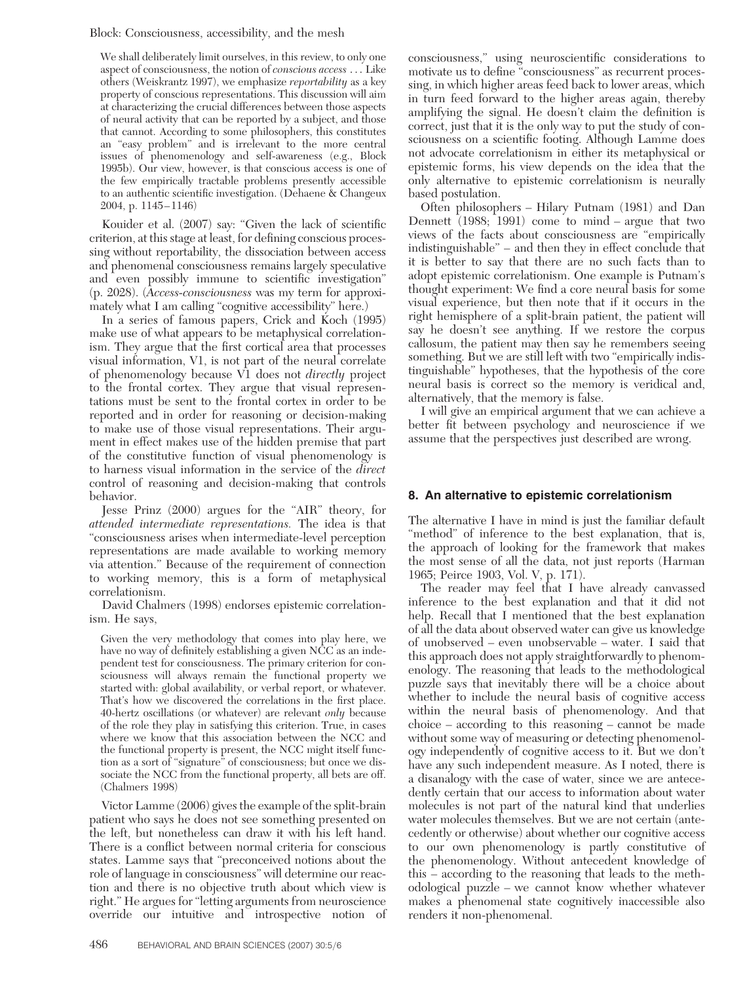#### Block: Consciousness, accessibility, and the mesh

We shall deliberately limit ourselves, in this review, to only one aspect of consciousness, the notion of conscious access ... Like others (Weiskrantz 1997), we emphasize reportability as a key property of conscious representations. This discussion will aim at characterizing the crucial differences between those aspects of neural activity that can be reported by a subject, and those that cannot. According to some philosophers, this constitutes an "easy problem" and is irrelevant to the more central issues of phenomenology and self-awareness (e.g., Block 1995b). Our view, however, is that conscious access is one of the few empirically tractable problems presently accessible to an authentic scientific investigation. (Dehaene & Changeux 2004, p. 1145–1146)

Kouider et al. (2007) say: "Given the lack of scientific criterion, at this stage at least, for defining conscious processing without reportability, the dissociation between access and phenomenal consciousness remains largely speculative and even possibly immune to scientific investigation" (p. 2028). (Access-consciousness was my term for approximately what I am calling "cognitive accessibility" here.)

In a series of famous papers, Crick and Koch (1995) make use of what appears to be metaphysical correlationism. They argue that the first cortical area that processes visual information, V1, is not part of the neural correlate of phenomenology because V1 does not directly project to the frontal cortex. They argue that visual representations must be sent to the frontal cortex in order to be reported and in order for reasoning or decision-making to make use of those visual representations. Their argument in effect makes use of the hidden premise that part of the constitutive function of visual phenomenology is to harness visual information in the service of the direct control of reasoning and decision-making that controls behavior.

Jesse Prinz (2000) argues for the "AIR" theory, for attended intermediate representations. The idea is that "consciousness arises when intermediate-level perception representations are made available to working memory via attention." Because of the requirement of connection to working memory, this is a form of metaphysical correlationism.

David Chalmers (1998) endorses epistemic correlationism. He says,

Given the very methodology that comes into play here, we have no way of definitely establishing a given NCC as an independent test for consciousness. The primary criterion for consciousness will always remain the functional property we started with: global availability, or verbal report, or whatever. That's how we discovered the correlations in the first place. 40-hertz oscillations (or whatever) are relevant only because of the role they play in satisfying this criterion. True, in cases where we know that this association between the NCC and the functional property is present, the NCC might itself function as a sort of "signature" of consciousness; but once we dissociate the NCC from the functional property, all bets are off. (Chalmers 1998)

Victor Lamme (2006) gives the example of the split-brain patient who says he does not see something presented on the left, but nonetheless can draw it with his left hand. There is a conflict between normal criteria for conscious states. Lamme says that "preconceived notions about the role of language in consciousness" will determine our reaction and there is no objective truth about which view is right." He argues for "letting arguments from neuroscience override our intuitive and introspective notion of

consciousness," using neuroscientific considerations to motivate us to define "consciousness" as recurrent processing, in which higher areas feed back to lower areas, which in turn feed forward to the higher areas again, thereby amplifying the signal. He doesn't claim the definition is correct, just that it is the only way to put the study of consciousness on a scientific footing. Although Lamme does not advocate correlationism in either its metaphysical or epistemic forms, his view depends on the idea that the only alternative to epistemic correlationism is neurally based postulation.

Often philosophers – Hilary Putnam (1981) and Dan Dennett  $(1988; 1991)$  come to mind – argue that two views of the facts about consciousness are "empirically indistinguishable" – and then they in effect conclude that it is better to say that there are no such facts than to adopt epistemic correlationism. One example is Putnam's thought experiment: We find a core neural basis for some visual experience, but then note that if it occurs in the right hemisphere of a split-brain patient, the patient will say he doesn't see anything. If we restore the corpus callosum, the patient may then say he remembers seeing something. But we are still left with two "empirically indistinguishable" hypotheses, that the hypothesis of the core neural basis is correct so the memory is veridical and, alternatively, that the memory is false.

I will give an empirical argument that we can achieve a better fit between psychology and neuroscience if we assume that the perspectives just described are wrong.

## 8. An alternative to epistemic correlationism

The alternative I have in mind is just the familiar default "method" of inference to the best explanation, that is, the approach of looking for the framework that makes the most sense of all the data, not just reports (Harman 1965; Peirce 1903, Vol. V, p. 171).

The reader may feel that I have already canvassed inference to the best explanation and that it did not help. Recall that I mentioned that the best explanation of all the data about observed water can give us knowledge of unobserved – even unobservable – water. I said that this approach does not apply straightforwardly to phenomenology. The reasoning that leads to the methodological puzzle says that inevitably there will be a choice about whether to include the neural basis of cognitive access within the neural basis of phenomenology. And that choice – according to this reasoning – cannot be made without some way of measuring or detecting phenomenology independently of cognitive access to it. But we don't have any such independent measure. As I noted, there is a disanalogy with the case of water, since we are antecedently certain that our access to information about water molecules is not part of the natural kind that underlies water molecules themselves. But we are not certain (antecedently or otherwise) about whether our cognitive access to our own phenomenology is partly constitutive of the phenomenology. Without antecedent knowledge of this – according to the reasoning that leads to the methodological puzzle – we cannot know whether whatever makes a phenomenal state cognitively inaccessible also renders it non-phenomenal.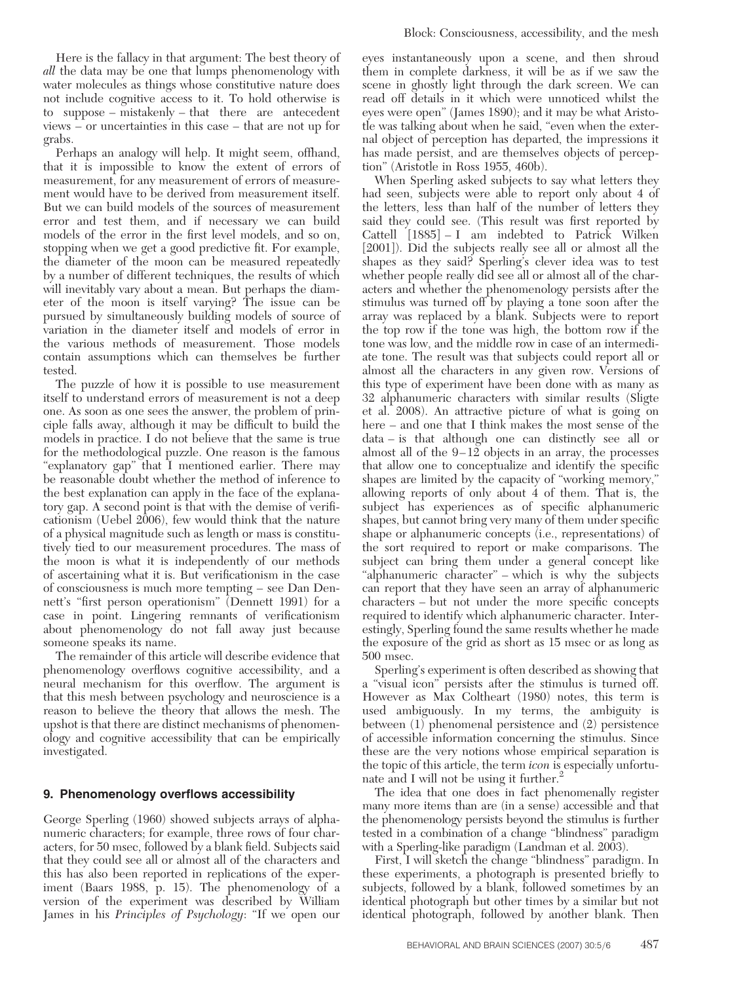Here is the fallacy in that argument: The best theory of all the data may be one that lumps phenomenology with water molecules as things whose constitutive nature does not include cognitive access to it. To hold otherwise is to suppose – mistakenly – that there are antecedent views – or uncertainties in this case – that are not up for grabs.

Perhaps an analogy will help. It might seem, offhand, that it is impossible to know the extent of errors of measurement, for any measurement of errors of measurement would have to be derived from measurement itself. But we can build models of the sources of measurement error and test them, and if necessary we can build models of the error in the first level models, and so on, stopping when we get a good predictive fit. For example, the diameter of the moon can be measured repeatedly by a number of different techniques, the results of which will inevitably vary about a mean. But perhaps the diameter of the moon is itself varying? The issue can be pursued by simultaneously building models of source of variation in the diameter itself and models of error in the various methods of measurement. Those models contain assumptions which can themselves be further tested.

The puzzle of how it is possible to use measurement itself to understand errors of measurement is not a deep one. As soon as one sees the answer, the problem of principle falls away, although it may be difficult to build the models in practice. I do not believe that the same is true for the methodological puzzle. One reason is the famous "explanatory gap" that I mentioned earlier. There may be reasonable doubt whether the method of inference to the best explanation can apply in the face of the explanatory gap. A second point is that with the demise of verificationism (Uebel 2006), few would think that the nature of a physical magnitude such as length or mass is constitutively tied to our measurement procedures. The mass of the moon is what it is independently of our methods of ascertaining what it is. But verificationism in the case of consciousness is much more tempting – see Dan Dennett's "first person operationism" (Dennett 1991) for a case in point. Lingering remnants of verificationism about phenomenology do not fall away just because someone speaks its name.

The remainder of this article will describe evidence that phenomenology overflows cognitive accessibility, and a neural mechanism for this overflow. The argument is that this mesh between psychology and neuroscience is a reason to believe the theory that allows the mesh. The upshot is that there are distinct mechanisms of phenomenology and cognitive accessibility that can be empirically investigated.

## 9. Phenomenology overflows accessibility

George Sperling (1960) showed subjects arrays of alphanumeric characters; for example, three rows of four characters, for 50 msec, followed by a blank field. Subjects said that they could see all or almost all of the characters and this has also been reported in replications of the experiment (Baars 1988, p. 15). The phenomenology of a version of the experiment was described by William James in his Principles of Psychology: "If we open our

eyes instantaneously upon a scene, and then shroud them in complete darkness, it will be as if we saw the scene in ghostly light through the dark screen. We can read off details in it which were unnoticed whilst the eyes were open" (James 1890); and it may be what Aristotle was talking about when he said, "even when the external object of perception has departed, the impressions it has made persist, and are themselves objects of perception" (Aristotle in Ross 1955, 460b).

When Sperling asked subjects to say what letters they had seen, subjects were able to report only about 4 of the letters, less than half of the number of letters they said they could see. (This result was first reported by Cattell  $[1885] - I$  am indebted to Patrick Wilken [2001]). Did the subjects really see all or almost all the shapes as they said? Sperling's clever idea was to test whether people really did see all or almost all of the characters and whether the phenomenology persists after the stimulus was turned off by playing a tone soon after the array was replaced by a blank. Subjects were to report the top row if the tone was high, the bottom row if the tone was low, and the middle row in case of an intermediate tone. The result was that subjects could report all or almost all the characters in any given row. Versions of this type of experiment have been done with as many as 32 alphanumeric characters with similar results (Sligte et al. 2008). An attractive picture of what is going on here – and one that I think makes the most sense of the data – is that although one can distinctly see all or almost all of the  $9-12$  objects in an array, the processes that allow one to conceptualize and identify the specific shapes are limited by the capacity of "working memory," allowing reports of only about 4 of them. That is, the subject has experiences as of specific alphanumeric shapes, but cannot bring very many of them under specific shape or alphanumeric concepts (i.e., representations) of the sort required to report or make comparisons. The subject can bring them under a general concept like "alphanumeric character" – which is why the subjects can report that they have seen an array of alphanumeric characters – but not under the more specific concepts required to identify which alphanumeric character. Interestingly, Sperling found the same results whether he made the exposure of the grid as short as 15 msec or as long as 500 msec.

Sperling's experiment is often described as showing that a "visual icon" persists after the stimulus is turned off. However as Max Coltheart (1980) notes, this term is used ambiguously. In my terms, the ambiguity is between (1) phenomenal persistence and (2) persistence of accessible information concerning the stimulus. Since these are the very notions whose empirical separation is the topic of this article, the term icon is especially unfortunate and I will not be using it further. $\!2}$ 

The idea that one does in fact phenomenally register many more items than are (in a sense) accessible and that the phenomenology persists beyond the stimulus is further tested in a combination of a change "blindness" paradigm with a Sperling-like paradigm (Landman et al. 2003).

First, I will sketch the change "blindness" paradigm. In these experiments, a photograph is presented briefly to subjects, followed by a blank, followed sometimes by an identical photograph but other times by a similar but not identical photograph, followed by another blank. Then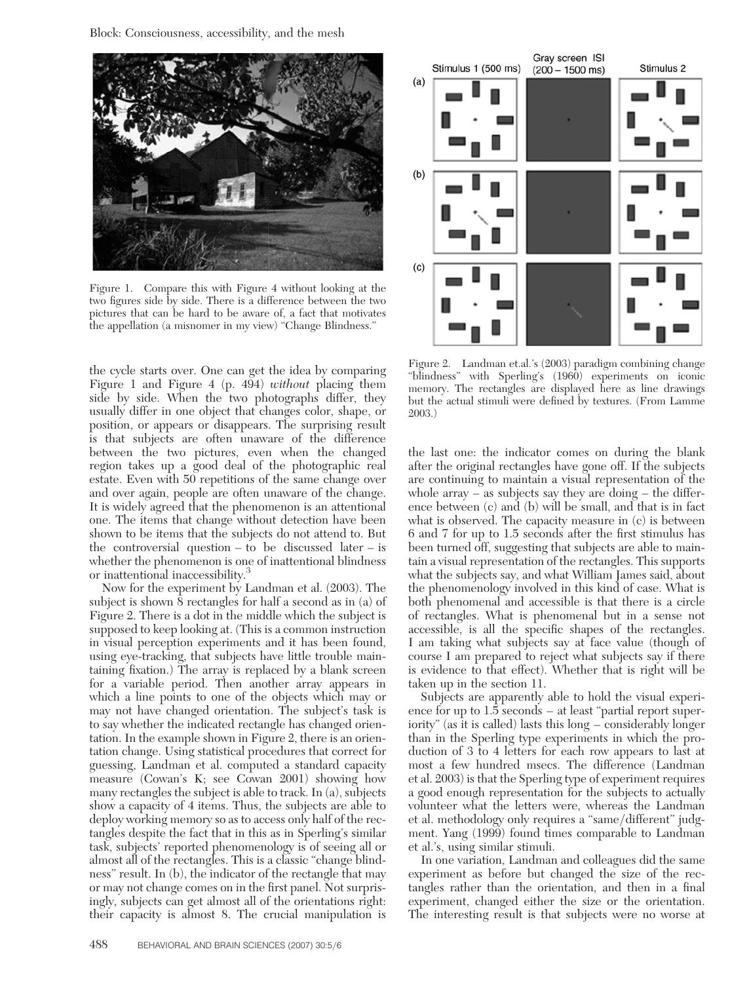Block: Consciousness, accessibility, and the mesh



Figure 1. Compare this with Figure 4 without looking at the two figures side by side. There is a difference between the two pictures that can be hard to be aware of, a fact that motivates the appellation (a misnomer in my view) "Change Blindness."

the cycle starts over. One can get the idea by comparing Figure 1 and Figure 4 (p. 494) without placing them side by side. When the two photographs differ, they usually differ in one object that changes color, shape, or position, or appears or disappears. The surprising result is that subjects are often unaware of the difference between the two pictures, even when the changed region takes up a good deal of the photographic real estate. Even with 50 repetitions of the same change over and over again, people are often unaware of the change. It is widely agreed that the phenomenon is an attentional one. The items that change without detection have been shown to be items that the subjects do not attend to. But the controversial question – to be discussed later – is whether the phenomenon is one of inattentional blindness or inattentional inaccessibility.<sup>3</sup>

Now for the experiment by Landman et al. (2003). The subject is shown 8 rectangles for half a second as in (a) of Figure 2. There is a dot in the middle which the subject is supposed to keep looking at. (This is a common instruction in visual perception experiments and it has been found, using eye-tracking, that subjects have little trouble maintaining fixation.) The array is replaced by a blank screen for a variable period. Then another array appears in which a line points to one of the objects which may or may not have changed orientation. The subject's task is to say whether the indicated rectangle has changed orientation. In the example shown in Figure 2, there is an orientation change. Using statistical procedures that correct for guessing, Landman et al. computed a standard capacity measure (Cowan's K; see Cowan 2001) showing how many rectangles the subject is able to track. In (a), subjects show a capacity of 4 items. Thus, the subjects are able to deploy working memory so as to access only half of the rectangles despite the fact that in this as in Sperling's similar task, subjects' reported phenomenology is of seeing all or almost all of the rectangles. This is a classic "change blindness" result. In (b), the indicator of the rectangle that may or may not change comes on in the first panel. Not surprisingly, subjects can get almost all of the orientations right: their capacity is almost 8. The crucial manipulation is



Figure 2. Landman et.al.'s (2003) paradigm combining change "blindness" with Sperling's (1960) experiments on iconic memory. The rectangles are displayed here as line drawings but the actual stimuli were defined by textures. (From Lamme 2003.)

the last one: the indicator comes on during the blank after the original rectangles have gone off. If the subjects are continuing to maintain a visual representation of the whole array – as subjects say they are doing – the difference between (c) and (b) will be small, and that is in fact what is observed. The capacity measure in (c) is between 6 and 7 for up to 1.5 seconds after the first stimulus has been turned off, suggesting that subjects are able to maintain a visual representation of the rectangles. This supports what the subjects say, and what William James said, about the phenomenology involved in this kind of case. What is both phenomenal and accessible is that there is a circle of rectangles. What is phenomenal but in a sense not accessible, is all the specific shapes of the rectangles. I am taking what subjects say at face value (though of course I am prepared to reject what subjects say if there is evidence to that effect). Whether that is right will be taken up in the section 11.

Subjects are apparently able to hold the visual experience for up to 1.5 seconds – at least "partial report superiority" (as it is called) lasts this long – considerably longer than in the Sperling type experiments in which the production of 3 to 4 letters for each row appears to last at most a few hundred msecs. The difference (Landman et al. 2003) is that the Sperling type of experiment requires a good enough representation for the subjects to actually volunteer what the letters were, whereas the Landman et al. methodology only requires a "same/different" judgment. Yang (1999) found times comparable to Landman et al.'s, using similar stimuli.

In one variation, Landman and colleagues did the same experiment as before but changed the size of the rectangles rather than the orientation, and then in a final experiment, changed either the size or the orientation. The interesting result is that subjects were no worse at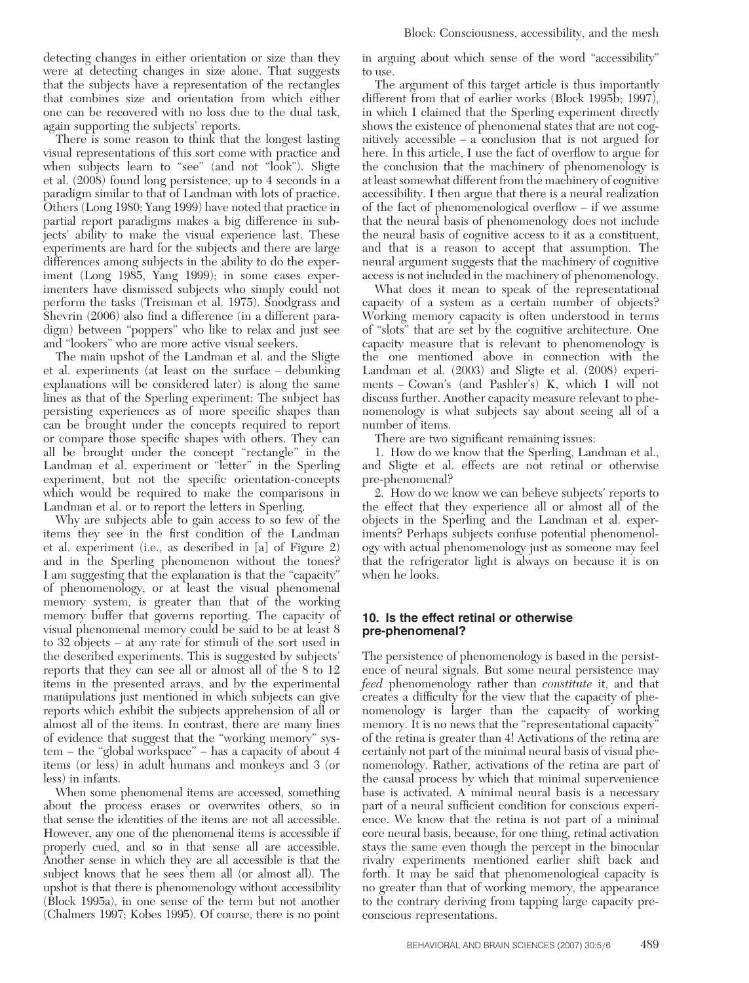detecting changes in either orientation or size than they were at detecting changes in size alone. That suggests that the subjects have a representation of the rectangles that combines size and orientation from which either one can be recovered with no loss due to the dual task, again supporting the subjects' reports.

There is some reason to think that the longest lasting visual representations of this sort come with practice and when subjects learn to "see" (and not "look"). Sligte et al. (2008) found long persistence, up to 4 seconds in a paradigm similar to that of Landman with lots of practice. Others (Long 1980; Yang 1999) have noted that practice in partial report paradigms makes a big difference in subjects' ability to make the visual experience last. These experiments are hard for the subjects and there are large differences among subjects in the ability to do the experiment (Long 1985, Yang 1999); in some cases experimenters have dismissed subjects who simply could not perform the tasks (Treisman et al. 1975). Snodgrass and Shevrin (2006) also find a difference (in a different paradigm) between "poppers" who like to relax and just see and "lookers" who are more active visual seekers.

The main upshot of the Landman et al. and the Sligte et al. experiments (at least on the surface – debunking explanations will be considered later) is along the same lines as that of the Sperling experiment: The subject has persisting experiences as of more specific shapes than can be brought under the concepts required to report or compare those specific shapes with others. They can all be brought under the concept "rectangle" in the Landman et al. experiment or "letter" in the Sperling experiment, but not the specific orientation-concepts which would be required to make the comparisons in Landman et al. or to report the letters in Sperling.

Why are subjects able to gain access to so few of the items they see in the first condition of the Landman et al. experiment (i.e., as described in [a] of Figure 2) and in the Sperling phenomenon without the tones? I am suggesting that the explanation is that the "capacity" of phenomenology, or at least the visual phenomenal memory system, is greater than that of the working memory buffer that governs reporting. The capacity of visual phenomenal memory could be said to be at least 8 to 32 objects – at any rate for stimuli of the sort used in the described experiments. This is suggested by subjects' reports that they can see all or almost all of the 8 to 12 items in the presented arrays, and by the experimental manipulations just mentioned in which subjects can give reports which exhibit the subjects apprehension of all or almost all of the items. In contrast, there are many lines of evidence that suggest that the "working memory" system – the "global workspace" – has a capacity of about 4 items (or less) in adult humans and monkeys and 3 (or less) in infants.

When some phenomenal items are accessed, something about the process erases or overwrites others, so in that sense the identities of the items are not all accessible. However, any one of the phenomenal items is accessible if properly cued, and so in that sense all are accessible. Another sense in which they are all accessible is that the subject knows that he sees them all (or almost all). The upshot is that there is phenomenology without accessibility (Block 1995a), in one sense of the term but not another (Chalmers 1997; Kobes 1995). Of course, there is no point

in arguing about which sense of the word "accessibility" to use.

The argument of this target article is thus importantly different from that of earlier works (Block 1995b; 1997), in which I claimed that the Sperling experiment directly shows the existence of phenomenal states that are not cognitively accessible – a conclusion that is not argued for here. In this article, I use the fact of overflow to argue for the conclusion that the machinery of phenomenology is at least somewhat different from the machinery of cognitive accessibility. I then argue that there is a neural realization of the fact of phenomenological overflow – if we assume that the neural basis of phenomenology does not include the neural basis of cognitive access to it as a constituent, and that is a reason to accept that assumption. The neural argument suggests that the machinery of cognitive access is not included in the machinery of phenomenology.

What does it mean to speak of the representational capacity of a system as a certain number of objects? Working memory capacity is often understood in terms of "slots" that are set by the cognitive architecture. One capacity measure that is relevant to phenomenology is the one mentioned above in connection with the Landman et al. (2003) and Sligte et al. (2008) experiments – Cowan's (and Pashler's) K, which I will not discuss further. Another capacity measure relevant to phenomenology is what subjects say about seeing all of a number of items.

There are two significant remaining issues:

1. How do we know that the Sperling, Landman et al., and Sligte et al. effects are not retinal or otherwise pre-phenomenal?

2. How do we know we can believe subjects' reports to the effect that they experience all or almost all of the objects in the Sperling and the Landman et al. experiments? Perhaps subjects confuse potential phenomenology with actual phenomenology just as someone may feel that the refrigerator light is always on because it is on when he looks.

## 10. Is the effect retinal or otherwise pre-phenomenal?

The persistence of phenomenology is based in the persistence of neural signals. But some neural persistence may feed phenomenology rather than constitute it, and that creates a difficulty for the view that the capacity of phenomenology is larger than the capacity of working memory. It is no news that the "representational capacity" of the retina is greater than 4! Activations of the retina are certainly not part of the minimal neural basis of visual phenomenology. Rather, activations of the retina are part of the causal process by which that minimal supervenience base is activated. A minimal neural basis is a necessary part of a neural sufficient condition for conscious experience. We know that the retina is not part of a minimal core neural basis, because, for one thing, retinal activation stays the same even though the percept in the binocular rivalry experiments mentioned earlier shift back and forth. It may be said that phenomenological capacity is no greater than that of working memory, the appearance to the contrary deriving from tapping large capacity preconscious representations.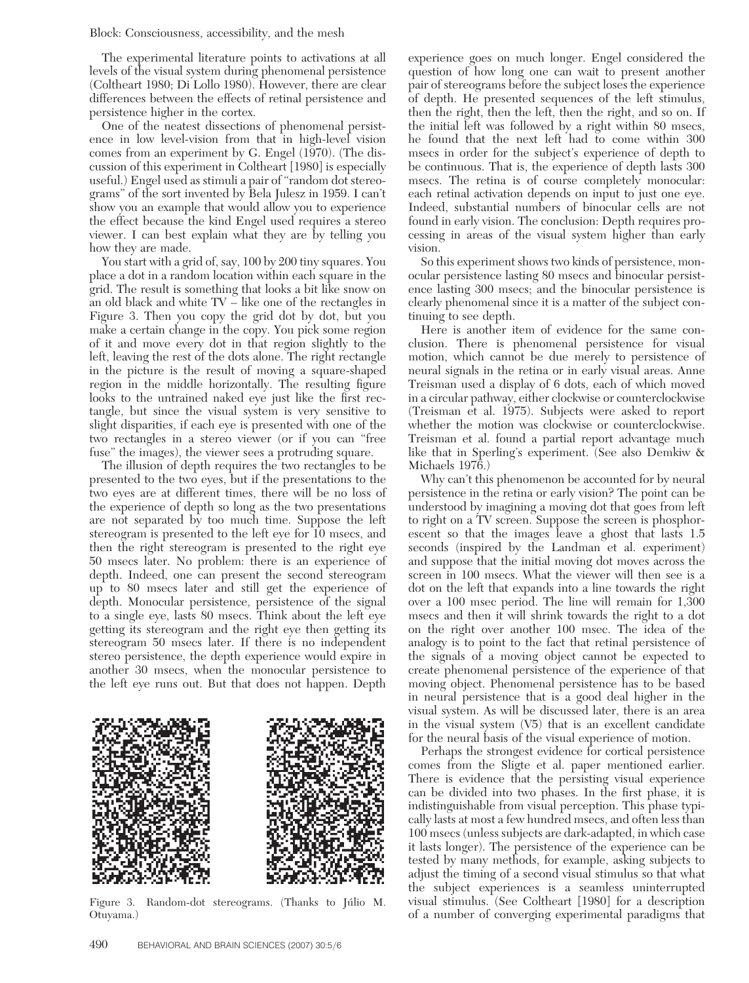The experimental literature points to activations at all levels of the visual system during phenomenal persistence (Coltheart 1980; Di Lollo 1980). However, there are clear differences between the effects of retinal persistence and persistence higher in the cortex.

One of the neatest dissections of phenomenal persistence in low level-vision from that in high-level vision comes from an experiment by G. Engel (1970). (The discussion of this experiment in Coltheart [1980] is especially useful.) Engel used as stimuli a pair of "random dot stereograms" of the sort invented by Bela Julesz in 1959. I can't show you an example that would allow you to experience the effect because the kind Engel used requires a stereo viewer. I can best explain what they are by telling you how they are made.

You start with a grid of, say, 100 by 200 tiny squares. You place a dot in a random location within each square in the grid. The result is something that looks a bit like snow on an old black and white TV – like one of the rectangles in Figure 3. Then you copy the grid dot by dot, but you make a certain change in the copy. You pick some region of it and move every dot in that region slightly to the left, leaving the rest of the dots alone. The right rectangle in the picture is the result of moving a square-shaped region in the middle horizontally. The resulting figure looks to the untrained naked eye just like the first rectangle, but since the visual system is very sensitive to slight disparities, if each eye is presented with one of the two rectangles in a stereo viewer (or if you can "free fuse" the images), the viewer sees a protruding square.

The illusion of depth requires the two rectangles to be presented to the two eyes, but if the presentations to the two eyes are at different times, there will be no loss of the experience of depth so long as the two presentations are not separated by too much time. Suppose the left stereogram is presented to the left eye for 10 msecs, and then the right stereogram is presented to the right eye 50 msecs later. No problem: there is an experience of depth. Indeed, one can present the second stereogram up to 80 msecs later and still get the experience of depth. Monocular persistence, persistence of the signal to a single eye, lasts 80 msecs. Think about the left eye getting its stereogram and the right eye then getting its stereogram 50 msecs later. If there is no independent stereo persistence, the depth experience would expire in another 30 msecs, when the monocular persistence to the left eye runs out. But that does not happen. Depth



Figure 3. Random-dot stereograms. (Thanks to Júlio M. Otuyama.)

experience goes on much longer. Engel considered the question of how long one can wait to present another pair of stereograms before the subject loses the experience of depth. He presented sequences of the left stimulus, then the right, then the left, then the right, and so on. If the initial left was followed by a right within 80 msecs, he found that the next left had to come within 300 msecs in order for the subject's experience of depth to be continuous. That is, the experience of depth lasts 300 msecs. The retina is of course completely monocular: each retinal activation depends on input to just one eye. Indeed, substantial numbers of binocular cells are not found in early vision. The conclusion: Depth requires processing in areas of the visual system higher than early vision.

So this experiment shows two kinds of persistence, monocular persistence lasting 80 msecs and binocular persistence lasting 300 msecs; and the binocular persistence is clearly phenomenal since it is a matter of the subject continuing to see depth.

Here is another item of evidence for the same conclusion. There is phenomenal persistence for visual motion, which cannot be due merely to persistence of neural signals in the retina or in early visual areas. Anne Treisman used a display of 6 dots, each of which moved in a circular pathway, either clockwise or counterclockwise (Treisman et al. 1975). Subjects were asked to report whether the motion was clockwise or counterclockwise. Treisman et al. found a partial report advantage much like that in Sperling's experiment. (See also Demkiw & Michaels 1976.)

Why can't this phenomenon be accounted for by neural persistence in the retina or early vision? The point can be understood by imagining a moving dot that goes from left to right on a TV screen. Suppose the screen is phosphorescent so that the images leave a ghost that lasts 1.5 seconds (inspired by the Landman et al. experiment) and suppose that the initial moving dot moves across the screen in 100 msecs. What the viewer will then see is a dot on the left that expands into a line towards the right over a 100 msec period. The line will remain for 1,300 msecs and then it will shrink towards the right to a dot on the right over another 100 msec. The idea of the analogy is to point to the fact that retinal persistence of the signals of a moving object cannot be expected to create phenomenal persistence of the experience of that moving object. Phenomenal persistence has to be based in neural persistence that is a good deal higher in the visual system. As will be discussed later, there is an area in the visual system (V5) that is an excellent candidate for the neural basis of the visual experience of motion.

Perhaps the strongest evidence for cortical persistence comes from the Sligte et al. paper mentioned earlier. There is evidence that the persisting visual experience can be divided into two phases. In the first phase, it is indistinguishable from visual perception. This phase typically lasts at most a few hundred msecs, and often less than 100 msecs (unless subjects are dark-adapted, in which case it lasts longer). The persistence of the experience can be tested by many methods, for example, asking subjects to adjust the timing of a second visual stimulus so that what the subject experiences is a seamless uninterrupted visual stimulus. (See Coltheart [1980] for a description of a number of converging experimental paradigms that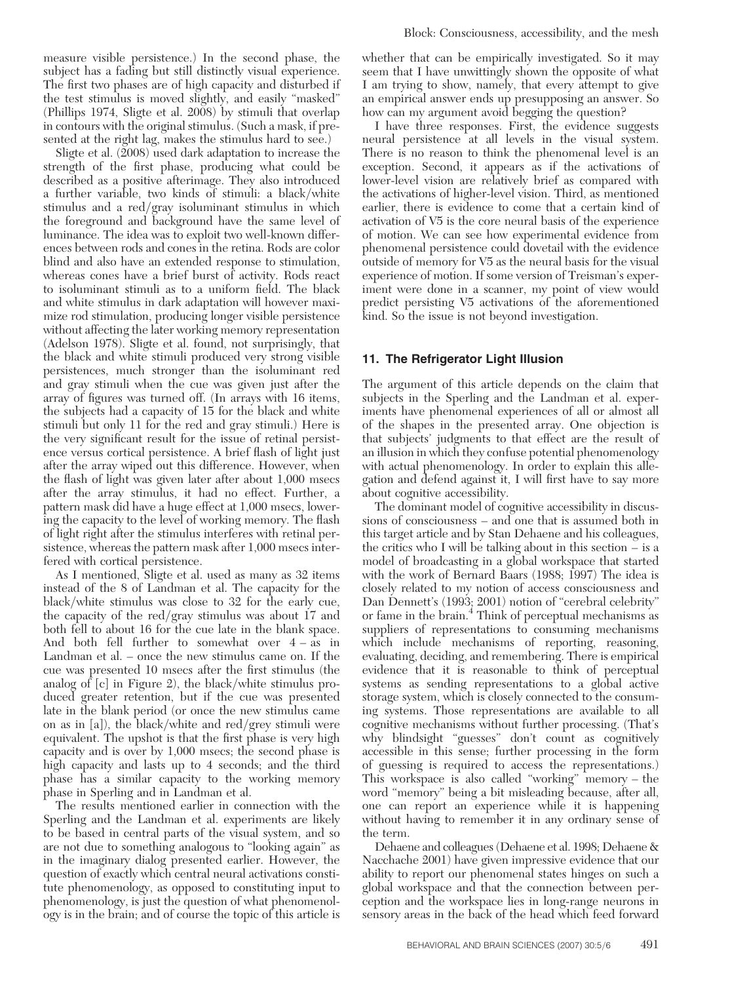measure visible persistence.) In the second phase, the subject has a fading but still distinctly visual experience. The first two phases are of high capacity and disturbed if the test stimulus is moved slightly, and easily "masked" (Phillips 1974, Sligte et al. 2008) by stimuli that overlap in contours with the original stimulus. (Such a mask, if presented at the right lag, makes the stimulus hard to see.)

Sligte et al. (2008) used dark adaptation to increase the strength of the first phase, producing what could be described as a positive afterimage. They also introduced a further variable, two kinds of stimuli: a black/white stimulus and a red/gray isoluminant stimulus in which the foreground and background have the same level of luminance. The idea was to exploit two well-known differences between rods and cones in the retina. Rods are color blind and also have an extended response to stimulation, whereas cones have a brief burst of activity. Rods react to isoluminant stimuli as to a uniform field. The black and white stimulus in dark adaptation will however maximize rod stimulation, producing longer visible persistence without affecting the later working memory representation (Adelson 1978). Sligte et al. found, not surprisingly, that the black and white stimuli produced very strong visible persistences, much stronger than the isoluminant red and gray stimuli when the cue was given just after the array of figures was turned off. (In arrays with 16 items, the subjects had a capacity of 15 for the black and white stimuli but only 11 for the red and gray stimuli.) Here is the very significant result for the issue of retinal persistence versus cortical persistence. A brief flash of light just after the array wiped out this difference. However, when the flash of light was given later after about 1,000 msecs after the array stimulus, it had no effect. Further, a pattern mask did have a huge effect at 1,000 msecs, lowering the capacity to the level of working memory. The flash of light right after the stimulus interferes with retinal persistence, whereas the pattern mask after 1,000 msecs interfered with cortical persistence.

As I mentioned, Sligte et al. used as many as 32 items instead of the 8 of Landman et al. The capacity for the black/white stimulus was close to 32 for the early cue, the capacity of the red/gray stimulus was about 17 and both fell to about 16 for the cue late in the blank space. And both fell further to somewhat over 4 – as in Landman et al. – once the new stimulus came on. If the cue was presented 10 msecs after the first stimulus (the analog of [c] in Figure 2), the black/white stimulus produced greater retention, but if the cue was presented late in the blank period (or once the new stimulus came on as in [a]), the black/white and red/grey stimuli were equivalent. The upshot is that the first phase is very high capacity and is over by 1,000 msecs; the second phase is high capacity and lasts up to 4 seconds; and the third phase has a similar capacity to the working memory phase in Sperling and in Landman et al.

The results mentioned earlier in connection with the Sperling and the Landman et al. experiments are likely to be based in central parts of the visual system, and so are not due to something analogous to "looking again" as in the imaginary dialog presented earlier. However, the question of exactly which central neural activations constitute phenomenology, as opposed to constituting input to phenomenology, is just the question of what phenomenology is in the brain; and of course the topic of this article is

whether that can be empirically investigated. So it may seem that I have unwittingly shown the opposite of what I am trying to show, namely, that every attempt to give an empirical answer ends up presupposing an answer. So how can my argument avoid begging the question?

I have three responses. First, the evidence suggests neural persistence at all levels in the visual system. There is no reason to think the phenomenal level is an exception. Second, it appears as if the activations of lower-level vision are relatively brief as compared with the activations of higher-level vision. Third, as mentioned earlier, there is evidence to come that a certain kind of activation of V5 is the core neural basis of the experience of motion. We can see how experimental evidence from phenomenal persistence could dovetail with the evidence outside of memory for V5 as the neural basis for the visual experience of motion. If some version of Treisman's experiment were done in a scanner, my point of view would predict persisting V5 activations of the aforementioned kind. So the issue is not beyond investigation.

## 11. The Refrigerator Light Illusion

The argument of this article depends on the claim that subjects in the Sperling and the Landman et al. experiments have phenomenal experiences of all or almost all of the shapes in the presented array. One objection is that subjects' judgments to that effect are the result of an illusion in which they confuse potential phenomenology with actual phenomenology. In order to explain this allegation and defend against it, I will first have to say more about cognitive accessibility.

The dominant model of cognitive accessibility in discussions of consciousness – and one that is assumed both in this target article and by Stan Dehaene and his colleagues, the critics who I will be talking about in this section – is a model of broadcasting in a global workspace that started with the work of Bernard Baars (1988; 1997) The idea is closely related to my notion of access consciousness and Dan Dennett's (1993; 2001) notion of "cerebral celebrity" or fame in the brain.<sup>4</sup> Think of perceptual mechanisms as suppliers of representations to consuming mechanisms which include mechanisms of reporting, reasoning, evaluating, deciding, and remembering. There is empirical evidence that it is reasonable to think of perceptual systems as sending representations to a global active storage system, which is closely connected to the consuming systems. Those representations are available to all cognitive mechanisms without further processing. (That's why blindsight "guesses" don't count as cognitively accessible in this sense; further processing in the form of guessing is required to access the representations.) This workspace is also called "working" memory – the word "memory" being a bit misleading because, after all, one can report an experience while it is happening without having to remember it in any ordinary sense of the term.

Dehaene and colleagues (Dehaene et al. 1998; Dehaene & Nacchache 2001) have given impressive evidence that our ability to report our phenomenal states hinges on such a global workspace and that the connection between perception and the workspace lies in long-range neurons in sensory areas in the back of the head which feed forward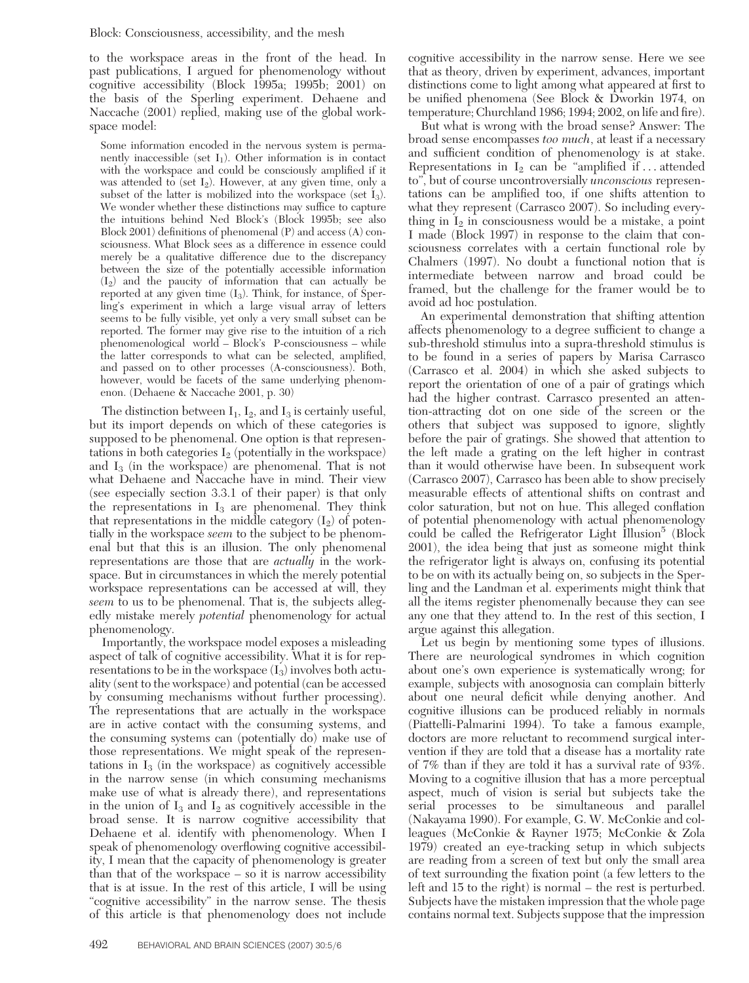to the workspace areas in the front of the head. In past publications, I argued for phenomenology without cognitive accessibility (Block 1995a; 1995b; 2001) on the basis of the Sperling experiment. Dehaene and Naccache (2001) replied, making use of the global workspace model:

Some information encoded in the nervous system is permanently inaccessible (set  $I_1$ ). Other information is in contact with the workspace and could be consciously amplified if it was attended to (set  $I_2$ ). However, at any given time, only a subset of the latter is mobilized into the workspace (set  $I_3$ ). We wonder whether these distinctions may suffice to capture the intuitions behind Ned Block's (Block 1995b; see also Block 2001) definitions of phenomenal (P) and access (A) consciousness. What Block sees as a difference in essence could merely be a qualitative difference due to the discrepancy between the size of the potentially accessible information  $(I_2)$  and the paucity of information that can actually be reported at any given time  $(I_3)$ . Think, for instance, of Sperling's experiment in which a large visual array of letters seems to be fully visible, yet only a very small subset can be reported. The former may give rise to the intuition of a rich phenomenological world – Block's P-consciousness – while the latter corresponds to what can be selected, amplified, and passed on to other processes (A-consciousness). Both, however, would be facets of the same underlying phenomenon. (Dehaene & Naccache 2001, p. 30)

The distinction between  $I_1$ ,  $I_2$ , and  $I_3$  is certainly useful, but its import depends on which of these categories is supposed to be phenomenal. One option is that representations in both categories  $I_2$  (potentially in the workspace) and  $I_3$  (in the workspace) are phenomenal. That is not what Dehaene and Naccache have in mind. Their view (see especially section 3.3.1 of their paper) is that only the representations in  $I_3$  are phenomenal. They think that representations in the middle category  $(I_2)$  of potentially in the workspace seem to the subject to be phenomenal but that this is an illusion. The only phenomenal representations are those that are *actually* in the workspace. But in circumstances in which the merely potential workspace representations can be accessed at will, they seem to us to be phenomenal. That is, the subjects allegedly mistake merely potential phenomenology for actual phenomenology.

Importantly, the workspace model exposes a misleading aspect of talk of cognitive accessibility. What it is for representations to be in the workspace  $(I_3)$  involves both actuality (sent to the workspace) and potential (can be accessed by consuming mechanisms without further processing). The representations that are actually in the workspace are in active contact with the consuming systems, and the consuming systems can (potentially do) make use of those representations. We might speak of the representations in  $I_3$  (in the workspace) as cognitively accessible in the narrow sense (in which consuming mechanisms make use of what is already there), and representations in the union of  $I_3$  and  $I_2$  as cognitively accessible in the broad sense. It is narrow cognitive accessibility that Dehaene et al. identify with phenomenology. When I speak of phenomenology overflowing cognitive accessibility, I mean that the capacity of phenomenology is greater than that of the workspace – so it is narrow accessibility that is at issue. In the rest of this article, I will be using "cognitive accessibility" in the narrow sense. The thesis of this article is that phenomenology does not include

cognitive accessibility in the narrow sense. Here we see that as theory, driven by experiment, advances, important distinctions come to light among what appeared at first to be unified phenomena (See Block & Dworkin 1974, on temperature; Churchland 1986; 1994; 2002, on life and fire).

But what is wrong with the broad sense? Answer: The broad sense encompasses too much, at least if a necessary and sufficient condition of phenomenology is at stake. Representations in  $I_2$  can be "amplified if ... attended to", but of course uncontroversially unconscious representations can be amplified too, if one shifts attention to what they represent (Carrasco 2007). So including everything in  $I_2$  in consciousness would be a mistake, a point I made (Block 1997) in response to the claim that consciousness correlates with a certain functional role by Chalmers (1997). No doubt a functional notion that is intermediate between narrow and broad could be framed, but the challenge for the framer would be to avoid ad hoc postulation.

An experimental demonstration that shifting attention affects phenomenology to a degree sufficient to change a sub-threshold stimulus into a supra-threshold stimulus is to be found in a series of papers by Marisa Carrasco (Carrasco et al. 2004) in which she asked subjects to report the orientation of one of a pair of gratings which had the higher contrast. Carrasco presented an attention-attracting dot on one side of the screen or the others that subject was supposed to ignore, slightly before the pair of gratings. She showed that attention to the left made a grating on the left higher in contrast than it would otherwise have been. In subsequent work (Carrasco 2007), Carrasco has been able to show precisely measurable effects of attentional shifts on contrast and color saturation, but not on hue. This alleged conflation of potential phenomenology with actual phenomenology could be called the Refrigerator Light Illusion $5$  (Block 2001), the idea being that just as someone might think the refrigerator light is always on, confusing its potential to be on with its actually being on, so subjects in the Sperling and the Landman et al. experiments might think that all the items register phenomenally because they can see any one that they attend to. In the rest of this section, I argue against this allegation.

Let us begin by mentioning some types of illusions. There are neurological syndromes in which cognition about one's own experience is systematically wrong; for example, subjects with anosognosia can complain bitterly about one neural deficit while denying another. And cognitive illusions can be produced reliably in normals (Piattelli-Palmarini 1994). To take a famous example, doctors are more reluctant to recommend surgical intervention if they are told that a disease has a mortality rate of 7% than if they are told it has a survival rate of 93%. Moving to a cognitive illusion that has a more perceptual aspect, much of vision is serial but subjects take the serial processes to be simultaneous and parallel (Nakayama 1990). For example, G. W. McConkie and colleagues (McConkie & Rayner 1975; McConkie & Zola 1979) created an eye-tracking setup in which subjects are reading from a screen of text but only the small area of text surrounding the fixation point (a few letters to the left and 15 to the right) is normal – the rest is perturbed. Subjects have the mistaken impression that the whole page contains normal text. Subjects suppose that the impression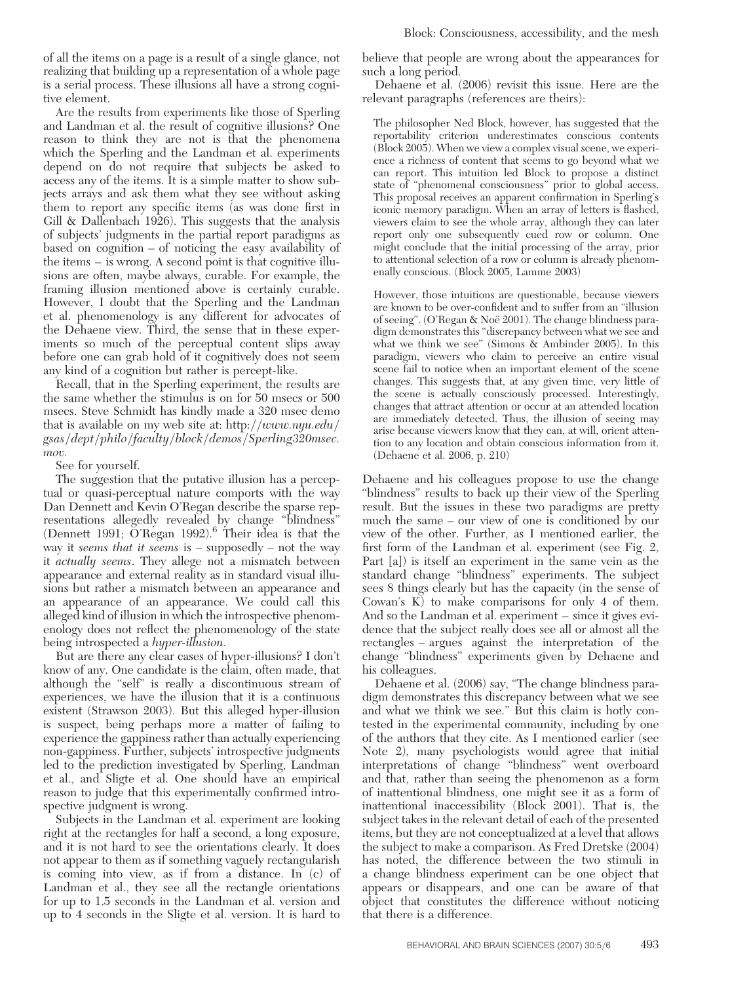of all the items on a page is a result of a single glance, not realizing that building up a representation of a whole page is a serial process. These illusions all have a strong cognitive element.

Are the results from experiments like those of Sperling and Landman et al. the result of cognitive illusions? One reason to think they are not is that the phenomena which the Sperling and the Landman et al. experiments depend on do not require that subjects be asked to access any of the items. It is a simple matter to show subjects arrays and ask them what they see without asking them to report any specific items (as was done first in Gill & Dallenbach 1926). This suggests that the analysis of subjects' judgments in the partial report paradigms as based on cognition – of noticing the easy availability of the items – is wrong. A second point is that cognitive illusions are often, maybe always, curable. For example, the framing illusion mentioned above is certainly curable. However, I doubt that the Sperling and the Landman et al. phenomenology is any different for advocates of the Dehaene view. Third, the sense that in these experiments so much of the perceptual content slips away before one can grab hold of it cognitively does not seem any kind of a cognition but rather is percept-like.

Recall, that in the Sperling experiment, the results are the same whether the stimulus is on for 50 msecs or 500 msecs. Steve Schmidt has kindly made a 320 msec demo that is available on my web site at: http://www.nyu.edu/ gsas/dept/philo/faculty/block/demos/Sperling320msec. mov.

See for yourself.

The suggestion that the putative illusion has a perceptual or quasi-perceptual nature comports with the way Dan Dennett and Kevin O'Regan describe the sparse representations allegedly revealed by change "blindness" (Dennett 1991; O'Regan 1992).<sup>6</sup> Their idea is that the way it seems that it seems is – supposedly – not the way it actually seems. They allege not a mismatch between appearance and external reality as in standard visual illusions but rather a mismatch between an appearance and an appearance of an appearance. We could call this alleged kind of illusion in which the introspective phenomenology does not reflect the phenomenology of the state being introspected a hyper-illusion.

But are there any clear cases of hyper-illusions? I don't know of any. One candidate is the claim, often made, that although the "self" is really a discontinuous stream of experiences, we have the illusion that it is a continuous existent (Strawson 2003). But this alleged hyper-illusion is suspect, being perhaps more a matter of failing to experience the gappiness rather than actually experiencing non-gappiness. Further, subjects' introspective judgments led to the prediction investigated by Sperling, Landman et al., and Sligte et al. One should have an empirical reason to judge that this experimentally confirmed introspective judgment is wrong.

Subjects in the Landman et al. experiment are looking right at the rectangles for half a second, a long exposure, and it is not hard to see the orientations clearly. It does not appear to them as if something vaguely rectangularish is coming into view, as if from a distance. In (c) of Landman et al., they see all the rectangle orientations for up to 1.5 seconds in the Landman et al. version and up to 4 seconds in the Sligte et al. version. It is hard to

believe that people are wrong about the appearances for such a long period.

Dehaene et al. (2006) revisit this issue. Here are the relevant paragraphs (references are theirs):

The philosopher Ned Block, however, has suggested that the reportability criterion underestimates conscious contents (Block 2005). When we view a complex visual scene, we experience a richness of content that seems to go beyond what we can report. This intuition led Block to propose a distinct state of "phenomenal consciousness" prior to global access. This proposal receives an apparent confirmation in Sperling's iconic memory paradigm. When an array of letters is flashed, viewers claim to see the whole array, although they can later report only one subsequently cued row or column. One might conclude that the initial processing of the array, prior to attentional selection of a row or column is already phenomenally conscious. (Block 2005, Lamme 2003)

However, those intuitions are questionable, because viewers are known to be over-confident and to suffer from an "illusion of seeing". (O'Regan & Noë 2001). The change blindness paradigm demonstrates this "discrepancy between what we see and what we think we see" (Simons & Ambinder 2005). In this paradigm, viewers who claim to perceive an entire visual scene fail to notice when an important element of the scene changes. This suggests that, at any given time, very little of the scene is actually consciously processed. Interestingly, changes that attract attention or occur at an attended location are immediately detected. Thus, the illusion of seeing may arise because viewers know that they can, at will, orient attention to any location and obtain conscious information from it. (Dehaene et al. 2006, p. 210)

Dehaene and his colleagues propose to use the change "blindness" results to back up their view of the Sperling result. But the issues in these two paradigms are pretty much the same – our view of one is conditioned by our view of the other. Further, as I mentioned earlier, the first form of the Landman et al. experiment (see Fig. 2, Part [a]) is itself an experiment in the same vein as the standard change "blindness" experiments. The subject sees 8 things clearly but has the capacity (in the sense of Cowan's K) to make comparisons for only 4 of them. And so the Landman et al. experiment – since it gives evidence that the subject really does see all or almost all the rectangles – argues against the interpretation of the change "blindness" experiments given by Dehaene and his colleagues.

Dehaene et al. (2006) say, "The change blindness paradigm demonstrates this discrepancy between what we see and what we think we see." But this claim is hotly contested in the experimental community, including by one of the authors that they cite. As I mentioned earlier (see Note 2), many psychologists would agree that initial interpretations of change "blindness" went overboard and that, rather than seeing the phenomenon as a form of inattentional blindness, one might see it as a form of inattentional inaccessibility (Block 2001). That is, the subject takes in the relevant detail of each of the presented items, but they are not conceptualized at a level that allows the subject to make a comparison. As Fred Dretske (2004) has noted, the difference between the two stimuli in a change blindness experiment can be one object that appears or disappears, and one can be aware of that object that constitutes the difference without noticing that there is a difference.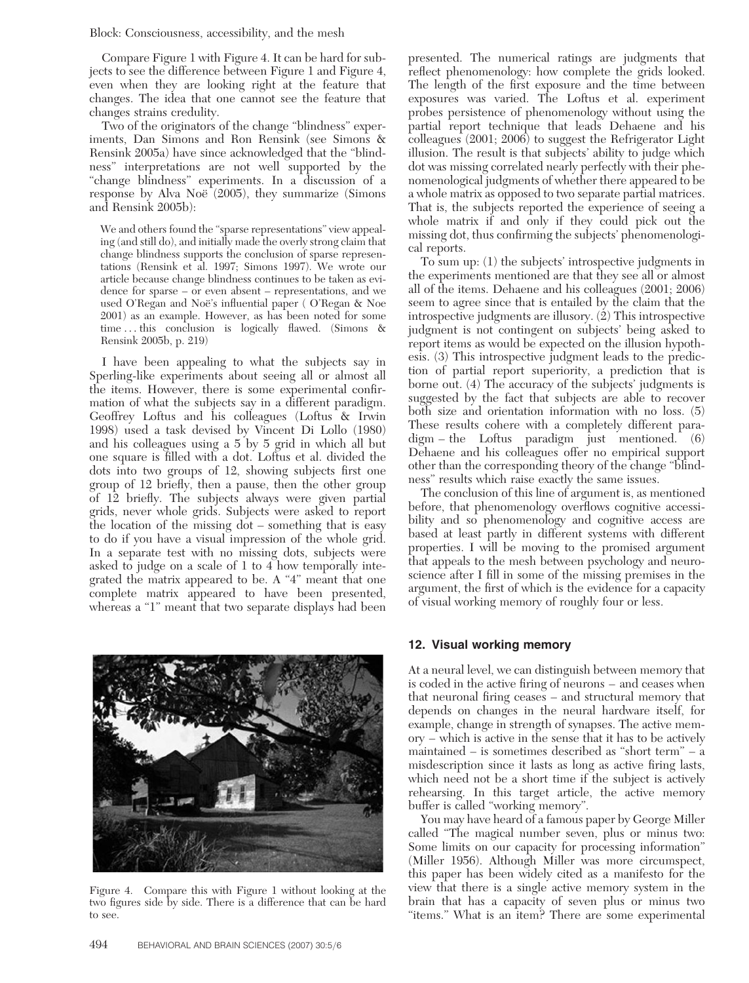Block: Consciousness, accessibility, and the mesh

Compare Figure 1 with Figure 4. It can be hard for subjects to see the difference between Figure 1 and Figure 4, even when they are looking right at the feature that changes. The idea that one cannot see the feature that changes strains credulity.

Two of the originators of the change "blindness" experiments, Dan Simons and Ron Rensink (see Simons & Rensink 2005a) have since acknowledged that the "blindness" interpretations are not well supported by the "change blindness" experiments. In a discussion of a response by Alva Noë  $(2005)$ , they summarize (Simons and Rensink 2005b):

We and others found the "sparse representations" view appealing (and still do), and initially made the overly strong claim that change blindness supports the conclusion of sparse representations (Rensink et al. 1997; Simons 1997). We wrote our article because change blindness continues to be taken as evidence for sparse – or even absent – representations, and we used O'Regan and Noë's influential paper (O'Regan & Noe 2001) as an example. However, as has been noted for some time ... this conclusion is logically flawed. (Simons & Rensink 2005b, p. 219)

I have been appealing to what the subjects say in Sperling-like experiments about seeing all or almost all the items. However, there is some experimental confirmation of what the subjects say in a different paradigm. Geoffrey Loftus and his colleagues (Loftus & Irwin 1998) used a task devised by Vincent Di Lollo (1980) and his colleagues using a 5 by 5 grid in which all but one square is filled with a dot. Loftus et al. divided the dots into two groups of 12, showing subjects first one group of 12 briefly, then a pause, then the other group of 12 briefly. The subjects always were given partial grids, never whole grids. Subjects were asked to report the location of the missing dot – something that is easy to do if you have a visual impression of the whole grid. In a separate test with no missing dots, subjects were asked to judge on a scale of 1 to 4 how temporally integrated the matrix appeared to be. A "4" meant that one complete matrix appeared to have been presented, whereas a "1" meant that two separate displays had been



Figure 4. Compare this with Figure 1 without looking at the two figures side by side. There is a difference that can be hard to see.

presented. The numerical ratings are judgments that reflect phenomenology: how complete the grids looked. The length of the first exposure and the time between exposures was varied. The Loftus et al. experiment probes persistence of phenomenology without using the partial report technique that leads Dehaene and his colleagues (2001; 2006) to suggest the Refrigerator Light illusion. The result is that subjects' ability to judge which dot was missing correlated nearly perfectly with their phenomenological judgments of whether there appeared to be a whole matrix as opposed to two separate partial matrices. That is, the subjects reported the experience of seeing a whole matrix if and only if they could pick out the missing dot, thus confirming the subjects' phenomenological reports.

To sum up: (1) the subjects' introspective judgments in the experiments mentioned are that they see all or almost all of the items. Dehaene and his colleagues (2001; 2006) seem to agree since that is entailed by the claim that the introspective judgments are illusory. (2) This introspective judgment is not contingent on subjects' being asked to report items as would be expected on the illusion hypothesis. (3) This introspective judgment leads to the prediction of partial report superiority, a prediction that is borne out. (4) The accuracy of the subjects' judgments is suggested by the fact that subjects are able to recover both size and orientation information with no loss. (5) These results cohere with a completely different paradigm – the Loftus paradigm just mentioned. (6) Dehaene and his colleagues offer no empirical support other than the corresponding theory of the change "blindness" results which raise exactly the same issues.

The conclusion of this line of argument is, as mentioned before, that phenomenology overflows cognitive accessibility and so phenomenology and cognitive access are based at least partly in different systems with different properties. I will be moving to the promised argument that appeals to the mesh between psychology and neuroscience after I fill in some of the missing premises in the argument, the first of which is the evidence for a capacity of visual working memory of roughly four or less.

## 12. Visual working memory

At a neural level, we can distinguish between memory that is coded in the active firing of neurons – and ceases when that neuronal firing ceases – and structural memory that depends on changes in the neural hardware itself, for example, change in strength of synapses. The active memory – which is active in the sense that it has to be actively maintained – is sometimes described as "short term" – a misdescription since it lasts as long as active firing lasts, which need not be a short time if the subject is actively rehearsing. In this target article, the active memory buffer is called "working memory".

You may have heard of a famous paper by George Miller called "The magical number seven, plus or minus two: Some limits on our capacity for processing information" (Miller 1956). Although Miller was more circumspect, this paper has been widely cited as a manifesto for the view that there is a single active memory system in the brain that has a capacity of seven plus or minus two "items." What is an item? There are some experimental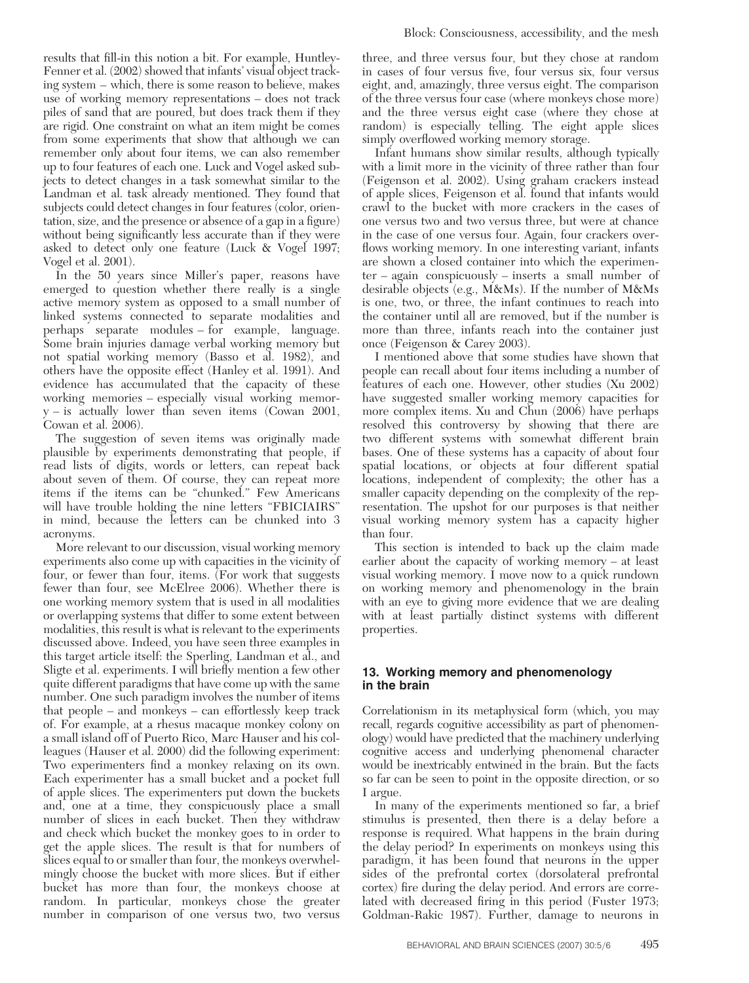results that fill-in this notion a bit. For example, Huntley-Fenner et al. (2002) showed that infants' visual object tracking system – which, there is some reason to believe, makes use of working memory representations – does not track piles of sand that are poured, but does track them if they are rigid. One constraint on what an item might be comes from some experiments that show that although we can remember only about four items, we can also remember up to four features of each one. Luck and Vogel asked subjects to detect changes in a task somewhat similar to the Landman et al. task already mentioned. They found that subjects could detect changes in four features (color, orientation, size, and the presence or absence of a gap in a figure) without being significantly less accurate than if they were asked to detect only one feature (Luck & Vogel 1997; Vogel et al. 2001).

In the 50 years since Miller's paper, reasons have emerged to question whether there really is a single active memory system as opposed to a small number of linked systems connected to separate modalities and perhaps separate modules – for example, language. Some brain injuries damage verbal working memory but not spatial working memory (Basso et al. 1982), and others have the opposite effect (Hanley et al. 1991). And evidence has accumulated that the capacity of these working memories – especially visual working memory – is actually lower than seven items (Cowan 2001, Cowan et al. 2006).

The suggestion of seven items was originally made plausible by experiments demonstrating that people, if read lists of digits, words or letters, can repeat back about seven of them. Of course, they can repeat more items if the items can be "chunked." Few Americans will have trouble holding the nine letters "FBICIAIRS" in mind, because the letters can be chunked into 3 acronyms.

More relevant to our discussion, visual working memory experiments also come up with capacities in the vicinity of four, or fewer than four, items. (For work that suggests fewer than four, see McElree 2006). Whether there is one working memory system that is used in all modalities or overlapping systems that differ to some extent between modalities, this result is what is relevant to the experiments discussed above. Indeed, you have seen three examples in this target article itself: the Sperling, Landman et al., and Sligte et al. experiments. I will briefly mention a few other quite different paradigms that have come up with the same number. One such paradigm involves the number of items that people – and monkeys – can effortlessly keep track of. For example, at a rhesus macaque monkey colony on a small island off of Puerto Rico, Marc Hauser and his colleagues (Hauser et al. 2000) did the following experiment: Two experimenters find a monkey relaxing on its own. Each experimenter has a small bucket and a pocket full of apple slices. The experimenters put down the buckets and, one at a time, they conspicuously place a small number of slices in each bucket. Then they withdraw and check which bucket the monkey goes to in order to get the apple slices. The result is that for numbers of slices equal to or smaller than four, the monkeys overwhelmingly choose the bucket with more slices. But if either bucket has more than four, the monkeys choose at random. In particular, monkeys chose the greater number in comparison of one versus two, two versus

three, and three versus four, but they chose at random in cases of four versus five, four versus six, four versus eight, and, amazingly, three versus eight. The comparison of the three versus four case (where monkeys chose more) and the three versus eight case (where they chose at random) is especially telling. The eight apple slices simply overflowed working memory storage.

Infant humans show similar results, although typically with a limit more in the vicinity of three rather than four (Feigenson et al. 2002). Using graham crackers instead of apple slices, Feigenson et al. found that infants would crawl to the bucket with more crackers in the cases of one versus two and two versus three, but were at chance in the case of one versus four. Again, four crackers overflows working memory. In one interesting variant, infants are shown a closed container into which the experimenter – again conspicuously – inserts a small number of desirable objects (e.g., M&Ms). If the number of M&Ms is one, two, or three, the infant continues to reach into the container until all are removed, but if the number is more than three, infants reach into the container just once (Feigenson & Carey 2003).

I mentioned above that some studies have shown that people can recall about four items including a number of features of each one. However, other studies (Xu 2002) have suggested smaller working memory capacities for more complex items. Xu and Chun (2006) have perhaps resolved this controversy by showing that there are two different systems with somewhat different brain bases. One of these systems has a capacity of about four spatial locations, or objects at four different spatial locations, independent of complexity; the other has a smaller capacity depending on the complexity of the representation. The upshot for our purposes is that neither visual working memory system has a capacity higher than four.

This section is intended to back up the claim made earlier about the capacity of working memory – at least visual working memory. I move now to a quick rundown on working memory and phenomenology in the brain with an eye to giving more evidence that we are dealing with at least partially distinct systems with different properties.

## 13. Working memory and phenomenology in the brain

Correlationism in its metaphysical form (which, you may recall, regards cognitive accessibility as part of phenomenology) would have predicted that the machinery underlying cognitive access and underlying phenomenal character would be inextricably entwined in the brain. But the facts so far can be seen to point in the opposite direction, or so I argue.

In many of the experiments mentioned so far, a brief stimulus is presented, then there is a delay before a response is required. What happens in the brain during the delay period? In experiments on monkeys using this paradigm, it has been found that neurons in the upper sides of the prefrontal cortex (dorsolateral prefrontal cortex) fire during the delay period. And errors are correlated with decreased firing in this period (Fuster 1973; Goldman-Rakic 1987). Further, damage to neurons in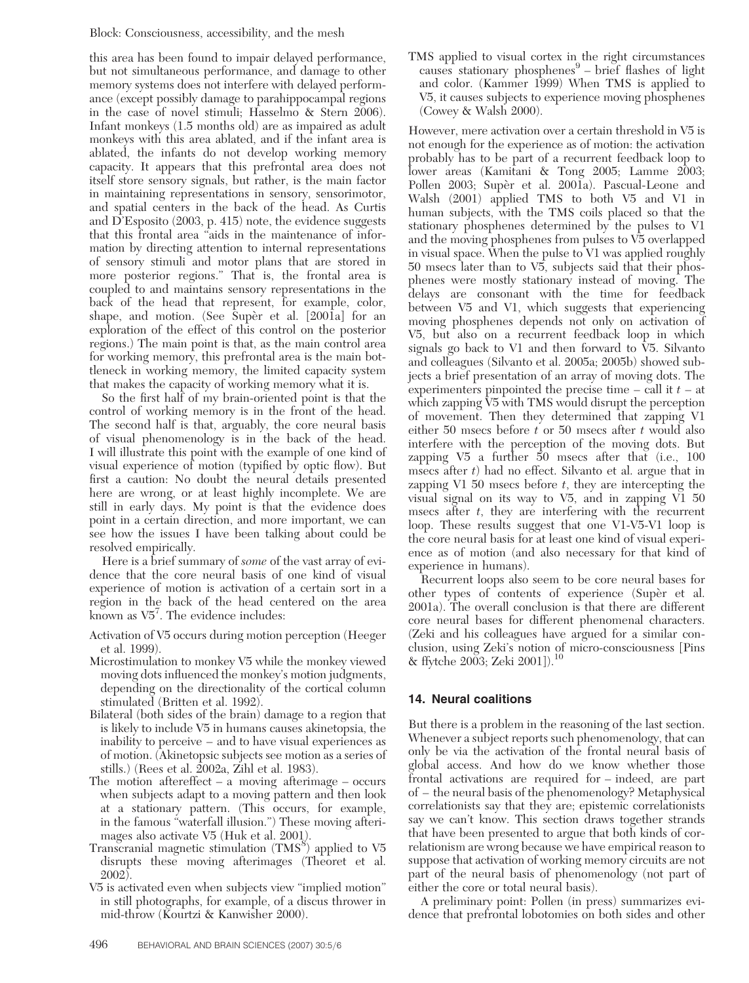this area has been found to impair delayed performance, but not simultaneous performance, and damage to other memory systems does not interfere with delayed performance (except possibly damage to parahippocampal regions in the case of novel stimuli; Hasselmo & Stern 2006). Infant monkeys (1.5 months old) are as impaired as adult monkeys with this area ablated, and if the infant area is ablated, the infants do not develop working memory capacity. It appears that this prefrontal area does not itself store sensory signals, but rather, is the main factor in maintaining representations in sensory, sensorimotor, and spatial centers in the back of the head. As Curtis and D'Esposito (2003, p. 415) note, the evidence suggests that this frontal area "aids in the maintenance of information by directing attention to internal representations of sensory stimuli and motor plans that are stored in more posterior regions." That is, the frontal area is coupled to and maintains sensory representations in the back of the head that represent, for example, color, shape, and motion. (See Super et al. [2001a] for an exploration of the effect of this control on the posterior regions.) The main point is that, as the main control area for working memory, this prefrontal area is the main bottleneck in working memory, the limited capacity system that makes the capacity of working memory what it is.

So the first half of my brain-oriented point is that the control of working memory is in the front of the head. The second half is that, arguably, the core neural basis of visual phenomenology is in the back of the head. I will illustrate this point with the example of one kind of visual experience of motion (typified by optic flow). But first a caution: No doubt the neural details presented here are wrong, or at least highly incomplete. We are still in early days. My point is that the evidence does point in a certain direction, and more important, we can see how the issues I have been talking about could be resolved empirically.

Here is a brief summary of *some* of the vast array of evidence that the core neural basis of one kind of visual experience of motion is activation of a certain sort in a region in the back of the head centered on the area known as  $V5^7$ . The evidence includes:

- Activation of V5 occurs during motion perception (Heeger et al. 1999).
- Microstimulation to monkey V5 while the monkey viewed moving dots influenced the monkey's motion judgments, depending on the directionality of the cortical column stimulated (Britten et al. 1992).
- Bilateral (both sides of the brain) damage to a region that is likely to include V5 in humans causes akinetopsia, the inability to perceive – and to have visual experiences as of motion. (Akinetopsic subjects see motion as a series of stills.) (Rees et al. 2002a, Zihl et al. 1983).
- The motion aftereffect a moving afterimage occurs when subjects adapt to a moving pattern and then look at a stationary pattern. (This occurs, for example, in the famous "waterfall illusion.") These moving afterimages also activate V5 (Huk et al. 2001).
- Transcranial magnetic stimulation  $(TMS<sup>8</sup>)$  applied to V5 disrupts these moving afterimages (Theoret et al. 2002).
- V5 is activated even when subjects view "implied motion" in still photographs, for example, of a discus thrower in mid-throw (Kourtzi & Kanwisher 2000).

TMS applied to visual cortex in the right circumstances causes stationary phosphenes $9$  – brief flashes of light and color. (Kammer 1999) When TMS is applied to V5, it causes subjects to experience moving phosphenes (Cowey & Walsh 2000).

However, mere activation over a certain threshold in V5 is not enough for the experience as of motion: the activation probably has to be part of a recurrent feedback loop to lower areas (Kamitani & Tong 2005; Lamme 2003; Pollen 2003; Super et al. 2001a). Pascual-Leone and Walsh (2001) applied TMS to both V5 and V1 in human subjects, with the TMS coils placed so that the stationary phosphenes determined by the pulses to V1 and the moving phosphenes from pulses to V5 overlapped in visual space. When the pulse to V1 was applied roughly 50 msecs later than to V5, subjects said that their phosphenes were mostly stationary instead of moving. The delays are consonant with the time for feedback between V5 and V1, which suggests that experiencing moving phosphenes depends not only on activation of V5, but also on a recurrent feedback loop in which signals go back to V1 and then forward to V5. Silvanto and colleagues (Silvanto et al. 2005a; 2005b) showed subjects a brief presentation of an array of moving dots. The experimenters pinpointed the precise time  $-$  call it  $t - at$ which zapping  $\sqrt{5}$  with TMS would disrupt the perception of movement. Then they determined that zapping V1 either 50 msecs before  $t$  or 50 msecs after  $t$  would also interfere with the perception of the moving dots. But zapping V5 a further 50 msecs after that (i.e., 100 msecs after t) had no effect. Silvanto et al. argue that in zapping V1 50 msecs before  $t$ , they are intercepting the visual signal on its way to V5, and in zapping V1 50 msecs after  $t$ , they are interfering with the recurrent loop. These results suggest that one V1-V5-V1 loop is the core neural basis for at least one kind of visual experience as of motion (and also necessary for that kind of experience in humans).

Recurrent loops also seem to be core neural bases for other types of contents of experience (Super et al. 2001a). The overall conclusion is that there are different core neural bases for different phenomenal characters. (Zeki and his colleagues have argued for a similar conclusion, using Zeki's notion of micro-consciousness [Pins & ffytche 2003; Zeki 2001]).<sup>10</sup>

## 14. Neural coalitions

But there is a problem in the reasoning of the last section. Whenever a subject reports such phenomenology, that can only be via the activation of the frontal neural basis of global access. And how do we know whether those frontal activations are required for – indeed, are part of – the neural basis of the phenomenology? Metaphysical correlationists say that they are; epistemic correlationists say we can't know. This section draws together strands that have been presented to argue that both kinds of correlationism are wrong because we have empirical reason to suppose that activation of working memory circuits are not part of the neural basis of phenomenology (not part of either the core or total neural basis).

A preliminary point: Pollen (in press) summarizes evidence that prefrontal lobotomies on both sides and other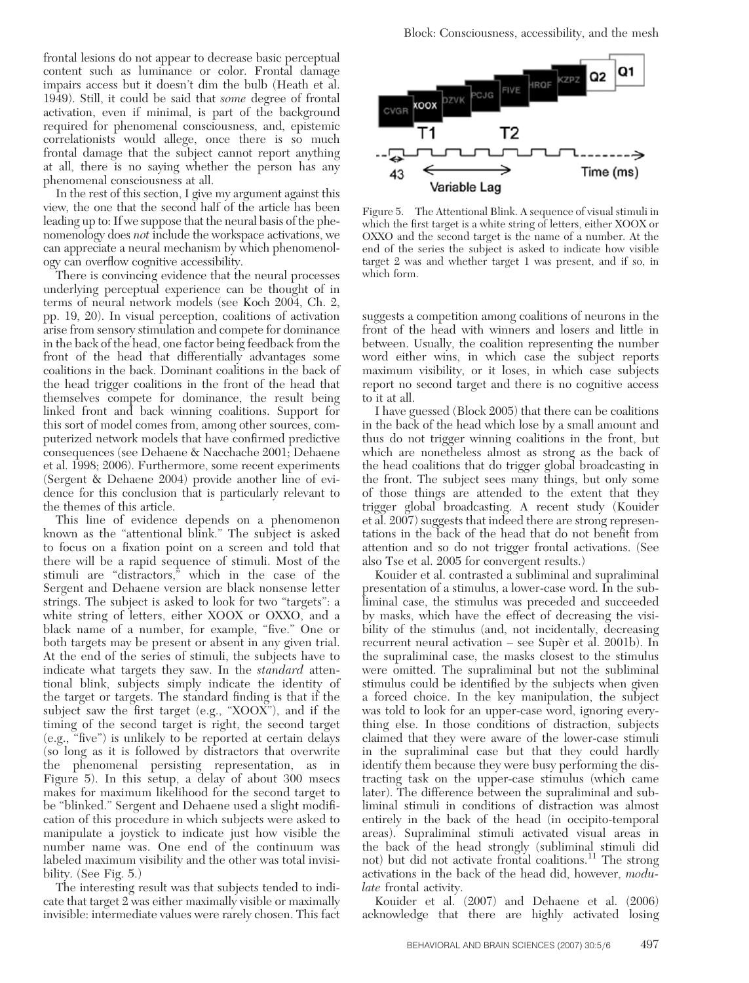frontal lesions do not appear to decrease basic perceptual content such as luminance or color. Frontal damage impairs access but it doesn't dim the bulb (Heath et al. 1949). Still, it could be said that some degree of frontal activation, even if minimal, is part of the background required for phenomenal consciousness, and, epistemic correlationists would allege, once there is so much frontal damage that the subject cannot report anything at all, there is no saying whether the person has any phenomenal consciousness at all.

In the rest of this section, I give my argument against this view, the one that the second half of the article has been leading up to: If we suppose that the neural basis of the phenomenology does not include the workspace activations, we can appreciate a neural mechanism by which phenomenology can overflow cognitive accessibility.

There is convincing evidence that the neural processes underlying perceptual experience can be thought of in terms of neural network models (see Koch 2004, Ch. 2, pp. 19, 20). In visual perception, coalitions of activation arise from sensory stimulation and compete for dominance in the back of the head, one factor being feedback from the front of the head that differentially advantages some coalitions in the back. Dominant coalitions in the back of the head trigger coalitions in the front of the head that themselves compete for dominance, the result being linked front and back winning coalitions. Support for this sort of model comes from, among other sources, computerized network models that have confirmed predictive consequences (see Dehaene & Nacchache 2001; Dehaene et al. 1998; 2006). Furthermore, some recent experiments (Sergent & Dehaene 2004) provide another line of evidence for this conclusion that is particularly relevant to the themes of this article.

This line of evidence depends on a phenomenon known as the "attentional blink." The subject is asked to focus on a fixation point on a screen and told that there will be a rapid sequence of stimuli. Most of the stimuli are "distractors," which in the case of the Sergent and Dehaene version are black nonsense letter strings. The subject is asked to look for two "targets": a white string of letters, either XOOX or OXXO, and a black name of a number, for example, "five." One or both targets may be present or absent in any given trial. At the end of the series of stimuli, the subjects have to indicate what targets they saw. In the standard attentional blink, subjects simply indicate the identity of the target or targets. The standard finding is that if the subject saw the first target (e.g., "XOOX"), and if the timing of the second target is right, the second target (e.g., "five") is unlikely to be reported at certain delays (so long as it is followed by distractors that overwrite the phenomenal persisting representation, as in Figure 5). In this setup, a delay of about 300 msecs makes for maximum likelihood for the second target to be "blinked." Sergent and Dehaene used a slight modification of this procedure in which subjects were asked to manipulate a joystick to indicate just how visible the number name was. One end of the continuum was labeled maximum visibility and the other was total invisibility. (See Fig. 5.)

The interesting result was that subjects tended to indicate that target 2 was either maximally visible or maximally invisible: intermediate values were rarely chosen. This fact



Figure 5. The Attentional Blink. A sequence of visual stimuli in which the first target is a white string of letters, either XOOX or OXXO and the second target is the name of a number. At the end of the series the subject is asked to indicate how visible target 2 was and whether target 1 was present, and if so, in which form.

suggests a competition among coalitions of neurons in the front of the head with winners and losers and little in between. Usually, the coalition representing the number word either wins, in which case the subject reports maximum visibility, or it loses, in which case subjects report no second target and there is no cognitive access to it at all.

I have guessed (Block 2005) that there can be coalitions in the back of the head which lose by a small amount and thus do not trigger winning coalitions in the front, but which are nonetheless almost as strong as the back of the head coalitions that do trigger global broadcasting in the front. The subject sees many things, but only some of those things are attended to the extent that they trigger global broadcasting. A recent study (Kouider et al. 2007) suggests that indeed there are strong representations in the back of the head that do not benefit from attention and so do not trigger frontal activations. (See also Tse et al. 2005 for convergent results.)

Kouider et al. contrasted a subliminal and supraliminal presentation of a stimulus, a lower-case word. In the subliminal case, the stimulus was preceded and succeeded by masks, which have the effect of decreasing the visibility of the stimulus (and, not incidentally, decreasing recurrent neural activation – see Super et al. 2001b). In the supraliminal case, the masks closest to the stimulus were omitted. The supraliminal but not the subliminal stimulus could be identified by the subjects when given a forced choice. In the key manipulation, the subject was told to look for an upper-case word, ignoring everything else. In those conditions of distraction, subjects claimed that they were aware of the lower-case stimuli in the supraliminal case but that they could hardly identify them because they were busy performing the distracting task on the upper-case stimulus (which came later). The difference between the supraliminal and subliminal stimuli in conditions of distraction was almost entirely in the back of the head (in occipito-temporal areas). Supraliminal stimuli activated visual areas in the back of the head strongly (subliminal stimuli did not) but did not activate frontal coalitions.<sup>11</sup> The strong activations in the back of the head did, however, modulate frontal activity.

Kouider et al. (2007) and Dehaene et al. (2006) acknowledge that there are highly activated losing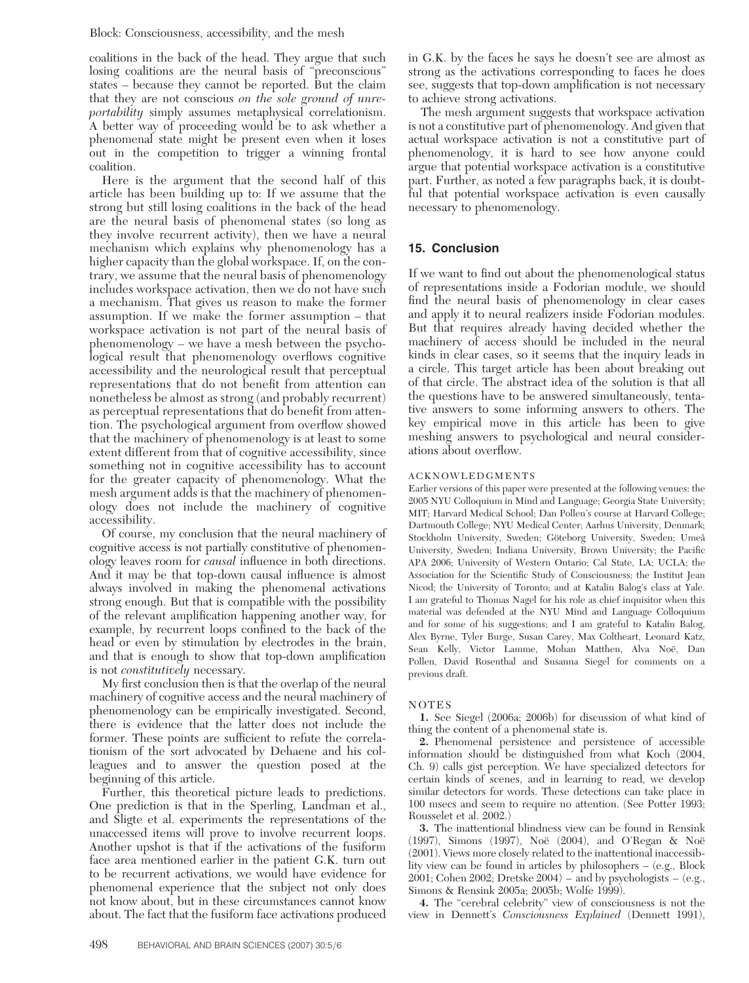coalitions in the back of the head. They argue that such losing coalitions are the neural basis of "preconscious" states – because they cannot be reported. But the claim that they are not conscious on the sole ground of unreportability simply assumes metaphysical correlationism. A better way of proceeding would be to ask whether a phenomenal state might be present even when it loses out in the competition to trigger a winning frontal coalition.

Here is the argument that the second half of this article has been building up to: If we assume that the strong but still losing coalitions in the back of the head are the neural basis of phenomenal states (so long as they involve recurrent activity), then we have a neural mechanism which explains why phenomenology has a higher capacity than the global workspace. If, on the contrary, we assume that the neural basis of phenomenology includes workspace activation, then we do not have such a mechanism. That gives us reason to make the former assumption. If we make the former assumption – that workspace activation is not part of the neural basis of phenomenology – we have a mesh between the psychological result that phenomenology overflows cognitive accessibility and the neurological result that perceptual representations that do not benefit from attention can nonetheless be almost as strong (and probably recurrent) as perceptual representations that do benefit from attention. The psychological argument from overflow showed that the machinery of phenomenology is at least to some extent different from that of cognitive accessibility, since something not in cognitive accessibility has to account for the greater capacity of phenomenology. What the mesh argument adds is that the machinery of phenomenology does not include the machinery of cognitive accessibility.

Of course, my conclusion that the neural machinery of cognitive access is not partially constitutive of phenomenology leaves room for causal influence in both directions. And it may be that top-down causal influence is almost always involved in making the phenomenal activations strong enough. But that is compatible with the possibility of the relevant amplification happening another way, for example, by recurrent loops confined to the back of the head or even by stimulation by electrodes in the brain, and that is enough to show that top-down amplification is not constitutively necessary.

My first conclusion then is that the overlap of the neural machinery of cognitive access and the neural machinery of phenomenology can be empirically investigated. Second, there is evidence that the latter does not include the former. These points are sufficient to refute the correlationism of the sort advocated by Dehaene and his colleagues and to answer the question posed at the beginning of this article.

Further, this theoretical picture leads to predictions. One prediction is that in the Sperling, Landman et al., and Sligte et al. experiments the representations of the unaccessed items will prove to involve recurrent loops. Another upshot is that if the activations of the fusiform face area mentioned earlier in the patient G.K. turn out to be recurrent activations, we would have evidence for phenomenal experience that the subject not only does not know about, but in these circumstances cannot know about. The fact that the fusiform face activations produced

in G.K. by the faces he says he doesn't see are almost as strong as the activations corresponding to faces he does see, suggests that top-down amplification is not necessary to achieve strong activations.

The mesh argument suggests that workspace activation is not a constitutive part of phenomenology. And given that actual workspace activation is not a constitutive part of phenomenology, it is hard to see how anyone could argue that potential workspace activation is a constitutive part. Further, as noted a few paragraphs back, it is doubtful that potential workspace activation is even causally necessary to phenomenology.

## 15. Conclusion

If we want to find out about the phenomenological status of representations inside a Fodorian module, we should find the neural basis of phenomenology in clear cases and apply it to neural realizers inside Fodorian modules. But that requires already having decided whether the machinery of access should be included in the neural kinds in clear cases, so it seems that the inquiry leads in a circle. This target article has been about breaking out of that circle. The abstract idea of the solution is that all the questions have to be answered simultaneously, tentative answers to some informing answers to others. The key empirical move in this article has been to give meshing answers to psychological and neural considerations about overflow.

## ACKNOWLEDGMENTS

Earlier versions of this paper were presented at the following venues: the 2005 NYU Colloquium in Mind and Language; Georgia State University; MIT; Harvard Medical School; Dan Pollen's course at Harvard College; Dartmouth College; NYU Medical Center; Aarhus University, Denmark; Stockholm University, Sweden; Göteborg University, Sweden; Umeå University, Sweden; Indiana University, Brown University; the Pacific APA 2006; University of Western Ontario; Cal State, LA; UCLA; the Association for the Scientific Study of Consciousness; the Institut Jean Nicod; the University of Toronto; and at Katalin Balog's class at Yale. I am grateful to Thomas Nagel for his role as chief inquisitor when this material was defended at the NYU Mind and Language Colloquium and for some of his suggestions; and I am grateful to Katalin Balog, Alex Byrne, Tyler Burge, Susan Carey, Max Coltheart, Leonard Katz, Sean Kelly, Victor Lamme, Mohan Matthen, Alva Noë, Dan Pollen, David Rosenthal and Susanna Siegel for comments on a previous draft.

## NOTES

1. See Siegel (2006a; 2006b) for discussion of what kind of thing the content of a phenomenal state is.

2. Phenomenal persistence and persistence of accessible information should be distinguished from what Koch (2004, Ch. 9) calls gist perception. We have specialized detectors for certain kinds of scenes, and in learning to read, we develop similar detectors for words. These detections can take place in 100 msecs and seem to require no attention. (See Potter 1993; Rousselet et al. 2002.)

3. The inattentional blindness view can be found in Rensink (1997), Simons (1997), Noe¨ (2004), and O'Regan & Noe¨ (2001). Views more closely related to the inattentional inaccessiblity view can be found in articles by philosophers – (e.g., Block  $2001$ ; Cohen 2002; Dretske  $2004$ ) – and by psychologists – (e.g., Simons & Rensink 2005a; 2005b; Wolfe 1999).

4. The "cerebral celebrity" view of consciousness is not the view in Dennett's Consciousness Explained (Dennett 1991),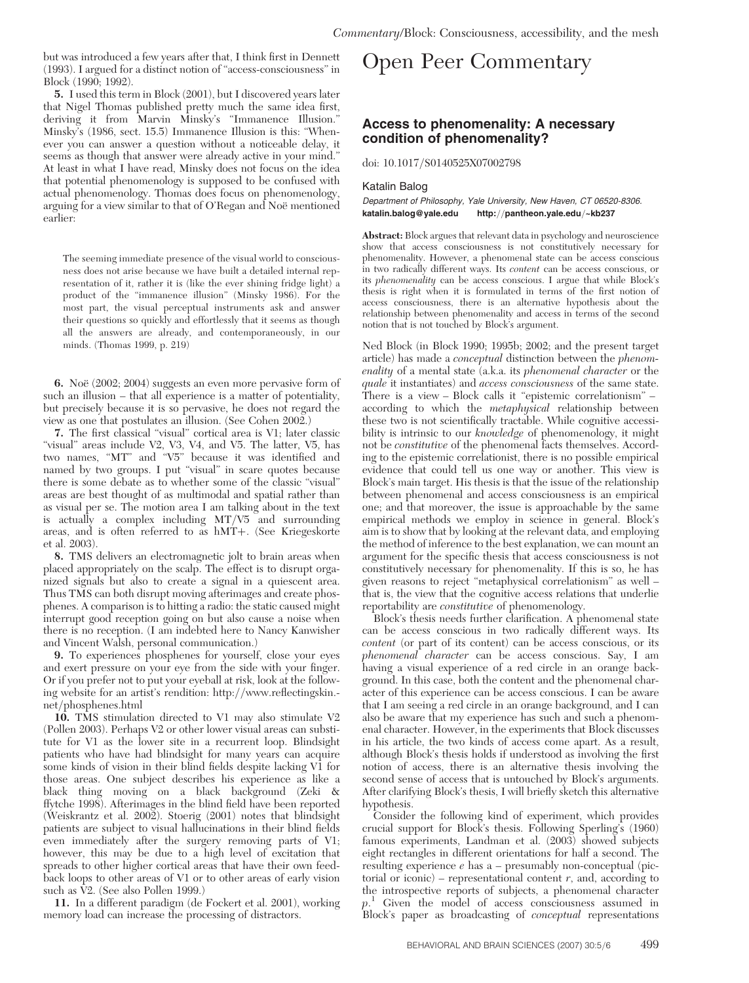but was introduced a few years after that, I think first in Dennett (1993). I argued for a distinct notion of "access-consciousness" in Block (1990; 1992).

5. I used this term in Block (2001), but I discovered years later that Nigel Thomas published pretty much the same idea first, deriving it from Marvin Minsky's "Immanence Illusion." Minsky's (1986, sect. 15.5) Immanence Illusion is this: "Whenever you can answer a question without a noticeable delay, it seems as though that answer were already active in your mind." At least in what I have read, Minsky does not focus on the idea that potential phenomenology is supposed to be confused with actual phenomenology. Thomas does focus on phenomenology, arguing for a view similar to that of O'Regan and Noë mentioned earlier:

The seeming immediate presence of the visual world to consciousness does not arise because we have built a detailed internal representation of it, rather it is (like the ever shining fridge light) a product of the "immanence illusion" (Minsky 1986). For the most part, the visual perceptual instruments ask and answer their questions so quickly and effortlessly that it seems as though all the answers are already, and contemporaneously, in our minds. (Thomas 1999, p. 219)

**6.** Noë (2002; 2004) suggests an even more pervasive form of such an illusion – that all experience is a matter of potentiality, but precisely because it is so pervasive, he does not regard the view as one that postulates an illusion. (See Cohen 2002.)

7. The first classical "visual" cortical area is V1; later classic "visual" areas include V2, V3, V4, and V5. The latter, V5, has two names, "MT" and "V5" because it was identified and named by two groups. I put "visual" in scare quotes because there is some debate as to whether some of the classic "visual" areas are best thought of as multimodal and spatial rather than as visual per se. The motion area I am talking about in the text is actually a complex including MT/V5 and surrounding areas, and is often referred to as hMT+. (See Kriegeskorte et al. 2003).

8. TMS delivers an electromagnetic jolt to brain areas when placed appropriately on the scalp. The effect is to disrupt organized signals but also to create a signal in a quiescent area. Thus TMS can both disrupt moving afterimages and create phosphenes. A comparison is to hitting a radio: the static caused might interrupt good reception going on but also cause a noise when there is no reception. (I am indebted here to Nancy Kanwisher and Vincent Walsh, personal communication.)

9. To experiences phosphenes for yourself, close your eyes and exert pressure on your eye from the side with your finger. Or if you prefer not to put your eyeball at risk, look at the following website for an artist's rendition: http://www.reflectingskin. net/phosphenes.html

10. TMS stimulation directed to V1 may also stimulate V2 (Pollen 2003). Perhaps V2 or other lower visual areas can substitute for V1 as the lower site in a recurrent loop. Blindsight patients who have had blindsight for many years can acquire some kinds of vision in their blind fields despite lacking V1 for those areas. One subject describes his experience as like a black thing moving on a black background (Zeki & ffytche 1998). Afterimages in the blind field have been reported (Weiskrantz et al. 2002). Stoerig (2001) notes that blindsight patients are subject to visual hallucinations in their blind fields even immediately after the surgery removing parts of V1; however, this may be due to a high level of excitation that spreads to other higher cortical areas that have their own feedback loops to other areas of V1 or to other areas of early vision such as V2. (See also Pollen 1999.)

11. In a different paradigm (de Fockert et al. 2001), working memory load can increase the processing of distractors.

## Open Peer Commentary

## Access to phenomenality: A necessary condition of phenomenality?

doi: 10.1017/S0140525X07002798

#### Katalin Balog

Department of Philosophy, Yale University, New Haven, CT 06520-8306. katalin.balog@yale.edu http://pantheon.yale.edu/~kb237

Abstract: Block argues that relevant data in psychology and neuroscience show that access consciousness is not constitutively necessary for phenomenality. However, a phenomenal state can be access conscious in two radically different ways. Its content can be access conscious, or its phenomenality can be access conscious. I argue that while Block's thesis is right when it is formulated in terms of the first notion of access consciousness, there is an alternative hypothesis about the relationship between phenomenality and access in terms of the second notion that is not touched by Block's argument.

Ned Block (in Block 1990; 1995b; 2002; and the present target article) has made a conceptual distinction between the phenomenality of a mental state (a.k.a. its phenomenal character or the quale it instantiates) and access consciousness of the same state. There is a view – Block calls it "epistemic correlationism" – according to which the metaphysical relationship between these two is not scientifically tractable. While cognitive accessibility is intrinsic to our knowledge of phenomenology, it might not be constitutive of the phenomenal facts themselves. According to the epistemic correlationist, there is no possible empirical evidence that could tell us one way or another. This view is Block's main target. His thesis is that the issue of the relationship between phenomenal and access consciousness is an empirical one; and that moreover, the issue is approachable by the same empirical methods we employ in science in general. Block's aim is to show that by looking at the relevant data, and employing the method of inference to the best explanation, we can mount an argument for the specific thesis that access consciousness is not constitutively necessary for phenomenality. If this is so, he has given reasons to reject "metaphysical correlationism" as well – that is, the view that the cognitive access relations that underlie reportability are constitutive of phenomenology.

Block's thesis needs further clarification. A phenomenal state can be access conscious in two radically different ways. Its content (or part of its content) can be access conscious, or its phenomenal character can be access conscious. Say, I am having a visual experience of a red circle in an orange background. In this case, both the content and the phenomenal character of this experience can be access conscious. I can be aware that I am seeing a red circle in an orange background, and I can also be aware that my experience has such and such a phenomenal character. However, in the experiments that Block discusses in his article, the two kinds of access come apart. As a result, although Block's thesis holds if understood as involving the first notion of access, there is an alternative thesis involving the second sense of access that is untouched by Block's arguments. After clarifying Block's thesis, I will briefly sketch this alternative hypothesis.

Consider the following kind of experiment, which provides crucial support for Block's thesis. Following Sperling's (1960) famous experiments, Landman et al. (2003) showed subjects eight rectangles in different orientations for half a second. The resulting experience  $e$  has a – presumably non-conceptual (pictorial or iconic) – representational content  $r$ , and, according to the introspective reports of subjects, a phenomenal character p. <sup>1</sup> Given the model of access consciousness assumed in Block's paper as broadcasting of conceptual representations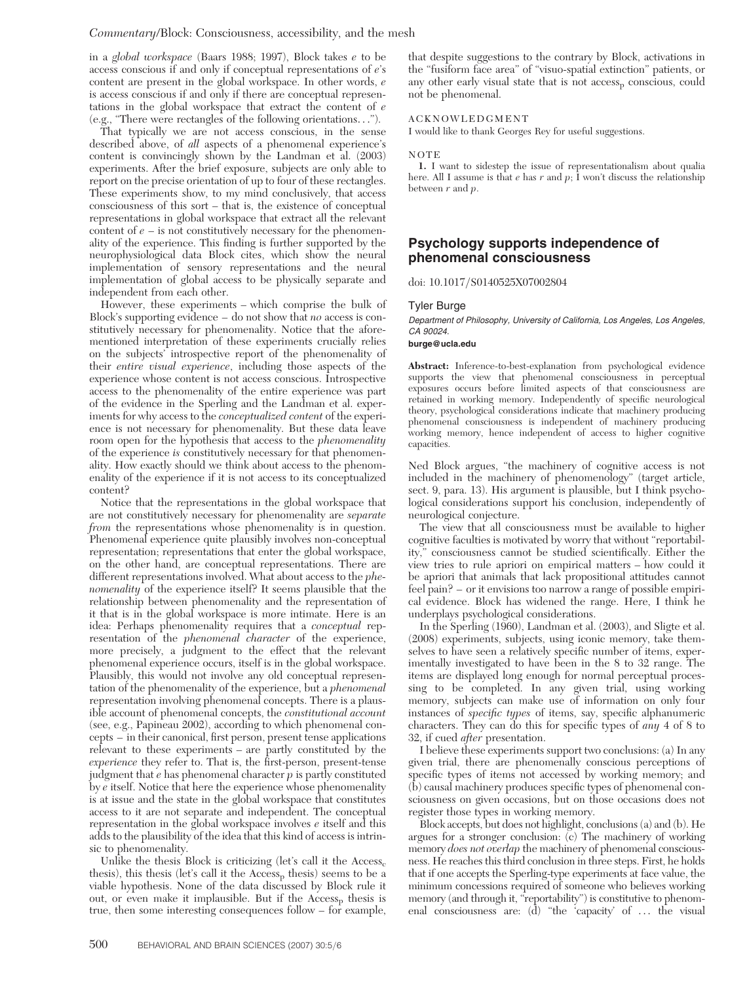in a global workspace (Baars 1988; 1997), Block takes e to be access conscious if and only if conceptual representations of e's content are present in the global workspace. In other words, e is access conscious if and only if there are conceptual representations in the global workspace that extract the content of e (e.g., "There were rectangles of the following orientations...").

That typically we are not access conscious, in the sense described above, of all aspects of a phenomenal experience's content is convincingly shown by the Landman et al. (2003) experiments. After the brief exposure, subjects are only able to report on the precise orientation of up to four of these rectangles. These experiments show, to my mind conclusively, that access consciousness of this sort – that is, the existence of conceptual representations in global workspace that extract all the relevant content of  $e$  – is not constitutively necessary for the phenomenality of the experience. This finding is further supported by the neurophysiological data Block cites, which show the neural implementation of sensory representations and the neural implementation of global access to be physically separate and independent from each other.

However, these experiments – which comprise the bulk of Block's supporting evidence  $-$  do not show that no access is constitutively necessary for phenomenality. Notice that the aforementioned interpretation of these experiments crucially relies on the subjects' introspective report of the phenomenality of their entire visual experience, including those aspects of the experience whose content is not access conscious. Introspective access to the phenomenality of the entire experience was part of the evidence in the Sperling and the Landman et al. experiments for why access to the *conceptualized content* of the experience is not necessary for phenomenality. But these data leave room open for the hypothesis that access to the *phenomenality* of the experience is constitutively necessary for that phenomenality. How exactly should we think about access to the phenomenality of the experience if it is not access to its conceptualized content?

Notice that the representations in the global workspace that are not constitutively necessary for phenomenality are separate from the representations whose phenomenality is in question. Phenomenal experience quite plausibly involves non-conceptual representation; representations that enter the global workspace, on the other hand, are conceptual representations. There are different representations involved. What about access to the phenomenality of the experience itself? It seems plausible that the relationship between phenomenality and the representation of it that is in the global workspace is more intimate. Here is an idea: Perhaps phenomenality requires that a conceptual representation of the *phenomenal character* of the experience, more precisely, a judgment to the effect that the relevant phenomenal experience occurs, itself is in the global workspace. Plausibly, this would not involve any old conceptual representation of the phenomenality of the experience, but a phenomenal representation involving phenomenal concepts. There is a plausible account of phenomenal concepts, the constitutional account (see, e.g., Papineau 2002), according to which phenomenal concepts – in their canonical, first person, present tense applications relevant to these experiments – are partly constituted by the experience they refer to. That is, the first-person, present-tense judgment that  $e$  has phenomenal character  $p$  is partly constituted by e itself. Notice that here the experience whose phenomenality is at issue and the state in the global workspace that constitutes access to it are not separate and independent. The conceptual representation in the global workspace involves e itself and this adds to the plausibility of the idea that this kind of access is intrinsic to phenomenality.

Unlike the thesis Block is criticizing (let's call it the  $\Lambda$ ccess<sub>c</sub> thesis), this thesis (let's call it the  $\text{Access}_p$  thesis) seems to be a viable hypothesis. None of the data discussed by Block rule it out, or even make it implausible. But if the Access<sub>p</sub> thesis is true, then some interesting consequences follow – for example,

that despite suggestions to the contrary by Block, activations in the "fusiform face area" of "visuo-spatial extinction" patients, or any other early visual state that is not access<sub>p</sub> conscious, could not be phenomenal.

#### ACKNOWLEDGMENT

I would like to thank Georges Rey for useful suggestions.

#### NOTE

1. I want to sidestep the issue of representationalism about qualia here. All I assume is that e has r and  $p$ ; I won't discuss the relationship between  $r$  and  $p$ .

## Psychology supports independence of phenomenal consciousness

doi: 10.1017/S0140525X07002804

#### Tyler Burge

Department of Philosophy, University of California, Los Angeles, Los Angeles, CA 90024.

#### burge@ucla.edu

Abstract: Inference-to-best-explanation from psychological evidence supports the view that phenomenal consciousness in perceptual exposures occurs before limited aspects of that consciousness are retained in working memory. Independently of specific neurological theory, psychological considerations indicate that machinery producing phenomenal consciousness is independent of machinery producing working memory, hence independent of access to higher cognitive capacities.

Ned Block argues, "the machinery of cognitive access is not included in the machinery of phenomenology" (target article, sect. 9, para. 13). His argument is plausible, but I think psychological considerations support his conclusion, independently of neurological conjecture.

The view that all consciousness must be available to higher cognitive faculties is motivated by worry that without "reportability," consciousness cannot be studied scientifically. Either the view tries to rule apriori on empirical matters – how could it be apriori that animals that lack propositional attitudes cannot feel pain? – or it envisions too narrow a range of possible empirical evidence. Block has widened the range. Here, I think he underplays psychological considerations.

In the Sperling (1960), Landman et al. (2003), and Sligte et al. (2008) experiments, subjects, using iconic memory, take themselves to have seen a relatively specific number of items, experimentally investigated to have been in the 8 to 32 range. The items are displayed long enough for normal perceptual processing to be completed. In any given trial, using working memory, subjects can make use of information on only four instances of specific types of items, say, specific alphanumeric characters. They can do this for specific types of any 4 of 8 to 32, if cued after presentation.

I believe these experiments support two conclusions: (a) In any given trial, there are phenomenally conscious perceptions of specific types of items not accessed by working memory; and (b) causal machinery produces specific types of phenomenal consciousness on given occasions, but on those occasions does not register those types in working memory.

Block accepts, but does not highlight, conclusions (a) and (b). He argues for a stronger conclusion: (c) The machinery of working memory does not overlap the machinery of phenomenal consciousness. He reaches this third conclusion in three steps. First, he holds that if one accepts the Sperling-type experiments at face value, the minimum concessions required of someone who believes working memory (and through it, "reportability") is constitutive to phenomenal consciousness are: (d) "the 'capacity' of ... the visual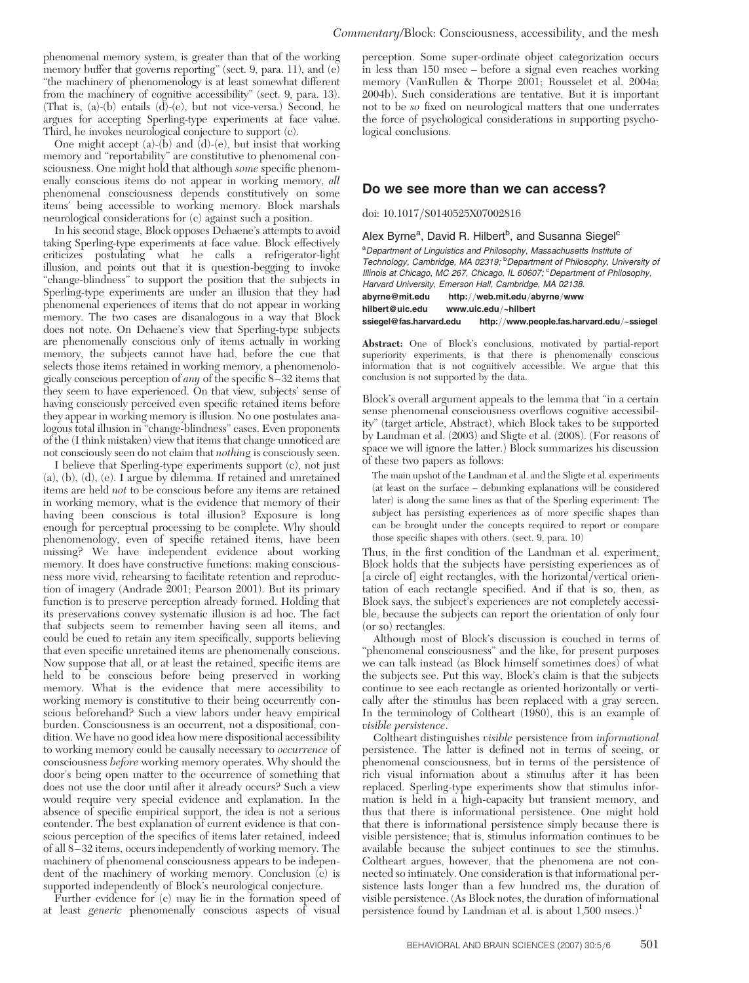phenomenal memory system, is greater than that of the working memory buffer that governs reporting" (sect. 9, para. 11), and  $(e)$ "the machinery of phenomenology is at least somewhat different from the machinery of cognitive accessibility" (sect. 9, para. 13). (That is, (a)-(b) entails (d)-(e), but not vice-versa.) Second, he argues for accepting Sperling-type experiments at face value. Third, he invokes neurological conjecture to support (c).

One might accept  $(a)$ - $(b)$  and  $(d)$ - $(e)$ , but insist that working memory and "reportability" are constitutive to phenomenal consciousness. One might hold that although some specific phenomenally conscious items do not appear in working memory, all phenomenal consciousness depends constitutively on some items' being accessible to working memory. Block marshals neurological considerations for (c) against such a position.

In his second stage, Block opposes Dehaene's attempts to avoid taking Sperling-type experiments at face value. Block effectively criticizes postulating what he calls a refrigerator-light illusion, and points out that it is question-begging to invoke "change-blindness" to support the position that the subjects in Sperling-type experiments are under an illusion that they had phenomenal experiences of items that do not appear in working memory. The two cases are disanalogous in a way that Block does not note. On Dehaene's view that Sperling-type subjects are phenomenally conscious only of items actually in working memory, the subjects cannot have had, before the cue that selects those items retained in working memory, a phenomenologically conscious perception of any of the specific 8–32 items that they seem to have experienced. On that view, subjects' sense of having consciously perceived even specific retained items before they appear in working memory is illusion. No one postulates analogous total illusion in "change-blindness" cases. Even proponents of the (I think mistaken) view that items that change unnoticed are not consciously seen do not claim that nothing is consciously seen.

I believe that Sperling-type experiments support (c), not just (a), (b), (d), (e). I argue by dilemma. If retained and unretained items are held not to be conscious before any items are retained in working memory, what is the evidence that memory of their having been conscious is total illusion? Exposure is long enough for perceptual processing to be complete. Why should phenomenology, even of specific retained items, have been missing? We have independent evidence about working memory. It does have constructive functions: making consciousness more vivid, rehearsing to facilitate retention and reproduction of imagery (Andrade 2001; Pearson 2001). But its primary function is to preserve perception already formed. Holding that its preservations convey systematic illusion is ad hoc. The fact that subjects seem to remember having seen all items, and could be cued to retain any item specifically, supports believing that even specific unretained items are phenomenally conscious. Now suppose that all, or at least the retained, specific items are held to be conscious before being preserved in working memory. What is the evidence that mere accessibility to working memory is constitutive to their being occurrently conscious beforehand? Such a view labors under heavy empirical burden. Consciousness is an occurrent, not a dispositional, condition. We have no good idea how mere dispositional accessibility to working memory could be causally necessary to occurrence of consciousness before working memory operates. Why should the door's being open matter to the occurrence of something that does not use the door until after it already occurs? Such a view would require very special evidence and explanation. In the absence of specific empirical support, the idea is not a serious contender. The best explanation of current evidence is that conscious perception of the specifics of items later retained, indeed of all 8–32 items, occurs independently of working memory. The machinery of phenomenal consciousness appears to be independent of the machinery of working memory. Conclusion (c) is supported independently of Block's neurological conjecture.

Further evidence for (c) may lie in the formation speed of at least generic phenomenally conscious aspects of visual

perception. Some super-ordinate object categorization occurs in less than 150 msec – before a signal even reaches working memory (VanRullen & Thorpe 2001; Rousselet et al. 2004a; 2004b). Such considerations are tentative. But it is important not to be so fixed on neurological matters that one underrates the force of psychological considerations in supporting psychological conclusions.

#### Do we see more than we can access?

doi: 10.1017/S0140525X07002816

## Alex Byrne<sup>a</sup>, David R. Hilbert<sup>b</sup>, and Susanna Siegel<sup>c</sup>

<sup>a</sup>Department of Linguistics and Philosophy, Massachusetts Institute of Technology, Cambridge, MA 02319; <sup>b</sup>Department of Philosophy, University of Illinois at Chicago, MC 267, Chicago, IL 60607; <sup>c</sup> Department of Philosophy, Harvard University, Emerson Hall, Cambridge, MA 02138. abyrne@mit.edu http://web.mit.edu/abyrne/www hilbert@uic.edu www.uic.edu/~hilbert ssiegel@fas.harvard.edu http://www.people.fas.harvard.edu/~ssiegel

Abstract: One of Block's conclusions, motivated by partial-report superiority experiments, is that there is phenomenally conscious information that is not cognitively accessible. We argue that this conclusion is not supported by the data.

Block's overall argument appeals to the lemma that "in a certain sense phenomenal consciousness overflows cognitive accessibility" (target article, Abstract), which Block takes to be supported by Landman et al. (2003) and Sligte et al. (2008). (For reasons of space we will ignore the latter.) Block summarizes his discussion of these two papers as follows:

The main upshot of the Landman et al. and the Sligte et al. experiments (at least on the surface – debunking explanations will be considered later) is along the same lines as that of the Sperling experiment: The subject has persisting experiences as of more specific shapes than can be brought under the concepts required to report or compare those specific shapes with others. (sect. 9, para. 10)

Thus, in the first condition of the Landman et al. experiment, Block holds that the subjects have persisting experiences as of [a circle of] eight rectangles, with the horizontal/vertical orientation of each rectangle specified. And if that is so, then, as Block says, the subject's experiences are not completely accessible, because the subjects can report the orientation of only four (or so) rectangles.

Although most of Block's discussion is couched in terms of "phenomenal consciousness" and the like, for present purposes we can talk instead (as Block himself sometimes does) of what the subjects see. Put this way, Block's claim is that the subjects continue to see each rectangle as oriented horizontally or vertically after the stimulus has been replaced with a gray screen. In the terminology of Coltheart (1980), this is an example of visible persistence.

Coltheart distinguishes visible persistence from informational persistence. The latter is defined not in terms of seeing, or phenomenal consciousness, but in terms of the persistence of rich visual information about a stimulus after it has been replaced. Sperling-type experiments show that stimulus information is held in a high-capacity but transient memory, and thus that there is informational persistence. One might hold that there is informational persistence simply because there is visible persistence; that is, stimulus information continues to be available because the subject continues to see the stimulus. Coltheart argues, however, that the phenomena are not connected so intimately. One consideration is that informational persistence lasts longer than a few hundred ms, the duration of visible persistence. (As Block notes, the duration of informational persistence found by Landman et al. is about  $1,500$  msecs.)<sup>1</sup>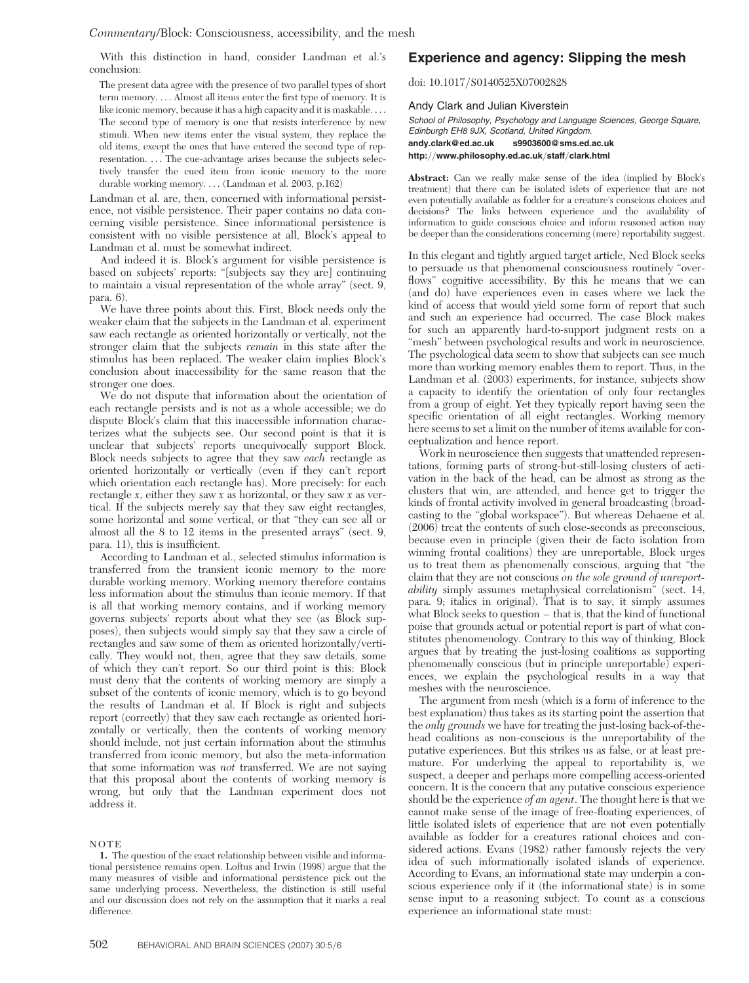With this distinction in hand, consider Landman et al.'s conclusion:

The present data agree with the presence of two parallel types of short term memory. ... Almost all items enter the first type of memory. It is like iconic memory, because it has a high capacity and it is maskable. ... The second type of memory is one that resists interference by new stimuli. When new items enter the visual system, they replace the old items, except the ones that have entered the second type of representation. ... The cue-advantage arises because the subjects selectively transfer the cued item from iconic memory to the more durable working memory. ... (Landman et al. 2003, p.162)

Landman et al. are, then, concerned with informational persistence, not visible persistence. Their paper contains no data concerning visible persistence. Since informational persistence is consistent with no visible persistence at all, Block's appeal to Landman et al. must be somewhat indirect.

And indeed it is. Block's argument for visible persistence is based on subjects' reports: "[subjects say they are] continuing to maintain a visual representation of the whole array" (sect. 9, para. 6).

We have three points about this. First, Block needs only the weaker claim that the subjects in the Landman et al. experiment saw each rectangle as oriented horizontally or vertically, not the stronger claim that the subjects remain in this state after the stimulus has been replaced. The weaker claim implies Block's conclusion about inaccessibility for the same reason that the stronger one does.

We do not dispute that information about the orientation of each rectangle persists and is not as a whole accessible; we do dispute Block's claim that this inaccessible information characterizes what the subjects see. Our second point is that it is unclear that subjects' reports unequivocally support Block. Block needs subjects to agree that they saw each rectangle as oriented horizontally or vertically (even if they can't report which orientation each rectangle has). More precisely: for each rectangle x, either they saw x as horizontal, or they saw x as vertical. If the subjects merely say that they saw eight rectangles, some horizontal and some vertical, or that "they can see all or almost all the 8 to 12 items in the presented arrays" (sect. 9, para. 11), this is insufficient.

According to Landman et al., selected stimulus information is transferred from the transient iconic memory to the more durable working memory. Working memory therefore contains less information about the stimulus than iconic memory. If that is all that working memory contains, and if working memory governs subjects' reports about what they see (as Block supposes), then subjects would simply say that they saw a circle of rectangles and saw some of them as oriented horizontally/vertically. They would not, then, agree that they saw details, some of which they can't report. So our third point is this: Block must deny that the contents of working memory are simply a subset of the contents of iconic memory, which is to go beyond the results of Landman et al. If Block is right and subjects report (correctly) that they saw each rectangle as oriented horizontally or vertically, then the contents of working memory should include, not just certain information about the stimulus transferred from iconic memory, but also the meta-information that some information was not transferred. We are not saying that this proposal about the contents of working memory is wrong, but only that the Landman experiment does not address it.

#### NOTE

1. The question of the exact relationship between visible and informational persistence remains open. Loftus and Irwin (1998) argue that the many measures of visible and informational persistence pick out the same underlying process. Nevertheless, the distinction is still useful and our discussion does not rely on the assumption that it marks a real difference.

## Experience and agency: Slipping the mesh

doi: 10.1017/S0140525X07002828

#### Andy Clark and Julian Kiverstein

School of Philosophy, Psychology and Language Sciences, George Square, Edinburgh EH8 9JX, Scotland, United Kingdom.

andy.clark@ed.ac.uk s9903600@sms.ed.ac.uk http://www.philosophy.ed.ac.uk/staff/clark.html

Abstract: Can we really make sense of the idea (implied by Block's treatment) that there can be isolated islets of experience that are not even potentially available as fodder for a creature's conscious choices and decisions? The links between experience and the availability of information to guide conscious choice and inform reasoned action may be deeper than the considerations concerning (mere) reportability suggest.

In this elegant and tightly argued target article, Ned Block seeks to persuade us that phenomenal consciousness routinely "overflows" cognitive accessibility. By this he means that we can (and do) have experiences even in cases where we lack the kind of access that would yield some form of report that such and such an experience had occurred. The case Block makes for such an apparently hard-to-support judgment rests on a "mesh" between psychological results and work in neuroscience. The psychological data seem to show that subjects can see much more than working memory enables them to report. Thus, in the Landman et al. (2003) experiments, for instance, subjects show a capacity to identify the orientation of only four rectangles from a group of eight. Yet they typically report having seen the specific orientation of all eight rectangles. Working memory here seems to set a limit on the number of items available for conceptualization and hence report.

Work in neuroscience then suggests that unattended representations, forming parts of strong-but-still-losing clusters of activation in the back of the head, can be almost as strong as the clusters that win, are attended, and hence get to trigger the kinds of frontal activity involved in general broadcasting (broadcasting to the "global workspace"). But whereas Dehaene et al. (2006) treat the contents of such close-seconds as preconscious, because even in principle (given their de facto isolation from winning frontal coalitions) they are unreportable, Block urges us to treat them as phenomenally conscious, arguing that "the claim that they are not conscious on the sole ground of unreportability simply assumes metaphysical correlationism" (sect. 14, para. 9; italics in original). That is to say, it simply assumes what Block seeks to question – that is, that the kind of functional poise that grounds actual or potential report is part of what constitutes phenomenology. Contrary to this way of thinking, Block argues that by treating the just-losing coalitions as supporting phenomenally conscious (but in principle unreportable) experiences, we explain the psychological results in a way that meshes with the neuroscience.

The argument from mesh (which is a form of inference to the best explanation) thus takes as its starting point the assertion that the only grounds we have for treating the just-losing back-of-thehead coalitions as non-conscious is the unreportability of the putative experiences. But this strikes us as false, or at least premature. For underlying the appeal to reportability is, we suspect, a deeper and perhaps more compelling access-oriented concern. It is the concern that any putative conscious experience should be the experience of an agent. The thought here is that we cannot make sense of the image of free-floating experiences, of little isolated islets of experience that are not even potentially available as fodder for a creatures rational choices and considered actions. Evans (1982) rather famously rejects the very idea of such informationally isolated islands of experience. According to Evans, an informational state may underpin a conscious experience only if it (the informational state) is in some sense input to a reasoning subject. To count as a conscious experience an informational state must: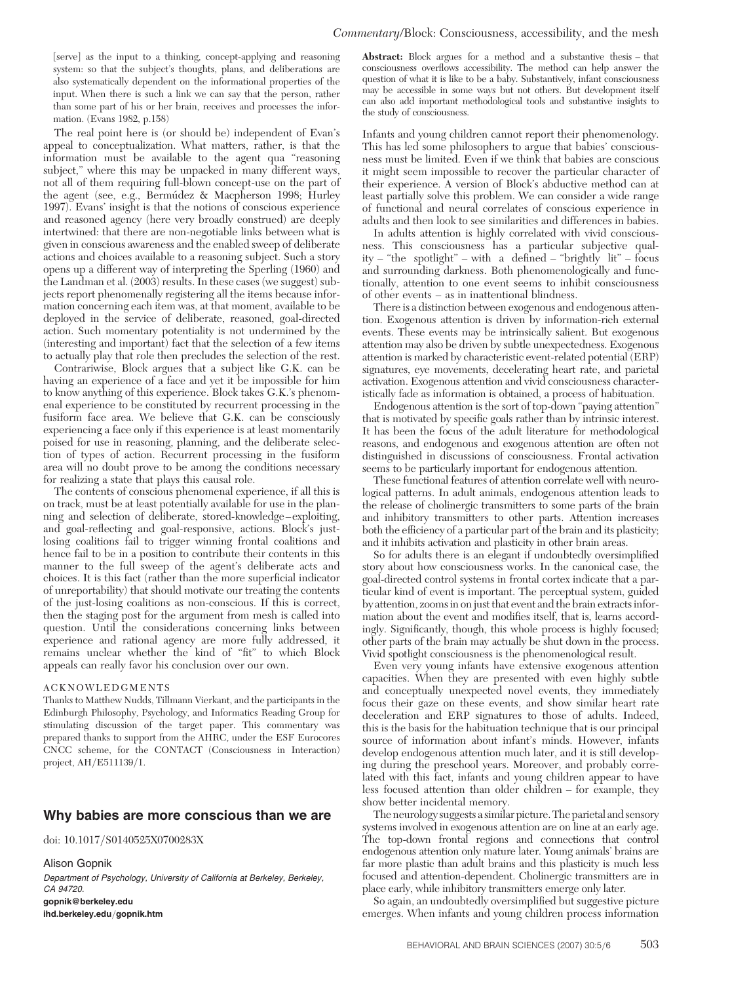[serve] as the input to a thinking, concept-applying and reasoning system: so that the subject's thoughts, plans, and deliberations are also systematically dependent on the informational properties of the input. When there is such a link we can say that the person, rather than some part of his or her brain, receives and processes the information. (Evans 1982, p.158)

The real point here is (or should be) independent of Evan's appeal to conceptualization. What matters, rather, is that the information must be available to the agent qua "reasoning subject," where this may be unpacked in many different ways, not all of them requiring full-blown concept-use on the part of the agent (see, e.g., Bermúdez & Macpherson 1998; Hurley 1997). Evans' insight is that the notions of conscious experience and reasoned agency (here very broadly construed) are deeply intertwined: that there are non-negotiable links between what is given in conscious awareness and the enabled sweep of deliberate actions and choices available to a reasoning subject. Such a story opens up a different way of interpreting the Sperling (1960) and the Landman et al. (2003) results. In these cases (we suggest) subjects report phenomenally registering all the items because information concerning each item was, at that moment, available to be deployed in the service of deliberate, reasoned, goal-directed action. Such momentary potentiality is not undermined by the (interesting and important) fact that the selection of a few items to actually play that role then precludes the selection of the rest.

Contrariwise, Block argues that a subject like G.K. can be having an experience of a face and yet it be impossible for him to know anything of this experience. Block takes G.K.'s phenomenal experience to be constituted by recurrent processing in the fusiform face area. We believe that G.K. can be consciously experiencing a face only if this experience is at least momentarily poised for use in reasoning, planning, and the deliberate selection of types of action. Recurrent processing in the fusiform area will no doubt prove to be among the conditions necessary for realizing a state that plays this causal role.

The contents of conscious phenomenal experience, if all this is on track, must be at least potentially available for use in the planning and selection of deliberate, stored-knowledge–exploiting, and goal-reflecting and goal-responsive, actions. Block's justlosing coalitions fail to trigger winning frontal coalitions and hence fail to be in a position to contribute their contents in this manner to the full sweep of the agent's deliberate acts and choices. It is this fact (rather than the more superficial indicator of unreportability) that should motivate our treating the contents of the just-losing coalitions as non-conscious. If this is correct, then the staging post for the argument from mesh is called into question. Until the considerations concerning links between experience and rational agency are more fully addressed, it remains unclear whether the kind of "fit" to which Block appeals can really favor his conclusion over our own.

#### ACKNOWLEDGMENTS

Thanks to Matthew Nudds, Tillmann Vierkant, and the participants in the Edinburgh Philosophy, Psychology, and Informatics Reading Group for stimulating discussion of the target paper. This commentary was prepared thanks to support from the AHRC, under the ESF Eurocores CNCC scheme, for the CONTACT (Consciousness in Interaction) project, AH/E511139/1.

## Why babies are more conscious than we are

doi: 10.1017/S0140525X0700283X

Alison Gopnik Department of Psychology, University of California at Berkeley, Berkeley, CA 94720. gopnik@berkeley.edu ihd.berkeley.edu/gopnik.htm

Abstract: Block argues for a method and a substantive thesis – that consciousness overflows accessibility. The method can help answer the question of what it is like to be a baby. Substantively, infant consciousness may be accessible in some ways but not others. But development itself can also add important methodological tools and substantive insights to the study of consciousness.

Infants and young children cannot report their phenomenology. This has led some philosophers to argue that babies' consciousness must be limited. Even if we think that babies are conscious it might seem impossible to recover the particular character of their experience. A version of Block's abductive method can at least partially solve this problem. We can consider a wide range of functional and neural correlates of conscious experience in adults and then look to see similarities and differences in babies.

In adults attention is highly correlated with vivid consciousness. This consciousness has a particular subjective quality – "the spotlight" – with a defined – "brightly lit" – focus and surrounding darkness. Both phenomenologically and functionally, attention to one event seems to inhibit consciousness of other events – as in inattentional blindness.

There is a distinction between exogenous and endogenous attention. Exogenous attention is driven by information-rich external events. These events may be intrinsically salient. But exogenous attention may also be driven by subtle unexpectedness. Exogenous attention is marked by characteristic event-related potential (ERP) signatures, eye movements, decelerating heart rate, and parietal activation. Exogenous attention and vivid consciousness characteristically fade as information is obtained, a process of habituation.

Endogenous attention is the sort of top-down "paying attention" that is motivated by specific goals rather than by intrinsic interest. It has been the focus of the adult literature for methodological reasons, and endogenous and exogenous attention are often not distinguished in discussions of consciousness. Frontal activation seems to be particularly important for endogenous attention.

These functional features of attention correlate well with neurological patterns. In adult animals, endogenous attention leads to the release of cholinergic transmitters to some parts of the brain and inhibitory transmitters to other parts. Attention increases both the efficiency of a particular part of the brain and its plasticity; and it inhibits activation and plasticity in other brain areas.

So for adults there is an elegant if undoubtedly oversimplified story about how consciousness works. In the canonical case, the goal-directed control systems in frontal cortex indicate that a particular kind of event is important. The perceptual system, guided by attention, zooms in on just that event and the brain extracts information about the event and modifies itself, that is, learns accordingly. Significantly, though, this whole process is highly focused; other parts of the brain may actually be shut down in the process. Vivid spotlight consciousness is the phenomenological result.

Even very young infants have extensive exogenous attention capacities. When they are presented with even highly subtle and conceptually unexpected novel events, they immediately focus their gaze on these events, and show similar heart rate deceleration and ERP signatures to those of adults. Indeed, this is the basis for the habituation technique that is our principal source of information about infant's minds. However, infants develop endogenous attention much later, and it is still developing during the preschool years. Moreover, and probably correlated with this fact, infants and young children appear to have less focused attention than older children – for example, they show better incidental memory.

The neurology suggests a similar picture. The parietal and sensory systems involved in exogenous attention are on line at an early age. The top-down frontal regions and connections that control endogenous attention only mature later. Young animals' brains are far more plastic than adult brains and this plasticity is much less focused and attention-dependent. Cholinergic transmitters are in place early, while inhibitory transmitters emerge only later.

So again, an undoubtedly oversimplified but suggestive picture emerges. When infants and young children process information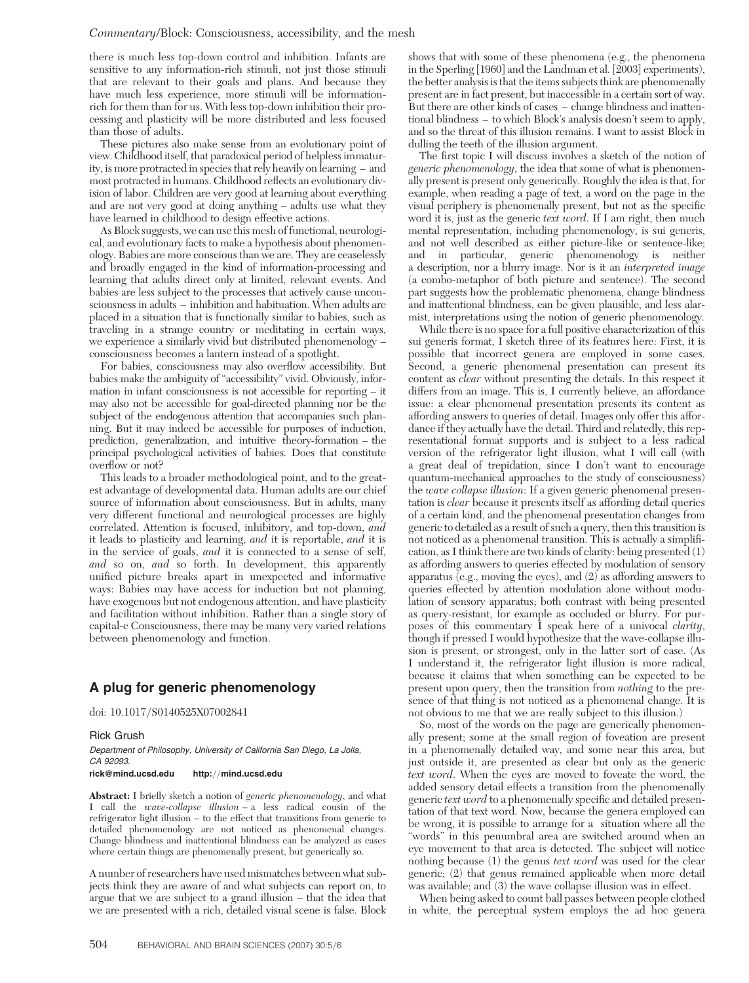there is much less top-down control and inhibition. Infants are sensitive to any information-rich stimuli, not just those stimuli that are relevant to their goals and plans. And because they have much less experience, more stimuli will be informationrich for them than for us. With less top-down inhibition their processing and plasticity will be more distributed and less focused than those of adults.

These pictures also make sense from an evolutionary point of view. Childhood itself, that paradoxical period of helpless immaturity, is more protracted in species that rely heavily on learning – and most protracted in humans. Childhood reflects an evolutionary division of labor. Children are very good at learning about everything and are not very good at doing anything – adults use what they have learned in childhood to design effective actions.

As Block suggests, we can use this mesh of functional, neurological, and evolutionary facts to make a hypothesis about phenomenology. Babies are more conscious than we are. They are ceaselessly and broadly engaged in the kind of information-processing and learning that adults direct only at limited, relevant events. And babies are less subject to the processes that actively cause unconsciousness in adults – inhibition and habituation. When adults are placed in a situation that is functionally similar to babies, such as traveling in a strange country or meditating in certain ways, we experience a similarly vivid but distributed phenomenology – consciousness becomes a lantern instead of a spotlight.

For babies, consciousness may also overflow accessibility. But babies make the ambiguity of "accessibility" vivid. Obviously, information in infant consciousness is not accessible for reporting – it may also not be accessible for goal-directed planning nor be the subject of the endogenous attention that accompanies such planning. But it may indeed be accessible for purposes of induction, prediction, generalization, and intuitive theory-formation – the principal psychological activities of babies. Does that constitute overflow or not?

This leads to a broader methodological point, and to the greatest advantage of developmental data. Human adults are our chief source of information about consciousness. But in adults, many very different functional and neurological processes are highly correlated. Attention is focused, inhibitory, and top-down, and it leads to plasticity and learning, and it is reportable, and it is in the service of goals, and it is connected to a sense of self, and so on, and so forth. In development, this apparently unified picture breaks apart in unexpected and informative ways: Babies may have access for induction but not planning, have exogenous but not endogenous attention, and have plasticity and facilitation without inhibition. Rather than a single story of capital-c Consciousness, there may be many very varied relations between phenomenology and function.

## A plug for generic phenomenology

doi: 10.1017/S0140525X07002841

#### Rick Grush

Department of Philosophy, University of California San Diego, La Jolla, CA 92093.

rick@mind.ucsd.edu http://mind.ucsd.edu

Abstract: I briefly sketch a notion of generic phenomenology, and what I call the wave-collapse illusion – a less radical cousin of the refrigerator light illusion – to the effect that transitions from generic to detailed phenomenology are not noticed as phenomenal changes. Change blindness and inattentional blindness can be analyzed as cases where certain things are phenomenally present, but generically so.

A number of researchers have used mismatches between what subjects think they are aware of and what subjects can report on, to argue that we are subject to a grand illusion – that the idea that we are presented with a rich, detailed visual scene is false. Block

shows that with some of these phenomena (e.g., the phenomena in the Sperling [1960] and the Landman et al. [2003] experiments), the better analysis is that the items subjects think are phenomenally present are in fact present, but inaccessible in a certain sort of way. But there are other kinds of cases – change blindness and inattentional blindness – to which Block's analysis doesn't seem to apply, and so the threat of this illusion remains. I want to assist Block in dulling the teeth of the illusion argument.

The first topic I will discuss involves a sketch of the notion of generic phenomenology, the idea that some of what is phenomenally present is present only generically. Roughly the idea is that, for example, when reading a page of text, a word on the page in the visual periphery is phenomenally present, but not as the specific word it is, just as the generic *text word*. If I am right, then much mental representation, including phenomenology, is sui generis, and not well described as either picture-like or sentence-like; and in particular, generic phenomenology is neither a description, nor a blurry image. Nor is it an interpreted image (a combo-metaphor of both picture and sentence). The second part suggests how the problematic phenomena, change blindness and inattentional blindness, can be given plausible, and less alarmist, interpretations using the notion of generic phenomenology.

While there is no space for a full positive characterization of this sui generis format, I sketch three of its features here: First, it is possible that incorrect genera are employed in some cases. Second, a generic phenomenal presentation can present its content as clear without presenting the details. In this respect it differs from an image. This is, I currently believe, an affordance issue: a clear phenomenal presentation presents its content as affording answers to queries of detail. Images only offer this affordance if they actually have the detail. Third and relatedly, this representational format supports and is subject to a less radical version of the refrigerator light illusion, what I will call (with a great deal of trepidation, since I don't want to encourage quantum-mechanical approaches to the study of consciousness) the wave collapse illusion: If a given generic phenomenal presentation is clear because it presents itself as affording detail queries of a certain kind, and the phenomenal presentation changes from generic to detailed as a result of such a query, then this transition is not noticed as a phenomenal transition. This is actually a simplification, as I think there are two kinds of clarity: being presented (1) as affording answers to queries effected by modulation of sensory apparatus (e.g., moving the eyes), and (2) as affording answers to queries effected by attention modulation alone without modulation of sensory apparatus; both contrast with being presented as query-resistant, for example as occluded or blurry. For purposes of this commentary I speak here of a univocal clarity, though if pressed I would hypothesize that the wave-collapse illusion is present, or strongest, only in the latter sort of case. (As I understand it, the refrigerator light illusion is more radical, because it claims that when something can be expected to be present upon query, then the transition from *nothing* to the presence of that thing is not noticed as a phenomenal change. It is not obvious to me that we are really subject to this illusion.)

So, most of the words on the page are generically phenomenally present; some at the small region of foveation are present in a phenomenally detailed way, and some near this area, but just outside it, are presented as clear but only as the generic text word. When the eyes are moved to foveate the word, the added sensory detail effects a transition from the phenomenally generic text word to a phenomenally specific and detailed presentation of that text word. Now, because the genera employed can be wrong, it is possible to arrange for a situation where all the "words" in this penumbral area are switched around when an eye movement to that area is detected. The subject will notice nothing because (1) the genus *text word* was used for the clear generic; (2) that genus remained applicable when more detail was available; and (3) the wave collapse illusion was in effect.

When being asked to count ball passes between people clothed in white, the perceptual system employs the ad hoc genera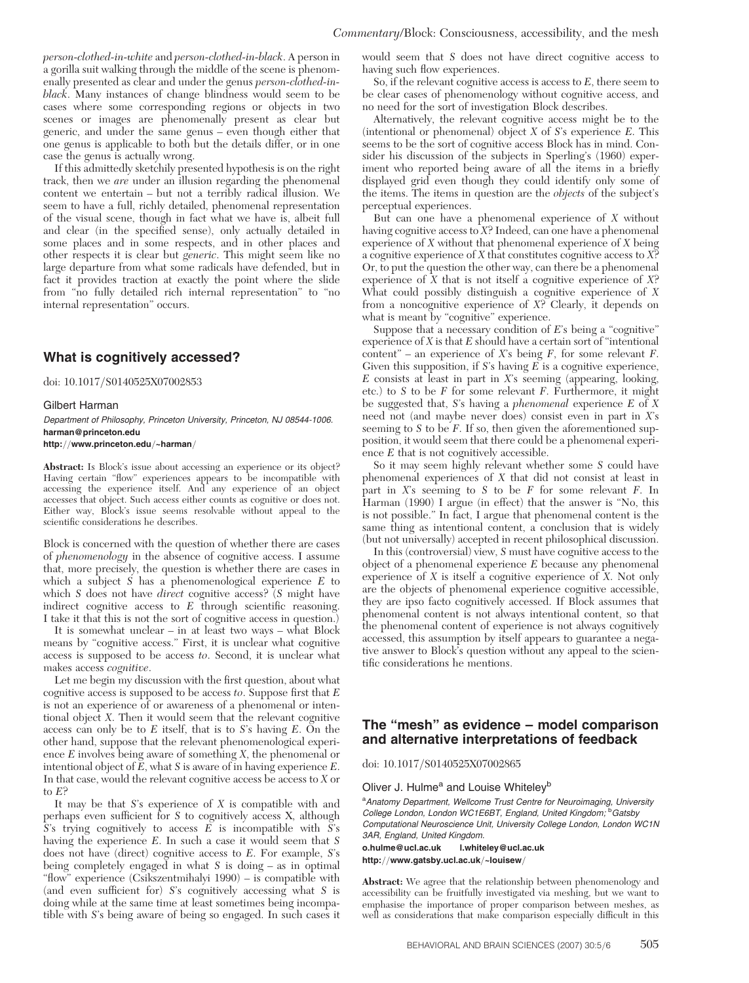person-clothed-in-white and person-clothed-in-black. A person in a gorilla suit walking through the middle of the scene is phenomenally presented as clear and under the genus *person-clothed-in*black. Many instances of change blindness would seem to be cases where some corresponding regions or objects in two scenes or images are phenomenally present as clear but generic, and under the same genus – even though either that one genus is applicable to both but the details differ, or in one case the genus is actually wrong.

If this admittedly sketchily presented hypothesis is on the right track, then we are under an illusion regarding the phenomenal content we entertain – but not a terribly radical illusion. We seem to have a full, richly detailed, phenomenal representation of the visual scene, though in fact what we have is, albeit full and clear (in the specified sense), only actually detailed in some places and in some respects, and in other places and other respects it is clear but generic. This might seem like no large departure from what some radicals have defended, but in fact it provides traction at exactly the point where the slide from "no fully detailed rich internal representation" to "no internal representation" occurs.

## What is cognitively accessed?

doi: 10.1017/S0140525X07002853

#### Gilbert Harman

Department of Philosophy, Princeton University, Princeton, NJ 08544-1006. harman@princeton.edu

#### http://www.princeton.edu/~harman/

Abstract: Is Block's issue about accessing an experience or its object? Having certain "flow" experiences appears to be incompatible with accessing the experience itself. And any experience of an object accesses that object. Such access either counts as cognitive or does not. Either way, Block's issue seems resolvable without appeal to the scientific considerations he describes.

Block is concerned with the question of whether there are cases of phenomenology in the absence of cognitive access. I assume that, more precisely, the question is whether there are cases in which a subject  $S$  has a phenomenological experience  $E$  to which  $S$  does not have *direct* cognitive access?  $(S \text{ might have})$ indirect cognitive access to E through scientific reasoning. I take it that this is not the sort of cognitive access in question.)

It is somewhat unclear – in at least two ways – what Block means by "cognitive access." First, it is unclear what cognitive access is supposed to be access to. Second, it is unclear what makes access cognitive.

Let me begin my discussion with the first question, about what cognitive access is supposed to be access to. Suppose first that  $E$ is not an experience of or awareness of a phenomenal or intentional object X. Then it would seem that the relevant cognitive access can only be to  $E$  itself, that is to  $S$ 's having  $E$ . On the other hand, suppose that the relevant phenomenological experience E involves being aware of something X, the phenomenal or intentional object of  $E$ , what  $S$  is aware of in having experience  $E$ . In that case, would the relevant cognitive access be access to  $X$  or to E?

It may be that  $S$ 's experience of  $X$  is compatible with and perhaps even sufficient for S to cognitively access X, although  $S$ 's trying cognitively to access  $E$  is incompatible with  $S$ 's having the experience E. In such a case it would seem that S does not have (direct) cognitive access to E. For example, S's being completely engaged in what S is doing – as in optimal "flow" experience (Csikszentmihalyi 1990) – is compatible with (and even sufficient for) S's cognitively accessing what S is doing while at the same time at least sometimes being incompatible with S's being aware of being so engaged. In such cases it would seem that S does not have direct cognitive access to having such flow experiences.

So, if the relevant cognitive access is access to E, there seem to be clear cases of phenomenology without cognitive access, and no need for the sort of investigation Block describes.

Alternatively, the relevant cognitive access might be to the (intentional or phenomenal) object  $X$  of  $S$ 's experience  $E$ . This seems to be the sort of cognitive access Block has in mind. Consider his discussion of the subjects in Sperling's (1960) experiment who reported being aware of all the items in a briefly displayed grid even though they could identify only some of the items. The items in question are the objects of the subject's perceptual experiences.

But can one have a phenomenal experience of  $X$  without having cognitive access to  $X$ ? Indeed, can one have a phenomenal experience of  $X$  without that phenomenal experience of  $X$  being a cognitive experience of X that constitutes cognitive access to  $X$ ? Or, to put the question the other way, can there be a phenomenal experience of  $X$  that is not itself a cognitive experience of  $X$ ? What could possibly distinguish a cognitive experience of  $X$ from a noncognitive experience of  $X$ ? Clearly, it depends on what is meant by "cognitive" experience.

Suppose that a necessary condition of E's being a "cognitive" experience of  $X$  is that  $E$  should have a certain sort of "intentional content" – an experience of  $X$ 's being  $F$ , for some relevant  $F$ . Given this supposition, if S's having  $E$  is a cognitive experience,  $E$  consists at least in part in  $X$ 's seeming (appearing, looking, etc.) to  $S$  to be  $F$  for some relevant  $F$ . Furthermore, it might be suggested that, S's having a phenomenal experience  $E$  of  $X$ need not (and maybe never does) consist even in part in X's seeming to S to be F. If so, then given the aforementioned supposition, it would seem that there could be a phenomenal experience E that is not cognitively accessible.

So it may seem highly relevant whether some S could have phenomenal experiences of X that did not consist at least in part in  $X$ 's seeming to  $S$  to be  $F$  for some relevant  $F$ . In Harman (1990) I argue (in effect) that the answer is "No, this is not possible." In fact, I argue that phenomenal content is the same thing as intentional content, a conclusion that is widely (but not universally) accepted in recent philosophical discussion.

In this (controversial) view, S must have cognitive access to the object of a phenomenal experience E because any phenomenal experience of  $X$  is itself a cognitive experience of  $\overline{X}$ . Not only are the objects of phenomenal experience cognitive accessible, they are ipso facto cognitively accessed. If Block assumes that phenomenal content is not always intentional content, so that the phenomenal content of experience is not always cognitively accessed, this assumption by itself appears to guarantee a negative answer to Block's question without any appeal to the scientific considerations he mentions.

## The "mesh" as evidence – model comparison and alternative interpretations of feedback

doi: 10.1017/S0140525X07002865

#### Oliver J. Hulme<sup>a</sup> and Louise Whiteley<sup>b</sup>

<sup>a</sup> Anatomy Department, Wellcome Trust Centre for Neuroimaging, University College London, London WC1E6BT, England, United Kingdom; <sup>b</sup>Gatsby Computational Neuroscience Unit, University College London, London WC1N 3AR, England, United Kingdom.

o.hulme@ucl.ac.uk l.whiteley@ucl.ac.uk http://www.gatsby.ucl.ac.uk/~louisew/

Abstract: We agree that the relationship between phenomenology and accessibility can be fruitfully investigated via meshing, but we want to emphasise the importance of proper comparison between meshes, as well as considerations that make comparison especially difficult in this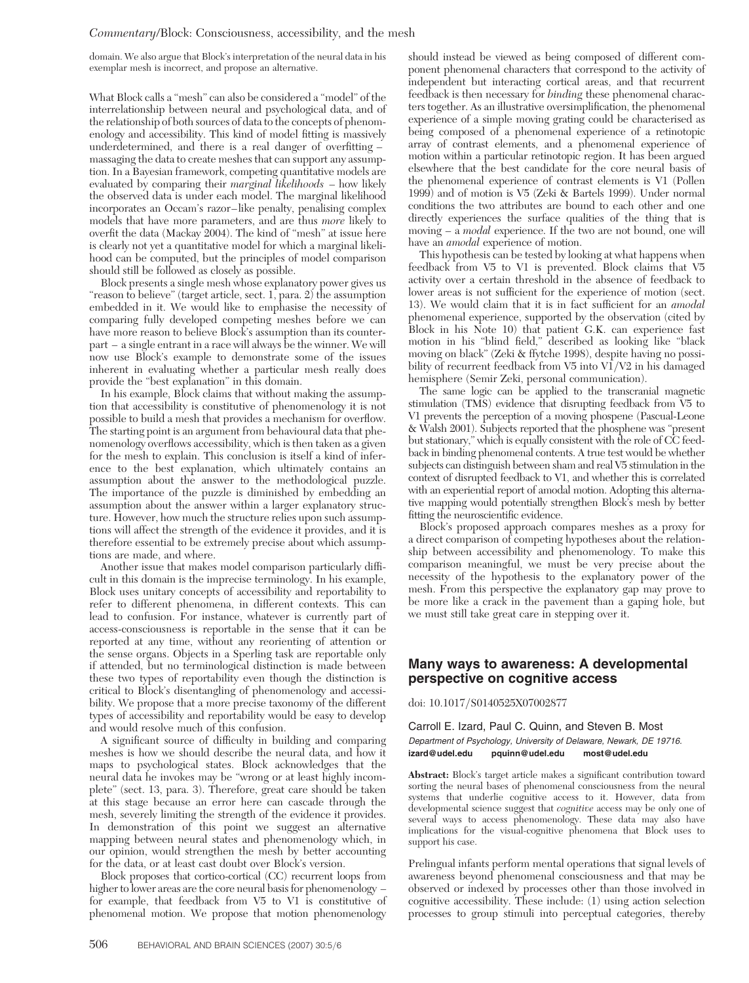domain. We also argue that Block's interpretation of the neural data in his exemplar mesh is incorrect, and propose an alternative.

What Block calls a "mesh" can also be considered a "model" of the interrelationship between neural and psychological data, and of the relationship of both sources of data to the concepts of phenomenology and accessibility. This kind of model fitting is massively underdetermined, and there is a real danger of overfitting – massaging the data to create meshes that can support any assumption. In a Bayesian framework, competing quantitative models are evaluated by comparing their marginal likelihoods - how likely the observed data is under each model. The marginal likelihood incorporates an Occam's razor–like penalty, penalising complex models that have more parameters, and are thus more likely to overfit the data (Mackay 2004). The kind of "mesh" at issue here is clearly not yet a quantitative model for which a marginal likelihood can be computed, but the principles of model comparison should still be followed as closely as possible.

Block presents a single mesh whose explanatory power gives us "reason to believe" (target article, sect. 1, para. 2) the assumption embedded in it. We would like to emphasise the necessity of comparing fully developed competing meshes before we can have more reason to believe Block's assumption than its counterpart – a single entrant in a race will always be the winner. We will now use Block's example to demonstrate some of the issues inherent in evaluating whether a particular mesh really does provide the "best explanation" in this domain.

In his example, Block claims that without making the assumption that accessibility is constitutive of phenomenology it is not possible to build a mesh that provides a mechanism for overflow. The starting point is an argument from behavioural data that phenomenology overflows accessibility, which is then taken as a given for the mesh to explain. This conclusion is itself a kind of inference to the best explanation, which ultimately contains an assumption about the answer to the methodological puzzle. The importance of the puzzle is diminished by embedding an assumption about the answer within a larger explanatory structure. However, how much the structure relies upon such assumptions will affect the strength of the evidence it provides, and it is therefore essential to be extremely precise about which assumptions are made, and where.

Another issue that makes model comparison particularly difficult in this domain is the imprecise terminology. In his example, Block uses unitary concepts of accessibility and reportability to refer to different phenomena, in different contexts. This can lead to confusion. For instance, whatever is currently part of access-consciousness is reportable in the sense that it can be reported at any time, without any reorienting of attention or the sense organs. Objects in a Sperling task are reportable only if attended, but no terminological distinction is made between these two types of reportability even though the distinction is critical to Block's disentangling of phenomenology and accessibility. We propose that a more precise taxonomy of the different types of accessibility and reportability would be easy to develop and would resolve much of this confusion.

A significant source of difficulty in building and comparing meshes is how we should describe the neural data, and how it maps to psychological states. Block acknowledges that the neural data he invokes may be "wrong or at least highly incomplete" (sect. 13, para. 3). Therefore, great care should be taken at this stage because an error here can cascade through the mesh, severely limiting the strength of the evidence it provides. In demonstration of this point we suggest an alternative mapping between neural states and phenomenology which, in our opinion, would strengthen the mesh by better accounting for the data, or at least cast doubt over Block's version.

Block proposes that cortico-cortical (CC) recurrent loops from higher to lower areas are the core neural basis for phenomenology – for example, that feedback from V5 to V1 is constitutive of phenomenal motion. We propose that motion phenomenology

should instead be viewed as being composed of different component phenomenal characters that correspond to the activity of independent but interacting cortical areas, and that recurrent feedback is then necessary for *binding* these phenomenal characters together. As an illustrative oversimplification, the phenomenal experience of a simple moving grating could be characterised as being composed of a phenomenal experience of a retinotopic array of contrast elements, and a phenomenal experience of motion within a particular retinotopic region. It has been argued elsewhere that the best candidate for the core neural basis of the phenomenal experience of contrast elements is V1 (Pollen 1999) and of motion is V5 (Zeki & Bartels 1999). Under normal conditions the two attributes are bound to each other and one directly experiences the surface qualities of the thing that is moving – a modal experience. If the two are not bound, one will have an *amodal* experience of motion.

This hypothesis can be tested by looking at what happens when feedback from V5 to V1 is prevented. Block claims that V5 activity over a certain threshold in the absence of feedback to lower areas is not sufficient for the experience of motion (sect. 13). We would claim that it is in fact sufficient for an amodal phenomenal experience, supported by the observation (cited by Block in his Note 10) that patient G.K. can experience fast motion in his "blind field," described as looking like "black moving on black" (Zeki & ffytche 1998), despite having no possibility of recurrent feedback from V5 into V1/V2 in his damaged hemisphere (Semir Zeki, personal communication).

The same logic can be applied to the transcranial magnetic stimulation (TMS) evidence that disrupting feedback from V5 to V1 prevents the perception of a moving phospene (Pascual-Leone & Walsh 2001). Subjects reported that the phosphene was "present but stationary," which is equally consistent with the role of CC feedback in binding phenomenal contents. A true test would be whether subjects can distinguish between sham and real V5 stimulation in the context of disrupted feedback to V1, and whether this is correlated with an experiential report of amodal motion. Adopting this alternative mapping would potentially strengthen Block's mesh by better fitting the neuroscientific evidence.

Block's proposed approach compares meshes as a proxy for a direct comparison of competing hypotheses about the relationship between accessibility and phenomenology. To make this comparison meaningful, we must be very precise about the necessity of the hypothesis to the explanatory power of the mesh. From this perspective the explanatory gap may prove to be more like a crack in the pavement than a gaping hole, but we must still take great care in stepping over it.

## Many ways to awareness: A developmental perspective on cognitive access

doi: 10.1017/S0140525X07002877

#### Carroll E. Izard, Paul C. Quinn, and Steven B. Most Department of Psychology, University of Delaware, Newark, DE 19716. izard@udel.edu pquinn@udel.edu most@udel.edu

Abstract: Block's target article makes a significant contribution toward sorting the neural bases of phenomenal consciousness from the neural systems that underlie cognitive access to it. However, data from developmental science suggest that *cognitive* access may be only one of several ways to access phenomenology. These data may also have implications for the visual-cognitive phenomena that Block uses to support his case.

Prelingual infants perform mental operations that signal levels of awareness beyond phenomenal consciousness and that may be observed or indexed by processes other than those involved in cognitive accessibility. These include: (1) using action selection processes to group stimuli into perceptual categories, thereby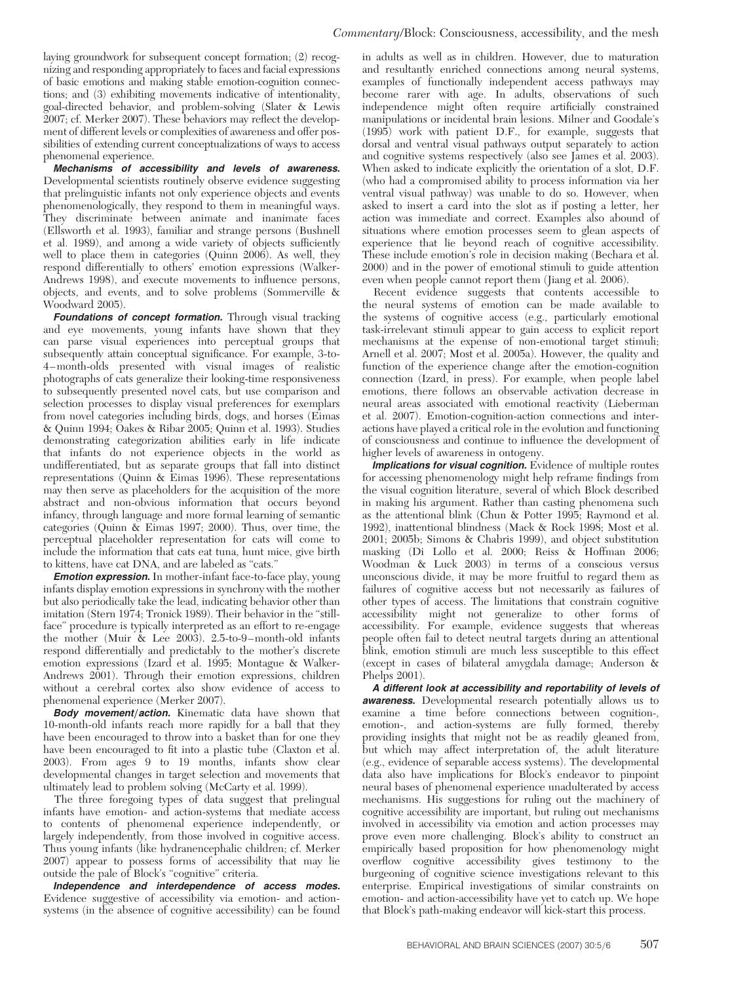laying groundwork for subsequent concept formation; (2) recognizing and responding appropriately to faces and facial expressions of basic emotions and making stable emotion-cognition connections; and (3) exhibiting movements indicative of intentionality, goal-directed behavior, and problem-solving (Slater & Lewis 2007; cf. Merker 2007). These behaviors may reflect the development of different levels or complexities of awareness and offer possibilities of extending current conceptualizations of ways to access phenomenal experience.

Mechanisms of accessibility and levels of awareness. Developmental scientists routinely observe evidence suggesting that prelinguistic infants not only experience objects and events phenomenologically, they respond to them in meaningful ways. They discriminate between animate and inanimate faces (Ellsworth et al. 1993), familiar and strange persons (Bushnell et al. 1989), and among a wide variety of objects sufficiently well to place them in categories (Quinn 2006). As well, they respond differentially to others' emotion expressions (Walker-Andrews 1998), and execute movements to influence persons, objects, and events, and to solve problems (Sommerville & Woodward 2005).

Foundations of concept formation. Through visual tracking and eye movements, young infants have shown that they can parse visual experiences into perceptual groups that subsequently attain conceptual significance. For example, 3-to-4–month-olds presented with visual images of realistic photographs of cats generalize their looking-time responsiveness to subsequently presented novel cats, but use comparison and selection processes to display visual preferences for exemplars from novel categories including birds, dogs, and horses (Eimas & Quinn 1994; Oakes & Ribar 2005; Quinn et al. 1993). Studies demonstrating categorization abilities early in life indicate that infants do not experience objects in the world as undifferentiated, but as separate groups that fall into distinct representations (Quinn & Eimas 1996). These representations may then serve as placeholders for the acquisition of the more abstract and non-obvious information that occurs beyond infancy, through language and more formal learning of semantic categories (Quinn & Eimas 1997; 2000). Thus, over time, the perceptual placeholder representation for cats will come to include the information that cats eat tuna, hunt mice, give birth to kittens, have cat DNA, and are labeled as "cats."

**Emotion expression.** In mother-infant face-to-face play, young infants display emotion expressions in synchrony with the mother but also periodically take the lead, indicating behavior other than imitation (Stern 1974; Tronick 1989). Their behavior in the "stillface" procedure is typically interpreted as an effort to re-engage the mother (Muir & Lee 2003). 2.5-to-9–month-old infants respond differentially and predictably to the mother's discrete emotion expressions (Izard et al. 1995; Montague & Walker-Andrews 2001). Through their emotion expressions, children without a cerebral cortex also show evidence of access to phenomenal experience (Merker 2007).

**Body movement/action.** Kinematic data have shown that 10-month-old infants reach more rapidly for a ball that they have been encouraged to throw into a basket than for one they have been encouraged to fit into a plastic tube (Claxton et al. 2003). From ages 9 to 19 months, infants show clear developmental changes in target selection and movements that ultimately lead to problem solving (McCarty et al. 1999).

The three foregoing types of data suggest that prelingual infants have emotion- and action-systems that mediate access to contents of phenomenal experience independently, or largely independently, from those involved in cognitive access. Thus young infants (like hydranencephalic children; cf. Merker 2007) appear to possess forms of accessibility that may lie outside the pale of Block's "cognitive" criteria.

Independence and interdependence of access modes. Evidence suggestive of accessibility via emotion- and actionsystems (in the absence of cognitive accessibility) can be found in adults as well as in children. However, due to maturation and resultantly enriched connections among neural systems, examples of functionally independent access pathways may become rarer with age. In adults, observations of such independence might often require artificially constrained manipulations or incidental brain lesions. Milner and Goodale's (1995) work with patient D.F., for example, suggests that dorsal and ventral visual pathways output separately to action and cognitive systems respectively (also see James et al. 2003). When asked to indicate explicitly the orientation of a slot, D.F. (who had a compromised ability to process information via her ventral visual pathway) was unable to do so. However, when asked to insert a card into the slot as if posting a letter, her action was immediate and correct. Examples also abound of situations where emotion processes seem to glean aspects of experience that lie beyond reach of cognitive accessibility. These include emotion's role in decision making (Bechara et al. 2000) and in the power of emotional stimuli to guide attention even when people cannot report them (Jiang et al. 2006).

Recent evidence suggests that contents accessible to the neural systems of emotion can be made available to the systems of cognitive access (e.g., particularly emotional task-irrelevant stimuli appear to gain access to explicit report mechanisms at the expense of non-emotional target stimuli; Arnell et al. 2007; Most et al. 2005a). However, the quality and function of the experience change after the emotion-cognition connection (Izard, in press). For example, when people label emotions, there follows an observable activation decrease in neural areas associated with emotional reactivity (Lieberman et al. 2007). Emotion-cognition-action connections and interactions have played a critical role in the evolution and functioning of consciousness and continue to influence the development of higher levels of awareness in ontogeny.

Implications for visual cognition. Evidence of multiple routes for accessing phenomenology might help reframe findings from the visual cognition literature, several of which Block described in making his argument. Rather than casting phenomena such as the attentional blink (Chun & Potter 1995; Raymond et al. 1992), inattentional blindness (Mack & Rock 1998; Most et al. 2001; 2005b; Simons & Chabris 1999), and object substitution masking (Di Lollo et al. 2000; Reiss & Hoffman 2006; Woodman & Luck 2003) in terms of a conscious versus unconscious divide, it may be more fruitful to regard them as failures of cognitive access but not necessarily as failures of other types of access. The limitations that constrain cognitive accessibility might not generalize to other forms of accessibility. For example, evidence suggests that whereas people often fail to detect neutral targets during an attentional blink, emotion stimuli are much less susceptible to this effect (except in cases of bilateral amygdala damage; Anderson & Phelps 2001).

A different look at accessibility and reportability of levels of **awareness.** Developmental research potentially allows us to examine a time before connections between cognition-, emotion-, and action-systems are fully formed, thereby providing insights that might not be as readily gleaned from, but which may affect interpretation of, the adult literature (e.g., evidence of separable access systems). The developmental data also have implications for Block's endeavor to pinpoint neural bases of phenomenal experience unadulterated by access mechanisms. His suggestions for ruling out the machinery of cognitive accessibility are important, but ruling out mechanisms involved in accessibility via emotion and action processes may prove even more challenging. Block's ability to construct an empirically based proposition for how phenomenology might overflow cognitive accessibility gives testimony to the burgeoning of cognitive science investigations relevant to this enterprise. Empirical investigations of similar constraints on emotion- and action-accessibility have yet to catch up. We hope that Block's path-making endeavor will kick-start this process.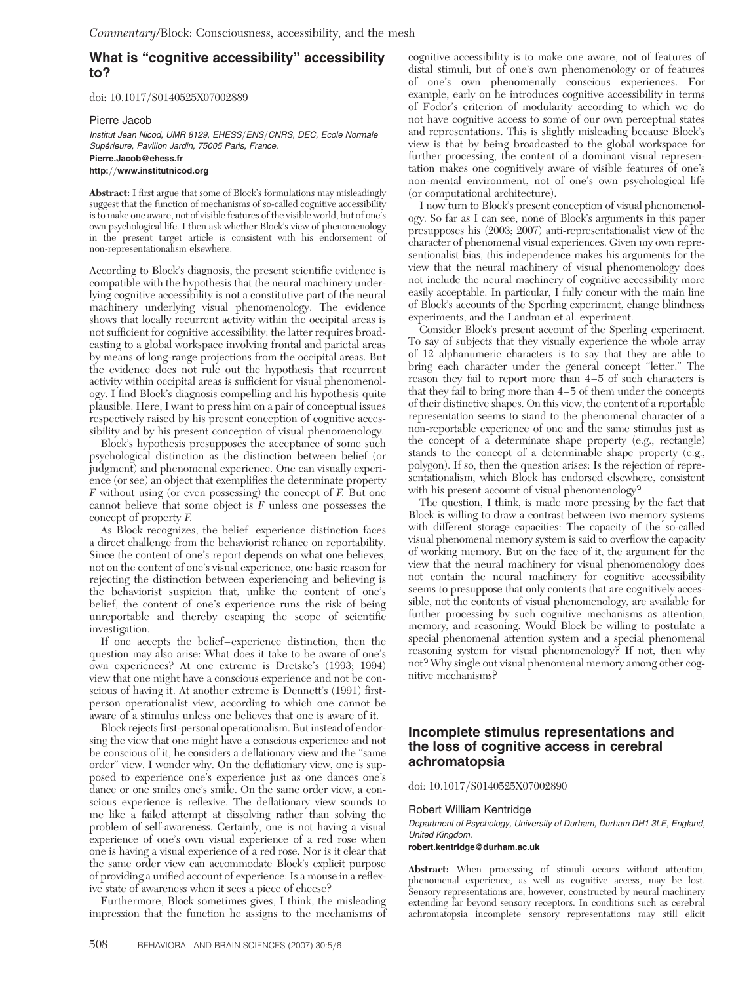## What is "cognitive accessibility" accessibility to?

doi: 10.1017/S0140525X07002889

#### Pierre Jacob

Institut Jean Nicod, UMR 8129, EHESS/ENS/CNRS, DEC, Ecole Normale Supérieure, Pavillon Jardin, 75005 Paris, France.

#### Pierre.Jacob@ehess.fr http://www.institutnicod.org

Abstract: I first argue that some of Block's formulations may misleadingly suggest that the function of mechanisms of so-called cognitive accessibility is to make one aware, not of visible features of the visible world, but of one's own psychological life. I then ask whether Block's view of phenomenology in the present target article is consistent with his endorsement of non-representationalism elsewhere.

According to Block's diagnosis, the present scientific evidence is compatible with the hypothesis that the neural machinery underlying cognitive accessibility is not a constitutive part of the neural machinery underlying visual phenomenology. The evidence shows that locally recurrent activity within the occipital areas is not sufficient for cognitive accessibility: the latter requires broadcasting to a global workspace involving frontal and parietal areas by means of long-range projections from the occipital areas. But the evidence does not rule out the hypothesis that recurrent activity within occipital areas is sufficient for visual phenomenology. I find Block's diagnosis compelling and his hypothesis quite plausible. Here, I want to press him on a pair of conceptual issues respectively raised by his present conception of cognitive accessibility and by his present conception of visual phenomenology.

Block's hypothesis presupposes the acceptance of some such psychological distinction as the distinction between belief (or judgment) and phenomenal experience. One can visually experience (or see) an object that exemplifies the determinate property F without using (or even possessing) the concept of F. But one cannot believe that some object is  $F$  unless one possesses the concept of property F.

As Block recognizes, the belief–experience distinction faces a direct challenge from the behaviorist reliance on reportability. Since the content of one's report depends on what one believes, not on the content of one's visual experience, one basic reason for rejecting the distinction between experiencing and believing is the behaviorist suspicion that, unlike the content of one's belief, the content of one's experience runs the risk of being unreportable and thereby escaping the scope of scientific investigation.

If one accepts the belief–experience distinction, then the question may also arise: What does it take to be aware of one's own experiences? At one extreme is Dretske's (1993; 1994) view that one might have a conscious experience and not be conscious of having it. At another extreme is Dennett's (1991) firstperson operationalist view, according to which one cannot be aware of a stimulus unless one believes that one is aware of it.

Block rejects first-personal operationalism. But instead of endorsing the view that one might have a conscious experience and not be conscious of it, he considers a deflationary view and the "same order" view. I wonder why. On the deflationary view, one is supposed to experience one's experience just as one dances one's dance or one smiles one's smile. On the same order view, a conscious experience is reflexive. The deflationary view sounds to me like a failed attempt at dissolving rather than solving the problem of self-awareness. Certainly, one is not having a visual experience of one's own visual experience of a red rose when one is having a visual experience of a red rose. Nor is it clear that the same order view can accommodate Block's explicit purpose of providing a unified account of experience: Is a mouse in a reflexive state of awareness when it sees a piece of cheese?

Furthermore, Block sometimes gives, I think, the misleading impression that the function he assigns to the mechanisms of

cognitive accessibility is to make one aware, not of features of distal stimuli, but of one's own phenomenology or of features of one's own phenomenally conscious experiences. For example, early on he introduces cognitive accessibility in terms of Fodor's criterion of modularity according to which we do not have cognitive access to some of our own perceptual states and representations. This is slightly misleading because Block's view is that by being broadcasted to the global workspace for further processing, the content of a dominant visual representation makes one cognitively aware of visible features of one's non-mental environment, not of one's own psychological life (or computational architecture).

I now turn to Block's present conception of visual phenomenology. So far as I can see, none of Block's arguments in this paper presupposes his (2003; 2007) anti-representationalist view of the character of phenomenal visual experiences. Given my own representionalist bias, this independence makes his arguments for the view that the neural machinery of visual phenomenology does not include the neural machinery of cognitive accessibility more easily acceptable. In particular, I fully concur with the main line of Block's accounts of the Sperling experiment, change blindness experiments, and the Landman et al. experiment.

Consider Block's present account of the Sperling experiment. To say of subjects that they visually experience the whole array of 12 alphanumeric characters is to say that they are able to bring each character under the general concept "letter." The reason they fail to report more than 4–5 of such characters is that they fail to bring more than 4–5 of them under the concepts of their distinctive shapes. On this view, the content of a reportable representation seems to stand to the phenomenal character of a non-reportable experience of one and the same stimulus just as the concept of a determinate shape property (e.g., rectangle) stands to the concept of a determinable shape property (e.g., polygon). If so, then the question arises: Is the rejection of representationalism, which Block has endorsed elsewhere, consistent with his present account of visual phenomenology?

The question, I think, is made more pressing by the fact that Block is willing to draw a contrast between two memory systems with different storage capacities: The capacity of the so-called visual phenomenal memory system is said to overflow the capacity of working memory. But on the face of it, the argument for the view that the neural machinery for visual phenomenology does not contain the neural machinery for cognitive accessibility seems to presuppose that only contents that are cognitively accessible, not the contents of visual phenomenology, are available for further processing by such cognitive mechanisms as attention, memory, and reasoning. Would Block be willing to postulate a special phenomenal attention system and a special phenomenal reasoning system for visual phenomenology? If not, then why not? Why single out visual phenomenal memory among other cognitive mechanisms?

## Incomplete stimulus representations and the loss of cognitive access in cerebral achromatopsia

doi: 10.1017/S0140525X07002890

#### Robert William Kentridge

Department of Psychology, University of Durham, Durham DH1 3LE, England, United Kingdom.

#### robert.kentridge@durham.ac.uk

Abstract: When processing of stimuli occurs without attention, phenomenal experience, as well as cognitive access, may be lost. Sensory representations are, however, constructed by neural machinery extending far beyond sensory receptors. In conditions such as cerebral achromatopsia incomplete sensory representations may still elicit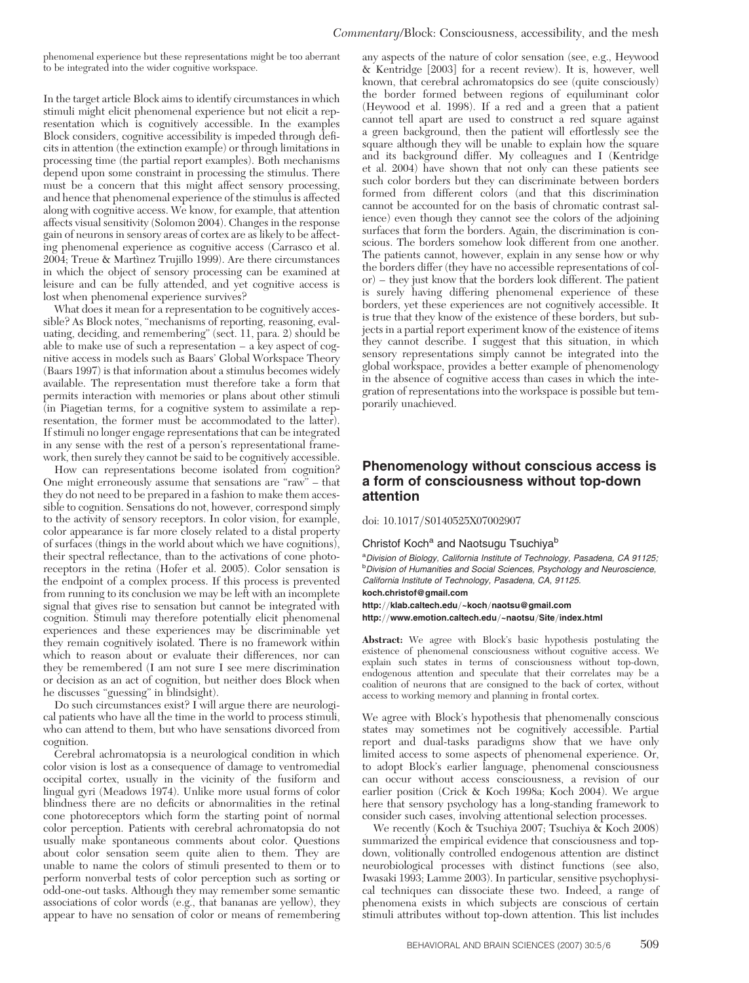phenomenal experience but these representations might be too aberrant to be integrated into the wider cognitive workspace.

In the target article Block aims to identify circumstances in which stimuli might elicit phenomenal experience but not elicit a representation which is cognitively accessible. In the examples Block considers, cognitive accessibility is impeded through deficits in attention (the extinction example) or through limitations in processing time (the partial report examples). Both mechanisms depend upon some constraint in processing the stimulus. There must be a concern that this might affect sensory processing, and hence that phenomenal experience of the stimulus is affected along with cognitive access. We know, for example, that attention affects visual sensitivity (Solomon 2004). Changes in the response gain of neurons in sensory areas of cortex are as likely to be affecting phenomenal experience as cognitive access (Carrasco et al. 2004; Treue & Martinez Trujillo 1999). Are there circumstances in which the object of sensory processing can be examined at leisure and can be fully attended, and yet cognitive access is lost when phenomenal experience survives?

What does it mean for a representation to be cognitively accessible? As Block notes, "mechanisms of reporting, reasoning, evaluating, deciding, and remembering" (sect. 11, para. 2) should be able to make use of such a representation – a key aspect of cognitive access in models such as Baars' Global Workspace Theory (Baars 1997) is that information about a stimulus becomes widely available. The representation must therefore take a form that permits interaction with memories or plans about other stimuli (in Piagetian terms, for a cognitive system to assimilate a representation, the former must be accommodated to the latter). If stimuli no longer engage representations that can be integrated in any sense with the rest of a person's representational framework, then surely they cannot be said to be cognitively accessible.

How can representations become isolated from cognition? One might erroneously assume that sensations are "raw" – that they do not need to be prepared in a fashion to make them accessible to cognition. Sensations do not, however, correspond simply to the activity of sensory receptors. In color vision, for example, color appearance is far more closely related to a distal property of surfaces (things in the world about which we have cognitions), their spectral reflectance, than to the activations of cone photoreceptors in the retina (Hofer et al. 2005). Color sensation is the endpoint of a complex process. If this process is prevented from running to its conclusion we may be left with an incomplete signal that gives rise to sensation but cannot be integrated with cognition. Stimuli may therefore potentially elicit phenomenal experiences and these experiences may be discriminable yet they remain cognitively isolated. There is no framework within which to reason about or evaluate their differences, nor can they be remembered (I am not sure I see mere discrimination or decision as an act of cognition, but neither does Block when he discusses "guessing" in blindsight).

Do such circumstances exist? I will argue there are neurological patients who have all the time in the world to process stimuli, who can attend to them, but who have sensations divorced from cognition.

Cerebral achromatopsia is a neurological condition in which color vision is lost as a consequence of damage to ventromedial occipital cortex, usually in the vicinity of the fusiform and lingual gyri (Meadows 1974). Unlike more usual forms of color blindness there are no deficits or abnormalities in the retinal cone photoreceptors which form the starting point of normal color perception. Patients with cerebral achromatopsia do not usually make spontaneous comments about color. Questions about color sensation seem quite alien to them. They are unable to name the colors of stimuli presented to them or to perform nonverbal tests of color perception such as sorting or odd-one-out tasks. Although they may remember some semantic associations of color words (e.g., that bananas are yellow), they appear to have no sensation of color or means of remembering any aspects of the nature of color sensation (see, e.g., Heywood & Kentridge [2003] for a recent review). It is, however, well known, that cerebral achromatopsics do see (quite consciously) the border formed between regions of equiluminant color (Heywood et al. 1998). If a red and a green that a patient cannot tell apart are used to construct a red square against a green background, then the patient will effortlessly see the square although they will be unable to explain how the square and its background differ. My colleagues and I (Kentridge et al. 2004) have shown that not only can these patients see such color borders but they can discriminate between borders formed from different colors (and that this discrimination cannot be accounted for on the basis of chromatic contrast salience) even though they cannot see the colors of the adjoining surfaces that form the borders. Again, the discrimination is conscious. The borders somehow look different from one another. The patients cannot, however, explain in any sense how or why the borders differ (they have no accessible representations of color) – they just know that the borders look different. The patient is surely having differing phenomenal experience of these borders, yet these experiences are not cognitively accessible. It is true that they know of the existence of these borders, but subjects in a partial report experiment know of the existence of items they cannot describe. I suggest that this situation, in which sensory representations simply cannot be integrated into the global workspace, provides a better example of phenomenology in the absence of cognitive access than cases in which the integration of representations into the workspace is possible but temporarily unachieved.

## Phenomenology without conscious access is a form of consciousness without top-down attention

doi: 10.1017/S0140525X07002907

#### Christof Koch<sup>a</sup> and Naotsugu Tsuchiya<sup>b</sup>

aDivision of Biology, California Institute of Technology, Pasadena, CA 91125; <sup>b</sup> Division of Humanities and Social Sciences, Psychology and Neuroscience, California Institute of Technology, Pasadena, CA, 91125.

## koch.christof@gmail.com

http://klab.caltech.edu/~koch/naotsu@gmail.com http://www.emotion.caltech.edu/~naotsu/Site/index.html

Abstract: We agree with Block's basic hypothesis postulating the existence of phenomenal consciousness without cognitive access. We explain such states in terms of consciousness without top-down, endogenous attention and speculate that their correlates may be a coalition of neurons that are consigned to the back of cortex, without access to working memory and planning in frontal cortex.

We agree with Block's hypothesis that phenomenally conscious states may sometimes not be cognitively accessible. Partial report and dual-tasks paradigms show that we have only limited access to some aspects of phenomenal experience. Or, to adopt Block's earlier language, phenomenal consciousness can occur without access consciousness, a revision of our earlier position (Crick & Koch 1998a; Koch 2004). We argue here that sensory psychology has a long-standing framework to consider such cases, involving attentional selection processes.

We recently (Koch & Tsuchiya 2007; Tsuchiya & Koch 2008) summarized the empirical evidence that consciousness and topdown, volitionally controlled endogenous attention are distinct neurobiological processes with distinct functions (see also, Iwasaki 1993; Lamme 2003). In particular, sensitive psychophysical techniques can dissociate these two. Indeed, a range of phenomena exists in which subjects are conscious of certain stimuli attributes without top-down attention. This list includes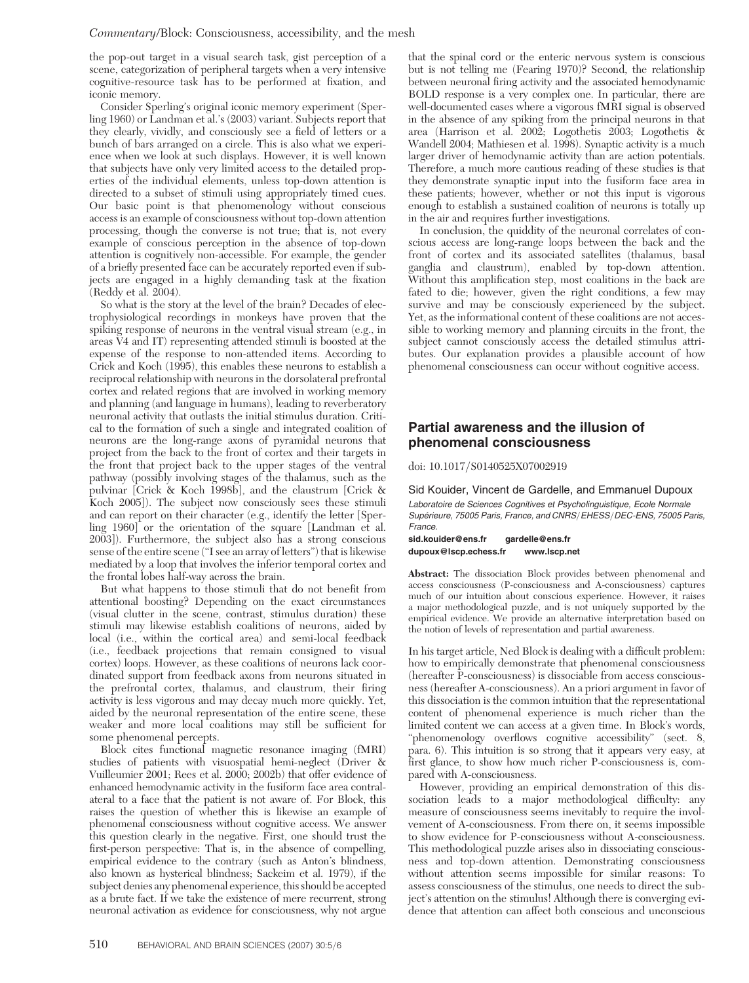the pop-out target in a visual search task, gist perception of a scene, categorization of peripheral targets when a very intensive cognitive-resource task has to be performed at fixation, and iconic memory.

Consider Sperling's original iconic memory experiment (Sperling 1960) or Landman et al.'s (2003) variant. Subjects report that they clearly, vividly, and consciously see a field of letters or a bunch of bars arranged on a circle. This is also what we experience when we look at such displays. However, it is well known that subjects have only very limited access to the detailed properties of the individual elements, unless top-down attention is directed to a subset of stimuli using appropriately timed cues. Our basic point is that phenomenology without conscious access is an example of consciousness without top-down attention processing, though the converse is not true; that is, not every example of conscious perception in the absence of top-down attention is cognitively non-accessible. For example, the gender of a briefly presented face can be accurately reported even if subjects are engaged in a highly demanding task at the fixation (Reddy et al. 2004).

So what is the story at the level of the brain? Decades of electrophysiological recordings in monkeys have proven that the spiking response of neurons in the ventral visual stream (e.g., in areas V4 and IT) representing attended stimuli is boosted at the expense of the response to non-attended items. According to Crick and Koch (1995), this enables these neurons to establish a reciprocal relationship with neurons in the dorsolateral prefrontal cortex and related regions that are involved in working memory and planning (and language in humans), leading to reverberatory neuronal activity that outlasts the initial stimulus duration. Critical to the formation of such a single and integrated coalition of neurons are the long-range axons of pyramidal neurons that project from the back to the front of cortex and their targets in the front that project back to the upper stages of the ventral pathway (possibly involving stages of the thalamus, such as the pulvinar [Crick & Koch 1998b], and the claustrum [Crick & Koch 2005]). The subject now consciously sees these stimuli and can report on their character (e.g., identify the letter [Sperling 1960] or the orientation of the square [Landman et al. 2003]). Furthermore, the subject also has a strong conscious sense of the entire scene ("I see an array of letters") that is likewise mediated by a loop that involves the inferior temporal cortex and the frontal lobes half-way across the brain.

But what happens to those stimuli that do not benefit from attentional boosting? Depending on the exact circumstances (visual clutter in the scene, contrast, stimulus duration) these stimuli may likewise establish coalitions of neurons, aided by local (i.e., within the cortical area) and semi-local feedback (i.e., feedback projections that remain consigned to visual cortex) loops. However, as these coalitions of neurons lack coordinated support from feedback axons from neurons situated in the prefrontal cortex, thalamus, and claustrum, their firing activity is less vigorous and may decay much more quickly. Yet, aided by the neuronal representation of the entire scene, these weaker and more local coalitions may still be sufficient for some phenomenal percepts.

Block cites functional magnetic resonance imaging (fMRI) studies of patients with visuospatial hemi-neglect (Driver & Vuilleumier 2001; Rees et al. 2000; 2002b) that offer evidence of enhanced hemodynamic activity in the fusiform face area contralateral to a face that the patient is not aware of. For Block, this raises the question of whether this is likewise an example of phenomenal consciousness without cognitive access. We answer this question clearly in the negative. First, one should trust the first-person perspective: That is, in the absence of compelling, empirical evidence to the contrary (such as Anton's blindness, also known as hysterical blindness; Sackeim et al. 1979), if the subject denies any phenomenal experience, this should be accepted as a brute fact. If we take the existence of mere recurrent, strong neuronal activation as evidence for consciousness, why not argue

that the spinal cord or the enteric nervous system is conscious but is not telling me (Fearing 1970)? Second, the relationship between neuronal firing activity and the associated hemodynamic BOLD response is a very complex one. In particular, there are well-documented cases where a vigorous fMRI signal is observed in the absence of any spiking from the principal neurons in that area (Harrison et al. 2002; Logothetis 2003; Logothetis & Wandell 2004; Mathiesen et al. 1998). Synaptic activity is a much larger driver of hemodynamic activity than are action potentials. Therefore, a much more cautious reading of these studies is that they demonstrate synaptic input into the fusiform face area in these patients; however, whether or not this input is vigorous enough to establish a sustained coalition of neurons is totally up in the air and requires further investigations.

In conclusion, the quiddity of the neuronal correlates of conscious access are long-range loops between the back and the front of cortex and its associated satellites (thalamus, basal ganglia and claustrum), enabled by top-down attention. Without this amplification step, most coalitions in the back are fated to die; however, given the right conditions, a few may survive and may be consciously experienced by the subject. Yet, as the informational content of these coalitions are not accessible to working memory and planning circuits in the front, the subject cannot consciously access the detailed stimulus attributes. Our explanation provides a plausible account of how phenomenal consciousness can occur without cognitive access.

## Partial awareness and the illusion of phenomenal consciousness

doi: 10.1017/S0140525X07002919

Sid Kouider, Vincent de Gardelle, and Emmanuel Dupoux Laboratoire de Sciences Cognitives et Psycholinguistique, Ecole Normale Supérieure, 75005 Paris, France, and CNRS/EHESS/DEC-ENS, 75005 Paris, France.

sid.kouider@ens.fr gardelle@ens.fr dupoux@lscp.echess.fr www.lscp.net

Abstract: The dissociation Block provides between phenomenal and access consciousness (P-consciousness and A-consciousness) captures much of our intuition about conscious experience. However, it raises a major methodological puzzle, and is not uniquely supported by the empirical evidence. We provide an alternative interpretation based on the notion of levels of representation and partial awareness.

In his target article, Ned Block is dealing with a difficult problem: how to empirically demonstrate that phenomenal consciousness (hereafter P-consciousness) is dissociable from access consciousness (hereafter A-consciousness). An a priori argument in favor of this dissociation is the common intuition that the representational content of phenomenal experience is much richer than the limited content we can access at a given time. In Block's words, "phenomenology overflows cognitive accessibility" (sect. 8, para. 6). This intuition is so strong that it appears very easy, at first glance, to show how much richer P-consciousness is, compared with A-consciousness.

However, providing an empirical demonstration of this dissociation leads to a major methodological difficulty: any measure of consciousness seems inevitably to require the involvement of A-consciousness. From there on, it seems impossible to show evidence for P-consciousness without A-consciousness. This methodological puzzle arises also in dissociating consciousness and top-down attention. Demonstrating consciousness without attention seems impossible for similar reasons: To assess consciousness of the stimulus, one needs to direct the subject's attention on the stimulus! Although there is converging evidence that attention can affect both conscious and unconscious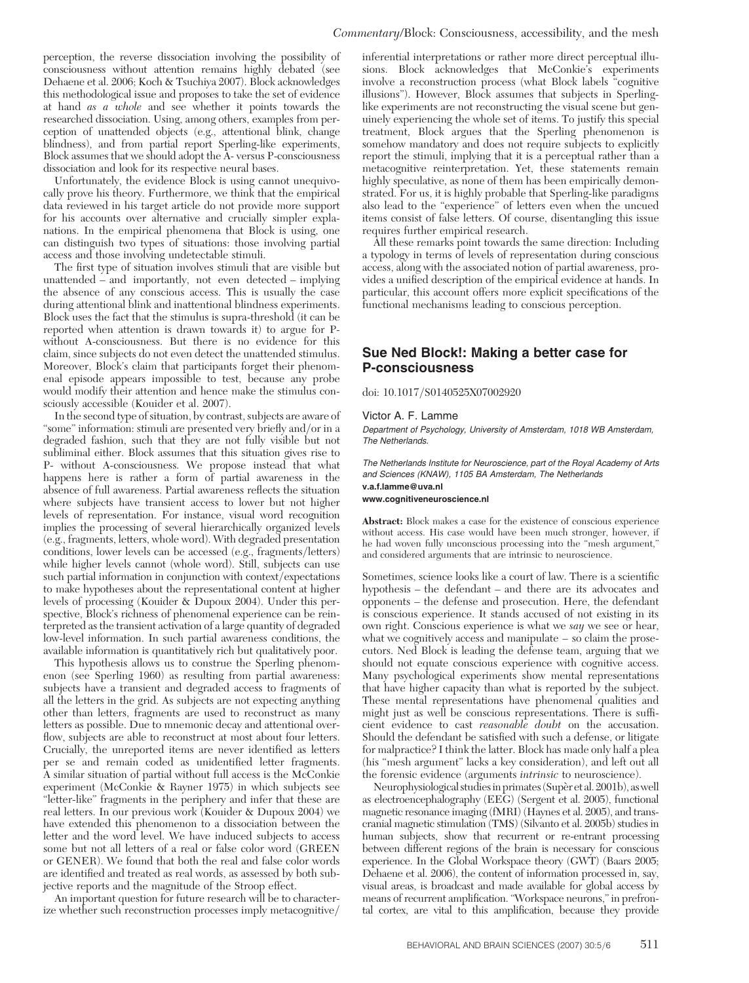perception, the reverse dissociation involving the possibility of consciousness without attention remains highly debated (see Dehaene et al. 2006; Koch & Tsuchiya 2007). Block acknowledges this methodological issue and proposes to take the set of evidence at hand as a whole and see whether it points towards the researched dissociation. Using, among others, examples from perception of unattended objects (e.g., attentional blink, change blindness), and from partial report Sperling-like experiments, Block assumes that we should adopt the A- versus P-consciousness dissociation and look for its respective neural bases.

Unfortunately, the evidence Block is using cannot unequivocally prove his theory. Furthermore, we think that the empirical data reviewed in his target article do not provide more support for his accounts over alternative and crucially simpler explanations. In the empirical phenomena that Block is using, one can distinguish two types of situations: those involving partial access and those involving undetectable stimuli.

The first type of situation involves stimuli that are visible but unattended – and importantly, not even detected – implying the absence of any conscious access. This is usually the case during attentional blink and inattentional blindness experiments. Block uses the fact that the stimulus is supra-threshold (it can be reported when attention is drawn towards it) to argue for Pwithout A-consciousness. But there is no evidence for this claim, since subjects do not even detect the unattended stimulus. Moreover, Block's claim that participants forget their phenomenal episode appears impossible to test, because any probe would modify their attention and hence make the stimulus consciously accessible (Kouider et al. 2007).

In the second type of situation, by contrast, subjects are aware of "some" information: stimuli are presented very briefly and/or in a degraded fashion, such that they are not fully visible but not subliminal either. Block assumes that this situation gives rise to P- without A-consciousness. We propose instead that what happens here is rather a form of partial awareness in the absence of full awareness. Partial awareness reflects the situation where subjects have transient access to lower but not higher levels of representation. For instance, visual word recognition implies the processing of several hierarchically organized levels (e.g., fragments, letters, whole word). With degraded presentation conditions, lower levels can be accessed (e.g., fragments/letters) while higher levels cannot (whole word). Still, subjects can use such partial information in conjunction with context/expectations to make hypotheses about the representational content at higher levels of processing (Kouider & Dupoux 2004). Under this perspective, Block's richness of phenomenal experience can be reinterpreted as the transient activation of a large quantity of degraded low-level information. In such partial awareness conditions, the available information is quantitatively rich but qualitatively poor.

This hypothesis allows us to construe the Sperling phenomenon (see Sperling 1960) as resulting from partial awareness: subjects have a transient and degraded access to fragments of all the letters in the grid. As subjects are not expecting anything other than letters, fragments are used to reconstruct as many letters as possible. Due to mnemonic decay and attentional overflow, subjects are able to reconstruct at most about four letters. Crucially, the unreported items are never identified as letters per se and remain coded as unidentified letter fragments. A similar situation of partial without full access is the McConkie experiment (McConkie & Rayner 1975) in which subjects see "letter-like" fragments in the periphery and infer that these are real letters. In our previous work (Kouider & Dupoux 2004) we have extended this phenomenon to a dissociation between the letter and the word level. We have induced subjects to access some but not all letters of a real or false color word (GREEN or GENER). We found that both the real and false color words are identified and treated as real words, as assessed by both subjective reports and the magnitude of the Stroop effect.

An important question for future research will be to characterize whether such reconstruction processes imply metacognitive/ inferential interpretations or rather more direct perceptual illusions. Block acknowledges that McConkie's experiments involve a reconstruction process (what Block labels "cognitive illusions"). However, Block assumes that subjects in Sperlinglike experiments are not reconstructing the visual scene but genuinely experiencing the whole set of items. To justify this special treatment, Block argues that the Sperling phenomenon is somehow mandatory and does not require subjects to explicitly report the stimuli, implying that it is a perceptual rather than a metacognitive reinterpretation. Yet, these statements remain highly speculative, as none of them has been empirically demonstrated. For us, it is highly probable that Sperling-like paradigms also lead to the "experience" of letters even when the uncued items consist of false letters. Of course, disentangling this issue requires further empirical research.

All these remarks point towards the same direction: Including a typology in terms of levels of representation during conscious access, along with the associated notion of partial awareness, provides a unified description of the empirical evidence at hands. In particular, this account offers more explicit specifications of the functional mechanisms leading to conscious perception.

## Sue Ned Block!: Making a better case for P-consciousness

doi: 10.1017/S0140525X07002920

#### Victor A. F. Lamme

Department of Psychology, University of Amsterdam, 1018 WB Amsterdam, The Netherlands.

The Netherlands Institute for Neuroscience, part of the Royal Academy of Arts and Sciences (KNAW), 1105 BA Amsterdam, The Netherlands v.a.f.lamme@uva.nl

www.cognitiveneuroscience.nl

Abstract: Block makes a case for the existence of conscious experience without access. His case would have been much stronger, however, if he had woven fully unconscious processing into the "mesh argument," and considered arguments that are intrinsic to neuroscience.

Sometimes, science looks like a court of law. There is a scientific hypothesis – the defendant – and there are its advocates and opponents – the defense and prosecution. Here, the defendant is conscious experience. It stands accused of not existing in its own right. Conscious experience is what we say we see or hear, what we cognitively access and manipulate – so claim the prosecutors. Ned Block is leading the defense team, arguing that we should not equate conscious experience with cognitive access. Many psychological experiments show mental representations that have higher capacity than what is reported by the subject. These mental representations have phenomenal qualities and might just as well be conscious representations. There is sufficient evidence to cast reasonable doubt on the accusation. Should the defendant be satisfied with such a defense, or litigate for malpractice? I think the latter. Block has made only half a plea (his "mesh argument" lacks a key consideration), and left out all the forensic evidence (arguments intrinsic to neuroscience).

Neurophysiological studies in primates (Supèr et al. 2001b), as well as electroencephalography (EEG) (Sergent et al. 2005), functional magnetic resonance imaging (fMRI) (Haynes et al. 2005), and transcranial magnetic stimulation (TMS) (Silvanto et al. 2005b) studies in human subjects, show that recurrent or re-entrant processing between different regions of the brain is necessary for conscious experience. In the Global Workspace theory (GWT) (Baars 2005; Dehaene et al. 2006), the content of information processed in, say, visual areas, is broadcast and made available for global access by means of recurrent amplification. "Workspace neurons," in prefrontal cortex, are vital to this amplification, because they provide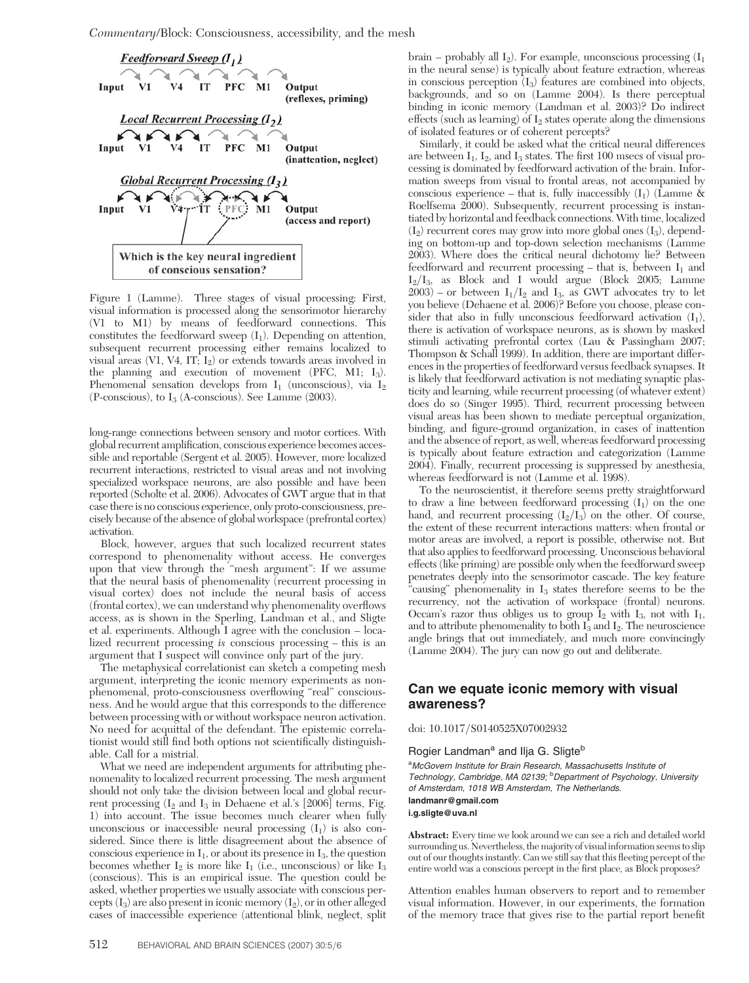

Figure 1 (Lamme). Three stages of visual processing: First, visual information is processed along the sensorimotor hierarchy (V1 to M1) by means of feedforward connections. This constitutes the feedforward sweep  $(I_1)$ . Depending on attention, subsequent recurrent processing either remains localized to visual areas  $(V1, V4, IT, I<sub>2</sub>)$  or extends towards areas involved in the planning and execution of movement (PFC, M1;  $I_3$ ). Phenomenal sensation develops from  $I_1$  (unconscious), via  $I_2$ (P-conscious), to  $I_3$  (A-conscious). See Lamme (2003).

long-range connections between sensory and motor cortices. With global recurrent amplification, conscious experience becomes accessible and reportable (Sergent et al. 2005). However, more localized recurrent interactions, restricted to visual areas and not involving specialized workspace neurons, are also possible and have been reported (Scholte et al. 2006). Advocates of GWT argue that in that case there is no conscious experience, only proto-consciousness, precisely because of the absence of global workspace (prefrontal cortex) activation.

Block, however, argues that such localized recurrent states correspond to phenomenality without access. He converges upon that view through the "mesh argument": If we assume that the neural basis of phenomenality (recurrent processing in visual cortex) does not include the neural basis of access (frontal cortex), we can understand why phenomenality overflows access, as is shown in the Sperling, Landman et al., and Sligte et al. experiments. Although I agree with the conclusion – localized recurrent processing is conscious processing – this is an argument that I suspect will convince only part of the jury.

The metaphysical correlationist can sketch a competing mesh argument, interpreting the iconic memory experiments as nonphenomenal, proto-consciousness overflowing "real" consciousness. And he would argue that this corresponds to the difference between processing with or without workspace neuron activation. No need for acquittal of the defendant. The epistemic correlationist would still find both options not scientifically distinguishable. Call for a mistrial.

What we need are independent arguments for attributing phenomenality to localized recurrent processing. The mesh argument should not only take the division between local and global recurrent processing  $(I_2 \text{ and } I_3 \text{ in}$  Dehaene et al.'s  $[2006]$  terms, Fig. 1) into account. The issue becomes much clearer when fully unconscious or inaccessible neural processing  $(I_1)$  is also considered. Since there is little disagreement about the absence of conscious experience in  $I_1$ , or about its presence in  $I_3$ , the question becomes whether  $\mathrm{I}_2$  is more like  $\mathrm{I}_1$  (i.e., unconscious) or like  $\mathrm{I}_3$ (conscious). This is an empirical issue. The question could be asked, whether properties we usually associate with conscious percepts  $(I_3)$  are also present in iconic memory  $(I_2)$ , or in other alleged cases of inaccessible experience (attentional blink, neglect, split

brain – probably all  $I_2$ ). For example, unconscious processing  $(I_1)$ in the neural sense) is typically about feature extraction, whereas in conscious perception  $(I_3)$  features are combined into objects, backgrounds, and so on (Lamme 2004). Is there perceptual binding in iconic memory (Landman et al. 2003)? Do indirect effects (such as learning) of  $I_2$  states operate along the dimensions of isolated features or of coherent percepts?

Similarly, it could be asked what the critical neural differences are between  $I_1$ ,  $I_2$ , and  $I_3$  states. The first 100 msecs of visual processing is dominated by feedforward activation of the brain. Information sweeps from visual to frontal areas, not accompanied by conscious experience – that is, fully inaccessibly  $(I_1)$  (Lamme  $\&$ Roelfsema 2000). Subsequently, recurrent processing is instantiated by horizontal and feedback connections. With time, localized  $(I_2)$  recurrent cores may grow into more global ones  $(I_3)$ , depending on bottom-up and top-down selection mechanisms (Lamme 2003). Where does the critical neural dichotomy lie? Between feedforward and recurrent processing – that is, between  $I_1$  and  $I_2/I_3$ , as Block and I would argue (Block 2005; Lamme  $2003$ ) – or between  $I_1/I_2$  and  $I_3$ , as GWT advocates try to let you believe (Dehaene et al. 2006)? Before you choose, please consider that also in fully unconscious feedforward activation  $(I_1)$ , there is activation of workspace neurons, as is shown by masked stimuli activating prefrontal cortex (Lau & Passingham 2007; Thompson & Schall 1999). In addition, there are important differences in the properties of feedforward versus feedback synapses. It is likely that feedforward activation is not mediating synaptic plasticity and learning, while recurrent processing (of whatever extent) does do so (Singer 1995). Third, recurrent processing between visual areas has been shown to mediate perceptual organization, binding, and figure-ground organization, in cases of inattention and the absence of report, as well, whereas feedforward processing is typically about feature extraction and categorization (Lamme 2004). Finally, recurrent processing is suppressed by anesthesia, whereas feedforward is not (Lamme et al. 1998).

To the neuroscientist, it therefore seems pretty straightforward to draw a line between feedforward processing  $(I_1)$  on the one hand, and recurrent processing  $(I_2/I_3)$  on the other. Of course, the extent of these recurrent interactions matters: when frontal or motor areas are involved, a report is possible, otherwise not. But that also applies to feedforward processing. Unconscious behavioral effects (like priming) are possible only when the feedforward sweep penetrates deeply into the sensorimotor cascade. The key feature "causing" phenomenality in I<sub>3</sub> states therefore seems to be the recurrency, not the activation of workspace (frontal) neurons. Occam's razor thus obliges us to group  $I_2$  with  $I_3$ , not with  $I_1$ , and to attribute phenomenality to both  $I_3$  and  $I_2$ . The neuroscience angle brings that out immediately, and much more convincingly (Lamme 2004). The jury can now go out and deliberate.

## Can we equate iconic memory with visual awareness?

doi: 10.1017/S0140525X07002932

Rogier Landman<sup>a</sup> and Ilja G. Sligte<sup>b</sup>

aMcGovern Institute for Brain Research, Massachusetts Institute of Technology, Cambridge, MA 02139; <sup>b</sup>Department of Psychology, University of Amsterdam, 1018 WB Amsterdam, The Netherlands. landmanr@gmail.com

#### i.g.sligte@uva.nl

Abstract: Every time we look around we can see a rich and detailed world surrounding us. Nevertheless, the majority of visual information seems to slip out of our thoughts instantly. Can we still say that this fleeting percept of the entire world was a conscious percept in the first place, as Block proposes?

Attention enables human observers to report and to remember visual information. However, in our experiments, the formation of the memory trace that gives rise to the partial report benefit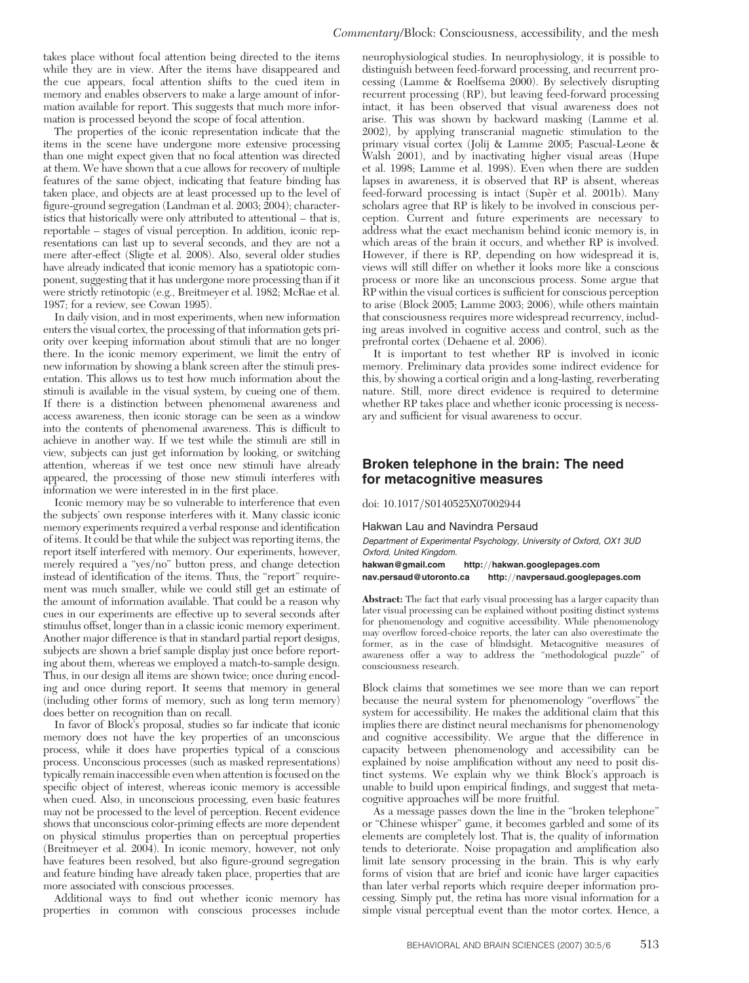takes place without focal attention being directed to the items while they are in view. After the items have disappeared and the cue appears, focal attention shifts to the cued item in memory and enables observers to make a large amount of information available for report. This suggests that much more information is processed beyond the scope of focal attention.

The properties of the iconic representation indicate that the items in the scene have undergone more extensive processing than one might expect given that no focal attention was directed at them. We have shown that a cue allows for recovery of multiple features of the same object, indicating that feature binding has taken place, and objects are at least processed up to the level of figure-ground segregation (Landman et al. 2003; 2004); characteristics that historically were only attributed to attentional – that is, reportable – stages of visual perception. In addition, iconic representations can last up to several seconds, and they are not a mere after-effect (Sligte et al. 2008). Also, several older studies have already indicated that iconic memory has a spatiotopic component, suggesting that it has undergone more processing than if it were strictly retinotopic (e.g., Breitmeyer et al. 1982; McRae et al. 1987; for a review, see Cowan 1995).

In daily vision, and in most experiments, when new information enters the visual cortex, the processing of that information gets priority over keeping information about stimuli that are no longer there. In the iconic memory experiment, we limit the entry of new information by showing a blank screen after the stimuli presentation. This allows us to test how much information about the stimuli is available in the visual system, by cueing one of them. If there is a distinction between phenomenal awareness and access awareness, then iconic storage can be seen as a window into the contents of phenomenal awareness. This is difficult to achieve in another way. If we test while the stimuli are still in view, subjects can just get information by looking, or switching attention, whereas if we test once new stimuli have already appeared, the processing of those new stimuli interferes with information we were interested in in the first place.

Iconic memory may be so vulnerable to interference that even the subjects' own response interferes with it. Many classic iconic memory experiments required a verbal response and identification of items. It could be that while the subject was reporting items, the report itself interfered with memory. Our experiments, however, merely required a "yes/no" button press, and change detection instead of identification of the items. Thus, the "report" requirement was much smaller, while we could still get an estimate of the amount of information available. That could be a reason why cues in our experiments are effective up to several seconds after stimulus offset, longer than in a classic iconic memory experiment. Another major difference is that in standard partial report designs, subjects are shown a brief sample display just once before reporting about them, whereas we employed a match-to-sample design. Thus, in our design all items are shown twice; once during encoding and once during report. It seems that memory in general (including other forms of memory, such as long term memory) does better on recognition than on recall.

In favor of Block's proposal, studies so far indicate that iconic memory does not have the key properties of an unconscious process, while it does have properties typical of a conscious process. Unconscious processes (such as masked representations) typically remain inaccessible even when attention is focused on the specific object of interest, whereas iconic memory is accessible when cued. Also, in unconscious processing, even basic features may not be processed to the level of perception. Recent evidence shows that unconscious color-priming effects are more dependent on physical stimulus properties than on perceptual properties (Breitmeyer et al. 2004). In iconic memory, however, not only have features been resolved, but also figure-ground segregation and feature binding have already taken place, properties that are more associated with conscious processes.

Additional ways to find out whether iconic memory has properties in common with conscious processes include

neurophysiological studies. In neurophysiology, it is possible to distinguish between feed-forward processing, and recurrent processing (Lamme & Roelfsema 2000). By selectively disrupting recurrent processing (RP), but leaving feed-forward processing intact, it has been observed that visual awareness does not arise. This was shown by backward masking (Lamme et al. 2002), by applying transcranial magnetic stimulation to the primary visual cortex (Jolij & Lamme 2005; Pascual-Leone & Walsh 2001), and by inactivating higher visual areas (Hupe et al. 1998; Lamme et al. 1998). Even when there are sudden lapses in awareness, it is observed that RP is absent, whereas feed-forward processing is intact (Supèr et al. 2001b). Many scholars agree that RP is likely to be involved in conscious perception. Current and future experiments are necessary to address what the exact mechanism behind iconic memory is, in which areas of the brain it occurs, and whether RP is involved. However, if there is RP, depending on how widespread it is, views will still differ on whether it looks more like a conscious process or more like an unconscious process. Some argue that RP within the visual cortices is sufficient for conscious perception to arise (Block 2005; Lamme 2003; 2006), while others maintain that consciousness requires more widespread recurrency, including areas involved in cognitive access and control, such as the prefrontal cortex (Dehaene et al. 2006).

It is important to test whether RP is involved in iconic memory. Preliminary data provides some indirect evidence for this, by showing a cortical origin and a long-lasting, reverberating nature. Still, more direct evidence is required to determine whether RP takes place and whether iconic processing is necessary and sufficient for visual awareness to occur.

## Broken telephone in the brain: The need for metacognitive measures

doi: 10.1017/S0140525X07002944

Hakwan Lau and Navindra Persaud

Department of Experimental Psychology, University of Oxford, OX1 3UD Oxford, United Kingdom.

hakwan@gmail.com http://hakwan.googlepages.com nav.persaud@utoronto.ca http://navpersaud.googlepages.com

Abstract: The fact that early visual processing has a larger capacity than later visual processing can be explained without positing distinct systems for phenomenology and cognitive accessibility. While phenomenology may overflow forced-choice reports, the later can also overestimate the former, as in the case of blindsight. Metacognitive measures of awareness offer a way to address the "methodological puzzle" of consciousness research.

Block claims that sometimes we see more than we can report because the neural system for phenomenology "overflows" the system for accessibility. He makes the additional claim that this implies there are distinct neural mechanisms for phenomenology and cognitive accessibility. We argue that the difference in capacity between phenomenology and accessibility can be explained by noise amplification without any need to posit distinct systems. We explain why we think Block's approach is unable to build upon empirical findings, and suggest that metacognitive approaches will be more fruitful.

As a message passes down the line in the "broken telephone" or "Chinese whisper" game, it becomes garbled and some of its elements are completely lost. That is, the quality of information tends to deteriorate. Noise propagation and amplification also limit late sensory processing in the brain. This is why early forms of vision that are brief and iconic have larger capacities than later verbal reports which require deeper information processing. Simply put, the retina has more visual information for a simple visual perceptual event than the motor cortex. Hence, a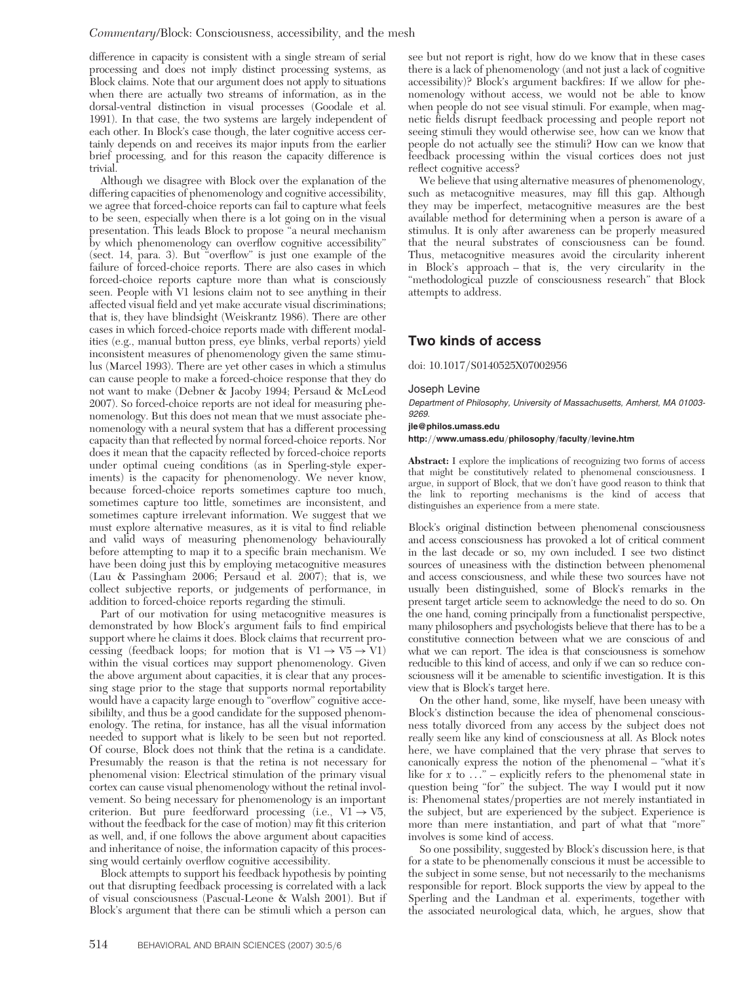difference in capacity is consistent with a single stream of serial processing and does not imply distinct processing systems, as Block claims. Note that our argument does not apply to situations when there are actually two streams of information, as in the dorsal-ventral distinction in visual processes (Goodale et al. 1991). In that case, the two systems are largely independent of each other. In Block's case though, the later cognitive access certainly depends on and receives its major inputs from the earlier brief processing, and for this reason the capacity difference is trivial.

Although we disagree with Block over the explanation of the differing capacities of phenomenology and cognitive accessibility, we agree that forced-choice reports can fail to capture what feels to be seen, especially when there is a lot going on in the visual presentation. This leads Block to propose "a neural mechanism by which phenomenology can overflow cognitive accessibility" (sect. 14, para. 3). But "overflow" is just one example of the failure of forced-choice reports. There are also cases in which forced-choice reports capture more than what is consciously seen. People with V1 lesions claim not to see anything in their affected visual field and yet make accurate visual discriminations; that is, they have blindsight (Weiskrantz 1986). There are other cases in which forced-choice reports made with different modalities (e.g., manual button press, eye blinks, verbal reports) yield inconsistent measures of phenomenology given the same stimulus (Marcel 1993). There are yet other cases in which a stimulus can cause people to make a forced-choice response that they do not want to make (Debner & Jacoby 1994; Persaud & McLeod 2007). So forced-choice reports are not ideal for measuring phenomenology. But this does not mean that we must associate phenomenology with a neural system that has a different processing capacity than that reflected by normal forced-choice reports. Nor does it mean that the capacity reflected by forced-choice reports under optimal cueing conditions (as in Sperling-style experiments) is the capacity for phenomenology. We never know, because forced-choice reports sometimes capture too much, sometimes capture too little, sometimes are inconsistent, and sometimes capture irrelevant information. We suggest that we must explore alternative measures, as it is vital to find reliable and valid ways of measuring phenomenology behaviourally before attempting to map it to a specific brain mechanism. We have been doing just this by employing metacognitive measures (Lau & Passingham 2006; Persaud et al. 2007); that is, we collect subjective reports, or judgements of performance, in addition to forced-choice reports regarding the stimuli.

Part of our motivation for using metacognitive measures is demonstrated by how Block's argument fails to find empirical support where he claims it does. Block claims that recurrent processing (feedback loops; for motion that is  $VI \rightarrow V5 \rightarrow V1$ ) within the visual cortices may support phenomenology. Given the above argument about capacities, it is clear that any processing stage prior to the stage that supports normal reportability would have a capacity large enough to "overflow" cognitive accesibililty, and thus be a good candidate for the supposed phenomenology. The retina, for instance, has all the visual information needed to support what is likely to be seen but not reported. Of course, Block does not think that the retina is a candidate. Presumably the reason is that the retina is not necessary for phenomenal vision: Electrical stimulation of the primary visual cortex can cause visual phenomenology without the retinal involvement. So being necessary for phenomenology is an important criterion. But pure feedforward processing (i.e.,  $V1 \rightarrow V5$ , without the feedback for the case of motion) may fit this criterion as well, and, if one follows the above argument about capacities and inheritance of noise, the information capacity of this processing would certainly overflow cognitive accessibility.

Block attempts to support his feedback hypothesis by pointing out that disrupting feedback processing is correlated with a lack of visual consciousness (Pascual-Leone & Walsh 2001). But if Block's argument that there can be stimuli which a person can

see but not report is right, how do we know that in these cases there is a lack of phenomenology (and not just a lack of cognitive accessibility)? Block's argument backfires: If we allow for phenomenology without access, we would not be able to know when people do not see visual stimuli. For example, when magnetic fields disrupt feedback processing and people report not seeing stimuli they would otherwise see, how can we know that people do not actually see the stimuli? How can we know that feedback processing within the visual cortices does not just reflect cognitive access?

We believe that using alternative measures of phenomenology, such as metacognitive measures, may fill this gap. Although they may be imperfect, metacognitive measures are the best available method for determining when a person is aware of a stimulus. It is only after awareness can be properly measured that the neural substrates of consciousness can be found. Thus, metacognitive measures avoid the circularity inherent in Block's approach – that is, the very circularity in the "methodological puzzle of consciousness research" that Block attempts to address.

## Two kinds of access

doi: 10.1017/S0140525X07002956

#### Joseph Levine

Department of Philosophy, University of Massachusetts, Amherst, MA 01003- 9269.

#### jle@philos.umass.edu

#### http://www.umass.edu/philosophy/faculty/levine.htm

Abstract: I explore the implications of recognizing two forms of access that might be constitutively related to phenomenal consciousness. I argue, in support of Block, that we don't have good reason to think that the link to reporting mechanisms is the kind of access that distinguishes an experience from a mere state.

Block's original distinction between phenomenal consciousness and access consciousness has provoked a lot of critical comment in the last decade or so, my own included. I see two distinct sources of uneasiness with the distinction between phenomenal and access consciousness, and while these two sources have not usually been distinguished, some of Block's remarks in the present target article seem to acknowledge the need to do so. On the one hand, coming principally from a functionalist perspective, many philosophers and psychologists believe that there has to be a constitutive connection between what we are conscious of and what we can report. The idea is that consciousness is somehow reducible to this kind of access, and only if we can so reduce consciousness will it be amenable to scientific investigation. It is this view that is Block's target here.

On the other hand, some, like myself, have been uneasy with Block's distinction because the idea of phenomenal consciousness totally divorced from any access by the subject does not really seem like any kind of consciousness at all. As Block notes here, we have complained that the very phrase that serves to canonically express the notion of the phenomenal – "what it's like for  $x$  to  $\ldots$ " – explicitly refers to the phenomenal state in question being "for" the subject. The way I would put it now is: Phenomenal states/properties are not merely instantiated in the subject, but are experienced by the subject. Experience is more than mere instantiation, and part of what that "more" involves is some kind of access.

So one possibility, suggested by Block's discussion here, is that for a state to be phenomenally conscious it must be accessible to the subject in some sense, but not necessarily to the mechanisms responsible for report. Block supports the view by appeal to the Sperling and the Landman et al. experiments, together with the associated neurological data, which, he argues, show that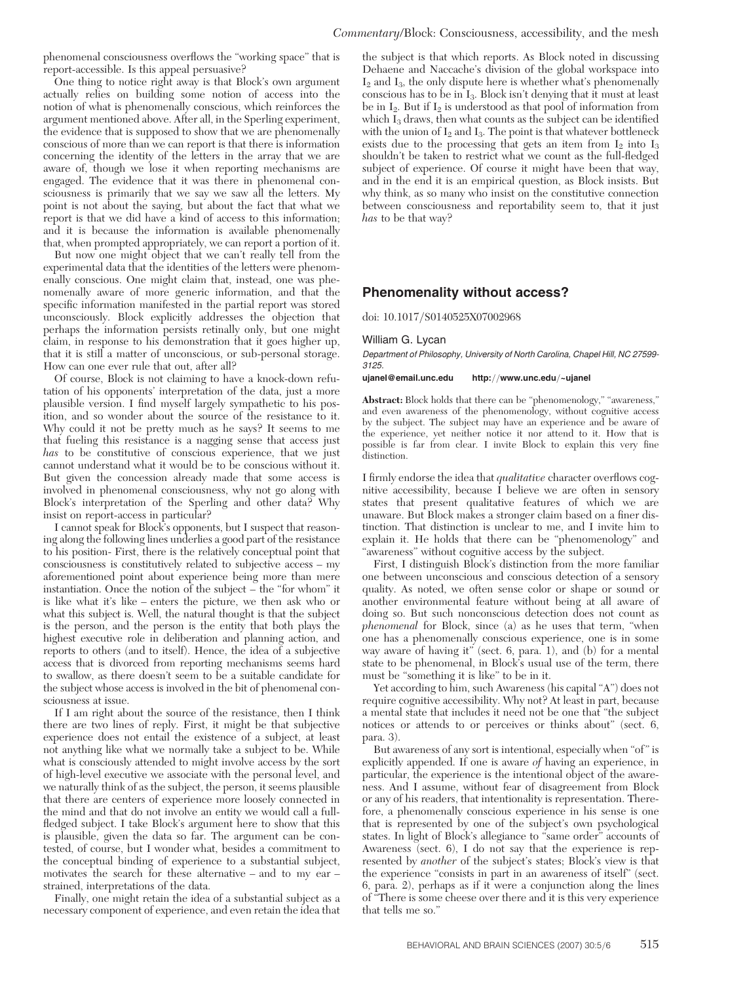phenomenal consciousness overflows the "working space" that is report-accessible. Is this appeal persuasive?

One thing to notice right away is that Block's own argument actually relies on building some notion of access into the notion of what is phenomenally conscious, which reinforces the argument mentioned above. After all, in the Sperling experiment, the evidence that is supposed to show that we are phenomenally conscious of more than we can report is that there is information concerning the identity of the letters in the array that we are aware of, though we lose it when reporting mechanisms are engaged. The evidence that it was there in phenomenal consciousness is primarily that we say we saw all the letters. My point is not about the saying, but about the fact that what we report is that we did have a kind of access to this information; and it is because the information is available phenomenally that, when prompted appropriately, we can report a portion of it.

But now one might object that we can't really tell from the experimental data that the identities of the letters were phenomenally conscious. One might claim that, instead, one was phenomenally aware of more generic information, and that the specific information manifested in the partial report was stored unconsciously. Block explicitly addresses the objection that perhaps the information persists retinally only, but one might claim, in response to his demonstration that it goes higher up, that it is still a matter of unconscious, or sub-personal storage. How can one ever rule that out, after all?

Of course, Block is not claiming to have a knock-down refutation of his opponents' interpretation of the data, just a more plausible version. I find myself largely sympathetic to his position, and so wonder about the source of the resistance to it. Why could it not be pretty much as he says? It seems to me that fueling this resistance is a nagging sense that access just has to be constitutive of conscious experience, that we just cannot understand what it would be to be conscious without it. But given the concession already made that some access is involved in phenomenal consciousness, why not go along with Block's interpretation of the Sperling and other data? Why insist on report-access in particular?

I cannot speak for Block's opponents, but I suspect that reasoning along the following lines underlies a good part of the resistance to his position- First, there is the relatively conceptual point that consciousness is constitutively related to subjective access – my aforementioned point about experience being more than mere instantiation. Once the notion of the subject – the "for whom" it is like what it's like – enters the picture, we then ask who or what this subject is. Well, the natural thought is that the subject is the person, and the person is the entity that both plays the highest executive role in deliberation and planning action, and reports to others (and to itself). Hence, the idea of a subjective access that is divorced from reporting mechanisms seems hard to swallow, as there doesn't seem to be a suitable candidate for the subject whose access is involved in the bit of phenomenal consciousness at issue.

If I am right about the source of the resistance, then I think there are two lines of reply. First, it might be that subjective experience does not entail the existence of a subject, at least not anything like what we normally take a subject to be. While what is consciously attended to might involve access by the sort of high-level executive we associate with the personal level, and we naturally think of as the subject, the person, it seems plausible that there are centers of experience more loosely connected in the mind and that do not involve an entity we would call a fullfledged subject. I take Block's argument here to show that this is plausible, given the data so far. The argument can be contested, of course, but I wonder what, besides a commitment to the conceptual binding of experience to a substantial subject, motivates the search for these alternative – and to my ear – strained, interpretations of the data.

Finally, one might retain the idea of a substantial subject as a necessary component of experience, and even retain the idea that the subject is that which reports. As Block noted in discussing Dehaene and Naccache's division of the global workspace into  $I_2$  and  $I_3$ , the only dispute here is whether what's phenomenally conscious has to be in  $I_3$ . Block isn't denying that it must at least be in  $I_2$ . But if  $I_2$  is understood as that pool of information from which  $I_3$  draws, then what counts as the subject can be identified with the union of  $\mathbf{I}_2$  and  $\mathbf{I}_3$  . The point is that whatever bottleneck exists due to the processing that gets an item from  $I_2$  into  $I_3$ shouldn't be taken to restrict what we count as the full-fledged subject of experience. Of course it might have been that way, and in the end it is an empirical question, as Block insists. But why think, as so many who insist on the constitutive connection between consciousness and reportability seem to, that it just has to be that way?

#### Phenomenality without access?

doi: 10.1017/S0140525X07002968

#### William G. Lycan

Department of Philosophy, University of North Carolina, Chapel Hill, NC 27599- 3125.

ujanel@email.unc.edu http://www.unc.edu/~ujanel

**Abstract:** Block holds that there can be "phenomenology," "awareness," and even awareness of the phenomenology, without cognitive access by the subject. The subject may have an experience and be aware of the experience, yet neither notice it nor attend to it. How that is possible is far from clear. I invite Block to explain this very fine distinction.

I firmly endorse the idea that qualitative character overflows cognitive accessibility, because I believe we are often in sensory states that present qualitative features of which we are unaware. But Block makes a stronger claim based on a finer distinction. That distinction is unclear to me, and I invite him to explain it. He holds that there can be "phenomenology" and "awareness" without cognitive access by the subject.

First, I distinguish Block's distinction from the more familiar one between unconscious and conscious detection of a sensory quality. As noted, we often sense color or shape or sound or another environmental feature without being at all aware of doing so. But such nonconscious detection does not count as phenomenal for Block, since (a) as he uses that term, "when one has a phenomenally conscious experience, one is in some way aware of having it" (sect. 6, para. 1), and (b) for a mental state to be phenomenal, in Block's usual use of the term, there must be "something it is like" to be in it.

Yet according to him, such Awareness (his capital "A") does not require cognitive accessibility. Why not? At least in part, because a mental state that includes it need not be one that "the subject notices or attends to or perceives or thinks about" (sect. 6, para. 3).

But awareness of any sort is intentional, especially when "of" is explicitly appended. If one is aware of having an experience, in particular, the experience is the intentional object of the awareness. And I assume, without fear of disagreement from Block or any of his readers, that intentionality is representation. Therefore, a phenomenally conscious experience in his sense is one that is represented by one of the subject's own psychological states. In light of Block's allegiance to "same order" accounts of Awareness (sect. 6), I do not say that the experience is represented by another of the subject's states; Block's view is that the experience "consists in part in an awareness of itself" (sect. 6, para. 2), perhaps as if it were a conjunction along the lines of "There is some cheese over there and it is this very experience that tells me so."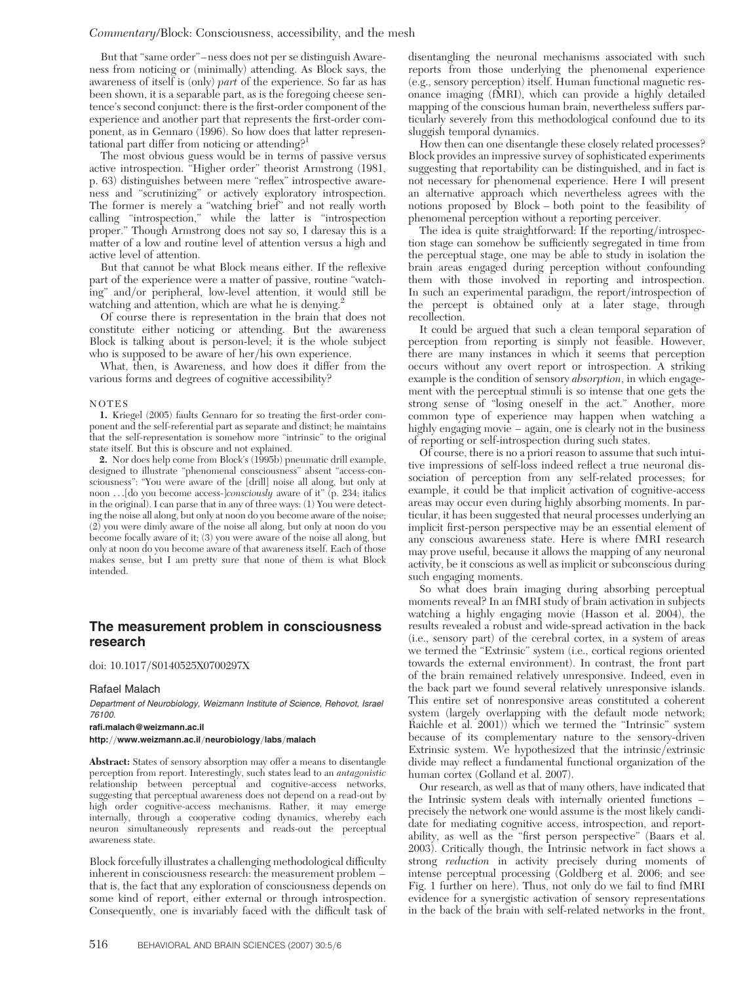#### Commentary/Block: Consciousness, accessibility, and the mesh

But that "same order"–ness does not per se distinguish Awareness from noticing or (minimally) attending. As Block says, the awareness of itself is (only) part of the experience. So far as has been shown, it is a separable part, as is the foregoing cheese sentence's second conjunct: there is the first-order component of the experience and another part that represents the first-order component, as in Gennaro (1996). So how does that latter representational part differ from noticing or attending?<sup>1</sup>

The most obvious guess would be in terms of passive versus active introspection. "Higher order" theorist Armstrong (1981, p. 63) distinguishes between mere "reflex" introspective awareness and "scrutinizing" or actively exploratory introspection. The former is merely a "watching brief" and not really worth calling "introspection," while the latter is "introspection proper." Though Armstrong does not say so, I daresay this is a matter of a low and routine level of attention versus a high and active level of attention.

But that cannot be what Block means either. If the reflexive part of the experience were a matter of passive, routine "watching" and/or peripheral, low-level attention, it would still be watching and attention, which are what he is denying.<sup>2</sup>

Of course there is representation in the brain that does not constitute either noticing or attending. But the awareness Block is talking about is person-level; it is the whole subject who is supposed to be aware of her/his own experience.

What, then, is Awareness, and how does it differ from the various forms and degrees of cognitive accessibility?

#### NOTES

1. Kriegel (2005) faults Gennaro for so treating the first-order component and the self-referential part as separate and distinct; he maintains that the self-representation is somehow more "intrinsic" to the original state itself. But this is obscure and not explained.

2. Nor does help come from Block's (1995b) pneumatic drill example, designed to illustrate "phenomenal consciousness" absent "access-consciousness": "You were aware of the [drill] noise all along, but only at noon ...[do you become access-]consciously aware of it" (p. 234; italics in the original). I can parse that in any of three ways: (1) You were detecting the noise all along, but only at noon do you become aware of the noise; (2) you were dimly aware of the noise all along, but only at noon do you become focally aware of it; (3) you were aware of the noise all along, but only at noon do you become aware of that awareness itself. Each of those makes sense, but I am pretty sure that none of them is what Block intended.

## The measurement problem in consciousness research

doi: 10.1017/S0140525X0700297X

#### Rafael Malach

Department of Neurobiology, Weizmann Institute of Science, Rehovot, Israel 76100.

rafi.malach@weizmann.ac.il

http://www.weizmann.ac.il/neurobiology/labs/malach

Abstract: States of sensory absorption may offer a means to disentangle perception from report. Interestingly, such states lead to an antagonistic relationship between perceptual and cognitive-access networks, suggesting that perceptual awareness does not depend on a read-out by high order cognitive-access mechanisms. Rather, it may emerge internally, through a cooperative coding dynamics, whereby each neuron simultaneously represents and reads-out the perceptual awareness state.

Block forcefully illustrates a challenging methodological difficulty inherent in consciousness research: the measurement problem – that is, the fact that any exploration of consciousness depends on some kind of report, either external or through introspection. Consequently, one is invariably faced with the difficult task of disentangling the neuronal mechanisms associated with such reports from those underlying the phenomenal experience (e.g., sensory perception) itself. Human functional magnetic resonance imaging (fMRI), which can provide a highly detailed mapping of the conscious human brain, nevertheless suffers particularly severely from this methodological confound due to its sluggish temporal dynamics.

How then can one disentangle these closely related processes? Block provides an impressive survey of sophisticated experiments suggesting that reportability can be distinguished, and in fact is not necessary for phenomenal experience. Here I will present an alternative approach which nevertheless agrees with the notions proposed by Block – both point to the feasibility of phenomenal perception without a reporting perceiver.

The idea is quite straightforward: If the reporting/introspection stage can somehow be sufficiently segregated in time from the perceptual stage, one may be able to study in isolation the brain areas engaged during perception without confounding them with those involved in reporting and introspection. In such an experimental paradigm, the report/introspection of the percept is obtained only at a later stage, through recollection.

It could be argued that such a clean temporal separation of perception from reporting is simply not feasible. However, there are many instances in which it seems that perception occurs without any overt report or introspection. A striking example is the condition of sensory *absorption*, in which engagement with the perceptual stimuli is so intense that one gets the strong sense of "losing oneself in the act." Another, more common type of experience may happen when watching a highly engaging movie – again, one is clearly not in the business of reporting or self-introspection during such states.

Of course, there is no a priori reason to assume that such intuitive impressions of self-loss indeed reflect a true neuronal dissociation of perception from any self-related processes; for example, it could be that implicit activation of cognitive-access areas may occur even during highly absorbing moments. In particular, it has been suggested that neural processes underlying an implicit first-person perspective may be an essential element of any conscious awareness state. Here is where fMRI research may prove useful, because it allows the mapping of any neuronal activity, be it conscious as well as implicit or subconscious during such engaging moments.

So what does brain imaging during absorbing perceptual moments reveal? In an fMRI study of brain activation in subjects watching a highly engaging movie (Hasson et al. 2004), the results revealed a robust and wide-spread activation in the back (i.e., sensory part) of the cerebral cortex, in a system of areas we termed the "Extrinsic" system (i.e., cortical regions oriented towards the external environment). In contrast, the front part of the brain remained relatively unresponsive. Indeed, even in the back part we found several relatively unresponsive islands. This entire set of nonresponsive areas constituted a coherent system (largely overlapping with the default mode network; Raichle et al. 2001)) which we termed the "Intrinsic" system because of its complementary nature to the sensory-driven Extrinsic system. We hypothesized that the intrinsic/extrinsic divide may reflect a fundamental functional organization of the human cortex (Golland et al. 2007).

Our research, as well as that of many others, have indicated that the Intrinsic system deals with internally oriented functions – precisely the network one would assume is the most likely candidate for mediating cognitive access, introspection, and reportability, as well as the "first person perspective" (Baars et al. 2003). Critically though, the Intrinsic network in fact shows a strong *reduction* in activity precisely during moments of intense perceptual processing (Goldberg et al. 2006; and see Fig. 1 further on here). Thus, not only do we fail to find fMRI evidence for a synergistic activation of sensory representations in the back of the brain with self-related networks in the front,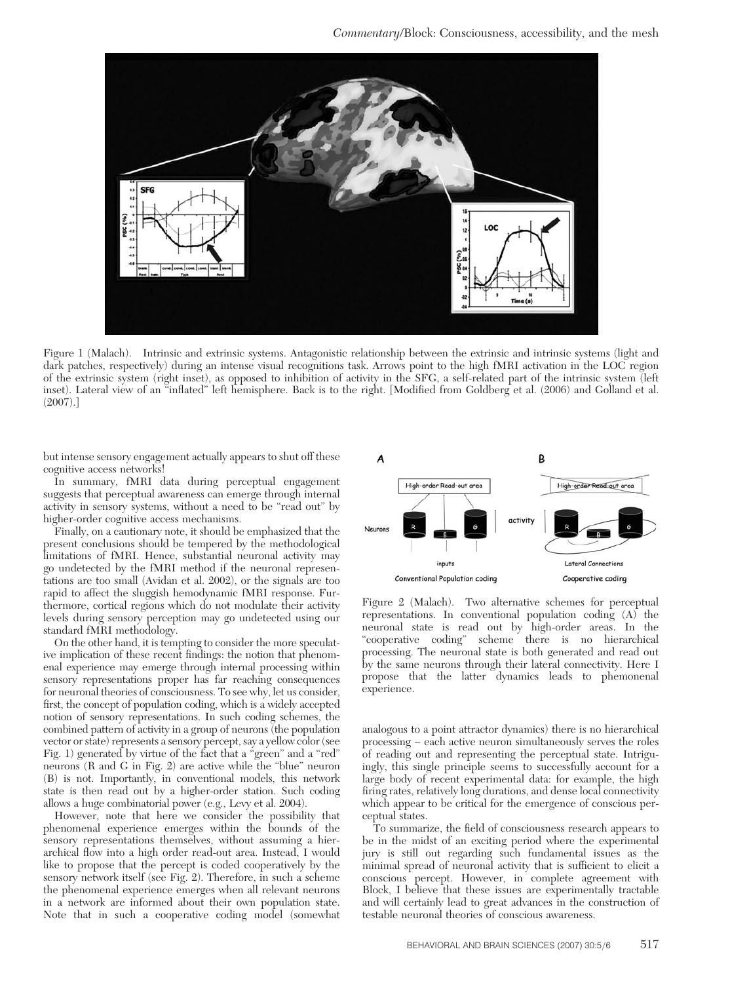

Figure 1 (Malach). Intrinsic and extrinsic systems. Antagonistic relationship between the extrinsic and intrinsic systems (light and dark patches, respectively) during an intense visual recognitions task. Arrows point to the high fMRI activation in the LOC region of the extrinsic system (right inset), as opposed to inhibition of activity in the SFG, a self-related part of the intrinsic system (left inset). Lateral view of an "inflated" left hemisphere. Back is to the right. [Modified from Goldberg et al. (2006) and Golland et al. (2007).]

but intense sensory engagement actually appears to shut off these cognitive access networks!

In summary, fMRI data during perceptual engagement suggests that perceptual awareness can emerge through internal activity in sensory systems, without a need to be "read out" by higher-order cognitive access mechanisms.

Finally, on a cautionary note, it should be emphasized that the present conclusions should be tempered by the methodological limitations of fMRI. Hence, substantial neuronal activity may go undetected by the fMRI method if the neuronal representations are too small (Avidan et al. 2002), or the signals are too rapid to affect the sluggish hemodynamic fMRI response. Furthermore, cortical regions which do not modulate their activity levels during sensory perception may go undetected using our standard fMRI methodology.

On the other hand, it is tempting to consider the more speculative implication of these recent findings: the notion that phenomenal experience may emerge through internal processing within sensory representations proper has far reaching consequences for neuronal theories of consciousness. To see why, let us consider, first, the concept of population coding, which is a widely accepted notion of sensory representations. In such coding schemes, the combined pattern of activity in a group of neurons (the population vector or state) represents a sensory percept, say a yellow color (see Fig. 1) generated by virtue of the fact that a "green" and a "red" neurons (R and G in Fig. 2) are active while the "blue" neuron (B) is not. Importantly, in conventional models, this network state is then read out by a higher-order station. Such coding allows a huge combinatorial power (e.g., Levy et al. 2004).

However, note that here we consider the possibility that phenomenal experience emerges within the bounds of the sensory representations themselves, without assuming a hierarchical flow into a high order read-out area. Instead, I would like to propose that the percept is coded cooperatively by the sensory network itself (see Fig. 2). Therefore, in such a scheme the phenomenal experience emerges when all relevant neurons in a network are informed about their own population state. Note that in such a cooperative coding model (somewhat



Figure 2 (Malach). Two alternative schemes for perceptual representations. In conventional population coding (A) the neuronal state is read out by high-order areas. In the "cooperative coding" scheme there is no hierarchical processing. The neuronal state is both generated and read out by the same neurons through their lateral connectivity. Here I propose that the latter dynamics leads to phemonenal experience.

analogous to a point attractor dynamics) there is no hierarchical processing – each active neuron simultaneously serves the roles of reading out and representing the perceptual state. Intriguingly, this single principle seems to successfully account for a large body of recent experimental data: for example, the high firing rates, relatively long durations, and dense local connectivity which appear to be critical for the emergence of conscious perceptual states.

To summarize, the field of consciousness research appears to be in the midst of an exciting period where the experimental jury is still out regarding such fundamental issues as the minimal spread of neuronal activity that is sufficient to elicit a conscious percept. However, in complete agreement with Block, I believe that these issues are experimentally tractable and will certainly lead to great advances in the construction of testable neuronal theories of conscious awareness.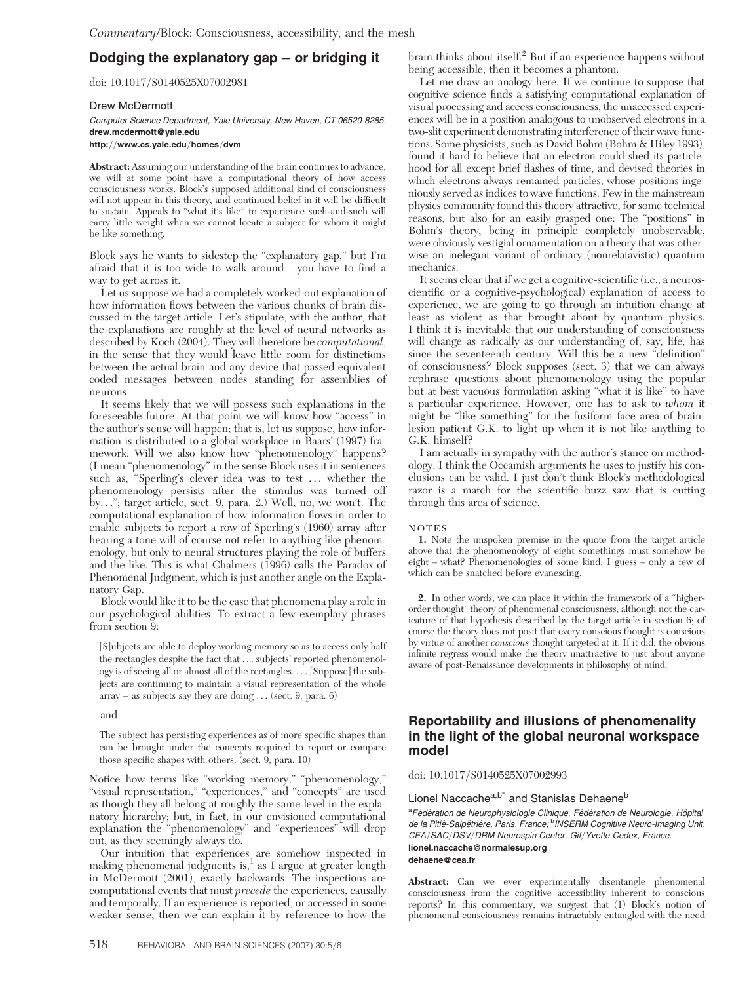## Dodging the explanatory gap – or bridging it

doi: 10.1017/S0140525X07002981

Drew McDermott Computer Science Department, Yale University, New Haven, CT 06520-8285. drew.mcdermott@yale.edu http://www.cs.yale.edu/homes/dvm

Abstract: Assuming our understanding of the brain continues to advance, we will at some point have a computational theory of how access consciousness works. Block's supposed additional kind of consciousness will not appear in this theory, and continued belief in it will be difficult to sustain. Appeals to "what it's like" to experience such-and-such will carry little weight when we cannot locate a subject for whom it might be like something.

Block says he wants to sidestep the "explanatory gap," but I'm afraid that it is too wide to walk around – you have to find a way to get across it.

Let us suppose we had a completely worked-out explanation of how information flows between the various chunks of brain discussed in the target article. Let's stipulate, with the author, that the explanations are roughly at the level of neural networks as described by Koch (2004). They will therefore be *computational*, in the sense that they would leave little room for distinctions between the actual brain and any device that passed equivalent coded messages between nodes standing for assemblies of neurons.

It seems likely that we will possess such explanations in the foreseeable future. At that point we will know how "access" in the author's sense will happen; that is, let us suppose, how information is distributed to a global workplace in Baars' (1997) framework. Will we also know how "phenomenology" happens? (I mean "phenomenology" in the sense Block uses it in sentences such as, "Sperling's clever idea was to test ... whether the phenomenology persists after the stimulus was turned off by..."; target article, sect. 9, para. 2.) Well, no, we won't. The computational explanation of how information flows in order to enable subjects to report a row of Sperling's (1960) array after hearing a tone will of course not refer to anything like phenomenology, but only to neural structures playing the role of buffers and the like. This is what Chalmers (1996) calls the Paradox of Phenomenal Judgment, which is just another angle on the Explanatory Gap.

Block would like it to be the case that phenomena play a role in our psychological abilities. To extract a few exemplary phrases from section 9:

[S]ubjects are able to deploy working memory so as to access only half the rectangles despite the fact that ... subjects' reported phenomenology is of seeing all or almost all of the rectangles. ... [Suppose] the subjects are continuing to maintain a visual representation of the whole array – as subjects say they are doing ... (sect. 9, para. 6)

and

The subject has persisting experiences as of more specific shapes than can be brought under the concepts required to report or compare those specific shapes with others. (sect. 9, para. 10)

Notice how terms like "working memory," "phenomenology," "visual representation," "experiences," and "concepts" are used as though they all belong at roughly the same level in the explanatory hierarchy; but, in fact, in our envisioned computational explanation the "phenomenology" and "experiences" will drop out, as they seemingly always do.

Our intuition that experiences are somehow inspected in making phenomenal judgments is, $<sup>1</sup>$  as I argue at greater length</sup> in McDermott (2001), exactly backwards. The inspections are computational events that must precede the experiences, causally and temporally. If an experience is reported, or accessed in some weaker sense, then we can explain it by reference to how the brain thinks about itself.<sup>2</sup> But if an experience happens without being accessible, then it becomes a phantom.

Let me draw an analogy here. If we continue to suppose that cognitive science finds a satisfying computational explanation of visual processing and access consciousness, the unaccessed experiences will be in a position analogous to unobserved electrons in a two-slit experiment demonstrating interference of their wave functions. Some physicists, such as David Bohm (Bohm & Hiley 1993), found it hard to believe that an electron could shed its particlehood for all except brief flashes of time, and devised theories in which electrons always remained particles, whose positions ingeniously served as indices to wave functions. Few in the mainstream physics community found this theory attractive, for some technical reasons, but also for an easily grasped one: The "positions" in Bohm's theory, being in principle completely unobservable, were obviously vestigial ornamentation on a theory that was otherwise an inelegant variant of ordinary (nonrelatavistic) quantum mechanics.

It seems clear that if we get a cognitive-scientific (i.e., a neuroscientific or a cognitive-psychological) explanation of access to experience, we are going to go through an intuition change at least as violent as that brought about by quantum physics. I think it is inevitable that our understanding of consciousness will change as radically as our understanding of, say, life, has since the seventeenth century. Will this be a new "definition" of consciousness? Block supposes (sect. 3) that we can always rephrase questions about phenomenology using the popular but at best vacuous formulation asking "what it is like" to have a particular experience. However, one has to ask to whom it might be "like something" for the fusiform face area of brainlesion patient G.K. to light up when it is not like anything to G.K. himself?

I am actually in sympathy with the author's stance on methodology. I think the Occamish arguments he uses to justify his conclusions can be valid. I just don't think Block's methodological razor is a match for the scientific buzz saw that is cutting through this area of science.

#### **NOTES**

1. Note the unspoken premise in the quote from the target article above that the phenomenology of eight somethings must somehow be eight – what? Phenomenologies of some kind, I guess – only a few of which can be snatched before evanescing.

2. In other words, we can place it within the framework of a "higherorder thought" theory of phenomenal consciousness, although not the caricature of that hypothesis described by the target article in section 6; of course the theory does not posit that every conscious thought is conscious by virtue of another conscious thought targeted at it. If it did, the obvious infinite regress would make the theory unattractive to just about anyone aware of post-Renaissance developments in philosophy of mind.

## Reportability and illusions of phenomenality in the light of the global neuronal workspace model

#### doi: 10.1017/S0140525X07002993

## Lionel Naccache<sup>a,b\*</sup> and Stanislas Dehaene<sup>b</sup>

a Fédération de Neurophysiologie Clinique, Fédération de Neurologie, Hôpital de la Pitié-Salpêtrière, Paris, France; <sup>b</sup>INSERM Cognitive Neuro-Imaging Unit, CEA/SAC/DSV/DRM Neurospin Center, Gif/Yvette Cedex, France. lionel.naccache@normalesup.org dehaene@cea.fr

Abstract: Can we ever experimentally disentangle phenomenal consciousness from the cognitive accessibility inherent to conscious reports? In this commentary, we suggest that (1) Block's notion of phenomenal consciousness remains intractably entangled with the need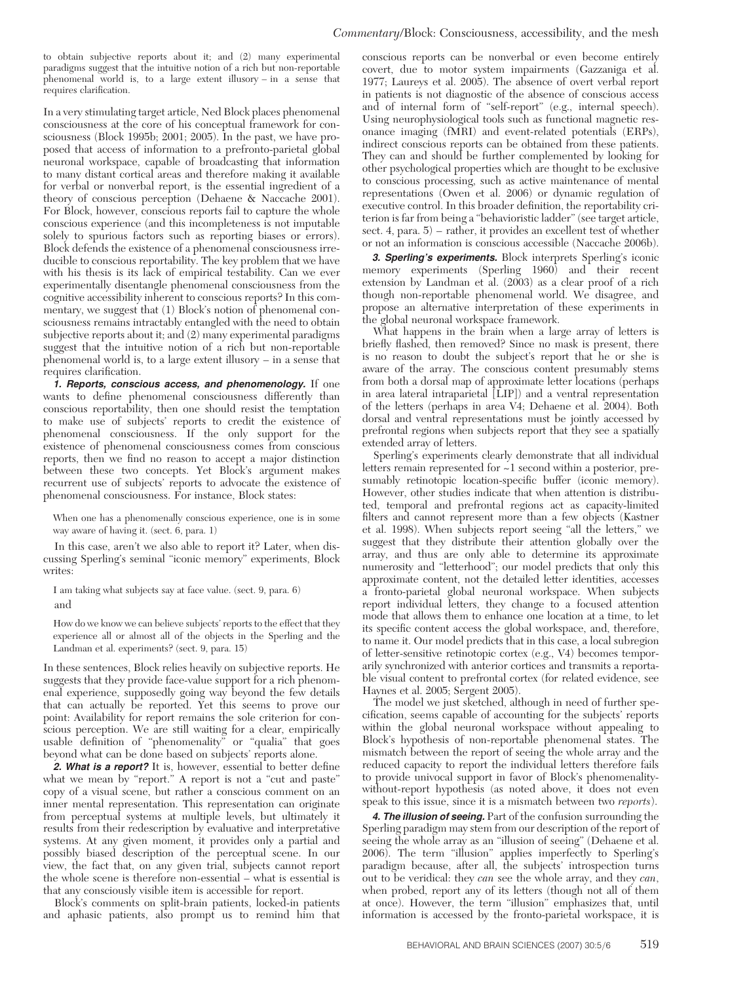to obtain subjective reports about it; and (2) many experimental paradigms suggest that the intuitive notion of a rich but non-reportable phenomenal world is, to a large extent illusory – in a sense that requires clarification.

In a very stimulating target article, Ned Block places phenomenal consciousness at the core of his conceptual framework for consciousness (Block 1995b; 2001; 2005). In the past, we have proposed that access of information to a prefronto-parietal global neuronal workspace, capable of broadcasting that information to many distant cortical areas and therefore making it available for verbal or nonverbal report, is the essential ingredient of a theory of conscious perception (Dehaene & Naccache 2001). For Block, however, conscious reports fail to capture the whole conscious experience (and this incompleteness is not imputable solely to spurious factors such as reporting biases or errors). Block defends the existence of a phenomenal consciousness irreducible to conscious reportability. The key problem that we have with his thesis is its lack of empirical testability. Can we ever experimentally disentangle phenomenal consciousness from the cognitive accessibility inherent to conscious reports? In this commentary, we suggest that (1) Block's notion of phenomenal consciousness remains intractably entangled with the need to obtain subjective reports about it; and (2) many experimental paradigms suggest that the intuitive notion of a rich but non-reportable phenomenal world is, to a large extent illusory – in a sense that requires clarification.

1. Reports, conscious access, and phenomenology. If one wants to define phenomenal consciousness differently than conscious reportability, then one should resist the temptation to make use of subjects' reports to credit the existence of phenomenal consciousness. If the only support for the existence of phenomenal consciousness comes from conscious reports, then we find no reason to accept a major distinction between these two concepts. Yet Block's argument makes recurrent use of subjects' reports to advocate the existence of phenomenal consciousness. For instance, Block states:

When one has a phenomenally conscious experience, one is in some way aware of having it. (sect. 6, para. 1)

In this case, aren't we also able to report it? Later, when discussing Sperling's seminal "iconic memory" experiments, Block writes:

I am taking what subjects say at face value. (sect. 9, para. 6) and

How do we know we can believe subjects' reports to the effect that they experience all or almost all of the objects in the Sperling and the Landman et al. experiments? (sect. 9, para. 15)

In these sentences, Block relies heavily on subjective reports. He suggests that they provide face-value support for a rich phenomenal experience, supposedly going way beyond the few details that can actually be reported. Yet this seems to prove our point: Availability for report remains the sole criterion for conscious perception. We are still waiting for a clear, empirically usable definition of "phenomenality" or "qualia" that goes beyond what can be done based on subjects' reports alone.

**2. What is a report?** It is, however, essential to better define what we mean by "report." A report is not a "cut and paste" copy of a visual scene, but rather a conscious comment on an inner mental representation. This representation can originate from perceptual systems at multiple levels, but ultimately it results from their redescription by evaluative and interpretative systems. At any given moment, it provides only a partial and possibly biased description of the perceptual scene. In our view, the fact that, on any given trial, subjects cannot report the whole scene is therefore non-essential – what is essential is that any consciously visible item is accessible for report.

Block's comments on split-brain patients, locked-in patients and aphasic patients, also prompt us to remind him that conscious reports can be nonverbal or even become entirely covert, due to motor system impairments (Gazzaniga et al. 1977; Laureys et al. 2005). The absence of overt verbal report in patients is not diagnostic of the absence of conscious access and of internal form of "self-report" (e.g., internal speech). Using neurophysiological tools such as functional magnetic resonance imaging (fMRI) and event-related potentials (ERPs), indirect conscious reports can be obtained from these patients. They can and should be further complemented by looking for other psychological properties which are thought to be exclusive to conscious processing, such as active maintenance of mental representations (Owen et al. 2006) or dynamic regulation of executive control. In this broader definition, the reportability criterion is far from being a "behavioristic ladder" (see target article, sect. 4, para. 5) – rather, it provides an excellent test of whether or not an information is conscious accessible (Naccache 2006b).

3. Sperling's experiments. Block interprets Sperling's iconic memory experiments (Sperling 1960) and their recent extension by Landman et al. (2003) as a clear proof of a rich though non-reportable phenomenal world. We disagree, and propose an alternative interpretation of these experiments in the global neuronal workspace framework.

What happens in the brain when a large array of letters is briefly flashed, then removed? Since no mask is present, there is no reason to doubt the subject's report that he or she is aware of the array. The conscious content presumably stems from both a dorsal map of approximate letter locations (perhaps in area lateral intraparietal [LIP]) and a ventral representation of the letters (perhaps in area V4; Dehaene et al. 2004). Both dorsal and ventral representations must be jointly accessed by prefrontal regions when subjects report that they see a spatially extended array of letters.

Sperling's experiments clearly demonstrate that all individual letters remain represented for  $\sim$  1 second within a posterior, presumably retinotopic location-specific buffer (iconic memory). However, other studies indicate that when attention is distributed, temporal and prefrontal regions act as capacity-limited filters and cannot represent more than a few objects (Kastner et al. 1998). When subjects report seeing "all the letters," we suggest that they distribute their attention globally over the array, and thus are only able to determine its approximate numerosity and "letterhood"; our model predicts that only this approximate content, not the detailed letter identities, accesses a fronto-parietal global neuronal workspace. When subjects report individual letters, they change to a focused attention mode that allows them to enhance one location at a time, to let its specific content access the global workspace, and, therefore, to name it. Our model predicts that in this case, a local subregion of letter-sensitive retinotopic cortex (e.g., V4) becomes temporarily synchronized with anterior cortices and transmits a reportable visual content to prefrontal cortex (for related evidence, see Haynes et al. 2005; Sergent 2005).

The model we just sketched, although in need of further specification, seems capable of accounting for the subjects' reports within the global neuronal workspace without appealing to Block's hypothesis of non-reportable phenomenal states. The mismatch between the report of seeing the whole array and the reduced capacity to report the individual letters therefore fails to provide univocal support in favor of Block's phenomenalitywithout-report hypothesis (as noted above, it does not even speak to this issue, since it is a mismatch between two *reports*).

4. The illusion of seeing. Part of the confusion surrounding the Sperling paradigm may stem from our description of the report of seeing the whole array as an "illusion of seeing" (Dehaene et al. 2006). The term "illusion" applies imperfectly to Sperling's paradigm because, after all, the subjects' introspection turns out to be veridical: they can see the whole array, and they can, when probed, report any of its letters (though not all of them at once). However, the term "illusion" emphasizes that, until information is accessed by the fronto-parietal workspace, it is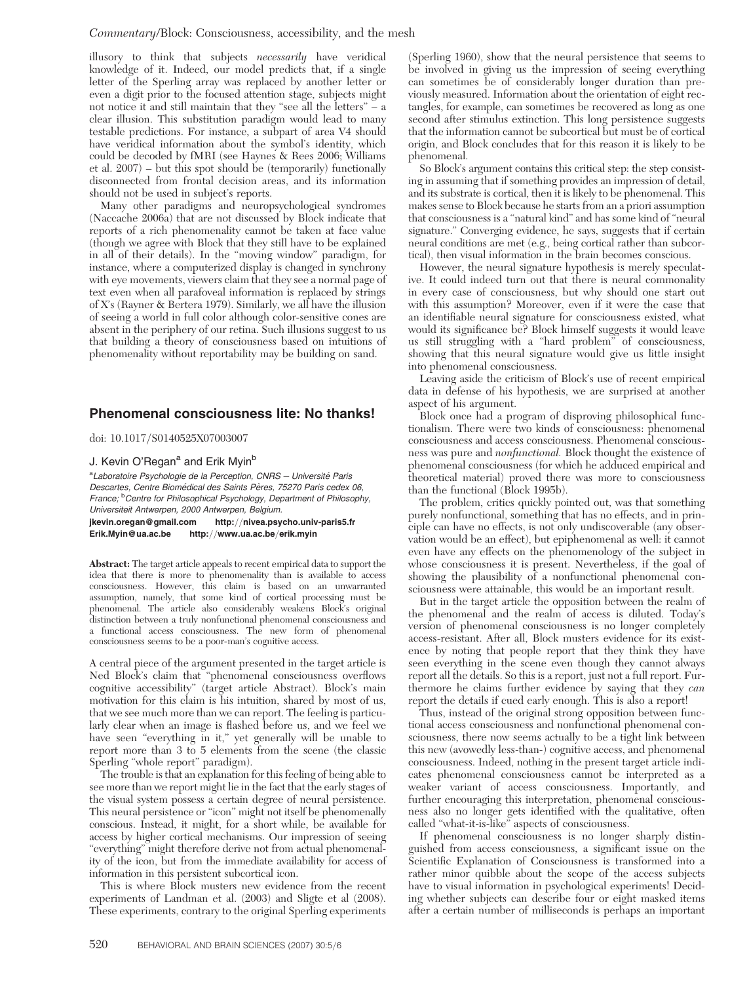illusory to think that subjects necessarily have veridical knowledge of it. Indeed, our model predicts that, if a single letter of the Sperling array was replaced by another letter or even a digit prior to the focused attention stage, subjects might not notice it and still maintain that they "see all the letters" – a clear illusion. This substitution paradigm would lead to many testable predictions. For instance, a subpart of area V4 should have veridical information about the symbol's identity, which could be decoded by fMRI (see Haynes & Rees 2006; Williams et al. 2007) – but this spot should be (temporarily) functionally disconnected from frontal decision areas, and its information should not be used in subject's reports.

Many other paradigms and neuropsychological syndromes (Naccache 2006a) that are not discussed by Block indicate that reports of a rich phenomenality cannot be taken at face value (though we agree with Block that they still have to be explained in all of their details). In the "moving window" paradigm, for instance, where a computerized display is changed in synchrony with eye movements, viewers claim that they see a normal page of text even when all parafoveal information is replaced by strings of X's (Rayner & Bertera 1979). Similarly, we all have the illusion of seeing a world in full color although color-sensitive cones are absent in the periphery of our retina. Such illusions suggest to us that building a theory of consciousness based on intuitions of phenomenality without reportability may be building on sand.

## Phenomenal consciousness lite: No thanks!

doi: 10.1017/S0140525X07003007

#### J. Kevin O'Regan<sup>a</sup> and Erik Myin<sup>b</sup>

<sup>a</sup> Laboratoire Psychologie de la Perception, CNRS – Université Paris Descartes, Centre Biomédical des Saints Pères, 75270 Paris cedex 06, France; <sup>b</sup> Centre for Philosophical Psychology, Department of Philosophy, Universiteit Antwerpen, 2000 Antwerpen, Belgium.

jkevin.oregan@gmail.com http://nivea.psycho.univ-paris5.fr Erik.Myin@ua.ac.be http://www.ua.ac.be/erik.myin

Abstract: The target article appeals to recent empirical data to support the idea that there is more to phenomenality than is available to access consciousness. However, this claim is based on an unwarranted assumption, namely, that some kind of cortical processing must be phenomenal. The article also considerably weakens Block's original distinction between a truly nonfunctional phenomenal consciousness and a functional access consciousness. The new form of phenomenal consciousness seems to be a poor-man's cognitive access.

A central piece of the argument presented in the target article is Ned Block's claim that "phenomenal consciousness overflows cognitive accessibility" (target article Abstract). Block's main motivation for this claim is his intuition, shared by most of us, that we see much more than we can report. The feeling is particularly clear when an image is flashed before us, and we feel we have seen "everything in it," yet generally will be unable to report more than 3 to 5 elements from the scene (the classic Sperling "whole report" paradigm).

The trouble is that an explanation for this feeling of being able to see more than we report might lie in the fact that the early stages of the visual system possess a certain degree of neural persistence. This neural persistence or "icon" might not itself be phenomenally conscious. Instead, it might, for a short while, be available for access by higher cortical mechanisms. Our impression of seeing "everything" might therefore derive not from actual phenomenality of the icon, but from the immediate availability for access of information in this persistent subcortical icon.

This is where Block musters new evidence from the recent experiments of Landman et al. (2003) and Sligte et al (2008). These experiments, contrary to the original Sperling experiments

(Sperling 1960), show that the neural persistence that seems to be involved in giving us the impression of seeing everything can sometimes be of considerably longer duration than previously measured. Information about the orientation of eight rectangles, for example, can sometimes be recovered as long as one second after stimulus extinction. This long persistence suggests that the information cannot be subcortical but must be of cortical origin, and Block concludes that for this reason it is likely to be phenomenal.

So Block's argument contains this critical step: the step consisting in assuming that if something provides an impression of detail, and its substrate is cortical, then it is likely to be phenomenal. This makes sense to Block because he starts from an a priori assumption that consciousness is a "natural kind" and has some kind of "neural signature." Converging evidence, he says, suggests that if certain neural conditions are met (e.g., being cortical rather than subcortical), then visual information in the brain becomes conscious.

However, the neural signature hypothesis is merely speculative. It could indeed turn out that there is neural commonality in every case of consciousness, but why should one start out with this assumption? Moreover, even if it were the case that an identifiable neural signature for consciousness existed, what would its significance be? Block himself suggests it would leave us still struggling with a "hard problem" of consciousness, showing that this neural signature would give us little insight into phenomenal consciousness.

Leaving aside the criticism of Block's use of recent empirical data in defense of his hypothesis, we are surprised at another aspect of his argument.

Block once had a program of disproving philosophical functionalism. There were two kinds of consciousness: phenomenal consciousness and access consciousness. Phenomenal consciousness was pure and *nonfunctional*. Block thought the existence of phenomenal consciousness (for which he adduced empirical and theoretical material) proved there was more to consciousness than the functional (Block 1995b).

The problem, critics quickly pointed out, was that something purely nonfunctional, something that has no effects, and in principle can have no effects, is not only undiscoverable (any observation would be an effect), but epiphenomenal as well: it cannot even have any effects on the phenomenology of the subject in whose consciousness it is present. Nevertheless, if the goal of showing the plausibility of a nonfunctional phenomenal consciousness were attainable, this would be an important result.

But in the target article the opposition between the realm of the phenomenal and the realm of access is diluted. Today's version of phenomenal consciousness is no longer completely access-resistant. After all, Block musters evidence for its existence by noting that people report that they think they have seen everything in the scene even though they cannot always report all the details. So this is a report, just not a full report. Furthermore he claims further evidence by saying that they *can* report the details if cued early enough. This is also a report!

Thus, instead of the original strong opposition between functional access consciousness and nonfunctional phenomenal consciousness, there now seems actually to be a tight link between this new (avowedly less-than-) cognitive access, and phenomenal consciousness. Indeed, nothing in the present target article indicates phenomenal consciousness cannot be interpreted as a weaker variant of access consciousness. Importantly, and further encouraging this interpretation, phenomenal consciousness also no longer gets identified with the qualitative, often called "what-it-is-like" aspects of consciousness.

If phenomenal consciousness is no longer sharply distinguished from access consciousness, a significant issue on the Scientific Explanation of Consciousness is transformed into a rather minor quibble about the scope of the access subjects have to visual information in psychological experiments! Deciding whether subjects can describe four or eight masked items after a certain number of milliseconds is perhaps an important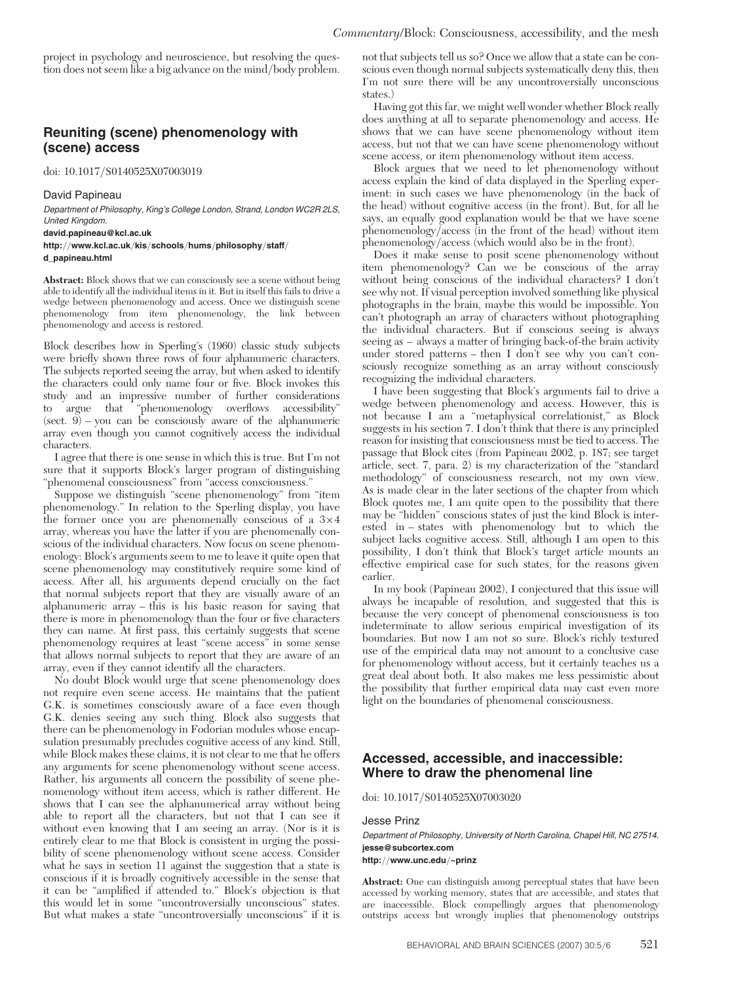project in psychology and neuroscience, but resolving the question does not seem like a big advance on the mind/body problem.

## Reuniting (scene) phenomenology with (scene) access

doi: 10.1017/S0140525X07003019

#### David Papineau

Department of Philosophy, King's College London, Strand, London WC2R 2LS, United Kingdom.

david.papineau@kcl.ac.uk

http://www.kcl.ac.uk/kis/schools/hums/philosophy/staff/ d\_papineau.html

Abstract: Block shows that we can consciously see a scene without being able to identify all the individual items in it. But in itself this fails to drive a wedge between phenomenology and access. Once we distinguish scene phenomenology from item phenomenology, the link between phenomenology and access is restored.

Block describes how in Sperling's (1960) classic study subjects were briefly shown three rows of four alphanumeric characters. The subjects reported seeing the array, but when asked to identify the characters could only name four or five. Block invokes this study and an impressive number of further considerations to argue that "phenomenology overflows accessibility" (sect. 9) – you can be consciously aware of the alphanumeric array even though you cannot cognitively access the individual characters.

I agree that there is one sense in which this is true. But I'm not sure that it supports Block's larger program of distinguishing "phenomenal consciousness" from "access consciousness."

Suppose we distinguish "scene phenomenology" from "item phenomenology." In relation to the Sperling display, you have the former once you are phenomenally conscious of a  $3\times4$ array, whereas you have the latter if you are phenomenally conscious of the individual characters. Now focus on scene phenomenology: Block's arguments seem to me to leave it quite open that scene phenomenology may constitutively require some kind of access. After all, his arguments depend crucially on the fact that normal subjects report that they are visually aware of an alphanumeric array – this is his basic reason for saying that there is more in phenomenology than the four or five characters they can name. At first pass, this certainly suggests that scene phenomenology requires at least "scene access" in some sense that allows normal subjects to report that they are aware of an array, even if they cannot identify all the characters.

No doubt Block would urge that scene phenomenology does not require even scene access. He maintains that the patient G.K. is sometimes consciously aware of a face even though G.K. denies seeing any such thing. Block also suggests that there can be phenomenology in Fodorian modules whose encapsulation presumably precludes cognitive access of any kind. Still, while Block makes these claims, it is not clear to me that he offers any arguments for scene phenomenology without scene access. Rather, his arguments all concern the possibility of scene phenomenology without item access, which is rather different. He shows that I can see the alphanumerical array without being able to report all the characters, but not that I can see it without even knowing that I am seeing an array. (Nor is it is entirely clear to me that Block is consistent in urging the possibility of scene phenomenology without scene access. Consider what he says in section 11 against the suggestion that a state is conscious if it is broadly cognitively accessible in the sense that it can be "amplified if attended to." Block's objection is that this would let in some "uncontroversially unconscious" states. But what makes a state "uncontroversially unconscious" if it is not that subjects tell us so? Once we allow that a state can be conscious even though normal subjects systematically deny this, then I'm not sure there will be any uncontroversially unconscious states.)

Having got this far, we might well wonder whether Block really does anything at all to separate phenomenology and access. He shows that we can have scene phenomenology without item access, but not that we can have scene phenomenology without scene access, or item phenomenology without item access.

Block argues that we need to let phenomenology without access explain the kind of data displayed in the Sperling experiment: in such cases we have phenomenology (in the back of the head) without cognitive access (in the front). But, for all he says, an equally good explanation would be that we have scene phenomenology/access (in the front of the head) without item phenomenology/access (which would also be in the front).

Does it make sense to posit scene phenomenology without item phenomenology? Can we be conscious of the array without being conscious of the individual characters? I don't see why not. If visual perception involved something like physical photographs in the brain, maybe this would be impossible. You can't photograph an array of characters without photographing the individual characters. But if conscious seeing is always seeing as – always a matter of bringing back-of-the brain activity under stored patterns – then I don't see why you can't consciously recognize something as an array without consciously recognizing the individual characters.

I have been suggesting that Block's arguments fail to drive a wedge between phenomenology and access. However, this is not because I am a "metaphysical correlationist," as Block suggests in his section 7. I don't think that there is any principled reason for insisting that consciousness must be tied to access. The passage that Block cites (from Papineau 2002, p. 187; see target article, sect. 7, para. 2) is my characterization of the "standard methodology" of consciousness research, not my own view. As is made clear in the later sections of the chapter from which Block quotes me, I am quite open to the possibility that there may be "hidden" conscious states of just the kind Block is interested in – states with phenomenology but to which the subject lacks cognitive access. Still, although I am open to this possibility, I don't think that Block's target article mounts an effective empirical case for such states, for the reasons given earlier.

In my book (Papineau 2002), I conjectured that this issue will always be incapable of resolution, and suggested that this is because the very concept of phenomenal consciousness is too indeterminate to allow serious empirical investigation of its boundaries. But now I am not so sure. Block's richly textured use of the empirical data may not amount to a conclusive case for phenomenology without access, but it certainly teaches us a great deal about both. It also makes me less pessimistic about the possibility that further empirical data may cast even more light on the boundaries of phenomenal consciousness.

## Accessed, accessible, and inaccessible: Where to draw the phenomenal line

doi: 10.1017/S0140525X07003020

#### Jesse Prinz

Department of Philosophy, University of North Carolina, Chapel Hill, NC 27514. jesse@subcortex.com

http://www.unc.edu/~prinz

Abstract: One can distinguish among perceptual states that have been accessed by working memory, states that are accessible, and states that are inaccessible. Block compellingly argues that phenomenology outstrips access but wrongly implies that phenomenology outstrips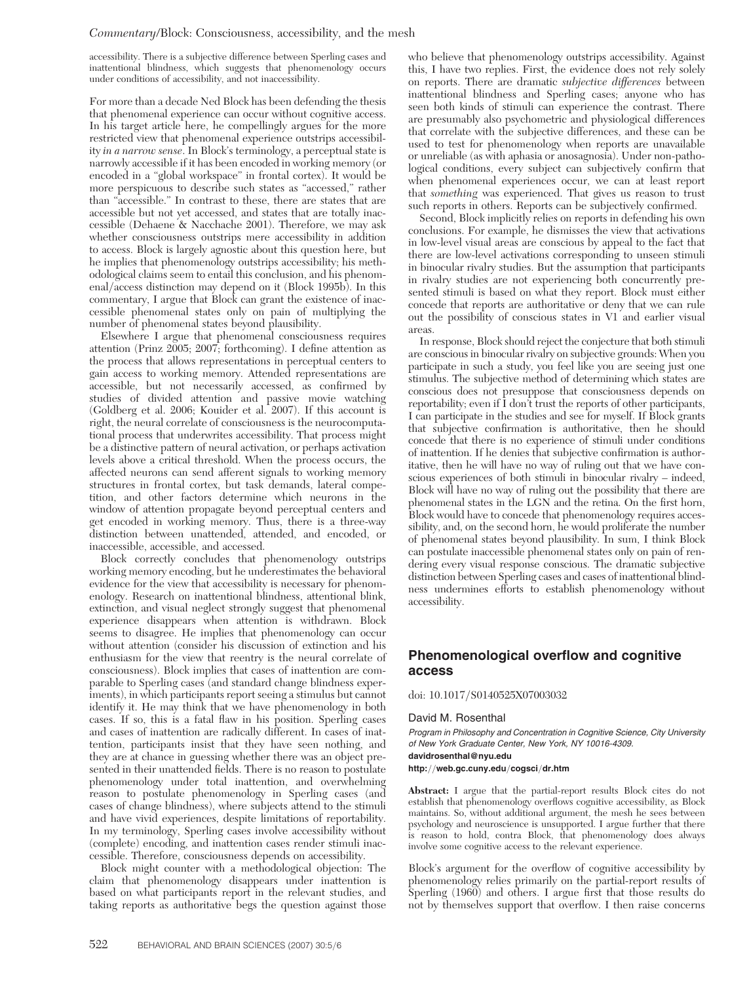accessibility. There is a subjective difference between Sperling cases and inattentional blindness, which suggests that phenomenology occurs under conditions of accessibility, and not inaccessibility.

For more than a decade Ned Block has been defending the thesis that phenomenal experience can occur without cognitive access. In his target article here, he compellingly argues for the more restricted view that phenomenal experience outstrips accessibility in a narrow sense. In Block's terminology, a perceptual state is narrowly accessible if it has been encoded in working memory (or encoded in a "global workspace" in frontal cortex). It would be more perspicuous to describe such states as "accessed," rather than "accessible." In contrast to these, there are states that are accessible but not yet accessed, and states that are totally inaccessible (Dehaene & Nacchache 2001). Therefore, we may ask whether consciousness outstrips mere accessibility in addition to access. Block is largely agnostic about this question here, but he implies that phenomenology outstrips accessibility; his methodological claims seem to entail this conclusion, and his phenomenal/access distinction may depend on it (Block 1995b). In this commentary, I argue that Block can grant the existence of inaccessible phenomenal states only on pain of multiplying the number of phenomenal states beyond plausibility.

Elsewhere I argue that phenomenal consciousness requires attention (Prinz 2005; 2007; forthcoming). I define attention as the process that allows representations in perceptual centers to gain access to working memory. Attended representations are accessible, but not necessarily accessed, as confirmed by studies of divided attention and passive movie watching (Goldberg et al. 2006; Kouider et al. 2007). If this account is right, the neural correlate of consciousness is the neurocomputational process that underwrites accessibility. That process might be a distinctive pattern of neural activation, or perhaps activation levels above a critical threshold. When the process occurs, the affected neurons can send afferent signals to working memory structures in frontal cortex, but task demands, lateral competition, and other factors determine which neurons in the window of attention propagate beyond perceptual centers and get encoded in working memory. Thus, there is a three-way distinction between unattended, attended, and encoded, or inaccessible, accessible, and accessed.

Block correctly concludes that phenomenology outstrips working memory encoding, but he underestimates the behavioral evidence for the view that accessibility is necessary for phenomenology. Research on inattentional blindness, attentional blink, extinction, and visual neglect strongly suggest that phenomenal experience disappears when attention is withdrawn. Block seems to disagree. He implies that phenomenology can occur without attention (consider his discussion of extinction and his enthusiasm for the view that reentry is the neural correlate of consciousness). Block implies that cases of inattention are comparable to Sperling cases (and standard change blindness experiments), in which participants report seeing a stimulus but cannot identify it. He may think that we have phenomenology in both cases. If so, this is a fatal flaw in his position. Sperling cases and cases of inattention are radically different. In cases of inattention, participants insist that they have seen nothing, and they are at chance in guessing whether there was an object presented in their unattended fields. There is no reason to postulate phenomenology under total inattention, and overwhelming reason to postulate phenomenology in Sperling cases (and cases of change blindness), where subjects attend to the stimuli and have vivid experiences, despite limitations of reportability. In my terminology, Sperling cases involve accessibility without (complete) encoding, and inattention cases render stimuli inaccessible. Therefore, consciousness depends on accessibility.

Block might counter with a methodological objection: The claim that phenomenology disappears under inattention is based on what participants report in the relevant studies, and taking reports as authoritative begs the question against those

who believe that phenomenology outstrips accessibility. Against this, I have two replies. First, the evidence does not rely solely on reports. There are dramatic *subjective differences* between inattentional blindness and Sperling cases; anyone who has seen both kinds of stimuli can experience the contrast. There are presumably also psychometric and physiological differences that correlate with the subjective differences, and these can be used to test for phenomenology when reports are unavailable or unreliable (as with aphasia or anosagnosia). Under non-pathological conditions, every subject can subjectively confirm that when phenomenal experiences occur, we can at least report that something was experienced. That gives us reason to trust such reports in others. Reports can be subjectively confirmed.

Second, Block implicitly relies on reports in defending his own conclusions. For example, he dismisses the view that activations in low-level visual areas are conscious by appeal to the fact that there are low-level activations corresponding to unseen stimuli in binocular rivalry studies. But the assumption that participants in rivalry studies are not experiencing both concurrently presented stimuli is based on what they report. Block must either concede that reports are authoritative or deny that we can rule out the possibility of conscious states in V1 and earlier visual areas.

In response, Block should reject the conjecture that both stimuli are conscious in binocular rivalry on subjective grounds: When you participate in such a study, you feel like you are seeing just one stimulus. The subjective method of determining which states are conscious does not presuppose that consciousness depends on reportability; even if I don't trust the reports of other participants, I can participate in the studies and see for myself. If Block grants that subjective confirmation is authoritative, then he should concede that there is no experience of stimuli under conditions of inattention. If he denies that subjective confirmation is authoritative, then he will have no way of ruling out that we have conscious experiences of both stimuli in binocular rivalry – indeed, Block will have no way of ruling out the possibility that there are phenomenal states in the LGN and the retina. On the first horn, Block would have to concede that phenomenology requires accessibility, and, on the second horn, he would proliferate the number of phenomenal states beyond plausibility. In sum, I think Block can postulate inaccessible phenomenal states only on pain of rendering every visual response conscious. The dramatic subjective distinction between Sperling cases and cases of inattentional blindness undermines efforts to establish phenomenology without accessibility.

## Phenomenological overflow and cognitive access

doi: 10.1017/S0140525X07003032

#### David M. Rosenthal

Program in Philosophy and Concentration in Cognitive Science, City University of New York Graduate Center, New York, NY 10016-4309.

## davidrosenthal@nyu.edu

http://web.gc.cuny.edu/cogsci/dr.htm

Abstract: I argue that the partial-report results Block cites do not establish that phenomenology overflows cognitive accessibility, as Block maintains. So, without additional argument, the mesh he sees between psychology and neuroscience is unsupported. I argue further that there is reason to hold, contra Block, that phenomenology does always involve some cognitive access to the relevant experience.

Block's argument for the overflow of cognitive accessibility by phenomenology relies primarily on the partial-report results of Sperling (1960) and others. I argue first that those results do not by themselves support that overflow. I then raise concerns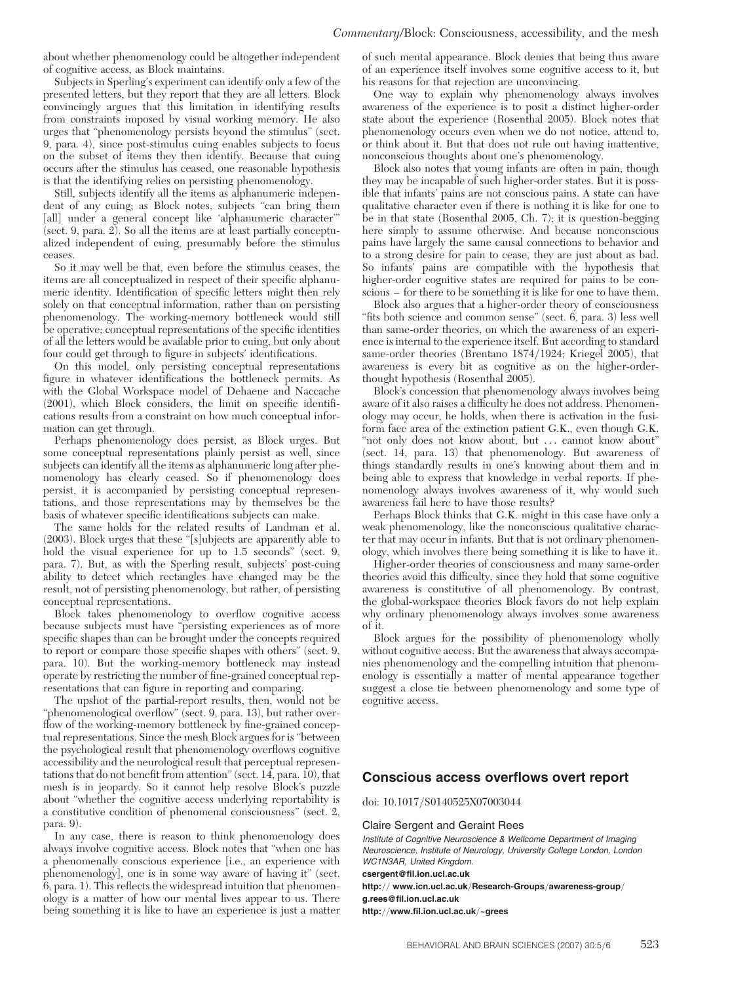about whether phenomenology could be altogether independent of cognitive access, as Block maintains.

Subjects in Sperling's experiment can identify only a few of the presented letters, but they report that they are all letters. Block convincingly argues that this limitation in identifying results from constraints imposed by visual working memory. He also urges that "phenomenology persists beyond the stimulus" (sect. 9, para. 4), since post-stimulus cuing enables subjects to focus on the subset of items they then identify. Because that cuing occurs after the stimulus has ceased, one reasonable hypothesis is that the identifying relies on persisting phenomenology.

Still, subjects identify all the items as alphanumeric independent of any cuing; as Block notes, subjects "can bring them [all] under a general concept like 'alphanumeric character'" (sect. 9, para. 2). So all the items are at least partially conceptualized independent of cuing, presumably before the stimulus ceases.

So it may well be that, even before the stimulus ceases, the items are all conceptualized in respect of their specific alphanumeric identity. Identification of specific letters might then rely solely on that conceptual information, rather than on persisting phenomenology. The working-memory bottleneck would still be operative; conceptual representations of the specific identities of all the letters would be available prior to cuing, but only about four could get through to figure in subjects' identifications.

On this model, only persisting conceptual representations figure in whatever identifications the bottleneck permits. As with the Global Workspace model of Dehaene and Naccache (2001), which Block considers, the limit on specific identifications results from a constraint on how much conceptual information can get through.

Perhaps phenomenology does persist, as Block urges. But some conceptual representations plainly persist as well, since subjects can identify all the items as alphanumeric long after phenomenology has clearly ceased. So if phenomenology does persist, it is accompanied by persisting conceptual representations, and those representations may by themselves be the basis of whatever specific identifications subjects can make.

The same holds for the related results of Landman et al. (2003). Block urges that these "[s]ubjects are apparently able to hold the visual experience for up to 1.5 seconds" (sect. 9, para. 7). But, as with the Sperling result, subjects' post-cuing ability to detect which rectangles have changed may be the result, not of persisting phenomenology, but rather, of persisting conceptual representations.

Block takes phenomenology to overflow cognitive access because subjects must have "persisting experiences as of more specific shapes than can be brought under the concepts required to report or compare those specific shapes with others" (sect. 9, para. 10). But the working-memory bottleneck may instead operate by restricting the number of fine-grained conceptual representations that can figure in reporting and comparing.

The upshot of the partial-report results, then, would not be "phenomenological overflow" (sect. 9, para. 13), but rather overflow of the working-memory bottleneck by fine-grained conceptual representations. Since the mesh Block argues for is "between the psychological result that phenomenology overflows cognitive accessibility and the neurological result that perceptual representations that do not benefit from attention" (sect. 14, para. 10), that mesh is in jeopardy. So it cannot help resolve Block's puzzle about "whether the cognitive access underlying reportability is a constitutive condition of phenomenal consciousness" (sect. 2, para. 9).

In any case, there is reason to think phenomenology does always involve cognitive access. Block notes that "when one has a phenomenally conscious experience [i.e., an experience with phenomenology], one is in some way aware of having it" (sect. 6, para. 1). This reflects the widespread intuition that phenomenology is a matter of how our mental lives appear to us. There being something it is like to have an experience is just a matter of such mental appearance. Block denies that being thus aware of an experience itself involves some cognitive access to it, but his reasons for that rejection are unconvincing.

One way to explain why phenomenology always involves awareness of the experience is to posit a distinct higher-order state about the experience (Rosenthal 2005). Block notes that phenomenology occurs even when we do not notice, attend to, or think about it. But that does not rule out having inattentive, nonconscious thoughts about one's phenomenology.

Block also notes that young infants are often in pain, though they may be incapable of such higher-order states. But it is possible that infants' pains are not conscious pains. A state can have qualitative character even if there is nothing it is like for one to be in that state (Rosenthal 2005, Ch. 7); it is question-begging here simply to assume otherwise. And because nonconscious pains have largely the same causal connections to behavior and to a strong desire for pain to cease, they are just about as bad. So infants' pains are compatible with the hypothesis that higher-order cognitive states are required for pains to be conscious – for there to be something it is like for one to have them.

Block also argues that a higher-order theory of consciousness "fits both science and common sense" (sect. 6, para. 3) less well than same-order theories, on which the awareness of an experience is internal to the experience itself. But according to standard same-order theories (Brentano 1874/1924; Kriegel 2005), that awareness is every bit as cognitive as on the higher-orderthought hypothesis (Rosenthal 2005).

Block's concession that phenomenology always involves being aware of it also raises a difficulty he does not address. Phenomenology may occur, he holds, when there is activation in the fusiform face area of the extinction patient G.K., even though G.K. "not only does not know about, but ... cannot know about" (sect. 14, para. 13) that phenomenology. But awareness of things standardly results in one's knowing about them and in being able to express that knowledge in verbal reports. If phenomenology always involves awareness of it, why would such awareness fail here to have those results?

Perhaps Block thinks that G.K. might in this case have only a weak phenomenology, like the nonconscious qualitative character that may occur in infants. But that is not ordinary phenomenology, which involves there being something it is like to have it.

Higher-order theories of consciousness and many same-order theories avoid this difficulty, since they hold that some cognitive awareness is constitutive of all phenomenology. By contrast, the global-workspace theories Block favors do not help explain why ordinary phenomenology always involves some awareness of it.

Block argues for the possibility of phenomenology wholly without cognitive access. But the awareness that always accompanies phenomenology and the compelling intuition that phenomenology is essentially a matter of mental appearance together suggest a close tie between phenomenology and some type of cognitive access.

## Conscious access overflows overt report

doi: 10.1017/S0140525X07003044

## Claire Sergent and Geraint Rees

Institute of Cognitive Neuroscience & Wellcome Department of Imaging Neuroscience, Institute of Neurology, University College London, London WC1N3AR, United Kingdom.

csergent@fil.ion.ucl.ac.uk

http:// www.icn.ucl.ac.uk/Research-Groups/awareness-group/ g.rees@fil.ion.ucl.ac.uk

http://www.fil.ion.ucl.ac.uk/~grees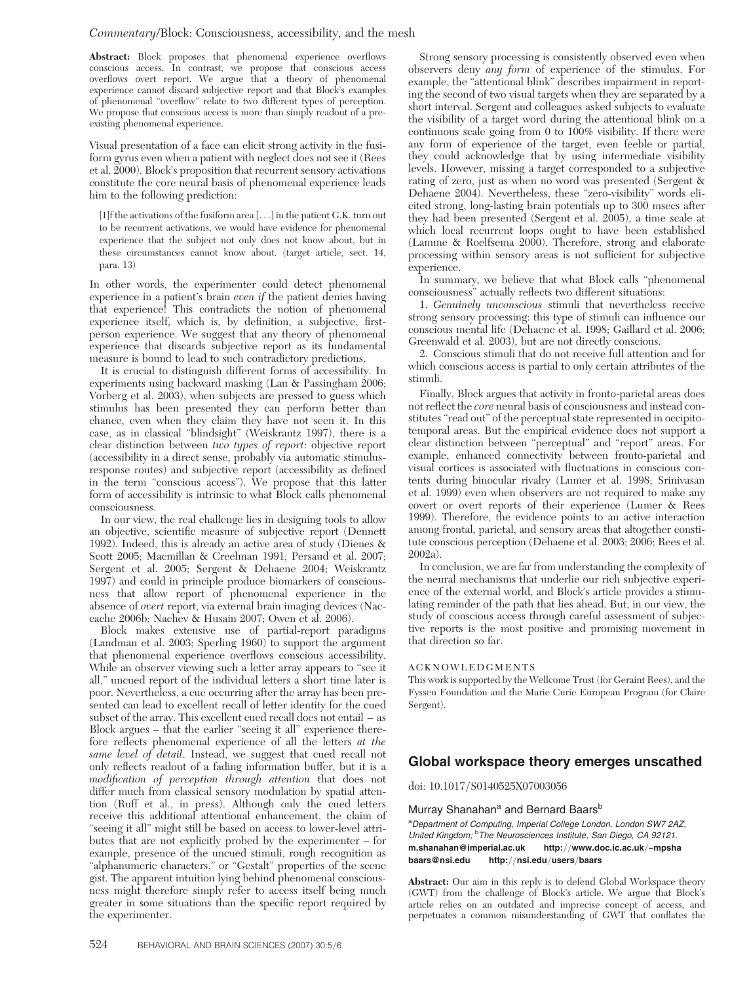Abstract: Block proposes that phenomenal experience overflows conscious access. In contrast, we propose that conscious access overflows overt report. We argue that a theory of phenomenal experience cannot discard subjective report and that Block's examples of phenomenal "overflow" relate to two different types of perception. We propose that conscious access is more than simply readout of a preexisting phenomenal experience.

Visual presentation of a face can elicit strong activity in the fusiform gyrus even when a patient with neglect does not see it (Rees et al. 2000). Block's proposition that recurrent sensory activations constitute the core neural basis of phenomenal experience leads him to the following prediction:

[I]f the activations of the fusiform area [...] in the patient G.K. turn out to be recurrent activations, we would have evidence for phenomenal experience that the subject not only does not know about, but in these circumstances cannot know about. (target article, sect. 14, para. 13)

In other words, the experimenter could detect phenomenal experience in a patient's brain even if the patient denies having that experience! This contradicts the notion of phenomenal experience itself, which is, by definition, a subjective, firstperson experience. We suggest that any theory of phenomenal experience that discards subjective report as its fundamental measure is bound to lead to such contradictory predictions.

It is crucial to distinguish different forms of accessibility. In experiments using backward masking (Lau & Passingham 2006; Vorberg et al. 2003), when subjects are pressed to guess which stimulus has been presented they can perform better than chance, even when they claim they have not seen it. In this case, as in classical "blindsight" (Weiskrantz 1997), there is a clear distinction between two types of report: objective report (accessibility in a direct sense, probably via automatic stimulusresponse routes) and subjective report (accessibility as defined in the term "conscious access"). We propose that this latter form of accessibility is intrinsic to what Block calls phenomenal consciousness.

In our view, the real challenge lies in designing tools to allow an objective, scientific measure of subjective report (Dennett 1992). Indeed, this is already an active area of study (Dienes & Scott 2005; Macmillan & Creelman 1991; Persaud et al. 2007; Sergent et al. 2005; Sergent & Dehaene 2004; Weiskrantz 1997) and could in principle produce biomarkers of consciousness that allow report of phenomenal experience in the absence of overt report, via external brain imaging devices (Naccache 2006b; Nachev & Husain 2007; Owen et al. 2006).

Block makes extensive use of partial-report paradigms (Landman et al. 2003; Sperling 1960) to support the argument that phenomenal experience overflows conscious accessibility. While an observer viewing such a letter array appears to "see it all," uncued report of the individual letters a short time later is poor. Nevertheless, a cue occurring after the array has been presented can lead to excellent recall of letter identity for the cued subset of the array. This excellent cued recall does not entail – as Block argues – that the earlier "seeing it all" experience therefore reflects phenomenal experience of all the letters at the same level of detail. Instead, we suggest that cued recall not only reflects readout of a fading information buffer, but it is a modification of perception through attention that does not differ much from classical sensory modulation by spatial attention (Ruff et al., in press). Although only the cued letters receive this additional attentional enhancement, the claim of "seeing it all" might still be based on access to lower-level attributes that are not explicitly probed by the experimenter – for example, presence of the uncued stimuli, rough recognition as "alphanumeric characters," or "Gestalt" properties of the scene gist. The apparent intuition lying behind phenomenal consciousness might therefore simply refer to access itself being much greater in some situations than the specific report required by the experimenter.

Strong sensory processing is consistently observed even when observers deny any form of experience of the stimulus. For example, the "attentional blink" describes impairment in reporting the second of two visual targets when they are separated by a short interval. Sergent and colleagues asked subjects to evaluate the visibility of a target word during the attentional blink on a continuous scale going from 0 to 100% visibility. If there were any form of experience of the target, even feeble or partial, they could acknowledge that by using intermediate visibility levels. However, missing a target corresponded to a subjective rating of zero, just as when no word was presented (Sergent & Dehaene 2004). Nevertheless, these "zero-visibility" words elicited strong, long-lasting brain potentials up to 300 msecs after they had been presented (Sergent et al. 2005), a time scale at which local recurrent loops ought to have been established (Lamme & Roelfsema 2000). Therefore, strong and elaborate processing within sensory areas is not sufficient for subjective experience.

In summary, we believe that what Block calls "phenomenal consciousness" actually reflects two different situations:

1. Genuinely unconscious stimuli that nevertheless receive strong sensory processing: this type of stimuli can influence our conscious mental life (Dehaene et al. 1998; Gaillard et al. 2006; Greenwald et al. 2003), but are not directly conscious.

2. Conscious stimuli that do not receive full attention and for which conscious access is partial to only certain attributes of the stimuli.

Finally, Block argues that activity in fronto-parietal areas does not reflect the core neural basis of consciousness and instead constitutes "read out" of the perceptual state represented in occipitotemporal areas. But the empirical evidence does not support a clear distinction between "perceptual" and "report" areas. For example, enhanced connectivity between fronto-parietal and visual cortices is associated with fluctuations in conscious contents during binocular rivalry (Lumer et al. 1998; Srinivasan et al. 1999) even when observers are not required to make any covert or overt reports of their experience (Lumer & Rees 1999). Therefore, the evidence points to an active interaction among frontal, parietal, and sensory areas that altogether constitute conscious perception (Dehaene et al. 2003; 2006; Rees et al. 2002a).

In conclusion, we are far from understanding the complexity of the neural mechanisms that underlie our rich subjective experience of the external world, and Block's article provides a stimulating reminder of the path that lies ahead. But, in our view, the study of conscious access through careful assessment of subjective reports is the most positive and promising movement in that direction so far.

#### ACKNOWLEDGMENTS

This work is supported by the Wellcome Trust (for Geraint Rees), and the Fyssen Foundation and the Marie Curie European Program (for Claire Sergent).

## Global workspace theory emerges unscathed

doi: 10.1017/S0140525X07003056

#### Murray Shanahan<sup>a</sup> and Bernard Baars<sup>b</sup>

<sup>a</sup>Department of Computing, Imperial College London, London SW7 2AZ, United Kingdom; <sup>b</sup> The Neurosciences Institute, San Diego, CA 92121. m.shanahan@imperial.ac.uk http://www.doc.ic.ac.uk/~mpsha baars@nsi.edu http://nsi.edu/users/baars

Abstract: Our aim in this reply is to defend Global Workspace theory (GWT) from the challenge of Block's article. We argue that Block's article relies on an outdated and imprecise concept of access, and perpetuates a common misunderstanding of GWT that conflates the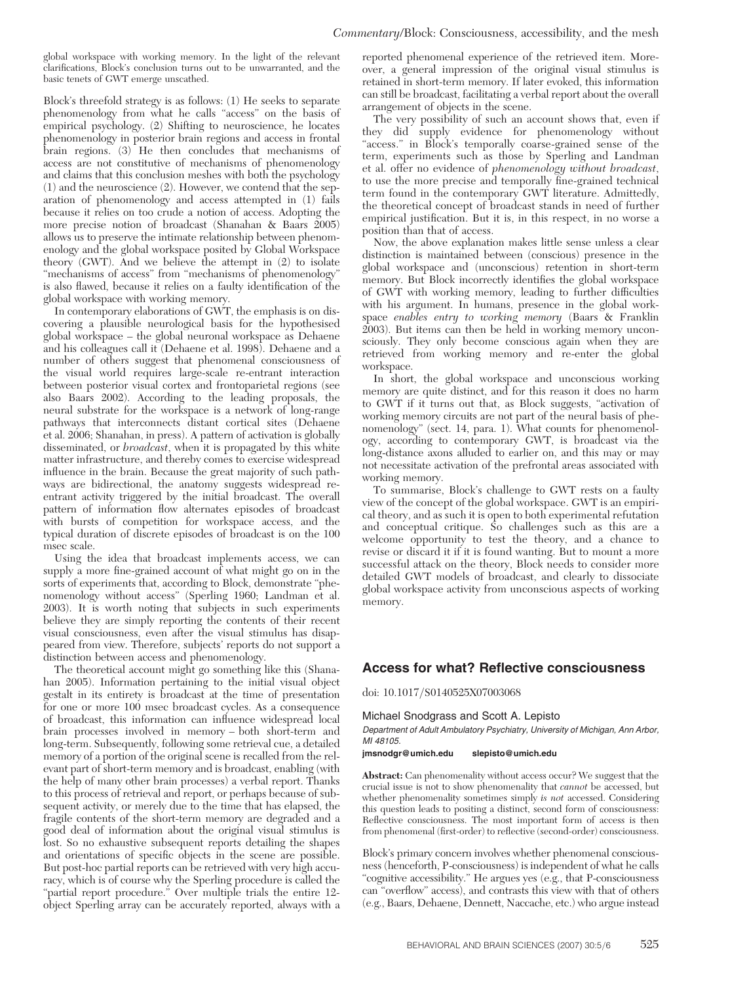global workspace with working memory. In the light of the relevant clarifications, Block's conclusion turns out to be unwarranted, and the basic tenets of GWT emerge unscathed.

Block's threefold strategy is as follows: (1) He seeks to separate phenomenology from what he calls "access" on the basis of empirical psychology. (2) Shifting to neuroscience, he locates phenomenology in posterior brain regions and access in frontal brain regions. (3) He then concludes that mechanisms of access are not constitutive of mechanisms of phenomenology and claims that this conclusion meshes with both the psychology (1) and the neuroscience (2). However, we contend that the separation of phenomenology and access attempted in (1) fails because it relies on too crude a notion of access. Adopting the more precise notion of broadcast (Shanahan & Baars 2005) allows us to preserve the intimate relationship between phenomenology and the global workspace posited by Global Workspace theory (GWT). And we believe the attempt in (2) to isolate "mechanisms of access" from "mechanisms of phenomenology" is also flawed, because it relies on a faulty identification of the global workspace with working memory.

In contemporary elaborations of GWT, the emphasis is on discovering a plausible neurological basis for the hypothesised global workspace – the global neuronal workspace as Dehaene and his colleagues call it (Dehaene et al. 1998). Dehaene and a number of others suggest that phenomenal consciousness of the visual world requires large-scale re-entrant interaction between posterior visual cortex and frontoparietal regions (see also Baars 2002). According to the leading proposals, the neural substrate for the workspace is a network of long-range pathways that interconnects distant cortical sites (Dehaene et al. 2006; Shanahan, in press). A pattern of activation is globally disseminated, or *broadcast*, when it is propagated by this white matter infrastructure, and thereby comes to exercise widespread influence in the brain. Because the great majority of such pathways are bidirectional, the anatomy suggests widespread reentrant activity triggered by the initial broadcast. The overall pattern of information flow alternates episodes of broadcast with bursts of competition for workspace access, and the typical duration of discrete episodes of broadcast is on the 100 msec scale.

Using the idea that broadcast implements access, we can supply a more fine-grained account of what might go on in the sorts of experiments that, according to Block, demonstrate "phenomenology without access" (Sperling 1960; Landman et al. 2003). It is worth noting that subjects in such experiments believe they are simply reporting the contents of their recent visual consciousness, even after the visual stimulus has disappeared from view. Therefore, subjects' reports do not support a distinction between access and phenomenology.

The theoretical account might go something like this (Shanahan 2005). Information pertaining to the initial visual object gestalt in its entirety is broadcast at the time of presentation for one or more 100 msec broadcast cycles. As a consequence of broadcast, this information can influence widespread local brain processes involved in memory – both short-term and long-term. Subsequently, following some retrieval cue, a detailed memory of a portion of the original scene is recalled from the relevant part of short-term memory and is broadcast, enabling (with the help of many other brain processes) a verbal report. Thanks to this process of retrieval and report, or perhaps because of subsequent activity, or merely due to the time that has elapsed, the fragile contents of the short-term memory are degraded and a good deal of information about the original visual stimulus is lost. So no exhaustive subsequent reports detailing the shapes and orientations of specific objects in the scene are possible. But post-hoc partial reports can be retrieved with very high accuracy, which is of course why the Sperling procedure is called the "partial report procedure." Over multiple trials the entire 12 object Sperling array can be accurately reported, always with a reported phenomenal experience of the retrieved item. Moreover, a general impression of the original visual stimulus is retained in short-term memory. If later evoked, this information can still be broadcast, facilitating a verbal report about the overall arrangement of objects in the scene.

The very possibility of such an account shows that, even if they did supply evidence for phenomenology without "access." in Block's temporally coarse-grained sense of the term, experiments such as those by Sperling and Landman et al. offer no evidence of phenomenology without broadcast, to use the more precise and temporally fine-grained technical term found in the contemporary GWT literature. Admittedly, the theoretical concept of broadcast stands in need of further empirical justification. But it is, in this respect, in no worse a position than that of access.

Now, the above explanation makes little sense unless a clear distinction is maintained between (conscious) presence in the global workspace and (unconscious) retention in short-term memory. But Block incorrectly identifies the global workspace of GWT with working memory, leading to further difficulties with his argument. In humans, presence in the global workspace enables entry to working memory (Baars & Franklin 2003). But items can then be held in working memory unconsciously. They only become conscious again when they are retrieved from working memory and re-enter the global workspace.

In short, the global workspace and unconscious working memory are quite distinct, and for this reason it does no harm to GWT if it turns out that, as Block suggests, "activation of working memory circuits are not part of the neural basis of phenomenology" (sect. 14, para. 1). What counts for phenomenology, according to contemporary GWT, is broadcast via the long-distance axons alluded to earlier on, and this may or may not necessitate activation of the prefrontal areas associated with working memory.

To summarise, Block's challenge to GWT rests on a faulty view of the concept of the global workspace. GWT is an empirical theory, and as such it is open to both experimental refutation and conceptual critique. So challenges such as this are a welcome opportunity to test the theory, and a chance to revise or discard it if it is found wanting. But to mount a more successful attack on the theory, Block needs to consider more detailed GWT models of broadcast, and clearly to dissociate global workspace activity from unconscious aspects of working memory.

## Access for what? Reflective consciousness

doi: 10.1017/S0140525X07003068

#### Michael Snodgrass and Scott A. Lepisto

Department of Adult Ambulatory Psychiatry, University of Michigan, Ann Arbor, MI 48105.

jmsnodgr@umich.edu slepisto@umich.edu

Abstract: Can phenomenality without access occur? We suggest that the crucial issue is not to show phenomenality that cannot be accessed, but whether phenomenality sometimes simply is not accessed. Considering this question leads to positing a distinct, second form of consciousness: Reflective consciousness. The most important form of access is then from phenomenal (first-order) to reflective (second-order) consciousness.

Block's primary concern involves whether phenomenal consciousness (henceforth, P-consciousness) is independent of what he calls "cognitive accessibility." He argues yes (e.g., that P-consciousness can "overflow" access), and contrasts this view with that of others (e.g., Baars, Dehaene, Dennett, Naccache, etc.) who argue instead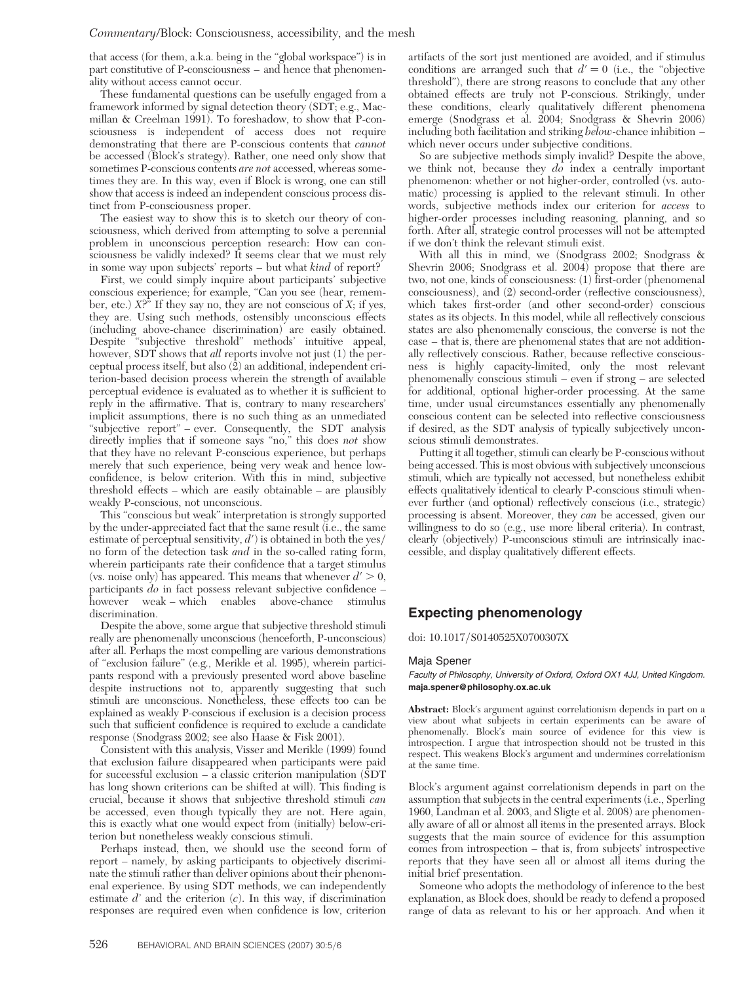that access (for them, a.k.a. being in the "global workspace") is in part constitutive of P-consciousness – and hence that phenomenality without access cannot occur.

These fundamental questions can be usefully engaged from a framework informed by signal detection theory (SDT; e.g., Macmillan & Creelman 1991). To foreshadow, to show that P-consciousness is independent of access does not require demonstrating that there are P-conscious contents that cannot be accessed (Block's strategy). Rather, one need only show that sometimes P-conscious contents are not accessed, whereas sometimes they are. In this way, even if Block is wrong, one can still show that access is indeed an independent conscious process distinct from P-consciousness proper.

The easiest way to show this is to sketch our theory of consciousness, which derived from attempting to solve a perennial problem in unconscious perception research: How can consciousness be validly indexed? It seems clear that we must rely in some way upon subjects' reports – but what kind of report?

First, we could simply inquire about participants' subjective conscious experience; for example, "Can you see (hear, remember, etc.)  $X$ ?" If they say no, they are not conscious of  $X$ ; if yes, they are. Using such methods, ostensibly unconscious effects (including above-chance discrimination) are easily obtained. Despite "subjective threshold" methods' intuitive appeal, however, SDT shows that *all* reports involve not just (1) the perceptual process itself, but also  $(\overline{2})$  an additional, independent criterion-based decision process wherein the strength of available perceptual evidence is evaluated as to whether it is sufficient to reply in the affirmative. That is, contrary to many researchers' implicit assumptions, there is no such thing as an unmediated "subjective report" – ever. Consequently, the SDT analysis directly implies that if someone says "no," this does not show that they have no relevant P-conscious experience, but perhaps merely that such experience, being very weak and hence lowconfidence, is below criterion. With this in mind, subjective threshold effects – which are easily obtainable – are plausibly weakly P-conscious, not unconscious.

This "conscious but weak" interpretation is strongly supported by the under-appreciated fact that the same result (i.e., the same estimate of perceptual sensitivity,  $d'$  is obtained in both the yes/ no form of the detection task and in the so-called rating form, wherein participants rate their confidence that a target stimulus (vs. noise only) has appeared. This means that whenever  $d' > 0$ , participants do in fact possess relevant subjective confidence – however weak – which enables above-chance stimulus discrimination.

Despite the above, some argue that subjective threshold stimuli really are phenomenally unconscious (henceforth, P-unconscious) after all. Perhaps the most compelling are various demonstrations of "exclusion failure" (e.g., Merikle et al. 1995), wherein participants respond with a previously presented word above baseline despite instructions not to, apparently suggesting that such stimuli are unconscious. Nonetheless, these effects too can be explained as weakly P-conscious if exclusion is a decision process such that sufficient confidence is required to exclude a candidate response (Snodgrass 2002; see also Haase & Fisk 2001).

Consistent with this analysis, Visser and Merikle (1999) found that exclusion failure disappeared when participants were paid for successful exclusion – a classic criterion manipulation (SDT has long shown criterions can be shifted at will). This finding is crucial, because it shows that subjective threshold stimuli can be accessed, even though typically they are not. Here again, this is exactly what one would expect from (initially) below-criterion but nonetheless weakly conscious stimuli.

Perhaps instead, then, we should use the second form of report – namely, by asking participants to objectively discriminate the stimuli rather than deliver opinions about their phenomenal experience. By using SDT methods, we can independently estimate  $d'$  and the criterion  $(c)$ . In this way, if discrimination responses are required even when confidence is low, criterion

artifacts of the sort just mentioned are avoided, and if stimulus conditions are arranged such that  $d' = 0$  (i.e., the "objective threshold"), there are strong reasons to conclude that any other obtained effects are truly not P-conscious. Strikingly, under these conditions, clearly qualitatively different phenomena emerge (Snodgrass et al. 2004; Snodgrass & Shevrin 2006) including both facilitation and striking *below*-chance inhibition – which never occurs under subjective conditions.

So are subjective methods simply invalid? Despite the above, we think not, because they  $d\tilde{o}$  index a centrally important phenomenon: whether or not higher-order, controlled (vs. automatic) processing is applied to the relevant stimuli. In other words, subjective methods index our criterion for access to higher-order processes including reasoning, planning, and so forth. After all, strategic control processes will not be attempted if we don't think the relevant stimuli exist.

With all this in mind, we (Snodgrass 2002; Snodgrass & Shevrin 2006; Snodgrass et al. 2004) propose that there are two, not one, kinds of consciousness: (1) first-order (phenomenal consciousness), and (2) second-order (reflective consciousness), which takes first-order (and other second-order) conscious states as its objects. In this model, while all reflectively conscious states are also phenomenally conscious, the converse is not the case – that is, there are phenomenal states that are not additionally reflectively conscious. Rather, because reflective consciousness is highly capacity-limited, only the most relevant phenomenally conscious stimuli – even if strong – are selected for additional, optional higher-order processing. At the same time, under usual circumstances essentially any phenomenally conscious content can be selected into reflective consciousness if desired, as the SDT analysis of typically subjectively unconscious stimuli demonstrates.

Putting it all together, stimuli can clearly be P-conscious without being accessed. This is most obvious with subjectively unconscious stimuli, which are typically not accessed, but nonetheless exhibit effects qualitatively identical to clearly P-conscious stimuli whenever further (and optional) reflectively conscious (i.e., strategic) processing is absent. Moreover, they can be accessed, given our willingness to do so (e.g., use more liberal criteria). In contrast, clearly (objectively) P-unconscious stimuli are intrinsically inaccessible, and display qualitatively different effects.

## Expecting phenomenology

doi: 10.1017/S0140525X0700307X

#### Maja Spener

Faculty of Philosophy, University of Oxford, Oxford OX1 4JJ, United Kingdom. maja.spener@philosophy.ox.ac.uk

Abstract: Block's argument against correlationism depends in part on a view about what subjects in certain experiments can be aware of phenomenally. Block's main source of evidence for this view is introspection. I argue that introspection should not be trusted in this respect. This weakens Block's argument and undermines correlationism at the same time.

Block's argument against correlationism depends in part on the assumption that subjects in the central experiments (i.e., Sperling 1960, Landman et al. 2003, and Sligte et al. 2008) are phenomenally aware of all or almost all items in the presented arrays. Block suggests that the main source of evidence for this assumption comes from introspection – that is, from subjects' introspective reports that they have seen all or almost all items during the initial brief presentation.

Someone who adopts the methodology of inference to the best explanation, as Block does, should be ready to defend a proposed range of data as relevant to his or her approach. And when it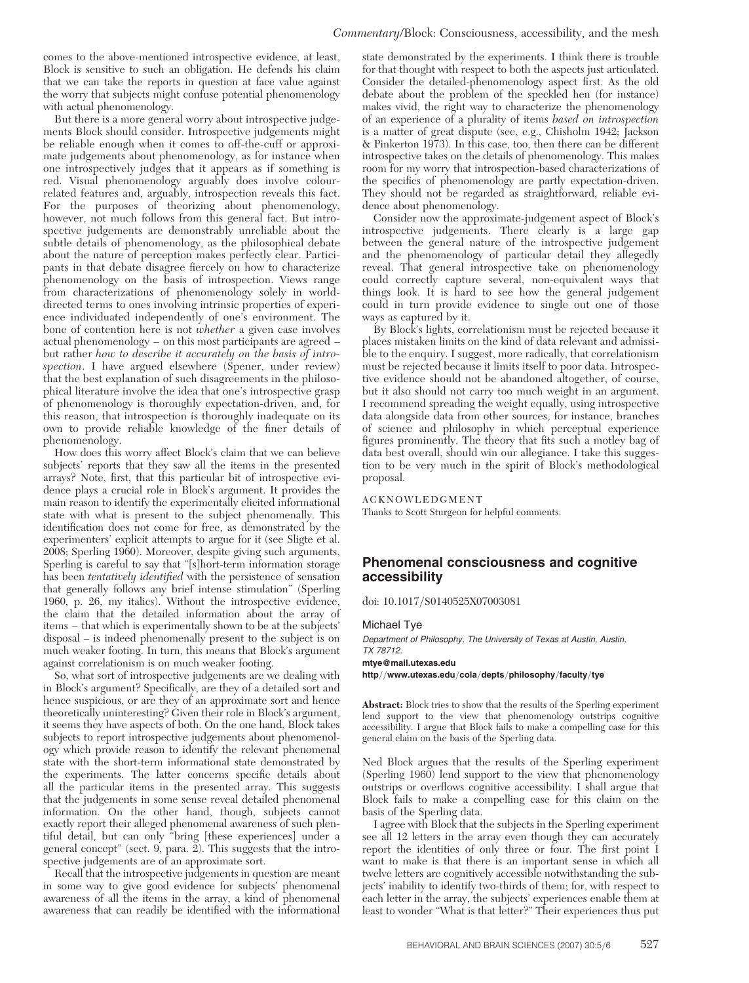comes to the above-mentioned introspective evidence, at least, Block is sensitive to such an obligation. He defends his claim that we can take the reports in question at face value against the worry that subjects might confuse potential phenomenology with actual phenomenology.

But there is a more general worry about introspective judgements Block should consider. Introspective judgements might be reliable enough when it comes to off-the-cuff or approximate judgements about phenomenology, as for instance when one introspectively judges that it appears as if something is red. Visual phenomenology arguably does involve colourrelated features and, arguably, introspection reveals this fact. For the purposes of theorizing about phenomenology, however, not much follows from this general fact. But introspective judgements are demonstrably unreliable about the subtle details of phenomenology, as the philosophical debate about the nature of perception makes perfectly clear. Participants in that debate disagree fiercely on how to characterize phenomenology on the basis of introspection. Views range from characterizations of phenomenology solely in worlddirected terms to ones involving intrinsic properties of experience individuated independently of one's environment. The bone of contention here is not whether a given case involves actual phenomenology – on this most participants are agreed – but rather how to describe it accurately on the basis of introspection. I have argued elsewhere (Spener, under review) that the best explanation of such disagreements in the philosophical literature involve the idea that one's introspective grasp of phenomenology is thoroughly expectation-driven, and, for this reason, that introspection is thoroughly inadequate on its own to provide reliable knowledge of the finer details of phenomenology.

How does this worry affect Block's claim that we can believe subjects' reports that they saw all the items in the presented arrays? Note, first, that this particular bit of introspective evidence plays a crucial role in Block's argument. It provides the main reason to identify the experimentally elicited informational state with what is present to the subject phenomenally. This identification does not come for free, as demonstrated by the experimenters' explicit attempts to argue for it (see Sligte et al. 2008; Sperling 1960). Moreover, despite giving such arguments, Sperling is careful to say that "[s]hort-term information storage has been tentatively identified with the persistence of sensation that generally follows any brief intense stimulation" (Sperling 1960, p. 26, my italics). Without the introspective evidence, the claim that the detailed information about the array of items – that which is experimentally shown to be at the subjects' disposal – is indeed phenomenally present to the subject is on much weaker footing. In turn, this means that Block's argument against correlationism is on much weaker footing.

So, what sort of introspective judgements are we dealing with in Block's argument? Specifically, are they of a detailed sort and hence suspicious, or are they of an approximate sort and hence theoretically uninteresting? Given their role in Block's argument, it seems they have aspects of both. On the one hand, Block takes subjects to report introspective judgements about phenomenology which provide reason to identify the relevant phenomenal state with the short-term informational state demonstrated by the experiments. The latter concerns specific details about all the particular items in the presented array. This suggests that the judgements in some sense reveal detailed phenomenal information. On the other hand, though, subjects cannot exactly report their alleged phenomenal awareness of such plentiful detail, but can only "bring [these experiences] under a general concept" (sect. 9, para. 2). This suggests that the introspective judgements are of an approximate sort.

Recall that the introspective judgements in question are meant in some way to give good evidence for subjects' phenomenal awareness of all the items in the array, a kind of phenomenal awareness that can readily be identified with the informational state demonstrated by the experiments. I think there is trouble for that thought with respect to both the aspects just articulated. Consider the detailed-phenomenology aspect first. As the old debate about the problem of the speckled hen (for instance) makes vivid, the right way to characterize the phenomenology of an experience of a plurality of items based on introspection is a matter of great dispute (see, e.g., Chisholm 1942; Jackson & Pinkerton 1973). In this case, too, then there can be different introspective takes on the details of phenomenology. This makes room for my worry that introspection-based characterizations of the specifics of phenomenology are partly expectation-driven. They should not be regarded as straightforward, reliable evidence about phenomenology.

Consider now the approximate-judgement aspect of Block's introspective judgements. There clearly is a large gap between the general nature of the introspective judgement and the phenomenology of particular detail they allegedly reveal. That general introspective take on phenomenology could correctly capture several, non-equivalent ways that things look. It is hard to see how the general judgement could in turn provide evidence to single out one of those ways as captured by it.

By Block's lights, correlationism must be rejected because it places mistaken limits on the kind of data relevant and admissible to the enquiry. I suggest, more radically, that correlationism must be rejected because it limits itself to poor data. Introspective evidence should not be abandoned altogether, of course, but it also should not carry too much weight in an argument. I recommend spreading the weight equally, using introspective data alongside data from other sources, for instance, branches of science and philosophy in which perceptual experience figures prominently. The theory that fits such a motley bag of data best overall, should win our allegiance. I take this suggestion to be very much in the spirit of Block's methodological proposal.

ACKNOWLEDGMENT

Thanks to Scott Sturgeon for helpful comments.

## Phenomenal consciousness and cognitive accessibility

doi: 10.1017/S0140525X07003081

#### Michael Tye

Department of Philosophy, The University of Texas at Austin, Austin, TX 78712.

#### mtye@mail.utexas.edu

http//www.utexas.edu/cola/depts/philosophy/faculty/tye

Abstract: Block tries to show that the results of the Sperling experiment lend support to the view that phenomenology outstrips cognitive accessibility. I argue that Block fails to make a compelling case for this general claim on the basis of the Sperling data.

Ned Block argues that the results of the Sperling experiment (Sperling 1960) lend support to the view that phenomenology outstrips or overflows cognitive accessibility. I shall argue that Block fails to make a compelling case for this claim on the basis of the Sperling data.

I agree with Block that the subjects in the Sperling experiment see all 12 letters in the array even though they can accurately report the identities of only three or four. The first point I want to make is that there is an important sense in which all twelve letters are cognitively accessible notwithstanding the subjects' inability to identify two-thirds of them; for, with respect to each letter in the array, the subjects' experiences enable them at least to wonder "What is that letter?" Their experiences thus put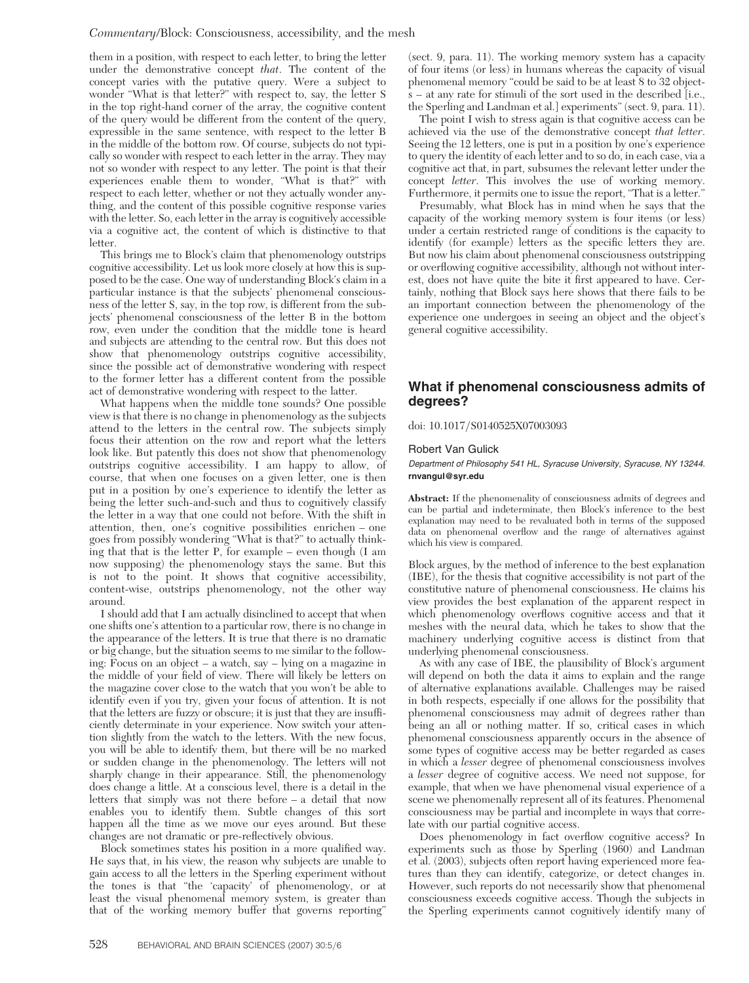them in a position, with respect to each letter, to bring the letter under the demonstrative concept that. The content of the concept varies with the putative query. Were a subject to wonder "What is that letter?" with respect to, say, the letter S in the top right-hand corner of the array, the cognitive content of the query would be different from the content of the query, expressible in the same sentence, with respect to the letter B in the middle of the bottom row. Of course, subjects do not typically so wonder with respect to each letter in the array. They may not so wonder with respect to any letter. The point is that their experiences enable them to wonder, "What is that?" with respect to each letter, whether or not they actually wonder anything, and the content of this possible cognitive response varies with the letter. So, each letter in the array is cognitively accessible via a cognitive act, the content of which is distinctive to that letter.

This brings me to Block's claim that phenomenology outstrips cognitive accessibility. Let us look more closely at how this is supposed to be the case. One way of understanding Block's claim in a particular instance is that the subjects' phenomenal consciousness of the letter S, say, in the top row, is different from the subjects' phenomenal consciousness of the letter B in the bottom row, even under the condition that the middle tone is heard and subjects are attending to the central row. But this does not show that phenomenology outstrips cognitive accessibility, since the possible act of demonstrative wondering with respect to the former letter has a different content from the possible act of demonstrative wondering with respect to the latter.

What happens when the middle tone sounds? One possible view is that there is no change in phenomenology as the subjects attend to the letters in the central row. The subjects simply focus their attention on the row and report what the letters look like. But patently this does not show that phenomenology outstrips cognitive accessibility. I am happy to allow, of course, that when one focuses on a given letter, one is then put in a position by one's experience to identify the letter as being the letter such-and-such and thus to cognitively classify the letter in a way that one could not before. With the shift in attention, then, one's cognitive possibilities enrichen – one goes from possibly wondering "What is that?" to actually thinking that that is the letter P, for example – even though (I am now supposing) the phenomenology stays the same. But this is not to the point. It shows that cognitive accessibility, content-wise, outstrips phenomenology, not the other way around.

I should add that I am actually disinclined to accept that when one shifts one's attention to a particular row, there is no change in the appearance of the letters. It is true that there is no dramatic or big change, but the situation seems to me similar to the following: Focus on an object – a watch, say – lying on a magazine in the middle of your field of view. There will likely be letters on the magazine cover close to the watch that you won't be able to identify even if you try, given your focus of attention. It is not that the letters are fuzzy or obscure; it is just that they are insufficiently determinate in your experience. Now switch your attention slightly from the watch to the letters. With the new focus, you will be able to identify them, but there will be no marked or sudden change in the phenomenology. The letters will not sharply change in their appearance. Still, the phenomenology does change a little. At a conscious level, there is a detail in the letters that simply was not there before – a detail that now enables you to identify them. Subtle changes of this sort happen all the time as we move our eyes around. But these changes are not dramatic or pre-reflectively obvious.

Block sometimes states his position in a more qualified way. He says that, in his view, the reason why subjects are unable to gain access to all the letters in the Sperling experiment without the tones is that "the 'capacity' of phenomenology, or at least the visual phenomenal memory system, is greater than that of the working memory buffer that governs reporting"

(sect. 9, para. 11). The working memory system has a capacity of four items (or less) in humans whereas the capacity of visual phenomenal memory "could be said to be at least 8 to 32 objects – at any rate for stimuli of the sort used in the described [i.e., the Sperling and Landman et al.] experiments" (sect. 9, para. 11).

The point I wish to stress again is that cognitive access can be achieved via the use of the demonstrative concept that letter. Seeing the 12 letters, one is put in a position by one's experience to query the identity of each letter and to so do, in each case, via a cognitive act that, in part, subsumes the relevant letter under the concept letter. This involves the use of working memory. Furthermore, it permits one to issue the report, "That is a letter."

Presumably, what Block has in mind when he says that the capacity of the working memory system is four items (or less) under a certain restricted range of conditions is the capacity to identify (for example) letters as the specific letters they are. But now his claim about phenomenal consciousness outstripping or overflowing cognitive accessibility, although not without interest, does not have quite the bite it first appeared to have. Certainly, nothing that Block says here shows that there fails to be an important connection between the phenomenology of the experience one undergoes in seeing an object and the object's general cognitive accessibility.

## What if phenomenal consciousness admits of degrees?

doi: 10.1017/S0140525X07003093

#### Robert Van Gulick

Department of Philosophy 541 HL, Syracuse University, Syracuse, NY 13244. rnvangul@syr.edu

Abstract: If the phenomenality of consciousness admits of degrees and can be partial and indeterminate, then Block's inference to the best explanation may need to be revaluated both in terms of the supposed data on phenomenal overflow and the range of alternatives against which his view is compared.

Block argues, by the method of inference to the best explanation (IBE), for the thesis that cognitive accessibility is not part of the constitutive nature of phenomenal consciousness. He claims his view provides the best explanation of the apparent respect in which phenomenology overflows cognitive access and that it meshes with the neural data, which he takes to show that the machinery underlying cognitive access is distinct from that underlying phenomenal consciousness.

As with any case of IBE, the plausibility of Block's argument will depend on both the data it aims to explain and the range of alternative explanations available. Challenges may be raised in both respects, especially if one allows for the possibility that phenomenal consciousness may admit of degrees rather than being an all or nothing matter. If so, critical cases in which phenomenal consciousness apparently occurs in the absence of some types of cognitive access may be better regarded as cases in which a lesser degree of phenomenal consciousness involves a lesser degree of cognitive access. We need not suppose, for example, that when we have phenomenal visual experience of a scene we phenomenally represent all of its features. Phenomenal consciousness may be partial and incomplete in ways that correlate with our partial cognitive access.

Does phenomenology in fact overflow cognitive access? In experiments such as those by Sperling (1960) and Landman et al. (2003), subjects often report having experienced more features than they can identify, categorize, or detect changes in. However, such reports do not necessarily show that phenomenal consciousness exceeds cognitive access. Though the subjects in the Sperling experiments cannot cognitively identify many of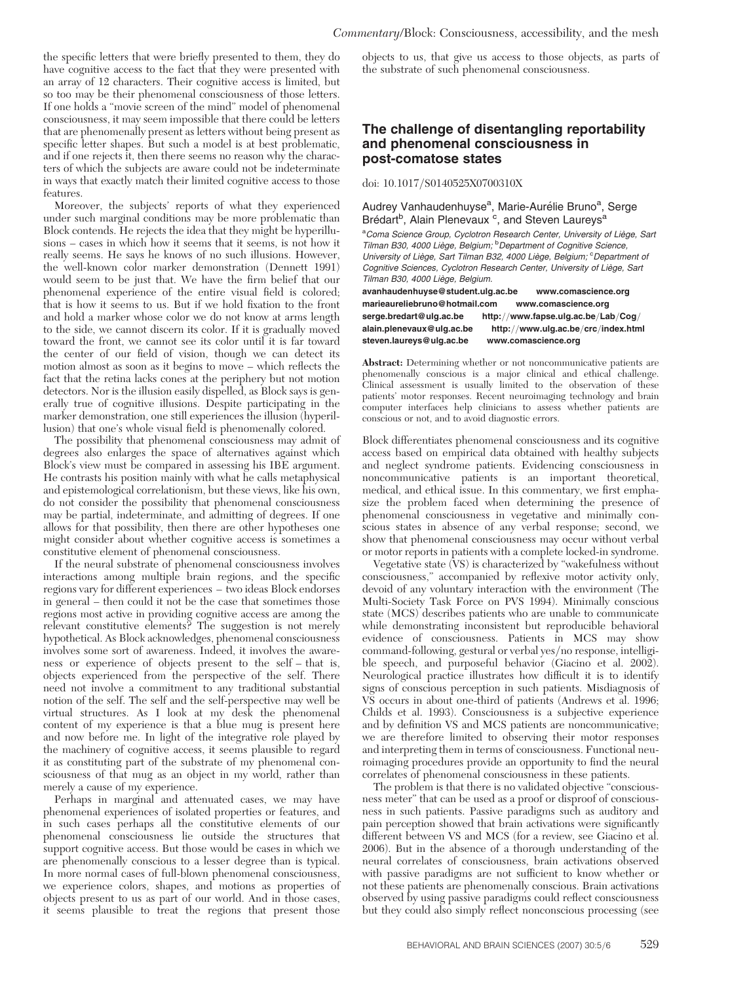the specific letters that were briefly presented to them, they do have cognitive access to the fact that they were presented with an array of 12 characters. Their cognitive access is limited, but so too may be their phenomenal consciousness of those letters. If one holds a "movie screen of the mind" model of phenomenal consciousness, it may seem impossible that there could be letters that are phenomenally present as letters without being present as specific letter shapes. But such a model is at best problematic, and if one rejects it, then there seems no reason why the characters of which the subjects are aware could not be indeterminate in ways that exactly match their limited cognitive access to those features.

Moreover, the subjects' reports of what they experienced under such marginal conditions may be more problematic than Block contends. He rejects the idea that they might be hyperillusions – cases in which how it seems that it seems, is not how it really seems. He says he knows of no such illusions. However, the well-known color marker demonstration (Dennett 1991) would seem to be just that. We have the firm belief that our phenomenal experience of the entire visual field is colored; that is how it seems to us. But if we hold fixation to the front and hold a marker whose color we do not know at arms length to the side, we cannot discern its color. If it is gradually moved toward the front, we cannot see its color until it is far toward the center of our field of vision, though we can detect its motion almost as soon as it begins to move – which reflects the fact that the retina lacks cones at the periphery but not motion detectors. Nor is the illusion easily dispelled, as Block says is generally true of cognitive illusions. Despite participating in the marker demonstration, one still experiences the illusion (hyperillusion) that one's whole visual field is phenomenally colored.

The possibility that phenomenal consciousness may admit of degrees also enlarges the space of alternatives against which Block's view must be compared in assessing his IBE argument. He contrasts his position mainly with what he calls metaphysical and epistemological correlationism, but these views, like his own, do not consider the possibility that phenomenal consciousness may be partial, indeterminate, and admitting of degrees. If one allows for that possibility, then there are other hypotheses one might consider about whether cognitive access is sometimes a constitutive element of phenomenal consciousness.

If the neural substrate of phenomenal consciousness involves interactions among multiple brain regions, and the specific regions vary for different experiences – two ideas Block endorses in general – then could it not be the case that sometimes those regions most active in providing cognitive access are among the relevant constitutive elements? The suggestion is not merely hypothetical. As Block acknowledges, phenomenal consciousness involves some sort of awareness. Indeed, it involves the awareness or experience of objects present to the self – that is, objects experienced from the perspective of the self. There need not involve a commitment to any traditional substantial notion of the self. The self and the self-perspective may well be virtual structures. As I look at my desk the phenomenal content of my experience is that a blue mug is present here and now before me. In light of the integrative role played by the machinery of cognitive access, it seems plausible to regard it as constituting part of the substrate of my phenomenal consciousness of that mug as an object in my world, rather than merely a cause of my experience.

Perhaps in marginal and attenuated cases, we may have phenomenal experiences of isolated properties or features, and in such cases perhaps all the constitutive elements of our phenomenal consciousness lie outside the structures that support cognitive access. But those would be cases in which we are phenomenally conscious to a lesser degree than is typical. In more normal cases of full-blown phenomenal consciousness, we experience colors, shapes, and motions as properties of objects present to us as part of our world. And in those cases, it seems plausible to treat the regions that present those

objects to us, that give us access to those objects, as parts of the substrate of such phenomenal consciousness.

## The challenge of disentangling reportability and phenomenal consciousness in post-comatose states

doi: 10.1017/S0140525X0700310X

Audrey Vanhaudenhuyse<sup>a</sup>, Marie-Aurélie Bruno<sup>a</sup>, Serge Brédart<sup>b</sup>, Alain Plenevaux <sup>c</sup>, and Steven Laureys<sup>a</sup> <sup>a</sup>Coma Science Group, Cyclotron Research Center, University of Liège, Sart Tilman B30, 4000 Liège, Belgium; <sup>b</sup>Department of Cognitive Science, University of Liège, Sart Tilman B32, 4000 Liège, Belgium; <sup>c</sup>Department of Cognitive Sciences, Cyclotron Research Center, University of Liège, Sart Tilman B30, 4000 Liège, Belgium. avanhaudenhuyse@student.ulg.ac.be www.comascience.org marieaureliebruno@hotmail.com www.comascience.org serge.bredart@ulg.ac.be http://www.fapse.ulg.ac.be/Lab/Cog/ alain.plenevaux@ulg.ac.be http://www.ulg.ac.be/crc/index.html steven.laureys@ulg.ac.be www.comascience.org

Abstract: Determining whether or not noncommunicative patients are phenomenally conscious is a major clinical and ethical challenge. Clinical assessment is usually limited to the observation of these patients' motor responses. Recent neuroimaging technology and brain computer interfaces help clinicians to assess whether patients are conscious or not, and to avoid diagnostic errors.

Block differentiates phenomenal consciousness and its cognitive access based on empirical data obtained with healthy subjects and neglect syndrome patients. Evidencing consciousness in noncommunicative patients is an important theoretical, medical, and ethical issue. In this commentary, we first emphasize the problem faced when determining the presence of phenomenal consciousness in vegetative and minimally conscious states in absence of any verbal response; second, we show that phenomenal consciousness may occur without verbal or motor reports in patients with a complete locked-in syndrome.

Vegetative state (VS) is characterized by "wakefulness without consciousness," accompanied by reflexive motor activity only, devoid of any voluntary interaction with the environment (The Multi-Society Task Force on PVS 1994). Minimally conscious state (MCS) describes patients who are unable to communicate while demonstrating inconsistent but reproducible behavioral evidence of consciousness. Patients in MCS may show command-following, gestural or verbal yes/no response, intelligible speech, and purposeful behavior (Giacino et al. 2002). Neurological practice illustrates how difficult it is to identify signs of conscious perception in such patients. Misdiagnosis of VS occurs in about one-third of patients (Andrews et al. 1996; Childs et al. 1993). Consciousness is a subjective experience and by definition VS and MCS patients are noncommunicative; we are therefore limited to observing their motor responses and interpreting them in terms of consciousness. Functional neuroimaging procedures provide an opportunity to find the neural correlates of phenomenal consciousness in these patients.

The problem is that there is no validated objective "consciousness meter" that can be used as a proof or disproof of consciousness in such patients. Passive paradigms such as auditory and pain perception showed that brain activations were significantly different between VS and MCS (for a review, see Giacino et al. 2006). But in the absence of a thorough understanding of the neural correlates of consciousness, brain activations observed with passive paradigms are not sufficient to know whether or not these patients are phenomenally conscious. Brain activations observed by using passive paradigms could reflect consciousness but they could also simply reflect nonconscious processing (see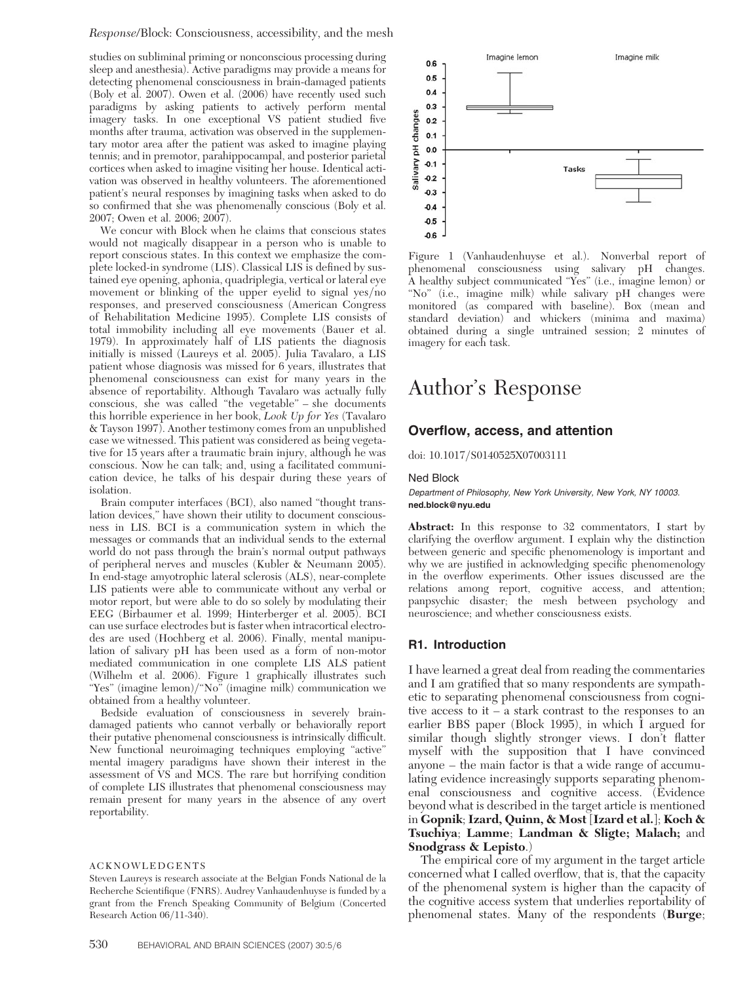studies on subliminal priming or nonconscious processing during sleep and anesthesia). Active paradigms may provide a means for detecting phenomenal consciousness in brain-damaged patients (Boly et al. 2007). Owen et al. (2006) have recently used such paradigms by asking patients to actively perform mental imagery tasks. In one exceptional VS patient studied five months after trauma, activation was observed in the supplementary motor area after the patient was asked to imagine playing tennis; and in premotor, parahippocampal, and posterior parietal cortices when asked to imagine visiting her house. Identical activation was observed in healthy volunteers. The aforementioned patient's neural responses by imagining tasks when asked to do so confirmed that she was phenomenally conscious (Boly et al. 2007; Owen et al. 2006; 2007).

We concur with Block when he claims that conscious states would not magically disappear in a person who is unable to report conscious states. In this context we emphasize the complete locked-in syndrome (LIS). Classical LIS is defined by sustained eye opening, aphonia, quadriplegia, vertical or lateral eye movement or blinking of the upper eyelid to signal yes/no responses, and preserved consciousness (American Congress of Rehabilitation Medicine 1995). Complete LIS consists of total immobility including all eye movements (Bauer et al. 1979). In approximately half of LIS patients the diagnosis initially is missed (Laureys et al. 2005). Julia Tavalaro, a LIS patient whose diagnosis was missed for 6 years, illustrates that phenomenal consciousness can exist for many years in the absence of reportability. Although Tavalaro was actually fully conscious, she was called "the vegetable" – she documents this horrible experience in her book, Look Up for Yes (Tavalaro & Tayson 1997). Another testimony comes from an unpublished case we witnessed. This patient was considered as being vegetative for 15 years after a traumatic brain injury, although he was conscious. Now he can talk; and, using a facilitated communication device, he talks of his despair during these years of isolation.

Brain computer interfaces (BCI), also named "thought translation devices," have shown their utility to document consciousness in LIS. BCI is a communication system in which the messages or commands that an individual sends to the external world do not pass through the brain's normal output pathways of peripheral nerves and muscles (Kubler & Neumann 2005). In end-stage amyotrophic lateral sclerosis (ALS), near-complete LIS patients were able to communicate without any verbal or motor report, but were able to do so solely by modulating their EEG (Birbaumer et al. 1999; Hinterberger et al. 2005). BCI can use surface electrodes but is faster when intracortical electrodes are used (Hochberg et al. 2006). Finally, mental manipulation of salivary pH has been used as a form of non-motor mediated communication in one complete LIS ALS patient (Wilhelm et al. 2006). Figure 1 graphically illustrates such "Yes" (imagine lemon)/"No" (imagine milk) communication we obtained from a healthy volunteer.

Bedside evaluation of consciousness in severely braindamaged patients who cannot verbally or behaviorally report their putative phenomenal consciousness is intrinsically difficult. New functional neuroimaging techniques employing "active" mental imagery paradigms have shown their interest in the assessment of VS and MCS. The rare but horrifying condition of complete LIS illustrates that phenomenal consciousness may remain present for many years in the absence of any overt reportability.

#### ACKNOWLEDGENTS

Steven Laureys is research associate at the Belgian Fonds National de la Recherche Scientifique (FNRS). Audrey Vanhaudenhuyse is funded by a grant from the French Speaking Community of Belgium (Concerted Research Action 06/11-340).



Figure 1 (Vanhaudenhuyse et al.). Nonverbal report of phenomenal consciousness using salivary pH changes. A healthy subject communicated "Yes" (i.e., imagine lemon) or "No" (i.e., imagine milk) while salivary pH changes were monitored (as compared with baseline). Box (mean and standard deviation) and whickers (minima and maxima) obtained during a single untrained session; 2 minutes of imagery for each task.

## Author's Response

#### Overflow, access, and attention

doi: 10.1017/S0140525X07003111

#### Ned Block

Department of Philosophy, New York University, New York, NY 10003. ned.block@nyu.edu

Abstract: In this response to 32 commentators, I start by clarifying the overflow argument. I explain why the distinction between generic and specific phenomenology is important and why we are justified in acknowledging specific phenomenology in the overflow experiments. Other issues discussed are the relations among report, cognitive access, and attention; panpsychic disaster; the mesh between psychology and neuroscience; and whether consciousness exists.

#### R1. Introduction

I have learned a great deal from reading the commentaries and I am gratified that so many respondents are sympathetic to separating phenomenal consciousness from cognitive access to it – a stark contrast to the responses to an earlier BBS paper (Block 1995), in which I argued for similar though slightly stronger views. I don't flatter myself with the supposition that I have convinced anyone – the main factor is that a wide range of accumulating evidence increasingly supports separating phenomenal consciousness and cognitive access. (Evidence beyond what is described in the target article is mentioned in Gopnik; Izard, Quinn, & Most [Izard et al.]; Koch & Tsuchiya; Lamme; Landman & Sligte; Malach; and Snodgrass & Lepisto.)

The empirical core of my argument in the target article concerned what I called overflow, that is, that the capacity of the phenomenal system is higher than the capacity of the cognitive access system that underlies reportability of phenomenal states. Many of the respondents (Burge;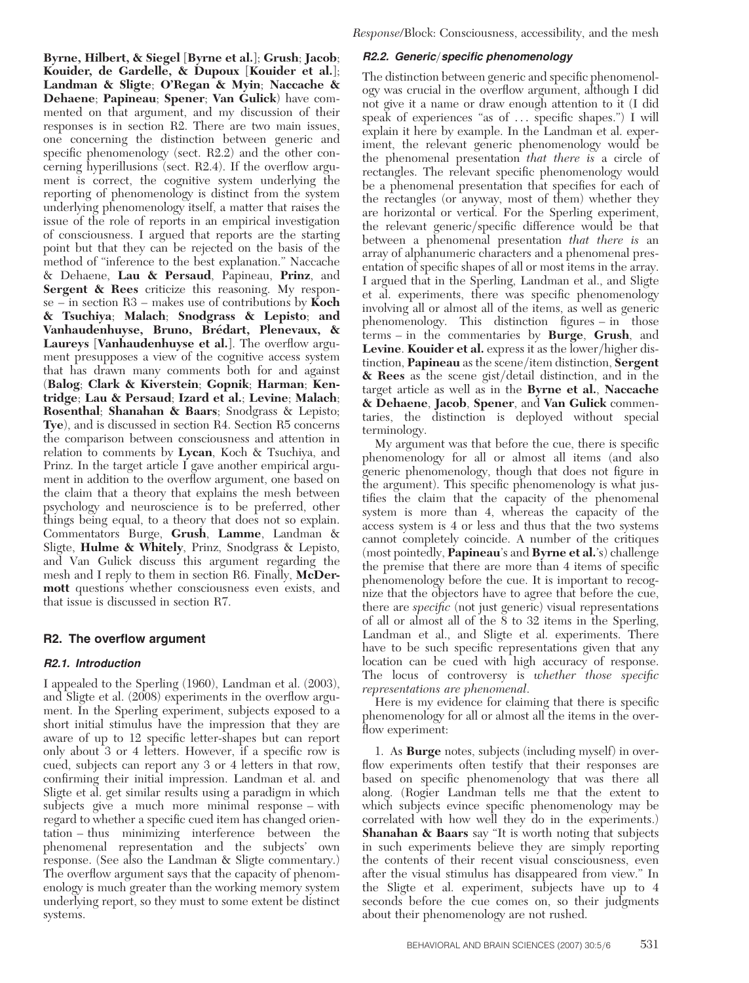Byrne, Hilbert, & Siegel [Byrne et al.]; Grush; Jacob; Kouider, de Gardelle, & Dupoux [Kouider et al.]; Landman & Sligte; O'Regan & Myin; Naccache & Dehaene; Papineau; Spener; Van Gulick) have commented on that argument, and my discussion of their responses is in section R2. There are two main issues, one concerning the distinction between generic and specific phenomenology (sect. R2.2) and the other concerning hyperillusions (sect. R2.4). If the overflow argument is correct, the cognitive system underlying the reporting of phenomenology is distinct from the system underlying phenomenology itself, a matter that raises the issue of the role of reports in an empirical investigation of consciousness. I argued that reports are the starting point but that they can be rejected on the basis of the method of "inference to the best explanation." Naccache & Dehaene, Lau & Persaud, Papineau, Prinz, and Sergent & Rees criticize this reasoning. My response – in section  $R3$  – makes use of contributions by **Koch** & Tsuchiya; Malach; Snodgrass & Lepisto; and Vanhaudenhuyse, Bruno, Brédart, Plenevaux, & Laureys [Vanhaudenhuyse et al.]. The overflow argument presupposes a view of the cognitive access system that has drawn many comments both for and against (Balog; Clark & Kiverstein; Gopnik; Harman; Kentridge; Lau & Persaud; Izard et al.; Levine; Malach; Rosenthal; Shanahan & Baars; Snodgrass & Lepisto; Tye), and is discussed in section R4. Section R5 concerns the comparison between consciousness and attention in relation to comments by Lycan, Koch & Tsuchiya, and Prinz. In the target article I gave another empirical argument in addition to the overflow argument, one based on the claim that a theory that explains the mesh between psychology and neuroscience is to be preferred, other things being equal, to a theory that does not so explain. Commentators Burge, Grush, Lamme, Landman & Sligte, Hulme & Whitely, Prinz, Snodgrass & Lepisto, and Van Gulick discuss this argument regarding the mesh and I reply to them in section R6. Finally, McDermott questions whether consciousness even exists, and that issue is discussed in section R7.

## R2. The overflow argument

## R2.1. Introduction

I appealed to the Sperling (1960), Landman et al. (2003), and Sligte et al. (2008) experiments in the overflow argument. In the Sperling experiment, subjects exposed to a short initial stimulus have the impression that they are aware of up to 12 specific letter-shapes but can report only about 3 or 4 letters. However, if a specific row is cued, subjects can report any 3 or 4 letters in that row, confirming their initial impression. Landman et al. and Sligte et al. get similar results using a paradigm in which subjects give a much more minimal response – with regard to whether a specific cued item has changed orientation – thus minimizing interference between the phenomenal representation and the subjects' own response. (See also the Landman & Sligte commentary.) The overflow argument says that the capacity of phenomenology is much greater than the working memory system underlying report, so they must to some extent be distinct systems.

## R2.2. Generic/specific phenomenology

The distinction between generic and specific phenomenology was crucial in the overflow argument, although I did not give it a name or draw enough attention to it (I did speak of experiences "as of ... specific shapes.") I will explain it here by example. In the Landman et al. experiment, the relevant generic phenomenology would be the phenomenal presentation that there is a circle of rectangles. The relevant specific phenomenology would be a phenomenal presentation that specifies for each of the rectangles (or anyway, most of them) whether they are horizontal or vertical. For the Sperling experiment, the relevant generic/specific difference would be that between a phenomenal presentation that there is an array of alphanumeric characters and a phenomenal presentation of specific shapes of all or most items in the array. I argued that in the Sperling, Landman et al., and Sligte et al. experiments, there was specific phenomenology involving all or almost all of the items, as well as generic phenomenology. This distinction figures – in those terms – in the commentaries by Burge, Grush, and Levine. Kouider et al. express it as the lower/higher distinction, Papineau as the scene/item distinction, Sergent & Rees as the scene gist/detail distinction, and in the target article as well as in the Byrne et al., Naccache & Dehaene, Jacob, Spener, and Van Gulick commentaries, the distinction is deployed without special terminology.

My argument was that before the cue, there is specific phenomenology for all or almost all items (and also generic phenomenology, though that does not figure in the argument). This specific phenomenology is what justifies the claim that the capacity of the phenomenal system is more than 4, whereas the capacity of the access system is 4 or less and thus that the two systems cannot completely coincide. A number of the critiques (most pointedly, Papineau's and Byrne et al.'s) challenge the premise that there are more than 4 items of specific phenomenology before the cue. It is important to recognize that the objectors have to agree that before the cue, there are specific (not just generic) visual representations of all or almost all of the  $\overline{8}$  to 32 items in the Sperling, Landman et al., and Sligte et al. experiments. There have to be such specific representations given that any location can be cued with high accuracy of response. The locus of controversy is whether those specific representations are phenomenal.

Here is my evidence for claiming that there is specific phenomenology for all or almost all the items in the overflow experiment:

1. As Burge notes, subjects (including myself) in overflow experiments often testify that their responses are based on specific phenomenology that was there all along. (Rogier Landman tells me that the extent to which subjects evince specific phenomenology may be correlated with how well they do in the experiments.) Shanahan & Baars say "It is worth noting that subjects in such experiments believe they are simply reporting the contents of their recent visual consciousness, even after the visual stimulus has disappeared from view." In the Sligte et al. experiment, subjects have up to 4 seconds before the cue comes on, so their judgments about their phenomenology are not rushed.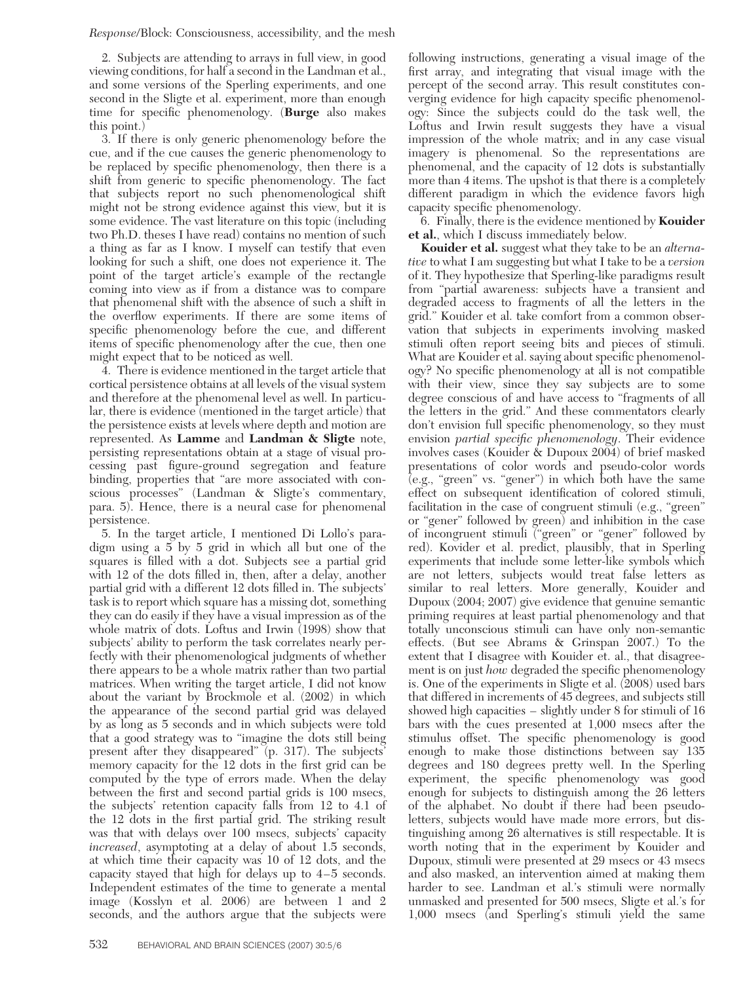2. Subjects are attending to arrays in full view, in good viewing conditions, for half a second in the Landman et al., and some versions of the Sperling experiments, and one second in the Sligte et al. experiment, more than enough time for specific phenomenology. (Burge also makes this point.)

3. If there is only generic phenomenology before the cue, and if the cue causes the generic phenomenology to be replaced by specific phenomenology, then there is a shift from generic to specific phenomenology. The fact that subjects report no such phenomenological shift might not be strong evidence against this view, but it is some evidence. The vast literature on this topic (including two Ph.D. theses I have read) contains no mention of such a thing as far as I know. I myself can testify that even looking for such a shift, one does not experience it. The point of the target article's example of the rectangle coming into view as if from a distance was to compare that phenomenal shift with the absence of such a shift in the overflow experiments. If there are some items of specific phenomenology before the cue, and different items of specific phenomenology after the cue, then one might expect that to be noticed as well.

4. There is evidence mentioned in the target article that cortical persistence obtains at all levels of the visual system and therefore at the phenomenal level as well. In particular, there is evidence (mentioned in the target article) that the persistence exists at levels where depth and motion are represented. As Lamme and Landman & Sligte note, persisting representations obtain at a stage of visual processing past figure-ground segregation and feature binding, properties that "are more associated with conscious processes" (Landman & Sligte's commentary, para. 5). Hence, there is a neural case for phenomenal persistence.

5. In the target article, I mentioned Di Lollo's paradigm using a  $5$  by 5 grid in which all but one of the squares is filled with a dot. Subjects see a partial grid with 12 of the dots filled in, then, after a delay, another partial grid with a different 12 dots filled in. The subjects' task is to report which square has a missing dot, something they can do easily if they have a visual impression as of the whole matrix of dots. Loftus and Irwin (1998) show that subjects' ability to perform the task correlates nearly perfectly with their phenomenological judgments of whether there appears to be a whole matrix rather than two partial matrices. When writing the target article, I did not know about the variant by Brockmole et al. (2002) in which the appearance of the second partial grid was delayed by as long as 5 seconds and in which subjects were told that a good strategy was to "imagine the dots still being present after they disappeared" (p. 317). The subjects' memory capacity for the 12 dots in the first grid can be computed by the type of errors made. When the delay between the first and second partial grids is 100 msecs, the subjects' retention capacity falls from 12 to 4.1 of the 12 dots in the first partial grid. The striking result was that with delays over 100 msecs, subjects' capacity increased, asymptoting at a delay of about 1.5 seconds, at which time their capacity was 10 of 12 dots, and the capacity stayed that high for delays up to 4–5 seconds. Independent estimates of the time to generate a mental image (Kosslyn et al. 2006) are between 1 and 2 seconds, and the authors argue that the subjects were

following instructions, generating a visual image of the first array, and integrating that visual image with the percept of the second array. This result constitutes converging evidence for high capacity specific phenomenology: Since the subjects could do the task well, the Loftus and Irwin result suggests they have a visual impression of the whole matrix; and in any case visual imagery is phenomenal. So the representations are phenomenal, and the capacity of 12 dots is substantially more than 4 items. The upshot is that there is a completely different paradigm in which the evidence favors high capacity specific phenomenology.

6. Finally, there is the evidence mentioned by **Kouider** et al., which I discuss immediately below.

**Kouider et al.** suggest what they take to be an *alterna*tive to what I am suggesting but what I take to be a version of it. They hypothesize that Sperling-like paradigms result from "partial awareness: subjects have a transient and degraded access to fragments of all the letters in the grid." Kouider et al. take comfort from a common observation that subjects in experiments involving masked stimuli often report seeing bits and pieces of stimuli. What are Kouider et al. saying about specific phenomenology? No specific phenomenology at all is not compatible with their view, since they say subjects are to some degree conscious of and have access to "fragments of all the letters in the grid." And these commentators clearly don't envision full specific phenomenology, so they must envision partial specific phenomenology. Their evidence involves cases (Kouider & Dupoux 2004) of brief masked presentations of color words and pseudo-color words  $(e.g., "green" vs. "gener")$  in which both have the same effect on subsequent identification of colored stimuli, facilitation in the case of congruent stimuli (e.g., "green" or "gener" followed by green) and inhibition in the case of incongruent stimuli ("green" or "gener" followed by red). Kovider et al. predict, plausibly, that in Sperling experiments that include some letter-like symbols which are not letters, subjects would treat false letters as similar to real letters. More generally, Kouider and Dupoux (2004; 2007) give evidence that genuine semantic priming requires at least partial phenomenology and that totally unconscious stimuli can have only non-semantic effects. (But see Abrams & Grinspan 2007.) To the extent that I disagree with Kouider et. al., that disagreement is on just *how* degraded the specific phenomenology is. One of the experiments in Sligte et al. (2008) used bars that differed in increments of 45 degrees, and subjects still showed high capacities – slightly under 8 for stimuli of 16 bars with the cues presented at 1,000 msecs after the stimulus offset. The specific phenomenology is good enough to make those distinctions between say 135 degrees and 180 degrees pretty well. In the Sperling experiment, the specific phenomenology was good enough for subjects to distinguish among the 26 letters of the alphabet. No doubt if there had been pseudoletters, subjects would have made more errors, but distinguishing among 26 alternatives is still respectable. It is worth noting that in the experiment by Kouider and Dupoux, stimuli were presented at 29 msecs or 43 msecs and also masked, an intervention aimed at making them harder to see. Landman et al.'s stimuli were normally unmasked and presented for 500 msecs, Sligte et al.'s for 1,000 msecs (and Sperling's stimuli yield the same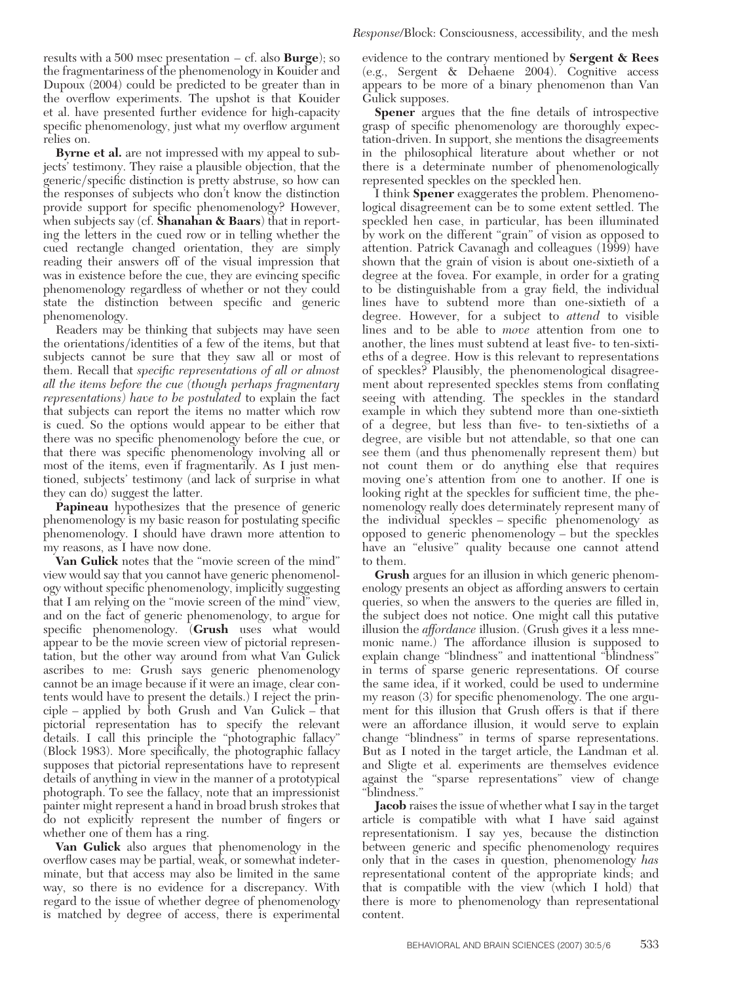**Byrne et al.** are not impressed with my appeal to subjects' testimony. They raise a plausible objection, that the generic/specific distinction is pretty abstruse, so how can the responses of subjects who don't know the distinction provide support for specific phenomenology? However, when subjects say (cf. **Shanahan & Baars**) that in reporting the letters in the cued row or in telling whether the cued rectangle changed orientation, they are simply reading their answers off of the visual impression that was in existence before the cue, they are evincing specific phenomenology regardless of whether or not they could state the distinction between specific and generic phenomenology.

Readers may be thinking that subjects may have seen the orientations/identities of a few of the items, but that subjects cannot be sure that they saw all or most of them. Recall that specific representations of all or almost all the items before the cue (though perhaps fragmentary representations) have to be postulated to explain the fact that subjects can report the items no matter which row is cued. So the options would appear to be either that there was no specific phenomenology before the cue, or that there was specific phenomenology involving all or most of the items, even if fragmentarily. As I just mentioned, subjects' testimony (and lack of surprise in what they can do) suggest the latter.

Papineau hypothesizes that the presence of generic phenomenology is my basic reason for postulating specific phenomenology. I should have drawn more attention to my reasons, as I have now done.

Van Gulick notes that the "movie screen of the mind" view would say that you cannot have generic phenomenology without specific phenomenology, implicitly suggesting that I am relying on the "movie screen of the mind" view, and on the fact of generic phenomenology, to argue for specific phenomenology. (Grush uses what would appear to be the movie screen view of pictorial representation, but the other way around from what Van Gulick ascribes to me: Grush says generic phenomenology cannot be an image because if it were an image, clear contents would have to present the details.) I reject the principle – applied by both Grush and Van Gulick – that pictorial representation has to specify the relevant details. I call this principle the "photographic fallacy" (Block 1983). More specifically, the photographic fallacy supposes that pictorial representations have to represent details of anything in view in the manner of a prototypical photograph. To see the fallacy, note that an impressionist painter might represent a hand in broad brush strokes that do not explicitly represent the number of fingers or whether one of them has a ring.

Van Gulick also argues that phenomenology in the overflow cases may be partial, weak, or somewhat indeterminate, but that access may also be limited in the same way, so there is no evidence for a discrepancy. With regard to the issue of whether degree of phenomenology is matched by degree of access, there is experimental

evidence to the contrary mentioned by **Sergent & Rees** (e.g., Sergent & Dehaene 2004). Cognitive access appears to be more of a binary phenomenon than Van Gulick supposes.

Spener argues that the fine details of introspective grasp of specific phenomenology are thoroughly expectation-driven. In support, she mentions the disagreements in the philosophical literature about whether or not there is a determinate number of phenomenologically represented speckles on the speckled hen.

I think Spener exaggerates the problem. Phenomenological disagreement can be to some extent settled. The speckled hen case, in particular, has been illuminated by work on the different "grain" of vision as opposed to attention. Patrick Cavanagh and colleagues (1999) have shown that the grain of vision is about one-sixtieth of a degree at the fovea. For example, in order for a grating to be distinguishable from a gray field, the individual lines have to subtend more than one-sixtieth of a degree. However, for a subject to attend to visible lines and to be able to *move* attention from one to another, the lines must subtend at least five- to ten-sixtieths of a degree. How is this relevant to representations of speckles? Plausibly, the phenomenological disagreement about represented speckles stems from conflating seeing with attending. The speckles in the standard example in which they subtend more than one-sixtieth of a degree, but less than five- to ten-sixtieths of a degree, are visible but not attendable, so that one can see them (and thus phenomenally represent them) but not count them or do anything else that requires moving one's attention from one to another. If one is looking right at the speckles for sufficient time, the phenomenology really does determinately represent many of the individual speckles – specific phenomenology as opposed to generic phenomenology – but the speckles have an "elusive" quality because one cannot attend to them.

Grush argues for an illusion in which generic phenomenology presents an object as affording answers to certain queries, so when the answers to the queries are filled in, the subject does not notice. One might call this putative illusion the affordance illusion. (Grush gives it a less mnemonic name.) The affordance illusion is supposed to explain change "blindness" and inattentional "blindness" in terms of sparse generic representations. Of course the same idea, if it worked, could be used to undermine my reason (3) for specific phenomenology. The one argument for this illusion that Grush offers is that if there were an affordance illusion, it would serve to explain change "blindness" in terms of sparse representations. But as I noted in the target article, the Landman et al. and Sligte et al. experiments are themselves evidence against the "sparse representations" view of change "blindness."

Jacob raises the issue of whether what I say in the target article is compatible with what I have said against representationism. I say yes, because the distinction between generic and specific phenomenology requires only that in the cases in question, phenomenology has representational content of the appropriate kinds; and that is compatible with the view (which I hold) that there is more to phenomenology than representational content.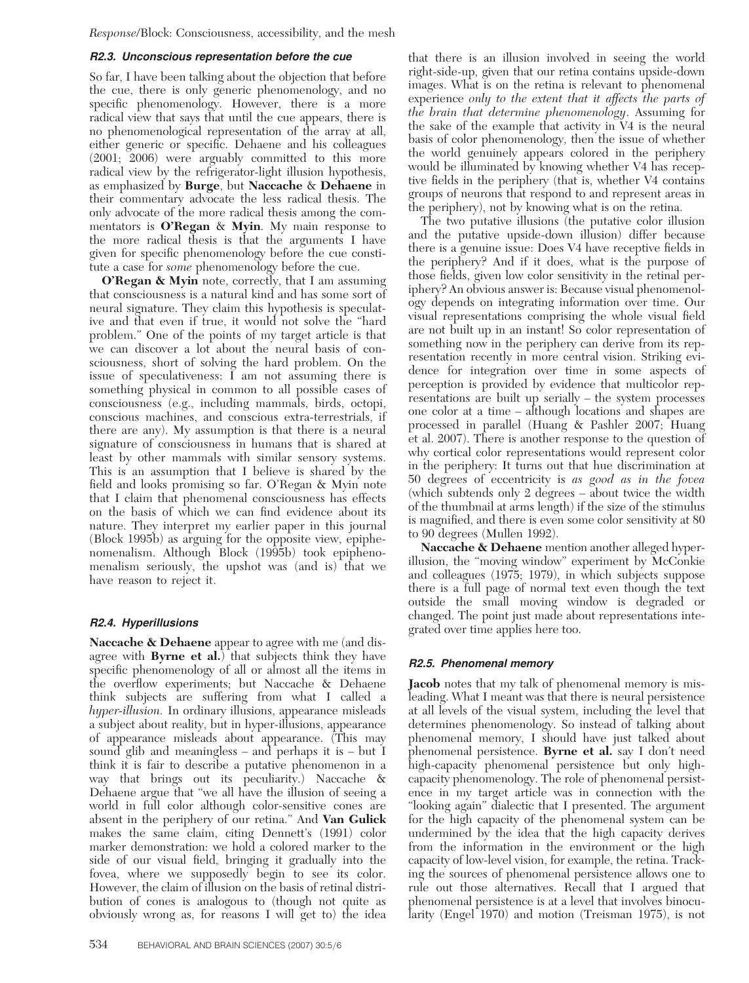#### R2.3. Unconscious representation before the cue

So far, I have been talking about the objection that before the cue, there is only generic phenomenology, and no specific phenomenology. However, there is a more radical view that says that until the cue appears, there is no phenomenological representation of the array at all, either generic or specific. Dehaene and his colleagues (2001; 2006) were arguably committed to this more radical view by the refrigerator-light illusion hypothesis, as emphasized by Burge, but Naccache & Dehaene in their commentary advocate the less radical thesis. The only advocate of the more radical thesis among the commentators is O'Regan & Myin. My main response to the more radical thesis is that the arguments I have given for specific phenomenology before the cue constitute a case for *some* phenomenology before the cue.

O'Regan & Myin note, correctly, that I am assuming that consciousness is a natural kind and has some sort of neural signature. They claim this hypothesis is speculative and that even if true, it would not solve the "hard problem." One of the points of my target article is that we can discover a lot about the neural basis of consciousness, short of solving the hard problem. On the issue of speculativeness: I am not assuming there is something physical in common to all possible cases of consciousness (e.g., including mammals, birds, octopi, conscious machines, and conscious extra-terrestrials, if there are any). My assumption is that there is a neural signature of consciousness in humans that is shared at least by other mammals with similar sensory systems. This is an assumption that I believe is shared by the field and looks promising so far. O'Regan & Myin note that I claim that phenomenal consciousness has effects on the basis of which we can find evidence about its nature. They interpret my earlier paper in this journal (Block 1995b) as arguing for the opposite view, epiphenomenalism. Although Block (1995b) took epiphenomenalism seriously, the upshot was (and is) that we have reason to reject it.

## R2.4. Hyperillusions

Naccache & Dehaene appear to agree with me (and disagree with **Byrne et al.**) that subjects think they have specific phenomenology of all or almost all the items in the overflow experiments; but Naccache & Dehaene think subjects are suffering from what I called a hyper-illusion. In ordinary illusions, appearance misleads a subject about reality, but in hyper-illusions, appearance of appearance misleads about appearance. (This may sound glib and meaningless – and perhaps it is – but  $I$ think it is fair to describe a putative phenomenon in a way that brings out its peculiarity.) Naccache & Dehaene argue that "we all have the illusion of seeing a world in full color although color-sensitive cones are absent in the periphery of our retina." And Van Gulick makes the same claim, citing Dennett's (1991) color marker demonstration: we hold a colored marker to the side of our visual field, bringing it gradually into the fovea, where we supposedly begin to see its color. However, the claim of illusion on the basis of retinal distribution of cones is analogous to (though not quite as obviously wrong as, for reasons I will get to) the idea

that there is an illusion involved in seeing the world right-side-up, given that our retina contains upside-down images. What is on the retina is relevant to phenomenal experience only to the extent that it affects the parts of the brain that determine phenomenology. Assuming for the sake of the example that activity in V4 is the neural basis of color phenomenology, then the issue of whether the world genuinely appears colored in the periphery would be illuminated by knowing whether V4 has receptive fields in the periphery (that is, whether V4 contains groups of neurons that respond to and represent areas in the periphery), not by knowing what is on the retina.

The two putative illusions (the putative color illusion and the putative upside-down illusion) differ because there is a genuine issue: Does V4 have receptive fields in the periphery? And if it does, what is the purpose of those fields, given low color sensitivity in the retinal periphery? An obvious answer is: Because visual phenomenology depends on integrating information over time. Our visual representations comprising the whole visual field are not built up in an instant! So color representation of something now in the periphery can derive from its representation recently in more central vision. Striking evidence for integration over time in some aspects of perception is provided by evidence that multicolor representations are built up serially – the system processes one color at a time – although locations and shapes are processed in parallel (Huang & Pashler 2007; Huang et al. 2007). There is another response to the question of why cortical color representations would represent color in the periphery: It turns out that hue discrimination at 50 degrees of eccentricity is as good as in the fovea (which subtends only 2 degrees – about twice the width of the thumbnail at arms length) if the size of the stimulus is magnified, and there is even some color sensitivity at 80 to 90 degrees (Mullen 1992).

Naccache & Dehaene mention another alleged hyperillusion, the "moving window" experiment by McConkie and colleagues (1975; 1979), in which subjects suppose there is a full page of normal text even though the text outside the small moving window is degraded or changed. The point just made about representations integrated over time applies here too.

## R2.5. Phenomenal memory

**Jacob** notes that my talk of phenomenal memory is misleading. What I meant was that there is neural persistence at all levels of the visual system, including the level that determines phenomenology. So instead of talking about phenomenal memory, I should have just talked about phenomenal persistence. Byrne et al. say I don't need high-capacity phenomenal persistence but only highcapacity phenomenology. The role of phenomenal persistence in my target article was in connection with the "looking again" dialectic that I presented. The argument for the high capacity of the phenomenal system can be undermined by the idea that the high capacity derives from the information in the environment or the high capacity of low-level vision, for example, the retina. Tracking the sources of phenomenal persistence allows one to rule out those alternatives. Recall that I argued that phenomenal persistence is at a level that involves binocularity (Engel 1970) and motion (Treisman 1975), is not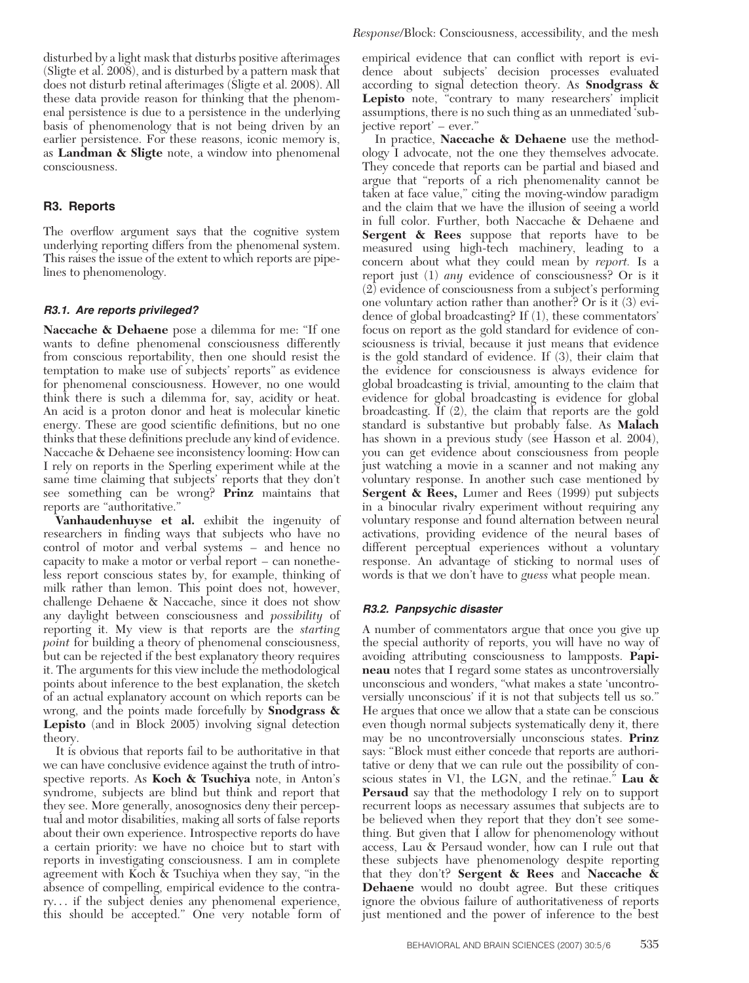disturbed by a light mask that disturbs positive afterimages (Sligte et al. 2008), and is disturbed by a pattern mask that does not disturb retinal afterimages (Sligte et al. 2008). All these data provide reason for thinking that the phenomenal persistence is due to a persistence in the underlying basis of phenomenology that is not being driven by an earlier persistence. For these reasons, iconic memory is, as Landman & Sligte note, a window into phenomenal consciousness.

## R3. Reports

The overflow argument says that the cognitive system underlying reporting differs from the phenomenal system. This raises the issue of the extent to which reports are pipelines to phenomenology.

#### R3.1. Are reports privileged?

Naccache & Dehaene pose a dilemma for me: "If one wants to define phenomenal consciousness differently from conscious reportability, then one should resist the temptation to make use of subjects' reports" as evidence for phenomenal consciousness. However, no one would think there is such a dilemma for, say, acidity or heat. An acid is a proton donor and heat is molecular kinetic energy. These are good scientific definitions, but no one thinks that these definitions preclude any kind of evidence. Naccache & Dehaene see inconsistency looming: How can I rely on reports in the Sperling experiment while at the same time claiming that subjects' reports that they don't see something can be wrong? Prinz maintains that reports are "authoritative."

**Vanhaudenhuyse et al.** exhibit the ingenuity of researchers in finding ways that subjects who have no control of motor and verbal systems – and hence no capacity to make a motor or verbal report – can nonetheless report conscious states by, for example, thinking of milk rather than lemon. This point does not, however, challenge Dehaene & Naccache, since it does not show any daylight between consciousness and possibility of reporting it. My view is that reports are the starting point for building a theory of phenomenal consciousness, but can be rejected if the best explanatory theory requires it. The arguments for this view include the methodological points about inference to the best explanation, the sketch of an actual explanatory account on which reports can be wrong, and the points made forcefully by **Snodgrass**  $\&$ Lepisto (and in Block 2005) involving signal detection theory.

It is obvious that reports fail to be authoritative in that we can have conclusive evidence against the truth of introspective reports. As Koch & Tsuchiya note, in Anton's syndrome, subjects are blind but think and report that they see. More generally, anosognosics deny their perceptual and motor disabilities, making all sorts of false reports about their own experience. Introspective reports do have a certain priority: we have no choice but to start with reports in investigating consciousness. I am in complete agreement with Koch & Tsuchiya when they say, "in the absence of compelling, empirical evidence to the contrary... if the subject denies any phenomenal experience, this should be accepted." One very notable form of

empirical evidence that can conflict with report is evidence about subjects' decision processes evaluated according to signal detection theory. As Snodgrass & Lepisto note, "contrary to many researchers' implicit assumptions, there is no such thing as an unmediated 'subjective report' – ever."

In practice, Naccache & Dehaene use the methodology I advocate, not the one they themselves advocate. They concede that reports can be partial and biased and argue that "reports of a rich phenomenality cannot be taken at face value," citing the moving-window paradigm and the claim that we have the illusion of seeing a world in full color. Further, both Naccache & Dehaene and Sergent & Rees suppose that reports have to be measured using high-tech machinery, leading to a concern about what they could mean by report. Is a report just (1) any evidence of consciousness? Or is it (2) evidence of consciousness from a subject's performing one voluntary action rather than another? Or is it (3) evidence of global broadcasting? If (1), these commentators' focus on report as the gold standard for evidence of consciousness is trivial, because it just means that evidence is the gold standard of evidence. If (3), their claim that the evidence for consciousness is always evidence for global broadcasting is trivial, amounting to the claim that evidence for global broadcasting is evidence for global broadcasting. If (2), the claim that reports are the gold standard is substantive but probably false. As Malach has shown in a previous study (see Hasson et al. 2004), you can get evidence about consciousness from people just watching a movie in a scanner and not making any voluntary response. In another such case mentioned by Sergent & Rees, Lumer and Rees (1999) put subjects in a binocular rivalry experiment without requiring any voluntary response and found alternation between neural activations, providing evidence of the neural bases of different perceptual experiences without a voluntary response. An advantage of sticking to normal uses of words is that we don't have to guess what people mean.

#### R3.2. Panpsychic disaster

A number of commentators argue that once you give up the special authority of reports, you will have no way of avoiding attributing consciousness to lampposts. Papineau notes that I regard some states as uncontroversially unconscious and wonders, "what makes a state 'uncontroversially unconscious' if it is not that subjects tell us so." He argues that once we allow that a state can be conscious even though normal subjects systematically deny it, there may be no uncontroversially unconscious states. Prinz says: "Block must either concede that reports are authoritative or deny that we can rule out the possibility of conscious states in V1, the LGN, and the retinae." Lau & Persaud say that the methodology I rely on to support recurrent loops as necessary assumes that subjects are to be believed when they report that they don't see something. But given that I allow for phenomenology without access, Lau & Persaud wonder, how can I rule out that these subjects have phenomenology despite reporting that they don't? Sergent & Rees and Naccache & Dehaene would no doubt agree. But these critiques ignore the obvious failure of authoritativeness of reports just mentioned and the power of inference to the best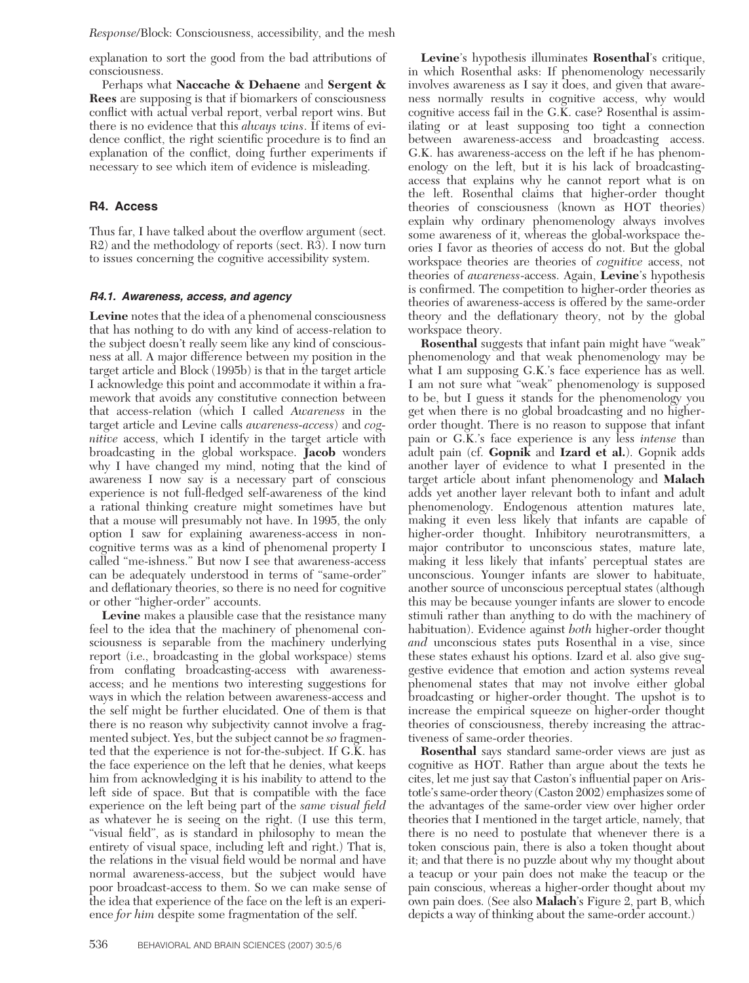explanation to sort the good from the bad attributions of consciousness.

Perhaps what **Naccache & Dehaene** and **Sergent &** Rees are supposing is that if biomarkers of consciousness conflict with actual verbal report, verbal report wins. But there is no evidence that this *always wins*. If items of evidence conflict, the right scientific procedure is to find an explanation of the conflict, doing further experiments if necessary to see which item of evidence is misleading.

## R4. Access

Thus far, I have talked about the overflow argument (sect. R2) and the methodology of reports (sect. R3). I now turn to issues concerning the cognitive accessibility system.

## R4.1. Awareness, access, and agency

Levine notes that the idea of a phenomenal consciousness that has nothing to do with any kind of access-relation to the subject doesn't really seem like any kind of consciousness at all. A major difference between my position in the target article and Block (1995b) is that in the target article I acknowledge this point and accommodate it within a framework that avoids any constitutive connection between that access-relation (which I called Awareness in the target article and Levine calls awareness-access) and cognitive access, which I identify in the target article with broadcasting in the global workspace. **Jacob** wonders why I have changed my mind, noting that the kind of awareness I now say is a necessary part of conscious experience is not full-fledged self-awareness of the kind a rational thinking creature might sometimes have but that a mouse will presumably not have. In 1995, the only option I saw for explaining awareness-access in noncognitive terms was as a kind of phenomenal property I called "me-ishness." But now I see that awareness-access can be adequately understood in terms of "same-order" and deflationary theories, so there is no need for cognitive or other "higher-order" accounts.

Levine makes a plausible case that the resistance many feel to the idea that the machinery of phenomenal consciousness is separable from the machinery underlying report (i.e., broadcasting in the global workspace) stems from conflating broadcasting-access with awarenessaccess; and he mentions two interesting suggestions for ways in which the relation between awareness-access and the self might be further elucidated. One of them is that there is no reason why subjectivity cannot involve a fragmented subject. Yes, but the subject cannot be so fragmented that the experience is not for-the-subject. If G.K. has the face experience on the left that he denies, what keeps him from acknowledging it is his inability to attend to the left side of space. But that is compatible with the face experience on the left being part of the *same visual field* as whatever he is seeing on the right. (I use this term, "visual field", as is standard in philosophy to mean the entirety of visual space, including left and right.) That is, the relations in the visual field would be normal and have normal awareness-access, but the subject would have poor broadcast-access to them. So we can make sense of the idea that experience of the face on the left is an experience for him despite some fragmentation of the self.

Levine's hypothesis illuminates Rosenthal's critique, in which Rosenthal asks: If phenomenology necessarily involves awareness as I say it does, and given that awareness normally results in cognitive access, why would cognitive access fail in the G.K. case? Rosenthal is assimilating or at least supposing too tight a connection between awareness-access and broadcasting access. G.K. has awareness-access on the left if he has phenomenology on the left, but it is his lack of broadcastingaccess that explains why he cannot report what is on the left. Rosenthal claims that higher-order thought theories of consciousness (known as HOT theories) explain why ordinary phenomenology always involves some awareness of it, whereas the global-workspace theories I favor as theories of access do not. But the global workspace theories are theories of *cognitive* access, not theories of *awareness*-access. Again, Levine's hypothesis is confirmed. The competition to higher-order theories as theories of awareness-access is offered by the same-order theory and the deflationary theory, not by the global workspace theory.

Rosenthal suggests that infant pain might have "weak" phenomenology and that weak phenomenology may be what I am supposing G.K.'s face experience has as well. I am not sure what "weak" phenomenology is supposed to be, but I guess it stands for the phenomenology you get when there is no global broadcasting and no higherorder thought. There is no reason to suppose that infant pain or G.K.'s face experience is any less intense than adult pain (cf. Gopnik and Izard et al.). Gopnik adds another layer of evidence to what I presented in the target article about infant phenomenology and Malach adds yet another layer relevant both to infant and adult phenomenology. Endogenous attention matures late, making it even less likely that infants are capable of higher-order thought. Inhibitory neurotransmitters, a major contributor to unconscious states, mature late, making it less likely that infants' perceptual states are unconscious. Younger infants are slower to habituate, another source of unconscious perceptual states (although this may be because younger infants are slower to encode stimuli rather than anything to do with the machinery of habituation). Evidence against both higher-order thought and unconscious states puts Rosenthal in a vise, since these states exhaust his options. Izard et al. also give suggestive evidence that emotion and action systems reveal phenomenal states that may not involve either global broadcasting or higher-order thought. The upshot is to increase the empirical squeeze on higher-order thought theories of consciousness, thereby increasing the attractiveness of same-order theories.

Rosenthal says standard same-order views are just as cognitive as HOT. Rather than argue about the texts he cites, let me just say that Caston's influential paper on Aristotle's same-order theory (Caston 2002) emphasizes some of the advantages of the same-order view over higher order theories that I mentioned in the target article, namely, that there is no need to postulate that whenever there is a token conscious pain, there is also a token thought about it; and that there is no puzzle about why my thought about a teacup or your pain does not make the teacup or the pain conscious, whereas a higher-order thought about my own pain does. (See also Malach's Figure 2, part B, which depicts a way of thinking about the same-order account.)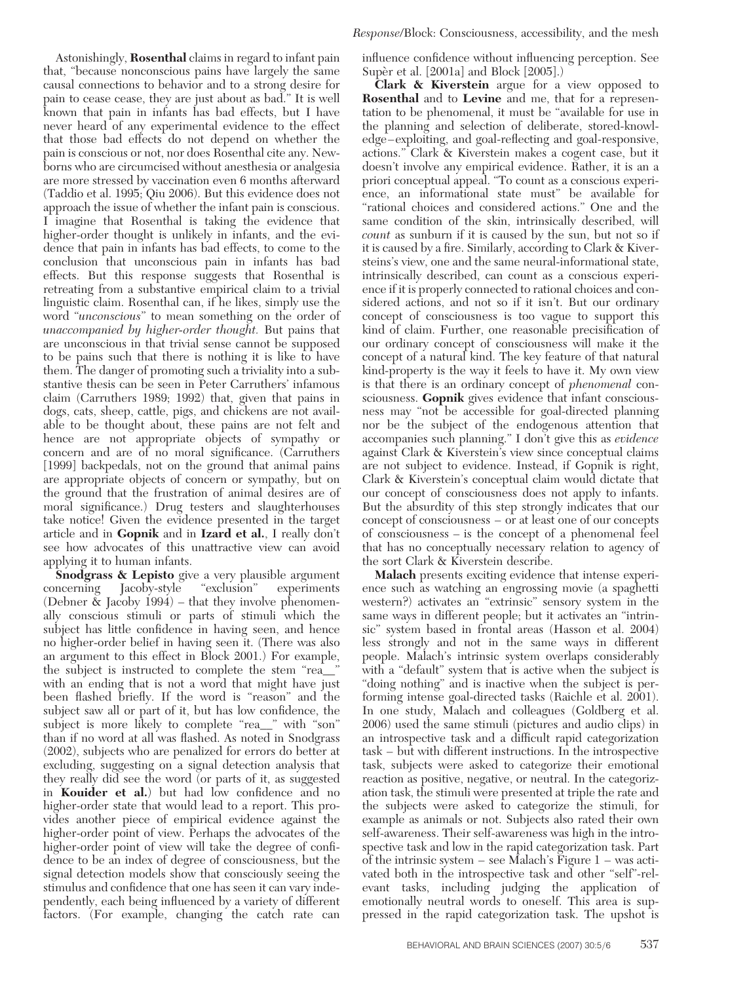Astonishingly, Rosenthal claims in regard to infant pain that, "because nonconscious pains have largely the same causal connections to behavior and to a strong desire for pain to cease cease, they are just about as bad." It is well known that pain in infants has bad effects, but I have never heard of any experimental evidence to the effect that those bad effects do not depend on whether the pain is conscious or not, nor does Rosenthal cite any. Newborns who are circumcised without anesthesia or analgesia are more stressed by vaccination even 6 months afterward (Taddio et al. 1995; Qiu 2006). But this evidence does not approach the issue of whether the infant pain is conscious. I imagine that Rosenthal is taking the evidence that higher-order thought is unlikely in infants, and the evidence that pain in infants has bad effects, to come to the conclusion that unconscious pain in infants has bad effects. But this response suggests that Rosenthal is retreating from a substantive empirical claim to a trivial linguistic claim. Rosenthal can, if he likes, simply use the word "unconscious" to mean something on the order of unaccompanied by higher-order thought. But pains that are unconscious in that trivial sense cannot be supposed to be pains such that there is nothing it is like to have them. The danger of promoting such a triviality into a substantive thesis can be seen in Peter Carruthers' infamous claim (Carruthers 1989; 1992) that, given that pains in dogs, cats, sheep, cattle, pigs, and chickens are not available to be thought about, these pains are not felt and hence are not appropriate objects of sympathy or concern and are of no moral significance. (Carruthers [1999] backpedals, not on the ground that animal pains are appropriate objects of concern or sympathy, but on the ground that the frustration of animal desires are of moral significance.) Drug testers and slaughterhouses take notice! Given the evidence presented in the target article and in Gopnik and in Izard et al., I really don't see how advocates of this unattractive view can avoid applying it to human infants.

Snodgrass & Lepisto give a very plausible argument concerning Jacoby-style "exclusion" experiments (Debner  $\&$  Jacoby 1994) – that they involve phenomenally conscious stimuli or parts of stimuli which the subject has little confidence in having seen, and hence no higher-order belief in having seen it. (There was also an argument to this effect in Block 2001.) For example, the subject is instructed to complete the stem "rea\_\_" with an ending that is not a word that might have just been flashed briefly. If the word is "reason" and the subject saw all or part of it, but has low confidence, the subject is more likely to complete "rea\_\_" with "son" than if no word at all was flashed. As noted in Snodgrass (2002), subjects who are penalized for errors do better at excluding, suggesting on a signal detection analysis that they really did see the word (or parts of it, as suggested in Kouider et al.) but had low confidence and no higher-order state that would lead to a report. This provides another piece of empirical evidence against the higher-order point of view. Perhaps the advocates of the higher-order point of view will take the degree of confidence to be an index of degree of consciousness, but the signal detection models show that consciously seeing the stimulus and confidence that one has seen it can vary independently, each being influenced by a variety of different factors. (For example, changing the catch rate can

influence confidence without influencing perception. See Super et al. [2001a] and Block [2005].)

Clark & Kiverstein argue for a view opposed to Rosenthal and to Levine and me, that for a representation to be phenomenal, it must be "available for use in the planning and selection of deliberate, stored-knowledge–exploiting, and goal-reflecting and goal-responsive, actions." Clark & Kiverstein makes a cogent case, but it doesn't involve any empirical evidence. Rather, it is an a priori conceptual appeal. "To count as a conscious experience, an informational state must" be available for "rational choices and considered actions." One and the same condition of the skin, intrinsically described, will count as sunburn if it is caused by the sun, but not so if it is caused by a fire. Similarly, according to Clark & Kiversteins's view, one and the same neural-informational state, intrinsically described, can count as a conscious experience if it is properly connected to rational choices and considered actions, and not so if it isn't. But our ordinary concept of consciousness is too vague to support this kind of claim. Further, one reasonable precisification of our ordinary concept of consciousness will make it the concept of a natural kind. The key feature of that natural kind-property is the way it feels to have it. My own view is that there is an ordinary concept of phenomenal consciousness. Gopnik gives evidence that infant consciousness may "not be accessible for goal-directed planning nor be the subject of the endogenous attention that accompanies such planning." I don't give this as evidence against Clark & Kiverstein's view since conceptual claims are not subject to evidence. Instead, if Gopnik is right, Clark & Kiverstein's conceptual claim would dictate that our concept of consciousness does not apply to infants. But the absurdity of this step strongly indicates that our concept of consciousness – or at least one of our concepts of consciousness – is the concept of a phenomenal feel that has no conceptually necessary relation to agency of the sort Clark & Kiverstein describe.

Malach presents exciting evidence that intense experience such as watching an engrossing movie (a spaghetti western?) activates an "extrinsic" sensory system in the same ways in different people; but it activates an "intrinsic" system based in frontal areas (Hasson et al. 2004) less strongly and not in the same ways in different people. Malach's intrinsic system overlaps considerably with a "default" system that is active when the subject is "doing nothing" and is inactive when the subject is performing intense goal-directed tasks (Raichle et al. 2001). In one study, Malach and colleagues (Goldberg et al. 2006) used the same stimuli (pictures and audio clips) in an introspective task and a difficult rapid categorization task – but with different instructions. In the introspective task, subjects were asked to categorize their emotional reaction as positive, negative, or neutral. In the categorization task, the stimuli were presented at triple the rate and the subjects were asked to categorize the stimuli, for example as animals or not. Subjects also rated their own self-awareness. Their self-awareness was high in the introspective task and low in the rapid categorization task. Part of the intrinsic system – see Malach's Figure 1 – was activated both in the introspective task and other "self"-relevant tasks, including judging the application of emotionally neutral words to oneself. This area is suppressed in the rapid categorization task. The upshot is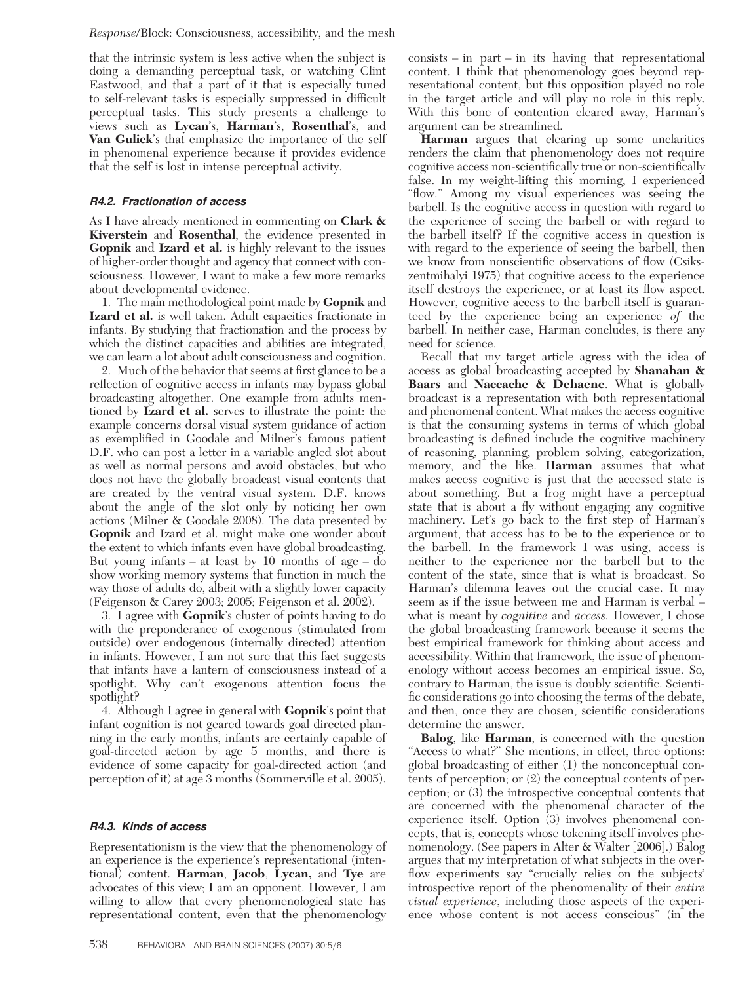that the intrinsic system is less active when the subject is doing a demanding perceptual task, or watching Clint Eastwood, and that a part of it that is especially tuned to self-relevant tasks is especially suppressed in difficult perceptual tasks. This study presents a challenge to views such as Lycan's, Harman's, Rosenthal's, and **Van Gulick's** that emphasize the importance of the self in phenomenal experience because it provides evidence that the self is lost in intense perceptual activity.

#### R4.2. Fractionation of access

As I have already mentioned in commenting on **Clark**  $\&$ Kiverstein and Rosenthal, the evidence presented in Gopnik and Izard et al. is highly relevant to the issues of higher-order thought and agency that connect with consciousness. However, I want to make a few more remarks about developmental evidence.

1. The main methodological point made by **Gopnik** and Izard et al. is well taken. Adult capacities fractionate in infants. By studying that fractionation and the process by which the distinct capacities and abilities are integrated, we can learn a lot about adult consciousness and cognition.

2. Much of the behavior that seems at first glance to be a reflection of cognitive access in infants may bypass global broadcasting altogether. One example from adults mentioned by Izard et al. serves to illustrate the point: the example concerns dorsal visual system guidance of action as exemplified in Goodale and Milner's famous patient D.F. who can post a letter in a variable angled slot about as well as normal persons and avoid obstacles, but who does not have the globally broadcast visual contents that are created by the ventral visual system. D.F. knows about the angle of the slot only by noticing her own actions (Milner & Goodale 2008). The data presented by Gopnik and Izard et al. might make one wonder about the extent to which infants even have global broadcasting. But young infants – at least by 10 months of  $age - do$ show working memory systems that function in much the way those of adults do, albeit with a slightly lower capacity (Feigenson & Carey 2003; 2005; Feigenson et al. 2002).

3. I agree with Gopnik's cluster of points having to do with the preponderance of exogenous (stimulated from outside) over endogenous (internally directed) attention in infants. However, I am not sure that this fact suggests that infants have a lantern of consciousness instead of a spotlight. Why can't exogenous attention focus the spotlight?

4. Although I agree in general with **Gopnik**'s point that infant cognition is not geared towards goal directed planning in the early months, infants are certainly capable of goal-directed action by age 5 months, and there is evidence of some capacity for goal-directed action (and perception of it) at age 3 months (Sommerville et al. 2005).

#### R4.3. Kinds of access

Representationism is the view that the phenomenology of an experience is the experience's representational (intentional) content. Harman, Jacob, Lycan, and Tye are advocates of this view; I am an opponent. However, I am willing to allow that every phenomenological state has representational content, even that the phenomenology

consists – in part – in its having that representational content. I think that phenomenology goes beyond representational content, but this opposition played no role in the target article and will play no role in this reply. With this bone of contention cleared away, Harman's argument can be streamlined.

Harman argues that clearing up some unclarities renders the claim that phenomenology does not require cognitive access non-scientifically true or non-scientifically false. In my weight-lifting this morning, I experienced "flow." Among my visual experiences was seeing the barbell. Is the cognitive access in question with regard to the experience of seeing the barbell or with regard to the barbell itself? If the cognitive access in question is with regard to the experience of seeing the barbell, then we know from nonscientific observations of flow (Csikszentmihalyi 1975) that cognitive access to the experience itself destroys the experience, or at least its flow aspect. However, cognitive access to the barbell itself is guaranteed by the experience being an experience of the barbell. In neither case, Harman concludes, is there any need for science.

Recall that my target article agress with the idea of access as global broadcasting accepted by **Shanahan & Baars** and **Naccache & Dehaene**. What is globally broadcast is a representation with both representational and phenomenal content. What makes the access cognitive is that the consuming systems in terms of which global broadcasting is defined include the cognitive machinery of reasoning, planning, problem solving, categorization, memory, and the like. **Harman** assumes that what makes access cognitive is just that the accessed state is about something. But a frog might have a perceptual state that is about a fly without engaging any cognitive machinery. Let's go back to the first step of Harman's argument, that access has to be to the experience or to the barbell. In the framework I was using, access is neither to the experience nor the barbell but to the content of the state, since that is what is broadcast. So Harman's dilemma leaves out the crucial case. It may seem as if the issue between me and Harman is verbal – what is meant by *cognitive* and *access*. However, I chose the global broadcasting framework because it seems the best empirical framework for thinking about access and accessibility. Within that framework, the issue of phenomenology without access becomes an empirical issue. So, contrary to Harman, the issue is doubly scientific. Scientific considerations go into choosing the terms of the debate, and then, once they are chosen, scientific considerations determine the answer.

Balog, like Harman, is concerned with the question "Access to what?" She mentions, in effect, three options: global broadcasting of either (1) the nonconceptual contents of perception; or (2) the conceptual contents of perception; or (3) the introspective conceptual contents that are concerned with the phenomenal character of the experience itself. Option (3) involves phenomenal concepts, that is, concepts whose tokening itself involves phenomenology. (See papers in Alter & Walter [2006].) Balog argues that my interpretation of what subjects in the overflow experiments say "crucially relies on the subjects' introspective report of the phenomenality of their entire visual experience, including those aspects of the experience whose content is not access conscious" (in the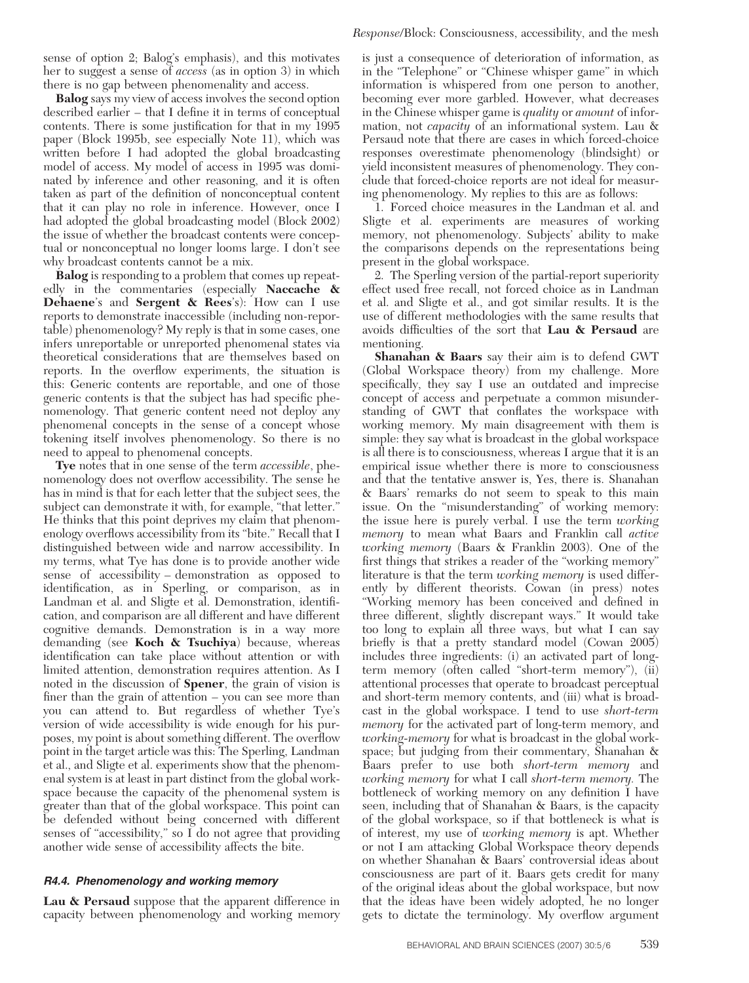sense of option 2; Balog's emphasis), and this motivates her to suggest a sense of *access* (as in option 3) in which there is no gap between phenomenality and access.

Balog says my view of access involves the second option described earlier – that I define it in terms of conceptual contents. There is some justification for that in my 1995 paper (Block 1995b, see especially Note 11), which was written before I had adopted the global broadcasting model of access. My model of access in 1995 was dominated by inference and other reasoning, and it is often taken as part of the definition of nonconceptual content that it can play no role in inference. However, once I had adopted the global broadcasting model (Block 2002) the issue of whether the broadcast contents were conceptual or nonconceptual no longer looms large. I don't see why broadcast contents cannot be a mix.

Balog is responding to a problem that comes up repeatedly in the commentaries (especially Naccache & Dehaene's and Sergent & Rees's): How can I use reports to demonstrate inaccessible (including non-reportable) phenomenology? My reply is that in some cases, one infers unreportable or unreported phenomenal states via theoretical considerations that are themselves based on reports. In the overflow experiments, the situation is this: Generic contents are reportable, and one of those generic contents is that the subject has had specific phenomenology. That generic content need not deploy any phenomenal concepts in the sense of a concept whose tokening itself involves phenomenology. So there is no need to appeal to phenomenal concepts.

Tye notes that in one sense of the term *accessible*, phenomenology does not overflow accessibility. The sense he has in mind is that for each letter that the subject sees, the subject can demonstrate it with, for example, "that letter." He thinks that this point deprives my claim that phenomenology overflows accessibility from its "bite." Recall that I distinguished between wide and narrow accessibility. In my terms, what Tye has done is to provide another wide sense of accessibility – demonstration as opposed to identification, as in Sperling, or comparison, as in Landman et al. and Sligte et al. Demonstration, identification, and comparison are all different and have different cognitive demands. Demonstration is in a way more demanding (see Koch  $\&$  Tsuchiya) because, whereas identification can take place without attention or with limited attention, demonstration requires attention. As I noted in the discussion of Spener, the grain of vision is finer than the grain of attention – you can see more than you can attend to. But regardless of whether Tye's version of wide accessibility is wide enough for his purposes, my point is about something different. The overflow point in the target article was this: The Sperling, Landman et al., and Sligte et al. experiments show that the phenomenal system is at least in part distinct from the global workspace because the capacity of the phenomenal system is greater than that of the global workspace. This point can be defended without being concerned with different senses of "accessibility," so  $\overline{I}$  do not agree that providing another wide sense of accessibility affects the bite.

#### R4.4. Phenomenology and working memory

Lau & Persaud suppose that the apparent difference in capacity between phenomenology and working memory is just a consequence of deterioration of information, as in the "Telephone" or "Chinese whisper game" in which information is whispered from one person to another, becoming ever more garbled. However, what decreases in the Chinese whisper game is quality or amount of information, not capacity of an informational system. Lau & Persaud note that there are cases in which forced-choice responses overestimate phenomenology (blindsight) or yield inconsistent measures of phenomenology. They conclude that forced-choice reports are not ideal for measuring phenomenology. My replies to this are as follows:

1. Forced choice measures in the Landman et al. and Sligte et al. experiments are measures of working memory, not phenomenology. Subjects' ability to make the comparisons depends on the representations being present in the global workspace.

2. The Sperling version of the partial-report superiority effect used free recall, not forced choice as in Landman et al. and Sligte et al., and got similar results. It is the use of different methodologies with the same results that avoids difficulties of the sort that Lau & Persaud are mentioning.

Shanahan & Baars say their aim is to defend GWT (Global Workspace theory) from my challenge. More specifically, they say I use an outdated and imprecise concept of access and perpetuate a common misunderstanding of GWT that conflates the workspace with working memory. My main disagreement with them is simple: they say what is broadcast in the global workspace is all there is to consciousness, whereas I argue that it is an empirical issue whether there is more to consciousness and that the tentative answer is, Yes, there is. Shanahan & Baars' remarks do not seem to speak to this main issue. On the "misunderstanding" of working memory: the issue here is purely verbal. I use the term working memory to mean what Baars and Franklin call *active* working memory (Baars & Franklin 2003). One of the first things that strikes a reader of the "working memory" literature is that the term *working memory* is used differently by different theorists. Cowan (in press) notes "Working memory has been conceived and defined in three different, slightly discrepant ways." It would take too long to explain all three ways, but what I can say briefly is that a pretty standard model (Cowan 2005) includes three ingredients: (i) an activated part of longterm memory (often called "short-term memory"), (ii) attentional processes that operate to broadcast perceptual and short-term memory contents, and (iii) what is broadcast in the global workspace. I tend to use short-term memory for the activated part of long-term memory, and working-memory for what is broadcast in the global workspace; but judging from their commentary, Shanahan & Baars prefer to use both short-term memory and working memory for what I call short-term memory. The bottleneck of working memory on any definition I have seen, including that of Shanahan & Baars, is the capacity of the global workspace, so if that bottleneck is what is of interest, my use of working memory is apt. Whether or not I am attacking Global Workspace theory depends on whether Shanahan & Baars' controversial ideas about consciousness are part of it. Baars gets credit for many of the original ideas about the global workspace, but now that the ideas have been widely adopted, he no longer gets to dictate the terminology. My overflow argument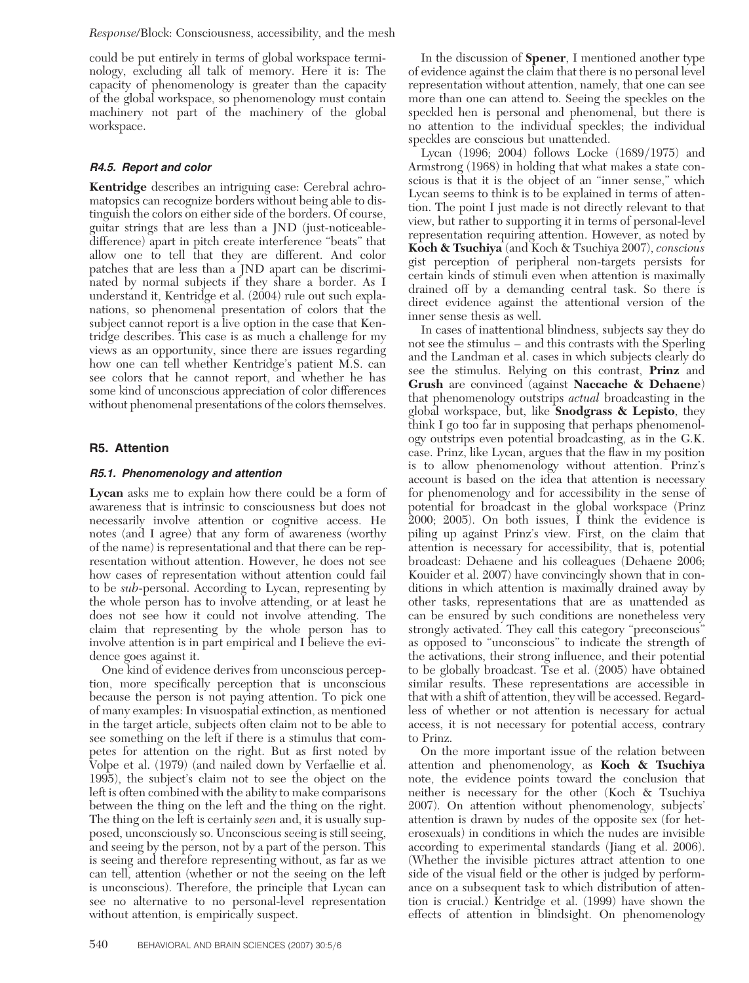could be put entirely in terms of global workspace terminology, excluding all talk of memory. Here it is: The capacity of phenomenology is greater than the capacity of the global workspace, so phenomenology must contain machinery not part of the machinery of the global workspace.

#### R4.5. Report and color

Kentridge describes an intriguing case: Cerebral achromatopsics can recognize borders without being able to distinguish the colors on either side of the borders. Of course, guitar strings that are less than a JND (just-noticeabledifference) apart in pitch create interference "beats" that allow one to tell that they are different. And color patches that are less than a JND apart can be discriminated by normal subjects if they share a border. As I understand it, Kentridge et al. (2004) rule out such explanations, so phenomenal presentation of colors that the subject cannot report is a live option in the case that Kentridge describes. This case is as much a challenge for my views as an opportunity, since there are issues regarding how one can tell whether Kentridge's patient M.S. can see colors that he cannot report, and whether he has some kind of unconscious appreciation of color differences without phenomenal presentations of the colors themselves.

#### R5. Attention

#### R5.1. Phenomenology and attention

Lycan asks me to explain how there could be a form of awareness that is intrinsic to consciousness but does not necessarily involve attention or cognitive access. He notes (and I agree) that any form of awareness (worthy of the name) is representational and that there can be representation without attention. However, he does not see how cases of representation without attention could fail to be sub-personal. According to Lycan, representing by the whole person has to involve attending, or at least he does not see how it could not involve attending. The claim that representing by the whole person has to involve attention is in part empirical and I believe the evidence goes against it.

One kind of evidence derives from unconscious perception, more specifically perception that is unconscious because the person is not paying attention. To pick one of many examples: In visuospatial extinction, as mentioned in the target article, subjects often claim not to be able to see something on the left if there is a stimulus that competes for attention on the right. But as first noted by Volpe et al. (1979) (and nailed down by Verfaellie et al. 1995), the subject's claim not to see the object on the left is often combined with the ability to make comparisons between the thing on the left and the thing on the right. The thing on the left is certainly *seen* and, it is usually supposed, unconsciously so. Unconscious seeing is still seeing, and seeing by the person, not by a part of the person. This is seeing and therefore representing without, as far as we can tell, attention (whether or not the seeing on the left is unconscious). Therefore, the principle that Lycan can see no alternative to no personal-level representation without attention, is empirically suspect.

In the discussion of **Spener**, I mentioned another type of evidence against the claim that there is no personal level representation without attention, namely, that one can see more than one can attend to. Seeing the speckles on the speckled hen is personal and phenomenal, but there is no attention to the individual speckles; the individual speckles are conscious but unattended.

Lycan (1996; 2004) follows Locke (1689/1975) and Armstrong (1968) in holding that what makes a state conscious is that it is the object of an "inner sense," which Lycan seems to think is to be explained in terms of attention. The point I just made is not directly relevant to that view, but rather to supporting it in terms of personal-level representation requiring attention. However, as noted by Koch & Tsuchiya (and Koch & Tsuchiya 2007), conscious gist perception of peripheral non-targets persists for certain kinds of stimuli even when attention is maximally drained off by a demanding central task. So there is direct evidence against the attentional version of the inner sense thesis as well.

In cases of inattentional blindness, subjects say they do not see the stimulus – and this contrasts with the Sperling and the Landman et al. cases in which subjects clearly do see the stimulus. Relying on this contrast, Prinz and Grush are convinced (against Naccache & Dehaene) that phenomenology outstrips actual broadcasting in the global workspace, but, like **Snodgrass & Lepisto**, they think I go too far in supposing that perhaps phenomenology outstrips even potential broadcasting, as in the G.K. case. Prinz, like Lycan, argues that the flaw in my position is to allow phenomenology without attention. Prinz's account is based on the idea that attention is necessary for phenomenology and for accessibility in the sense of potential for broadcast in the global workspace (Prinz 2000; 2005). On both issues, I think the evidence is piling up against Prinz's view. First, on the claim that attention is necessary for accessibility, that is, potential broadcast: Dehaene and his colleagues (Dehaene 2006; Kouider et al. 2007) have convincingly shown that in conditions in which attention is maximally drained away by other tasks, representations that are as unattended as can be ensured by such conditions are nonetheless very strongly activated. They call this category "preconscious" as opposed to "unconscious" to indicate the strength of the activations, their strong influence, and their potential to be globally broadcast. Tse et al. (2005) have obtained similar results. These representations are accessible in that with a shift of attention, they will be accessed. Regardless of whether or not attention is necessary for actual access, it is not necessary for potential access, contrary to Prinz.

On the more important issue of the relation between attention and phenomenology, as **Koch & Tsuchiya** note, the evidence points toward the conclusion that neither is necessary for the other (Koch & Tsuchiya 2007). On attention without phenomenology, subjects' attention is drawn by nudes of the opposite sex (for heterosexuals) in conditions in which the nudes are invisible according to experimental standards (Jiang et al. 2006). (Whether the invisible pictures attract attention to one side of the visual field or the other is judged by performance on a subsequent task to which distribution of attention is crucial.) Kentridge et al. (1999) have shown the effects of attention in blindsight. On phenomenology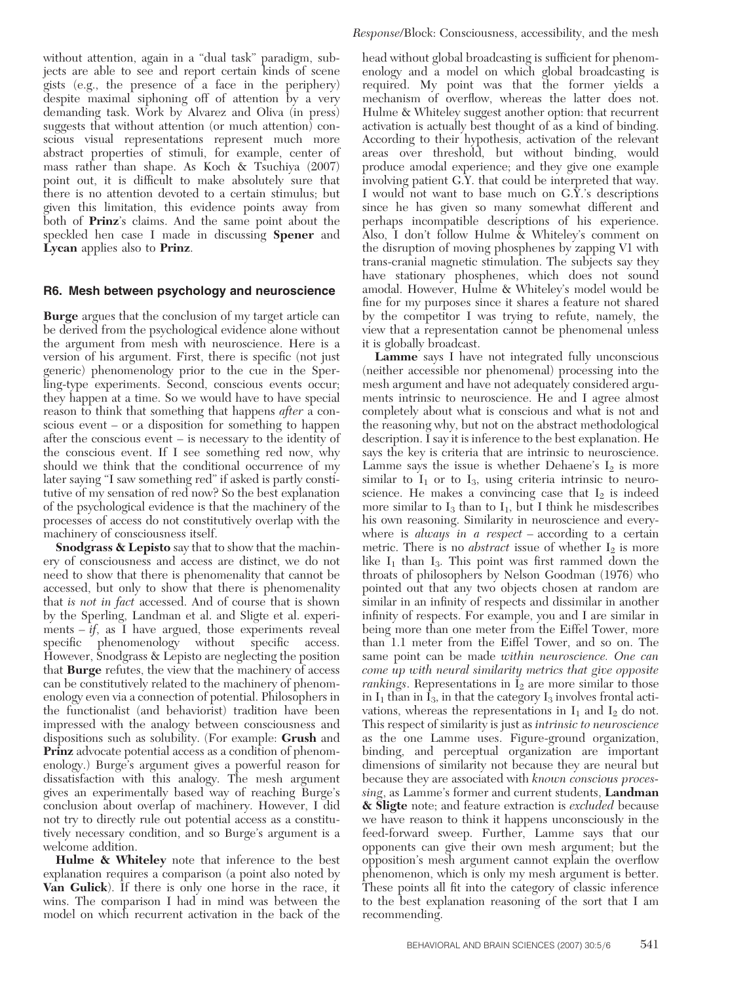without attention, again in a "dual task" paradigm, subjects are able to see and report certain kinds of scene gists (e.g., the presence of a face in the periphery) despite maximal siphoning off of attention by a very demanding task. Work by Alvarez and Oliva (in press) suggests that without attention (or much attention) conscious visual representations represent much more abstract properties of stimuli, for example, center of mass rather than shape. As Koch & Tsuchiya (2007) point out, it is difficult to make absolutely sure that there is no attention devoted to a certain stimulus; but given this limitation, this evidence points away from both of Prinz's claims. And the same point about the speckled hen case I made in discussing Spener and Lycan applies also to Prinz.

#### R6. Mesh between psychology and neuroscience

**Burge** argues that the conclusion of my target article can be derived from the psychological evidence alone without the argument from mesh with neuroscience. Here is a version of his argument. First, there is specific (not just generic) phenomenology prior to the cue in the Sperling-type experiments. Second, conscious events occur; they happen at a time. So we would have to have special reason to think that something that happens *after* a conscious event – or a disposition for something to happen after the conscious event – is necessary to the identity of the conscious event. If I see something red now, why should we think that the conditional occurrence of my later saying "I saw something red" if asked is partly constitutive of my sensation of red now? So the best explanation of the psychological evidence is that the machinery of the processes of access do not constitutively overlap with the machinery of consciousness itself.

Snodgrass & Lepisto say that to show that the machinery of consciousness and access are distinct, we do not need to show that there is phenomenality that cannot be accessed, but only to show that there is phenomenality that is not in fact accessed. And of course that is shown by the Sperling, Landman et al. and Sligte et al. experiments  $-i f$ , as I have argued, those experiments reveal specific phenomenology without specific access. However, Snodgrass & Lepisto are neglecting the position that Burge refutes, the view that the machinery of access can be constitutively related to the machinery of phenomenology even via a connection of potential. Philosophers in the functionalist (and behaviorist) tradition have been impressed with the analogy between consciousness and dispositions such as solubility. (For example: Grush and Prinz advocate potential access as a condition of phenomenology.) Burge's argument gives a powerful reason for dissatisfaction with this analogy. The mesh argument gives an experimentally based way of reaching Burge's conclusion about overlap of machinery. However, I did not try to directly rule out potential access as a constitutively necessary condition, and so Burge's argument is a welcome addition.

Hulme & Whiteley note that inference to the best explanation requires a comparison (a point also noted by Van Gulick). If there is only one horse in the race, it wins. The comparison I had in mind was between the model on which recurrent activation in the back of the

head without global broadcasting is sufficient for phenomenology and a model on which global broadcasting is required. My point was that the former yields a mechanism of overflow, whereas the latter does not. Hulme & Whiteley suggest another option: that recurrent activation is actually best thought of as a kind of binding. According to their hypothesis, activation of the relevant areas over threshold, but without binding, would produce amodal experience; and they give one example involving patient G.Y. that could be interpreted that way. I would not want to base much on G.Y.'s descriptions since he has given so many somewhat different and perhaps incompatible descriptions of his experience. Also, I don't follow Hulme  $\&$  Whiteley's comment on the disruption of moving phosphenes by zapping V1 with trans-cranial magnetic stimulation. The subjects say they have stationary phosphenes, which does not sound amodal. However, Hulme & Whiteley's model would be fine for my purposes since it shares a feature not shared by the competitor I was trying to refute, namely, the view that a representation cannot be phenomenal unless it is globally broadcast.

Lamme says I have not integrated fully unconscious (neither accessible nor phenomenal) processing into the mesh argument and have not adequately considered arguments intrinsic to neuroscience. He and I agree almost completely about what is conscious and what is not and the reasoning why, but not on the abstract methodological description. I say it is inference to the best explanation. He says the key is criteria that are intrinsic to neuroscience. Lamme says the issue is whether Dehaene's  $I_2$  is more similar to  $I_1$  or to  $I_3$ , using criteria intrinsic to neuroscience. He makes a convincing case that  $I_2$  is indeed more similar to  $I_3$  than to  $I_1$ , but I think he misdescribes his own reasoning. Similarity in neuroscience and everywhere is *always in a respect* – according to a certain metric. There is no *abstract* issue of whether  $I_2$  is more like  $I_1$  than  $I_3$ . This point was first rammed down the throats of philosophers by Nelson Goodman (1976) who pointed out that any two objects chosen at random are similar in an infinity of respects and dissimilar in another infinity of respects. For example, you and I are similar in being more than one meter from the Eiffel Tower, more than 1.1 meter from the Eiffel Tower, and so on. The same point can be made within neuroscience. One can come up with neural similarity metrics that give opposite rankings. Representations in  $I_2$  are more similar to those in  $I_1$  than in  $I_3$ , in that the category  $I_3$  involves frontal activations, whereas the representations in  $I_1$  and  $I_2$  do not. This respect of similarity is just as *intrinsic to neuroscience* as the one Lamme uses. Figure-ground organization, binding, and perceptual organization are important dimensions of similarity not because they are neural but because they are associated with known conscious processing, as Lamme's former and current students, **Landman** & Sligte note; and feature extraction is excluded because we have reason to think it happens unconsciously in the feed-forward sweep. Further, Lamme says that our opponents can give their own mesh argument; but the opposition's mesh argument cannot explain the overflow phenomenon, which is only my mesh argument is better. These points all fit into the category of classic inference to the best explanation reasoning of the sort that I am recommending.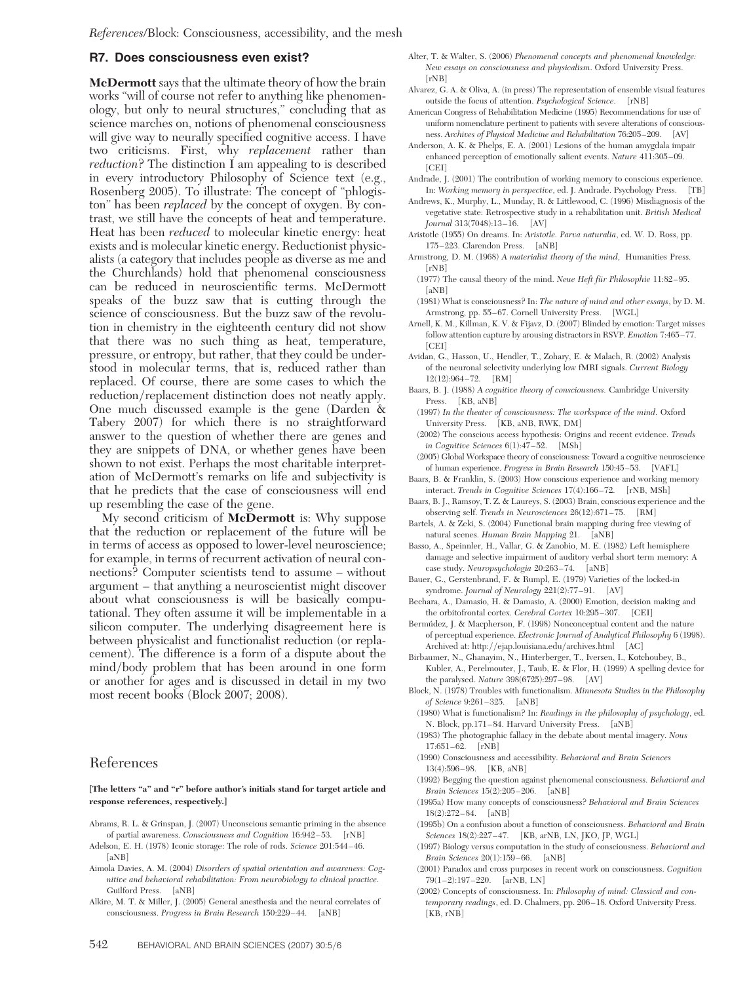#### R7. Does consciousness even exist?

McDermott says that the ultimate theory of how the brain works "will of course not refer to anything like phenomenology, but only to neural structures," concluding that as science marches on, notions of phenomenal consciousness will give way to neurally specified cognitive access. I have two criticisms. First, why replacement rather than reduction? The distinction I am appealing to is described in every introductory Philosophy of Science text (e.g., Rosenberg 2005). To illustrate: The concept of "phlogiston" has been replaced by the concept of oxygen. By contrast, we still have the concepts of heat and temperature. Heat has been reduced to molecular kinetic energy: heat exists and is molecular kinetic energy. Reductionist physicalists (a category that includes people as diverse as me and the Churchlands) hold that phenomenal consciousness can be reduced in neuroscientific terms. McDermott speaks of the buzz saw that is cutting through the science of consciousness. But the buzz saw of the revolution in chemistry in the eighteenth century did not show that there was no such thing as heat, temperature, pressure, or entropy, but rather, that they could be understood in molecular terms, that is, reduced rather than replaced. Of course, there are some cases to which the reduction/replacement distinction does not neatly apply. One much discussed example is the gene (Darden & Tabery 2007) for which there is no straightforward answer to the question of whether there are genes and they are snippets of DNA, or whether genes have been shown to not exist. Perhaps the most charitable interpretation of McDermott's remarks on life and subjectivity is that he predicts that the case of consciousness will end up resembling the case of the gene.

My second criticism of **McDermott** is: Why suppose that the reduction or replacement of the future will be in terms of access as opposed to lower-level neuroscience; for example, in terms of recurrent activation of neural connections? Computer scientists tend to assume – without argument – that anything a neuroscientist might discover about what consciousness is will be basically computational. They often assume it will be implementable in a silicon computer. The underlying disagreement here is between physicalist and functionalist reduction (or replacement). The difference is a form of a dispute about the mind/body problem that has been around in one form or another for ages and is discussed in detail in my two most recent books (Block 2007; 2008).

## References

#### [The letters "a" and "r" before author's initials stand for target article and response references, respectively.]

- Abrams, R. L. & Grinspan, J. (2007) Unconscious semantic priming in the absence of partial awareness. Consciousness and Cognition 16:942–53. [rNB]
- Adelson, E. H. (1978) Iconic storage: The role of rods. Science 201:544–46. [aNB]
- Aimola Davies, A. M. (2004) Disorders of spatial orientation and awareness: Cognitive and behavioral rehabilitation: From neurobiology to clinical practice. Guilford Press. [aNB]
- Alkire, M. T. & Miller, J. (2005) General anesthesia and the neural correlates of consciousness. Progress in Brain Research 150:229–44. [aNB]
- Alter, T. & Walter, S. (2006) Phenomenal concepts and phenomenal knowledge: New essays on consciousness and physicalism. Oxford University Press.  $[rNB]$
- Alvarez, G. A. & Oliva, A. (in press) The representation of ensemble visual features outside the focus of attention. Psychological Science. [rNB]
- American Congress of Rehabilitation Medicine (1995) Recommendations for use of uniform nomenclature pertinent to patients with severe alterations of consciousness. Archives of Physical Medicine and Rehabilitation 76:205–209. [AV]
- Anderson, A. K. & Phelps, E. A. (2001) Lesions of the human amygdala impair enhanced perception of emotionally salient events. Nature 411:305–09. [CEI]
- Andrade, J. (2001) The contribution of working memory to conscious experience. In: Working memory in perspective, ed. J. Andrade. Psychology Press. [TB]
- Andrews, K., Murphy, L., Munday, R. & Littlewood, C. (1996) Misdiagnosis of the vegetative state: Retrospective study in a rehabilitation unit. British Medical Journal 313(7048):13–16. [AV]
- Aristotle (1955) On dreams. In: Aristotle. Parva naturalia, ed. W. D. Ross, pp. 175–223. Clarendon Press. [aNB]
- Armstrong, D. M. (1968) A materialist theory of the mind, Humanities Press.  $[rNB]$ 
	- (1977) The causal theory of the mind. Neue Heft für Philosophie  $11:82-95$ . [aNB]
- (1981) What is consciousness? In: The nature of mind and other essays, by D. M. Armstrong, pp. 55–67. Cornell University Press. [WGL]
- Arnell, K. M., Killman, K. V. & Fijavz, D. (2007) Blinded by emotion: Target misses follow attention capture by arousing distractors in RSVP. Emotion 7:465–77. [CEI]
- Avidan, G., Hasson, U., Hendler, T., Zohary, E. & Malach, R. (2002) Analysis of the neuronal selectivity underlying low fMRI signals. Current Biology 12(12):964–72. [RM]
- Baars, B. J. (1988) A cognitive theory of consciousness. Cambridge University Press. [KB, aNB]
	- (1997) In the theater of consciousness: The workspace of the mind. Oxford University Press. [KB, aNB, RWK, DM]
- (2002) The conscious access hypothesis: Origins and recent evidence. Trends in Cognitive Sciences 6(1):47–52. [MSh]
- (2005) Global Workspace theory of consciousness: Toward a cognitive neuroscience of human experience. Progress in Brain Research 150:45–53. [VAFL]
- Baars, B. & Franklin, S. (2003) How conscious experience and working memory interact. Trends in Cognitive Sciences 17(4):166–72. [rNB, MSh]
- Baars, B. J., Ramsoy, T. Z. & Laureys, S. (2003) Brain, conscious experience and the observing self. Trends in Neurosciences 26(12):671–75. [RM]
- Bartels, A. & Zeki, S. (2004) Functional brain mapping during free viewing of natural scenes. Human Brain Mapping 21. [aNB]
- Basso, A., Speinnler, H., Vallar, G. & Zanobio, M. E. (1982) Left hemisphere damage and selective impairment of auditory verbal short term memory: A case study. Neuropsychologia 20:263–74. [aNB]
- Bauer, G., Gerstenbrand, F. & Rumpl, E. (1979) Varieties of the locked-in syndrome. Journal of Neurology 221(2):77–91. [AV]
- Bechara, A., Damasio, H. & Damasio, A. (2000) Emotion, decision making and the orbitofrontal cortex. Cerebral Cortex 10:295–307. [CEI]
- Bermúdez, J. & Macpherson, F. (1998) Nonconceptual content and the nature of perceptual experience. Electronic Journal of Analytical Philosophy 6 (1998). Archived at: http://ejap.louisiana.edu/archives.html [AC]
- Birbaumer, N., Ghanayim, N., Hinterberger, T., Iversen, I., Kotchoubey, B., Kubler, A., Perelmouter, J., Taub, E. & Flor, H. (1999) A spelling device for the paralysed. Nature 398(6725):297–98. [AV]
- Block, N. (1978) Troubles with functionalism. Minnesota Studies in the Philosophy of Science 9:261–325. [aNB]
- (1980) What is functionalism? In: Readings in the philosophy of psychology, ed. N. Block, pp.171–84. Harvard University Press. [aNB]
- (1983) The photographic fallacy in the debate about mental imagery. Nous 17:651–62. [rNB]
- (1990) Consciousness and accessibility. Behavioral and Brain Sciences 13(4):596–98. [KB, aNB]
- (1992) Begging the question against phenomenal consciousness. Behavioral and Brain Sciences 15(2):205–206. [aNB]
- (1995a) How many concepts of consciousness? Behavioral and Brain Sciences 18(2):272–84. [aNB]
- (1995b) On a confusion about a function of consciousness. Behavioral and Brain Sciences 18(2):227–47. [KB, arNB, LN, JKO, JP, WGL]
- (1997) Biology versus computation in the study of consciousness. Behavioral and Brain Sciences 20(1):159–66. [aNB]
- (2001) Paradox and cross purposes in recent work on consciousness. Cognition 79(1–2):197–220. [arNB, LN]
- (2002) Concepts of consciousness. In: Philosophy of mind: Classical and contemporary readings, ed. D. Chalmers, pp. 206–18. Oxford University Press. [KB, rNB]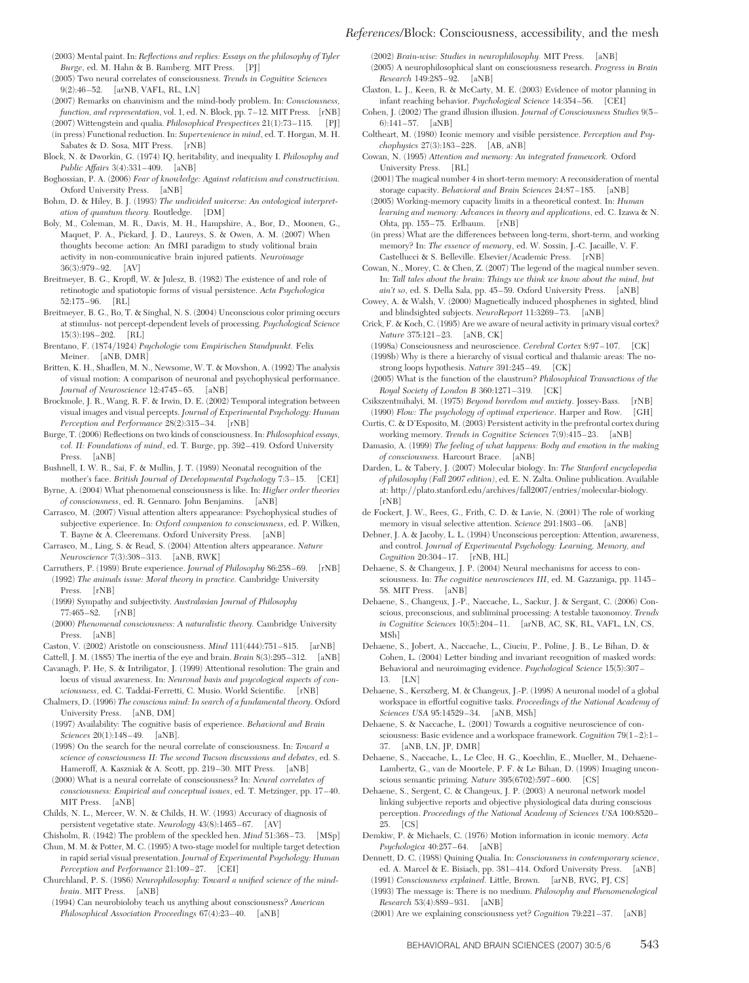- (2003) Mental paint. In: Reflections and replies: Essays on the philosophy of Tyler Burge, ed. M. Hahn & B. Ramberg. MIT Press. [PJ]
- (2005) Two neural correlates of consciousness. Trends in Cognitive Sciences 9(2):46–52. [arNB, VAFL, RL, LN]
- (2007) Remarks on chauvinism and the mind-body problem. In: Consciousness, function, and representation, vol. 1, ed. N. Block, pp. 7–12. MIT Press. [rNB] (2007) Wittengstein and qualia. Philosophical Prespectives 21(1):73–115. [PJ] (in press) Functional reduction. In: Supervenience in mind, ed. T. Horgan, M. H. Sabates & D. Sosa, MIT Press. [rNB]
- Block, N. & Dworkin, G. (1974) IQ, heritability, and inequality I. Philosophy and Public Affairs 3(4):331–409. [aNB]
- Boghossian, P. A. (2006) Fear of knowledge: Against relativism and constructivism. Oxford University Press. [aNB]
- Bohm, D. & Hiley, B. J. (1993) The undivided universe: An ontological interpretation of quantum theory. Routledge. [DM]
- Boly, M., Coleman, M. R., Davis, M. H., Hampshire, A., Bor, D., Moonen, G., Maquet, P. A., Pickard, J. D., Laureys, S. & Owen, A. M. (2007) When thoughts become action: An fMRI paradigm to study volitional brain activity in non-communicative brain injured patients. Neuroimage 36(3):979–92. [AV]
- Breitmeyer, B. G., Kropfl, W. & Julesz, B. (1982) The existence of and role of retinotogic and spatiotopic forms of visual persistence. Acta Psychologica 52:175–96. [RL]
- Breitmeyer, B. G., Ro, T. & Singhal, N. S. (2004) Unconscious color priming occurs at stimulus- not percept-dependent levels of processing. Psychological Science 15(3):198–202. [RL]
- Brentano, F. (1874/1924) Psychologie vom Empirischen Standpunkt. Felix Meiner. [aNB, DMR]
- Britten, K. H., Shadlen, M. N., Newsome, W. T. & Movshon, A. (1992) The analysis of visual motion: A comparison of neuronal and psychophysical performance. Journal of Neuroscience 12:4745–65. [aNB]
- Brockmole, J. R., Wang, R. F. & Irwin, D. E. (2002) Temporal integration between visual images and visual percepts. Journal of Experimental Psychology: Human Perception and Performance 28(2):315-34. [rNB]
- Burge, T. (2006) Reflections on two kinds of consciousness. In: Philosophical essays, vol. II: Foundations of mind, ed. T. Burge, pp. 392–419. Oxford University Press. [aNB]
- Bushnell, I. W. R., Sai, F. & Mullin, J. T. (1989) Neonatal recognition of the mother's face. British Journal of Developmental Psychology 7:3–15. [CEI]
- Byrne, A. (2004) What phenomenal consciousness is like. In: Higher order theories of consciousness, ed. R. Gennaro. John Benjamins. [aNB]
- Carrasco, M. (2007) Visual attention alters appearance: Psychophysical studies of subjective experience. In: Oxford companion to consciousness, ed. P. Wilken, T. Bayne & A. Cleeremans. Oxford University Press. [aNB]
- Carrasco, M., Ling, S. & Read, S. (2004) Attention alters appearance. Nature Neuroscience 7(3):308–313. [aNB, RWK]
- Carruthers, P. (1989) Brute experience. Journal of Philosophy 86:258–69. [rNB] (1992) The animals issue: Moral theory in practice. Cambridge University Press. [rNB]
	- (1999) Sympathy and subjectivity. Australasian Journal of Philosophy 77:465–82. [rNB]
- (2000) Phenomenal consciousness: A naturalistic theory. Cambridge University Press. [aNB]
- Caston, V. (2002) Aristotle on consciousness. Mind 111(444):751–815. [arNB]
- Cattell, J. M. (1885) The inertia of the eye and brain. Brain 8(3):295–312. [aNB] Cavanagh, P. He, S. & Intriligator, J. (1999) Attentional resolution: The grain and
- locus of visual awareness. In: Neuronal basis and psycological aspects of consciousness, ed. C. Taddai-Ferretti, C. Musio. World Scientific. [rNB] Chalmers, D. (1996) The conscious mind: In search of a fundamental theory. Oxford
- University Press. [aNB, DM] (1997) Availability: The cognitive basis of experience. Behavioral and Brain
- $\label{eq:sciences20}Sciences$  20(1):148–49. [aNB].
- (1998) On the search for the neural correlate of consciousness. In: Toward a science of consciousness II: The second Tucson discussions and debates, ed. S. Hameroff, A. Kaszniak & A. Scott, pp. 219–30. MIT Press. [aNB]
- (2000) What is a neural correlate of consciousness? In: Neural correlates of consciousness: Empirical and conceptual issues, ed. T. Metzinger, pp. 17–40. MIT Press. [aNB]
- Childs, N. L., Mercer, W. N. & Childs, H. W. (1993) Accuracy of diagnosis of persistent vegetative state. Neurology 43(8):1465–67. [AV]
- Chisholm, R. (1942) The problem of the speckled hen. Mind 51:368–73. [MSp] Chun, M. M. & Potter, M. C. (1995) A two-stage model for multiple target detection in rapid serial visual presentation. Journal of Experimental Psychology: Human
- Perception and Performance 21:109–27. [CEI] Churchland, P. S. (1986) Neurophilosophy: Toward a unified science of the mindbrain. MIT Press. [aNB]
- (1994) Can neurobioloby teach us anything about consciousness? American Philosophical Association Proceedings 67(4):23–40. [aNB]

(2002) Brain-wise: Studies in neurophilosophy. MIT Press. [aNB]

- (2005) A neurophilosophical slant on consciousness research. Progress in Brain Research 149:285–92. [aNB]
- Claxton, L. J., Keen, R. & McCarty, M. E. (2003) Evidence of motor planning in infant reaching behavior. Psychological Science 14:354–56. [CEI]
- Cohen, J. (2002) The grand illusion illusion. Journal of Consciousness Studies 9(5– 6):141–57. [aNB]
- Coltheart, M. (1980) Iconic memory and visible persistence. Perception and Psychophysics 27(3):183–228. [AB, aNB]
- Cowan, N. (1995) Attention and memory: An integrated framework. Oxford University Press. [RL]
- (2001) The magical number 4 in short-term memory: A reconsideration of mental storage capacity. Behavioral and Brain Sciences 24:87–185. [aNB]
- (2005) Working-memory capacity limits in a theoretical context. In: Human learning and memory: Advances in theory and applications, ed. C. Izawa & N. Ohta, pp. 155–75. Erlbaum. [rNB]
- (in press) What are the differences between long-term, short-term, and working memory? In: The essence of memory, ed. W. Sossin, J.-C. Jacaille, V. F. Castellucci & S. Belleville. Elsevier/Academic Press. [rNB]
- Cowan, N., Morey, C. & Chen, Z. (2007) The legend of the magical number seven. In: Tall tales about the brain: Things we think we know about the mind, but ain't so, ed. S. Della Sala, pp. 45–59. Oxford University Press. [aNB]
- Cowey, A. & Walsh, V. (2000) Magnetically induced phosphenes in sighted, blind and blindsighted subjects. NeuroReport 11:3269–73. [aNB]
- Crick, F. & Koch, C. (1995) Are we aware of neural activity in primary visual cortex? Nature 375:121–23. [aNB, CK]
	- (1998a) Consciousness and neuroscience. Cerebral Cortex 8:97–107. [CK] (1998b) Why is there a hierarchy of visual cortical and thalamic areas: The no-
	- strong loops hypothesis. Nature 391:245–49. [CK] (2005) What is the function of the claustrum? Philosophical Transactions of the Royal Society of London B 360:1271–319. [CK]
- Csikszentmihalyi, M. (1975) Beyond boredom and anxiety. Jossey-Bass. [rNB]
- (1990) Flow: The psychology of optimal experience. Harper and Row. [GH]
- Curtis, C. & D'Esposito, M. (2003) Persistent activity in the prefrontal cortex during working memory. Trends in Cognitive Sciences 7(9):415-23. [aNB]
- Damasio, A. (1999) The feeling of what happens: Body and emotion in the making of consciousness. Harcourt Brace. [aNB]
- Darden, L. & Tabery, J. (2007) Molecular biology. In: The Stanford encyclopedia of philosophy (Fall 2007 edition), ed. E. N. Zalta. Online publication. Available at: http://plato.stanford.edu/archives/fall2007/entries/molecular-biology.  $[rNB]$
- de Fockert, J. W., Rees, G., Frith, C. D. & Lavie, N. (2001) The role of working memory in visual selective attention. Science 291:1803–06. [aNB]
- Debner, J. A. & Jacoby, L. L. (1994) Unconscious perception: Attention, awareness, and control. Journal of Experimental Psychology: Learning, Memory, and Cognition 20:304–17. [rNB, HL]
- Dehaene, S. & Changeux, J. P. (2004) Neural mechanisms for access to consciousness. In: The cognitive neurosciences III, ed. M. Gazzaniga, pp. 1145– 58. MIT Press. [aNB]
- Dehaene, S., Changeux, J.-P., Naccache, L., Sackur, J. & Sergant, C. (2006) Conscious, preconscious, and subliminal processing: A testable taxonomoy. Trends in Cognitive Sciences 10(5):204–11. [arNB, AC, SK, RL, VAFL, LN, CS, MSh]
- Dehaene, S., Jobert, A., Naccache, L., Ciuciu, P., Poline, J. B., Le Bihan, D. & Cohen, L. (2004) Letter binding and invariant recognition of masked words: Behavioral and neuroimaging evidence. Psychological Science 15(5):307– 13. [LN]
- Dehaene, S., Kerszberg, M. & Changeux, J.-P. (1998) A neuronal model of a global workspace in effortful cognitive tasks. Proceedings of the National Academy of Sciences USA 95:14529–34. [aNB, MSh]
- Dehaene, S. & Naccache, L. (2001) Towards a cognitive neuroscience of consciousness: Basic evidence and a workspace framework. Cognition 79(1–2):1– 37. [aNB, LN, JP, DMR]
- Dehaene, S., Naccache, L., Le Clec, H. G., Koechlin, E., Mueller, M., Dehaene-Lambertz, G., van de Moortele, P. F. & Le Bihan, D. (1998) Imaging unconscious semantic priming. Nature 395(6702):597–600. [CS]
- Dehaene, S., Sergent, C. & Changeux, J. P. (2003) A neuronal network model linking subjective reports and objective physiological data during conscious perception. Proceedings of the National Academy of Sciences USA 100:8520– 25. [CS]
- Demkiw, P. & Michaels, C. (1976) Motion information in iconic memory. Acta Psychologica 40:257–64. [aNB]
- Dennett, D. C. (1988) Quining Qualia. In: Consciousness in contemporary science, ed. A. Marcel & E. Bisiach, pp. 381–414. Oxford University Press. [aNB]
	- (1991) Consciousness explained. Little, Brown. [arNB, RVG, PJ, CS] (1993) The message is: There is no medium. Philosophy and Phenomenological Research 53(4):889–931. [aNB]
	- (2001) Are we explaining consciousness yet? Cognition 79:221–37. [aNB]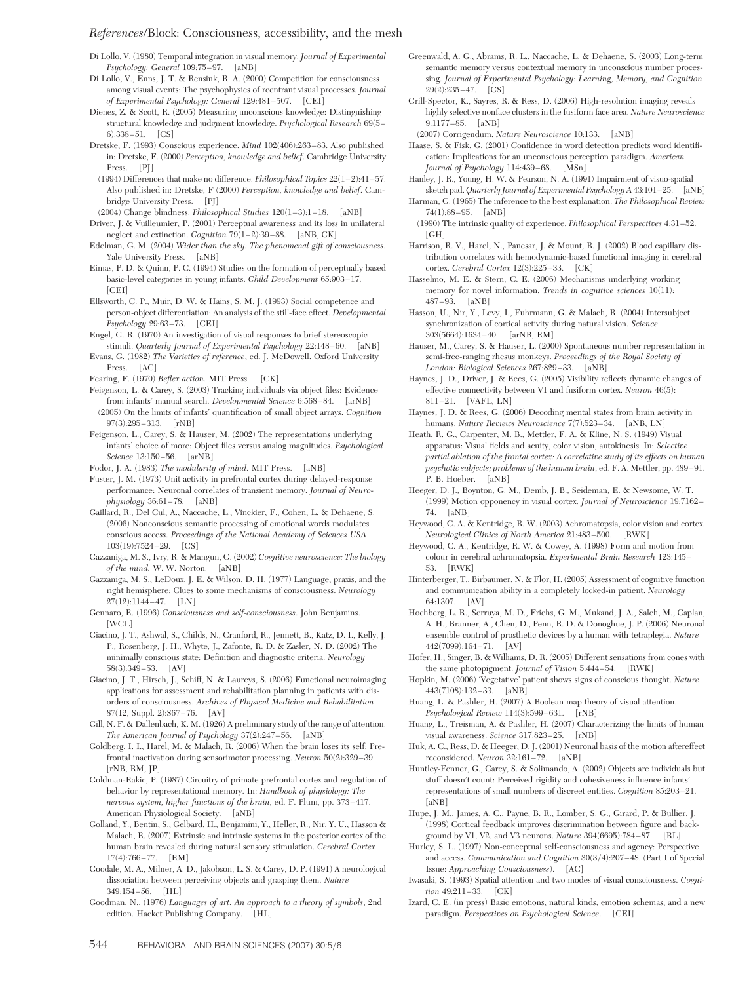- Di Lollo, V. (1980) Temporal integration in visual memory. Journal of Experimental Psychology: General 109:75–97. [aNB]
- Di Lollo, V., Enns, J. T. & Rensink, R. A. (2000) Competition for consciousness among visual events: The psychophysics of reentrant visual processes. Journal of Experimental Psychology: General 129:481–507. [CEI]
- Dienes, Z. & Scott, R. (2005) Measuring unconscious knowledge: Distinguishing structural knowledge and judgment knowledge. Psychological Research 69(5– 6):338–51. [CS]
- Dretske, F. (1993) Conscious experience. Mind 102(406):263–83. Also published in: Dretske, F. (2000) Perception, knowledge and belief. Cambridge University Press. [PJ]
- (1994) Differences that make no difference. Philosophical Topics 22(1–2):41–57. Also published in: Dretske, F (2000) Perception, knowledge and belief. Cambridge University Press. [PJ]
- (2004) Change blindness. Philosophical Studies 120(1–3):1–18. [aNB]
- Driver, J. & Vuilleumier, P. (2001) Perceptual awareness and its loss in unilateral neglect and extinction. Cognition 79(1–2):39–88. [aNB, CK]
- Edelman, G. M. (2004) Wider than the sky: The phenomenal gift of consciousness. Yale University Press. [aNB]
- Eimas, P. D. & Quinn, P. C. (1994) Studies on the formation of perceptually based basic-level categories in young infants. Child Development 65:903–17. [CEI]
- Ellsworth, C. P., Muir, D. W. & Hains, S. M. J. (1993) Social competence and person-object differentiation: An analysis of the still-face effect. Developmental Psychology 29:63–73. [CEI]
- Engel, G. R. (1970) An investigation of visual responses to brief stereoscopic stimuli. Quarterly Journal of Experimental Psychology 22:148–60. [aNB]
- Evans, G. (1982) The Varieties of reference, ed. J. McDowell. Oxford University Press. [AC]
- Fearing, F. (1970) Reflex action. MIT Press. [CK]
- Feigenson, L. & Carey, S. (2003) Tracking individuals via object files: Evidence from infants' manual search. Developmental Science 6:568–84. [arNB] (2005) On the limits of infants' quantification of small object arrays. Cognition 97(3):295–313. [rNB]
- Feigenson, L., Carey, S. & Hauser, M. (2002) The representations underlying infants' choice of more: Object files versus analog magnitudes. Psychological Science 13:150–56. [arNB]
- Fodor, J. A. (1983) The modularity of mind. MIT Press. [aNB]
- Fuster, J. M. (1973) Unit activity in prefrontal cortex during delayed-response performance: Neuronal correlates of transient memory. Journal of Neuro $physiology 36:61-78.$  [aNB]
- Gaillard, R., Del Cul, A., Naccache, L., Vinckier, F., Cohen, L. & Dehaene, S. (2006) Nonconscious semantic processing of emotional words modulates conscious access. Proceedings of the National Academy of Sciences USA 103(19):7524–29. [CS]
- Gazzaniga, M. S., Ivry, R. & Mangun, G. (2002) Cognitive neuroscience: The biology of the mind. W. W. Norton. [aNB]
- Gazzaniga, M. S., LeDoux, J. E. & Wilson, D. H. (1977) Language, praxis, and the right hemisphere: Clues to some mechanisms of consciousness. Neurology 27(12):1144–47. [LN]
- Gennaro, R. (1996) Consciousness and self-consciousness. John Benjamins. [WGL]
- Giacino, J. T., Ashwal, S., Childs, N., Cranford, R., Jennett, B., Katz, D. I., Kelly, J. P., Rosenberg, J. H., Whyte, J., Zafonte, R. D. & Zasler, N. D. (2002) The minimally conscious state: Definition and diagnostic criteria. Neurology 58(3):349–53. [AV]
- Giacino, J. T., Hirsch, J., Schiff, N. & Laureys, S. (2006) Functional neuroimaging applications for assessment and rehabilitation planning in patients with disorders of consciousness. Archives of Physical Medicine and Rehabilitation 87(12, Suppl. 2):S67–76. [AV]
- Gill, N. F. & Dallenbach, K. M. (1926) A preliminary study of the range of attention. The American Journal of Psychology 37(2):247–56. [aNB]
- Goldberg, I. I., Harel, M. & Malach, R. (2006) When the brain loses its self: Prefrontal inactivation during sensorimotor processing. Neuron 50(2):329–39. [rNB, RM, JP]
- Goldman-Rakic, P. (1987) Circuitry of primate prefrontal cortex and regulation of behavior by representational memory. In: Handbook of physiology: The nervous system, higher functions of the brain, ed. F. Plum, pp. 373–417. American Physiological Society. [aNB]
- Golland, Y., Bentin, S., Gelbard, H., Benjamini, Y., Heller, R., Nir, Y. U., Hasson & Malach, R. (2007) Extrinsic and intrinsic systems in the posterior cortex of the human brain revealed during natural sensory stimulation. Cerebral Cortex 17(4):766–77. [RM]
- Goodale, M. A., Milner, A. D., Jakobson, L. S. & Carey, D. P. (1991) A neurological dissociation between perceiving objects and grasping them. Nature 349:154–56. [HL]
- Goodman, N., (1976) Languages of art: An approach to a theory of symbols, 2nd edition. Hacket Publishing Company. [HL]
- Greenwald, A. G., Abrams, R. L., Naccache, L. & Dehaene, S. (2003) Long-term semantic memory versus contextual memory in unconscious number processing. Journal of Experimental Psychology: Learning, Memory, and Cognition  $29(2):235-47.$  [CS]
- Grill-Spector, K., Sayres, R. & Ress, D. (2006) High-resolution imaging reveals highly selective nonface clusters in the fusiform face area. Nature Neuroscience 9:1177–85. [aNB]
- (2007) Corrigendum. Nature Neuroscience 10:133. [aNB]
- Haase, S. & Fisk, G. (2001) Confidence in word detection predicts word identification: Implications for an unconscious perception paradigm. American Journal of Psychology 114:439–68. [MSn]
- Hanley, J. R., Young, H. W. & Pearson, N. A. (1991) Impairment of visuo-spatial sketch pad. Quarterly Journal of Experimental Psychology A 43:101–25. [aNB]
- Harman, G. (1965) The inference to the best explanation. The Philosophical Review 74(1):88–95. [aNB]
- (1990) The intrinsic quality of experience. Philosophical Perspectives 4:31–52.  $\lceil$ GH $\rceil$
- Harrison, R. V., Harel, N., Panesar, J. & Mount, R. J. (2002) Blood capillary distribution correlates with hemodynamic-based functional imaging in cerebral cortex. Cerebral Cortex 12(3):225–33. [CK]
- Hasselmo, M. E. & Stern, C. E. (2006) Mechanisms underlying working memory for novel information. Trends in cognitive sciences  $10(11)$ : 487–93. [aNB]
- Hasson, U., Nir, Y., Levy, I., Fuhrmann, G. & Malach, R. (2004) Intersubject synchronization of cortical activity during natural vision. Science 303(5664):1634–40. [arNB, RM]
- Hauser, M., Carey, S. & Hauser, L. (2000) Spontaneous number representation in semi-free-ranging rhesus monkeys. Proceedings of the Royal Society of London: Biological Sciences 267:829–33. [aNB]
- Haynes, J. D., Driver, J. & Rees, G. (2005) Visibility reflects dynamic changes of effective connectivity between V1 and fusiform cortex. Neuron 46(5): 811–21. [VAFL, LN]
- Haynes, J. D. & Rees, G. (2006) Decoding mental states from brain activity in humans. Nature Reviews Neuroscience 7(7):523–34. [aNB, LN]
- Heath, R. G., Carpenter, M. B., Mettler, F. A. & Kline, N. S. (1949) Visual apparatus: Visual fields and acuity, color vision, autokinesis. In: Selective partial ablation of the frontal cortex: A correlative study of its effects on human psychotic subjects; problems of the human brain, ed. F. A. Mettler, pp. 489–91. P. B. Hoeber. [aNB]
- Heeger, D. J., Boynton, G. M., Demb, J. B., Seideman, E. & Newsome, W. T. (1999) Motion opponency in visual cortex. Journal of Neuroscience 19:7162– 74. [aNB]
- Heywood, C. A. & Kentridge, R. W. (2003) Achromatopsia, color vision and cortex. Neurological Clinics of North America 21:483–500. [RWK]
- Heywood, C. A., Kentridge, R. W. & Cowey, A. (1998) Form and motion from colour in cerebral achromatopsia. Experimental Brain Research 123:145– 53. [RWK]
- Hinterberger, T., Birbaumer, N. & Flor, H. (2005) Assessment of cognitive function and communication ability in a completely locked-in patient. Neurology 64:1307. [AV]
- Hochberg, L. R., Serruya, M. D., Friehs, G. M., Mukand, J. A., Saleh, M., Caplan, A. H., Branner, A., Chen, D., Penn, R. D. & Donoghue, J. P. (2006) Neuronal ensemble control of prosthetic devices by a human with tetraplegia. Nature 442(7099):164–71. [AV]
- Hofer, H., Singer, B. & Williams, D. R. (2005) Different sensations from cones with the same photopigment. Journal of Vision 5:444–54. [RWK]
- Hopkin, M. (2006) 'Vegetative' patient shows signs of conscious thought. Nature 443(7108):132–33. [aNB]
- Huang, L. & Pashler, H. (2007) A Boolean map theory of visual attention. Psychological Review 114(3):599–631. [rNB]
- Huang, L., Treisman, A. & Pashler, H. (2007) Characterizing the limits of human visual awareness. Science 317:823–25. [rNB]
- Huk, A. C., Ress, D. & Heeger, D. J. (2001) Neuronal basis of the motion aftereffect reconsidered. Neuron 32:161–72. [aNB]
- Huntley-Fenner, G., Carey, S. & Solimando, A. (2002) Objects are individuals but stuff doesn't count: Perceived rigidity and cohesiveness influence infants' representations of small numbers of discreet entities. Cognition 85:203–21. [aNB]
- Hupe, J. M., James, A. C., Payne, B. R., Lomber, S. G., Girard, P. & Bullier, J. (1998) Cortical feedback improves discrimination between figure and background by V1, V2, and V3 neurons. Nature 394(6695):784–87. [RL]
- Hurley, S. L. (1997) Non-conceptual self-consciousness and agency: Perspective and access. Communication and Cognition 30(3/4):207–48. (Part 1 of Special Issue: Approaching Consciousness). [AC]
- Iwasaki, S. (1993) Spatial attention and two modes of visual consciousness. Cognition 49:211–33. [CK]
- Izard, C. E. (in press) Basic emotions, natural kinds, emotion schemas, and a new paradigm. Perspectives on Psychological Science. [CEI]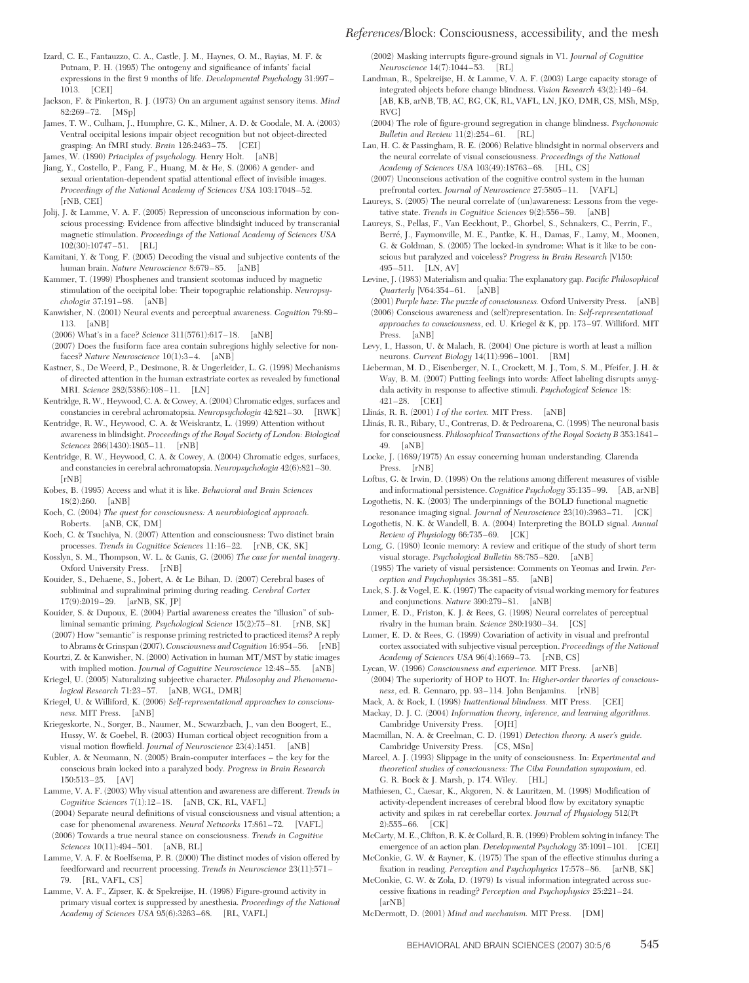- Izard, C. E., Fantauzzo, C. A., Castle, J. M., Haynes, O. M., Rayias, M. F. & Putnam, P. H. (1995) The ontogeny and significance of infants' facial expressions in the first 9 months of life. Developmental Psychology 31:997– 1013. [CEI]
- Jackson, F. & Pinkerton, R. J. (1973) On an argument against sensory items. Mind 82:269–72. [MSp]
- James, T. W., Culham, J., Humphre, G. K., Milner, A. D. & Goodale, M. A. (2003) Ventral occipital lesions impair object recognition but not object-directed grasping: An fMRI study. Brain 126:2463–75. [CEI]
- James, W. (1890) Principles of psychology. Henry Holt. [aNB]
- Jiang, Y., Costello, P., Fang, F., Huang, M. & He, S. (2006) A gender- and sexual orientation-dependent spatial attentional effect of invisible images. Proceedings of the National Academy of Sciences USA 103:17048–52. [rNB, CEI]
- Jolij, J. & Lamme, V. A. F. (2005) Repression of unconscious information by conscious processing: Evidence from affective blindsight induced by transcranial magnetic stimulation. Proceedings of the National Academy of Sciences USA 102(30):10747–51. [RL]
- Kamitani, Y. & Tong, F. (2005) Decoding the visual and subjective contents of the human brain. Nature Neuroscience 8:679–85. [aNB]
- Kammer, T. (1999) Phosphenes and transient scotomas induced by magnetic stimulation of the occipital lobe: Their topographic relationship. Neuropsychologia 37:191–98. [aNB]
- Kanwisher, N. (2001) Neural events and perceptual awareness. Cognition 79:89– 113. [aNB]
	- (2006) What's in a face? Science 311(5761):617–18. [aNB]

(2007) Does the fusiform face area contain subregions highly selective for nonfaces? Nature Neuroscience 10(1):3-4. [aNB]

- Kastner, S., De Weerd, P., Desimone, R. & Ungerleider, L. G. (1998) Mechanisms of directed attention in the human extrastriate cortex as revealed by functional MRI. Science 282(5386):108–11. [LN]
- Kentridge, R. W., Heywood, C. A. & Cowey, A. (2004) Chromatic edges, surfaces and constancies in cerebral achromatopsia. Neuropsychologia 42:821–30. [RWK]
- Kentridge, R. W., Heywood, C. A. & Weiskrantz, L. (1999) Attention without awareness in blindsight. Proceedings of the Royal Society of London: Biological Sciences 266(1430):1805–11. [rNB]
- Kentridge, R. W., Heywood, C. A. & Cowey, A. (2004) Chromatic edges, surfaces, and constancies in cerebral achromatopsia. Neuropsychologia 42(6):821–30.  $[rNB]$
- Kobes, B. (1995) Access and what it is like. Behavioral and Brain Sciences 18(2):260. [aNB]
- Koch, C. (2004) The quest for consciousness: A neurobiological approach. Roberts. [aNB, CK, DM]
- Koch, C. & Tsuchiya, N. (2007) Attention and consciousness: Two distinct brain processes. Trends in Cognitive Sciences 11:16–22. [rNB, CK, SK]
- Kosslyn, S. M., Thompson, W. L. & Ganis, G. (2006) The case for mental imagery. Oxford University Press. [rNB]
- Kouider, S., Dehaene, S., Jobert, A. & Le Bihan, D. (2007) Cerebral bases of subliminal and supraliminal priming during reading. Cerebral Cortex 17(9):2019–29. [arNB, SK, JP]
- Kouider, S. & Dupoux, E. (2004) Partial awareness creates the "illusion" of subliminal semantic priming. Psychological Science 15(2):75–81. [rNB, SK] (2007) How "semantic" is response priming restricted to practiced items? A reply
- to Abrams & Grinspan (2007). Consciousness and Cognition 16:954-56. [rNB] Kourtzi, Z. & Kanwisher, N. (2000) Activation in human MT/MST by static images
- with implied motion. Journal of Cognitive Neuroscience 12:48-55. [aNB] Kriegel, U. (2005) Naturalizing subjective character. Philosophy and Phenomeno-
- logical Research 71:23–57. [aNB, WGL, DMR] Kriegel, U. & Williford, K. (2006) Self-representational approaches to conscious-
- ness. MIT Press. [aNB] Kriegeskorte, N., Sorger, B., Naumer, M., Scwarzbach, J., van den Boogert, E., Hussy, W. & Goebel, R. (2003) Human cortical object recognition from a
- visual motion flowfield. Journal of Neuroscience 23(4):1451. [aNB] Kubler, A. & Neumann, N. (2005) Brain-computer interfaces – the key for the conscious brain locked into a paralyzed body. Progress in Brain Research 150:513–25. [AV]
- Lamme, V. A. F. (2003) Why visual attention and awareness are different. Trends in Cognitive Sciences 7(1):12–18. [aNB, CK, RL, VAFL]
- (2004) Separate neural definitions of visual consciousness and visual attention; a case for phenomenal awareness. Neural Networks 17:861–72. [VAFL] (2006) Towards a true neural stance on consciousness. Trends in Cognitive Sciences 10(11):494–501. [aNB, RL]
- Lamme, V. A. F. & Roelfsema, P. R. (2000) The distinct modes of vision offered by feedforward and recurrent processing. Trends in Neuroscience 23(11):571– 79. [RL, VAFL, CS]
- Lamme, V. A. F., Zipser, K. & Spekreijse, H. (1998) Figure-ground activity in primary visual cortex is suppressed by anesthesia. Proceedings of the National Academy of Sciences USA 95(6):3263–68. [RL, VAFL]

(2002) Masking interrupts figure-ground signals in V1. Journal of Cognitive Neuroscience 14(7):1044–53. [RL]

- Landman, R., Spekreijse, H. & Lamme, V. A. F. (2003) Large capacity storage of integrated objects before change blindness. Vision Research 43(2):149–64. [AB, KB, arNB, TB, AC, RG, CK, RL, VAFL, LN, JKO, DMR, CS, MSh, MSp, RVG]
- (2004) The role of figure-ground segregation in change blindness. Psychonomic Bulletin and Review  $11(2):254-61$ . [RL]
- Lau, H. C. & Passingham, R. E. (2006) Relative blindsight in normal observers and the neural correlate of visual consciousness. Proceedings of the National Academy of Sciences USA 103(49):18763–68. [HL, CS]
- (2007) Unconscious activation of the cognitive control system in the human prefrontal cortex. Journal of Neuroscience 27:5805–11. [VAFL]
- Laureys, S. (2005) The neural correlate of (un)awareness: Lessons from the vegetative state. Trends in Cognitive Sciences 9(2):556–59. [aNB]
- Laureys, S., Pellas, F., Van Eeckhout, P., Ghorbel, S., Schnakers, C., Perrin, F., Berré, J., Faymonville, M. E., Pantke, K. H., Damas, F., Lamy, M., Moonen, G. & Goldman, S. (2005) The locked-in syndrome: What is it like to be conscious but paralyzed and voiceless? Progress in Brain Research |V150: 495–511. [LN, AV]
- Levine, J. (1983) Materialism and qualia: The explanatory gap. Pacific Philosophical Quarterly |V64:354–61. [aNB]
- (2001) Purple haze: The puzzle of consciousness. Oxford University Press. [aNB] (2006) Conscious awareness and (self)representation. In: Self-representational approaches to consciousness, ed. U. Kriegel & K, pp. 173–97. Williford. MIT Press. [aNB]
- Levy, I., Hasson, U. & Malach, R. (2004) One picture is worth at least a million neurons. Current Biology 14(11):996–1001. [RM]
- Lieberman, M. D., Eisenberger, N. I., Crockett, M. J., Tom, S. M., Pfeifer, J. H. & Way, B. M. (2007) Putting feelings into words: Affect labeling disrupts amygdala activity in response to affective stimuli. Psychological Science 18: 421–28. [CEI]
- Llinás, R. R. (2001) I of the vortex. MIT Press. [aNB]
- Llina´s, R. R., Ribary, U., Contreras, D. & Pedroarena, C. (1998) The neuronal basis for consciousness. Philosophical Transactions of the Royal Society B 353:1841– 49. [aNB]
- Locke, J. (1689/1975) An essay concerning human understanding. Clarenda Press. [rNB]
- Loftus, G. & Irwin, D. (1998) On the relations among different measures of visible and informational persistence. Cognitive Psychology 35:135–99. [AB, arNB]
- Logothetis, N. K. (2003) The underpinnings of the BOLD functional magnetic resonance imaging signal. Journal of Neuroscience 23(10):3963–71. [CK]
- Logothetis, N. K. & Wandell, B. A. (2004) Interpreting the BOLD signal. Annual Review of Physiology 66:735–69. [CK]
- Long, G. (1980) Iconic memory: A review and critique of the study of short term visual storage. Psychological Bulletin 88:785–820. [aNB]
- (1985) The variety of visual persistence: Comments on Yeomas and Irwin. Perception and Psychophysics 38:381–85. [aNB]
- Luck, S. J. & Vogel, E. K. (1997) The capacity of visual working memory for features and conjunctions. Nature 390:279–81. [aNB]
- Lumer, E. D., Friston, K. J. & Rees, G. (1998) Neural correlates of perceptual rivalry in the human brain. Science 280:1930–34. [CS]
- Lumer, E. D. & Rees, G. (1999) Covariation of activity in visual and prefrontal cortex associated with subjective visual perception. Proceedings of the National Academy of Sciences USA 96(4):1669–73. [rNB, CS]
- Lycan, W. (1996) Consciousness and experience. MIT Press. [arNB]
- (2004) The superiority of HOP to HOT. In: Higher-order theories of consciousness, ed. R. Gennaro, pp. 93–114. John Benjamins. [rNB]
- Mack, A. & Rock, I. (1998) Inattentional blindness. MIT Press. [CEI]
- Mackay, D. J. C. (2004) Information theory, inference, and learning algorithms. Cambridge University Press. [OJH]
- Macmillan, N. A. & Creelman, C. D. (1991) Detection theory: A user's guide. Cambridge University Press. [CS, MSn]
- Marcel, A. J. (1993) Slippage in the unity of consciousness. In: Experimental and theoretical studies of consciousness: The Ciba Foundation symposium, ed. G. R. Bock & J. Marsh, p. 174. Wiley. [HL]
- Mathiesen, C., Caesar, K., Akgoren, N. & Lauritzen, M. (1998) Modification of activity-dependent increases of cerebral blood flow by excitatory synaptic activity and spikes in rat cerebellar cortex. Journal of Physiology 512(Pt 2):555–66. [CK]
- McCarty, M. E., Clifton, R. K. & Collard, R. R. (1999) Problem solving in infancy: The emergence of an action plan. Developmental Psychology 35:1091–101. [CEI]
- McConkie, G. W. & Rayner, K. (1975) The span of the effective stimulus during a fixation in reading. Perception and Psychophysics 17:578–86. [arNB, SK]
- McConkie, G. W. & Zola, D. (1979) Is visual information integrated across successive fixations in reading? Perception and Psychophysics 25:221–24. [arNB]
- McDermott, D. (2001) Mind and mechanism. MIT Press. [DM]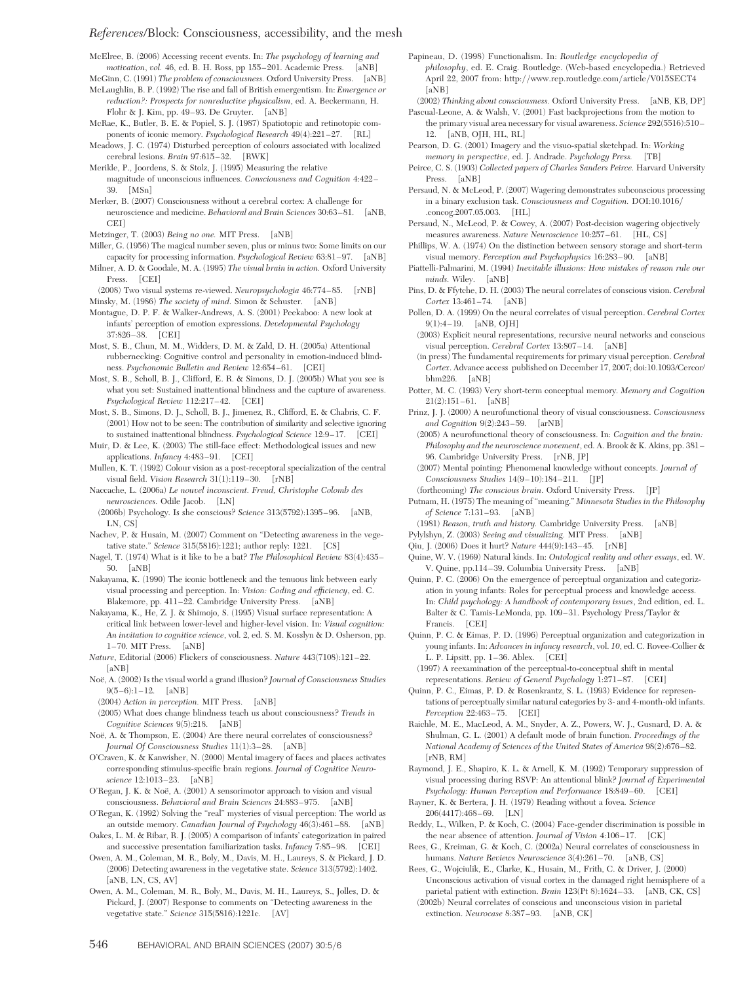McElree, B. (2006) Accessing recent events. In: The psychology of learning and motivation, vol. 46, ed. B. H. Ross, pp 155–201. Academic Press. [aNB]

- McGinn, C. (1991) The problem of consciousness. Oxford University Press. [aNB] McLaughlin, B. P. (1992) The rise and fall of British emergentism. In: Emergence or
- reduction?: Prospects for nonreductive physicalism, ed. A. Beckermann, H. Flohr & J. Kim, pp. 49–93. De Gruyter. [aNB]
- McRae, K., Butler, B. E. & Popiel, S. J. (1987) Spatiotopic and retinotopic components of iconic memory. Psychological Research 49(4):221–27. [RL]
- Meadows, J. C. (1974) Disturbed perception of colours associated with localized cerebral lesions. Brain 97:615–32. [RWK]

Merikle, P., Joordens, S. & Stolz, J. (1995) Measuring the relative magnitude of unconscious influences. Consciousness and Cognition 4:422– 39. [MSn]

- Merker, B. (2007) Consciousness without a cerebral cortex: A challenge for neuroscience and medicine. Behavioral and Brain Sciences 30:63–81. [aNB, CEI]
- Metzinger, T. (2003) Being no one. MIT Press. [aNB]
- Miller, G. (1956) The magical number seven, plus or minus two: Some limits on our capacity for processing information. Psychological Review 63:81–97. [aNB]
- Milner, A. D. & Goodale, M. A. (1995) The visual brain in action. Oxford University Press. [CEI]
- (2008) Two visual systems re-viewed. Neuropsychologia 46:774–85. [rNB] Minsky, M. (1986) The society of mind. Simon & Schuster. [aNB]
- Montague, D. P. F. & Walker-Andrews, A. S. (2001) Peekaboo: A new look at infants' perception of emotion expressions. Developmental Psychology 37:826–38. [CEI]
- Most, S. B., Chun, M. M., Widders, D. M. & Zald, D. H. (2005a) Attentional rubbernecking: Cognitive control and personality in emotion-induced blindness. Psychonomic Bulletin and Review 12:654–61. [CEI]
- Most, S. B., Scholl, B. J., Clifford, E. R. & Simons, D. J. (2005b) What you see is what you set: Sustained inattentional blindness and the capture of awareness. Psychological Review 112:217–42. [CEI]
- Most, S. B., Simons, D. J., Scholl, B. J., Jimenez, R., Clifford, E. & Chabris, C. F. (2001) How not to be seen: The contribution of similarity and selective ignoring to sustained inattentional blindness. Psychological Science 12:9-17. [CEI]

Muir, D. & Lee, K. (2003) The still-face effect: Methodological issues and new applications. Infancy 4:483–91. [CEI]

- Mullen, K. T. (1992) Colour vision as a post-receptoral specialization of the central visual field. Vision Research 31(1):119–30. [rNB]
- Naccache, L. (2006a) Le nouvel inconscient. Freud, Christophe Colomb des neurosciences. Odile Jacob. [LN]
- (2006b) Psychology. Is she conscious? Science 313(5792):1395–96. [aNB, LN, CS]
- Nachev, P. & Husain, M. (2007) Comment on "Detecting awareness in the vegetative state." Science 315(5816):1221; author reply: 1221. [CS]
- Nagel, T. (1974) What is it like to be a bat? The Philosophical Review 83(4):435– 50. [aNB]
- Nakayama, K. (1990) The iconic bottleneck and the tenuous link between early visual processing and perception. In: Vision: Coding and efficiency, ed. C. Blakemore, pp. 411–22. Cambridge University Press. [aNB]
- Nakayama, K., He, Z. J. & Shimojo, S. (1995) Visual surface representation: A critical link between lower-level and higher-level vision. In: Visual cognition: An invitation to cognitive science, vol. 2, ed. S. M. Kosslyn & D. Osherson, pp. 1–70. MIT Press. [aNB]
- Nature, Editorial (2006) Flickers of consciousness. Nature 443(7108):121–22. [aNB]
- Noë, A. (2002) Is the visual world a grand illusion? Journal of Consciousness Studies  $9(5-6):1-12.$  [aNB]
- (2004) Action in perception. MIT Press. [aNB]
- (2005) What does change blindness teach us about consciousness? Trends in Cognitive Sciences 9(5):218. [aNB]
- Noë, A. & Thompson, E. (2004) Are there neural correlates of consciousness? Journal Of Consciousness Studies 11(1):3–28. [aNB]
- O'Craven, K. & Kanwisher, N. (2000) Mental imagery of faces and places activates corresponding stimulus-specific brain regions. Journal of Cognitive Neuroscience 12:1013-23. [aNB]
- O'Regan, J. K. & Noë, A.  $(2001)$  A sensorimotor approach to vision and visual consciousness. Behavioral and Brain Sciences 24:883–975. [aNB]
- O'Regan, K. (1992) Solving the "real" mysteries of visual perception: The world as an outside memory. Canadian Journal of Psychology 46(3):461–88. [aNB]
- Oakes, L. M. & Ribar, R. J. (2005) A comparison of infants' categorization in paired and successive presentation familiarization tasks. Infancy 7:85–98. [CEI]
- Owen, A. M., Coleman, M. R., Boly, M., Davis, M. H., Laureys, S. & Pickard, J. D. (2006) Detecting awareness in the vegetative state. Science 313(5792):1402. [aNB, LN, CS, AV]
- Owen, A. M., Coleman, M. R., Boly, M., Davis, M. H., Laureys, S., Jolles, D. & Pickard, J. (2007) Response to comments on "Detecting awareness in the vegetative state." Science 315(5816):1221c. [AV]
- Papineau, D. (1998) Functionalism. In: Routledge encyclopedia of philosophy, ed. E. Craig. Routledge. (Web-based encyclopedia.) Retrieved April 22, 2007 from: http://www.rep.routledge.com/article/V015SECT4 [aNB]
- (2002) Thinking about consciousness. Oxford University Press. [aNB, KB, DP] Pascual-Leone, A. & Walsh, V. (2001) Fast backprojections from the motion to
- the primary visual area necessary for visual awareness. Science 292(5516):510– 12. [aNB, OJH, HL, RL]
- Pearson, D. G. (2001) Imagery and the visuo-spatial sketchpad. In: Working memory in perspective, ed. J. Andrade. Psychology Press. [TB]
- Peirce, C. S. (1903) Collected papers of Charles Sanders Peirce. Harvard University Press. [aNB]
- Persaud, N. & McLeod, P. (2007) Wagering demonstrates subconscious processing in a binary exclusion task. Consciousness and Cognition. DOI:10.1016/ .concog.2007.05.003. [HL]
- Persaud, N., McLeod, P. & Cowey, A. (2007) Post-decision wagering objectively measures awareness. Nature Neuroscience 10:257–61. [HL, CS]
- Phillips, W. A. (1974) On the distinction between sensory storage and short-term visual memory. Perception and Psychophysics 16:283–90. [aNB]
- Piattelli-Palmarini, M. (1994) Inevitable illusions: How mistakes of reason rule our minds. Wiley. [aNB]
- Pins, D. & Ffytche, D. H. (2003) The neural correlates of conscious vision. Cerebral Cortex 13:461–74. [aNB]
- Pollen, D. A. (1999) On the neural correlates of visual perception. Cerebral Cortex 9(1):4–19. [aNB, OJH]
- (2003) Explicit neural representations, recursive neural networks and conscious visual perception. Cerebral Cortex 13:807–14. [aNB]
- (in press) The fundamental requirements for primary visual perception. Cerebral Cortex. Advance access published on December 17, 2007; doi:10.1093/Cercor/ bhm226. [aNB]
- Potter, M. C. (1993) Very short-term conceptual memory. Memory and Cognition 21(2):151–61. [aNB]
- Prinz, J. J. (2000) A neurofunctional theory of visual consciousness. Consciousness and Cognition 9(2):243–59. [arNB]
- (2005) A neurofunctional theory of consciousness. In: Cognition and the brain: Philosophy and the neuroscience movement, ed. A. Brook & K. Akins, pp. 381– 96. Cambridge University Press. [rNB, JP]
- (2007) Mental pointing: Phenomenal knowledge without concepts. Journal of Consciousness Studies 14(9–10):184–211. [JP]
- (forthcoming) The conscious brain. Oxford University Press. [JP] Putnam, H. (1975) The meaning of "meaning." Minnesota Studies in the Philosophy
- of Science 7:131–93. [aNB]
- (1981) Reason, truth and history. Cambridge University Press. [aNB] Pylylshyn, Z. (2003) Seeing and visualizing. MIT Press. [aNB]
- Qiu, J. (2006) Does it hurt? Nature 444(9):143–45. [rNB]
- 
- Quine, W. V. (1969) Natural kinds. In: Ontological reality and other essays, ed. W. V. Quine, pp.114–39. Columbia University Press. [aNB]
- Quinn, P. C. (2006) On the emergence of perceptual organization and categorization in young infants: Roles for perceptual process and knowledge access. In: Child psychology: A handbook of contemporary issues, 2nd edition, ed. L. Balter & C. Tamis-LeMonda, pp. 109–31. Psychology Press/Taylor & Francis. [CEI]
- Quinn, P. C. & Eimas, P. D. (1996) Perceptual organization and categorization in young infants. In: Advances in infancy research, vol. 10, ed. C. Rovee-Collier & L. P. Lipsitt, pp. 1–36. Ablex. [CEI]
- (1997) A reexamination of the perceptual-to-conceptual shift in mental representations. Review of General Psychology 1:271–87. [CEI]
- Quinn, P. C., Eimas, P. D. & Rosenkrantz, S. L. (1993) Evidence for representations of perceptually similar natural categories by 3- and 4-month-old infants. Perception 22:463–75. [CEI]
- Raichle, M. E., MacLeod, A. M., Snyder, A. Z., Powers, W. J., Gusnard, D. A. & Shulman, G. L. (2001) A default mode of brain function. Proceedings of the National Academy of Sciences of the United States of America 98(2):676–82. [rNB, RM]
- Raymond, J. E., Shapiro, K. L. & Arnell, K. M. (1992) Temporary suppression of visual processing during RSVP: An attentional blink? Journal of Experimental Psychology: Human Perception and Performance 18:849–60. [CEI]
- Rayner, K. & Bertera, J. H. (1979) Reading without a fovea. Science 206(4417):468–69. [LN]
- Reddy, L., Wilken, P. & Koch, C. (2004) Face-gender discrimination is possible in the near absence of attention. Journal of Vision 4:106-17. [CK]
- Rees, G., Kreiman, G. & Koch, C. (2002a) Neural correlates of consciousness in humans. Nature Reviews Neuroscience 3(4):261-70. [aNB, CS]
- Rees, G., Wojciulik, E., Clarke, K., Husain, M., Frith, C. & Driver, J. (2000) Unconscious activation of visual cortex in the damaged right hemisphere of a parietal patient with extinction. Brain 123(Pt 8):1624-33. [aNB, CK, CS] (2002b) Neural correlates of conscious and unconscious vision in parietal extinction. Neurocase 8:387–93. [aNB, CK]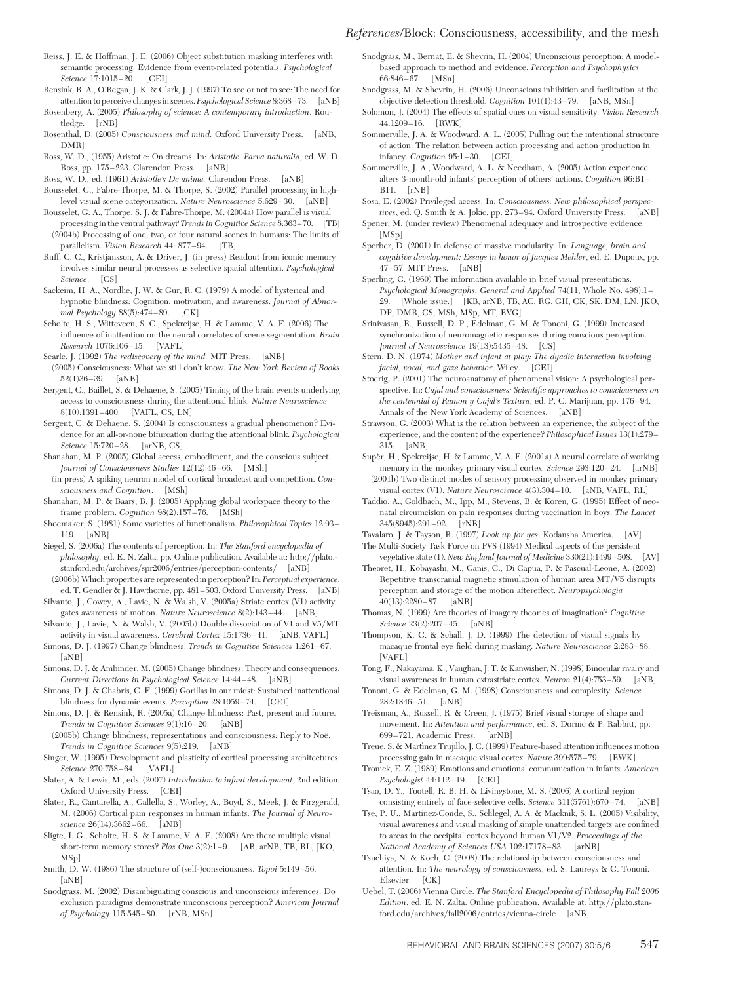- Reiss, J. E. & Hoffman, J. E. (2006) Object substitution masking interferes with semantic processing: Evidence from event-related potentials. Psychological Science 17:1015–20. [CEI]
- Rensink, R. A., O'Regan, J. K. & Clark, J. J. (1997) To see or not to see: The need for attention to perceive changes in scenes. Psychological Science 8:368–73. [aNB]
- Rosenberg, A. (2005) Philosophy of science: A contemporary introduction. Routledge. [rNB]
- Rosenthal, D. (2005) Consciousness and mind. Oxford University Press. [aNB, DMR]
- Ross, W. D., (1955) Aristotle: On dreams. In: Aristotle. Parva naturalia, ed. W. D. Ross, pp. 175–223. Clarendon Press. [aNB]
- Ross, W. D., ed. (1961) Aristotle's De anima. Clarendon Press. [aNB]
- Rousselet, G., Fabre-Thorpe, M. & Thorpe, S. (2002) Parallel processing in highlevel visual scene categorization. Nature Neuroscience 5:629–30. [aNB]
- Rousselet, G. A., Thorpe, S. J. & Fabre-Thorpe, M. (2004a) How parallel is visual processing in the ventral pathway? Trends in Cognitive Science 8:363–70. [TB] (2004b) Processing of one, two, or four natural scenes in humans: The limits of parallelism. Vision Research 44: 877–94. [TB]
- Ruff, C. C., Kristjansson, A. & Driver, J. (in press) Readout from iconic memory involves similar neural processes as selective spatial attention. Psychological Science. [CS]
- Sackeim, H. A., Nordlie, J. W. & Gur, R. C. (1979) A model of hysterical and hypnotic blindness: Cognition, motivation, and awareness. Journal of Abnormal Psychology 88(5):474–89. [CK]
- Scholte, H. S., Witteveen, S. C., Spekreijse, H. & Lamme, V. A. F. (2006) The influence of inattention on the neural correlates of scene segmentation.  $\it Brain$ Research 1076:106–15. [VAFL]
- Searle, J. (1992) The rediscovery of the mind. MIT Press. [aNB]
- (2005) Consciousness: What we still don't know. The New York Review of Books 52(1)36–39. [aNB]
- Sergent, C., Baillet, S. & Dehaene, S. (2005) Timing of the brain events underlying access to consciousness during the attentional blink. Nature Neuroscience 8(10):1391–400. [VAFL, CS, LN]
- Sergent, C. & Dehaene, S. (2004) Is consciousness a gradual phenomenon? Evidence for an all-or-none bifurcation during the attentional blink. Psychological Science 15:720–28. [arNB, CS]
- Shanahan, M. P. (2005) Global access, embodiment, and the conscious subject. Journal of Consciousness Studies 12(12):46–66. [MSh]
- (in press) A spiking neuron model of cortical broadcast and competition. Consciousness and Cognition. [MSh]
- Shanahan, M. P. & Baars, B. J. (2005) Applying global workspace theory to the frame problem. Cognition 98(2):157–76. [MSh]
- Shoemaker, S. (1981) Some varieties of functionalism. Philosophical Topics 12:93– 119. [aNB]
- Siegel, S. (2006a) The contents of perception. In: The Stanford encyclopedia of philosophy, ed. E. N. Zalta, pp. Online publication. Available at: http://plato. stanford.edu/archives/spr2006/entries/perception-contents/ [aNB] (2006b) Which properties are represented in perception? In: Perceptual experience,
- ed. T. Gendler & J. Hawthorne, pp. 481–503. Oxford University Press. [aNB] Silvanto, J., Cowey, A., Lavie, N. & Walsh, V. (2005a) Striate cortex (V1) activity
- gates awareness of motion. Nature Neuroscience 8(2):143–44. [aNB] Silvanto, J., Lavie, N. & Walsh, V. (2005b) Double dissociation of V1 and V5/MT
- activity in visual awareness. Cerebral Cortex 15:1736–41. [aNB, VAFL]
- Simons, D. J. (1997) Change blindness. Trends in Cognitive Sciences 1:261–67. [aNB]
- Simons, D. J. & Ambinder, M. (2005) Change blindness: Theory and consequences. Current Directions in Psychological Science 14:44–48. [aNB]
- Simons, D. J. & Chabris, C. F. (1999) Gorillas in our midst: Sustained inattentional blindness for dynamic events. Perception 28:1059–74. [CEI]
- Simons, D. J. & Rensink, R. (2005a) Change blindness: Past, present and future. Trends in Cognitive Sciences 9(1):16–20. [aNB]
- (2005b) Change blindness, representations and consciousness: Reply to Noë. Trends in Cognitive Sciences 9(5):219. [aNB]
- Singer, W. (1995) Development and plasticity of cortical processing architectures. Science 270:758–64. [VAFL]
- Slater, A. & Lewis, M., eds. (2007) Introduction to infant development, 2nd edition. Oxford University Press. [CEI]
- Slater, R., Cantarella, A., Gallella, S., Worley, A., Boyd, S., Meek, J. & Firzgerald, M. (2006) Cortical pain responses in human infants. The Journal of Neuroscience 26(14):3662–66. [aNB]
- Sligte, I. G., Scholte, H. S. & Lamme, V. A. F. (2008) Are there multiple visual short-term memory stores? Plos One 3(2):1–9. [AB, arNB, TB, RL, JKO, MSp]
- Smith, D. W. (1986) The structure of (self-)consciousness. Topoi 5:149–56. [aNB]
- Snodgrass, M. (2002) Disambiguating conscious and unconscious inferences: Do exclusion paradigms demonstrate unconscious perception? American Journal of Psychology 115:545–80. [rNB, MSn]

- Snodgrass, M., Bernat, E. & Shevrin, H. (2004) Unconscious perception: A modelbased approach to method and evidence. Perception and Psychophysics 66:846–67. [MSn]
- Snodgrass, M. & Shevrin, H. (2006) Unconscious inhibition and facilitation at the objective detection threshold. Cognition 101(1):43–79. [aNB, MSn]
- Solomon, J. (2004) The effects of spatial cues on visual sensitivity. Vision Research 44:1209–16. [RWK]
- Sommerville, J. A. & Woodward, A. L. (2005) Pulling out the intentional structure of action: The relation between action processing and action production in infancy. Cognition 95:1–30. [CEI]
- Sommerville, J. A., Woodward, A. L. & Needham, A. (2005) Action experience alters 3-month-old infants' perception of others' actions. Cognition 96:B1– B11. [rNB]
- Sosa, E. (2002) Privileged access. In: Consciousness: New philosophical perspectives, ed. Q. Smith & A. Jokic, pp. 273–94. Oxford University Press. [aNB] Spener, M. (under review) Phenomenal adequacy and introspective evidence.
- [MSp] Sperber, D. (2001) In defense of massive modularity. In: Language, brain and
- cognitive development: Essays in honor of Jacques Mehler, ed. E. Dupoux, pp. 47–57. MIT Press. [aNB]
- Sperling, G. (1960) The information available in brief visual presentations. Psychological Monographs: General and Applied 74(11, Whole No. 498):1– 29. [Whole issue.] [KB, arNB, TB, AC, RG, GH, CK, SK, DM, LN, JKO, DP, DMR, CS, MSh, MSp, MT, RVG]
- Srinivasan, R., Russell, D. P., Edelman, G. M. & Tononi, G. (1999) Increased synchronization of neuromagnetic responses during conscious perception. Journal of Neuroscience 19(13):5435–48. [CS]
- Stern, D. N. (1974) Mother and infant at play: The dyadic interaction involving facial, vocal, and gaze behavior. Wiley. [CEI]
- Stoerig, P. (2001) The neuroanatomy of phenomenal vision: A psychological perspective. In: Cajal and consciousness: Scientific approaches to consciousness on the centennial of Ramon y Cajal's Textura, ed. P. C. Marijuan, pp. 176–94. Annals of the New York Academy of Sciences. [aNB]
- Strawson, G. (2003) What is the relation between an experience, the subject of the experience, and the content of the experience? Philosophical Issues 13(1):279– 315. [aNB]
- Supèr, H., Spekreijse, H. & Lamme, V. A. F. (2001a) A neural correlate of working memory in the monkey primary visual cortex. Science 293:120-24. [arNB] (2001b) Two distinct modes of sensory processing observed in monkey primary visual cortex (V1). Nature Neuroscience 4(3):304-10. [aNB, VAFL, RL]
- Taddio, A., Goldbach, M., Ipp, M., Stevens, B. & Koren, G. (1995) Effect of neonatal circumcision on pain responses during vaccination in boys. The Lancet 345(8945):291–92. [rNB]
- Tavalaro, J. & Tayson, R. (1997) Look up for yes. Kodansha America. [AV] The Multi-Society Task Force on PVS (1994) Medical aspects of the persistent
- vegetative state (1). New England Journal of Medicine 330(21):1499–508. [AV] Theoret, H., Kobayashi, M., Ganis, G., Di Capua, P. & Pascual-Leone, A. (2002)
- Repetitive transcranial magnetic stimulation of human area MT/V5 disrupts perception and storage of the motion aftereffect. Neuropsychologia 40(13):2280–87. [aNB]
- Thomas, N. (1999) Are theories of imagery theories of imagination? Cognitive Science 23(2):207–45. [aNB]
- Thompson, K. G. & Schall, J. D. (1999) The detection of visual signals by macaque frontal eye field during masking. Nature Neuroscience 2:283–88. [VAFL]
- Tong, F., Nakayama, K., Vaughan, J. T. & Kanwisher, N. (1998) Binocular rivalry and visual awareness in human extrastriate cortex. Neuron 21(4):753–59. [aNB]
- Tononi, G. & Edelman, G. M. (1998) Consciousness and complexity. Science 282:1846–51. [aNB]
- Treisman, A., Russell, R. & Green, J. (1975) Brief visual storage of shape and movement. In: Attention and performance, ed. S. Dornic & P. Rabbitt, pp. 699–721. Academic Press. [arNB]
- Treue, S. & Martinez Trujillo, J. C. (1999) Feature-based attention influences motion processing gain in macaque visual cortex. Nature 399:575–79. [RWK]
- Tronick, E. Z. (1989) Emotions and emotional communication in infants. American Psychologist 44:112–19. [CEI]
- Tsao, D. Y., Tootell, R. B. H. & Livingstone, M. S. (2006) A cortical region consisting entirely of face-selective cells. Science 311(5761):670–74. [aNB]
- Tse, P. U., Martinez-Conde, S., Schlegel, A. A. & Macknik, S. L. (2005) Visibility, visual awareness and visual masking of simple unattended targets are confined to areas in the occipital cortex beyond human V1/V2. Proceedings of the National Academy of Sciences USA 102:17178–83. [arNB]
- Tsuchiya, N. & Koch, C. (2008) The relationship between consciousness and attention. In: The neurology of consciousness, ed. S. Laureys & G. Tononi. Elsevier. [CK]
- Uebel, T. (2006) Vienna Circle. The Stanford Encyclopedia of Philosophy Fall 2006 Edition, ed. E. N. Zalta. Online publication. Available at: http://plato.stanford.edu/archives/fall2006/entries/vienna-circle [aNB]